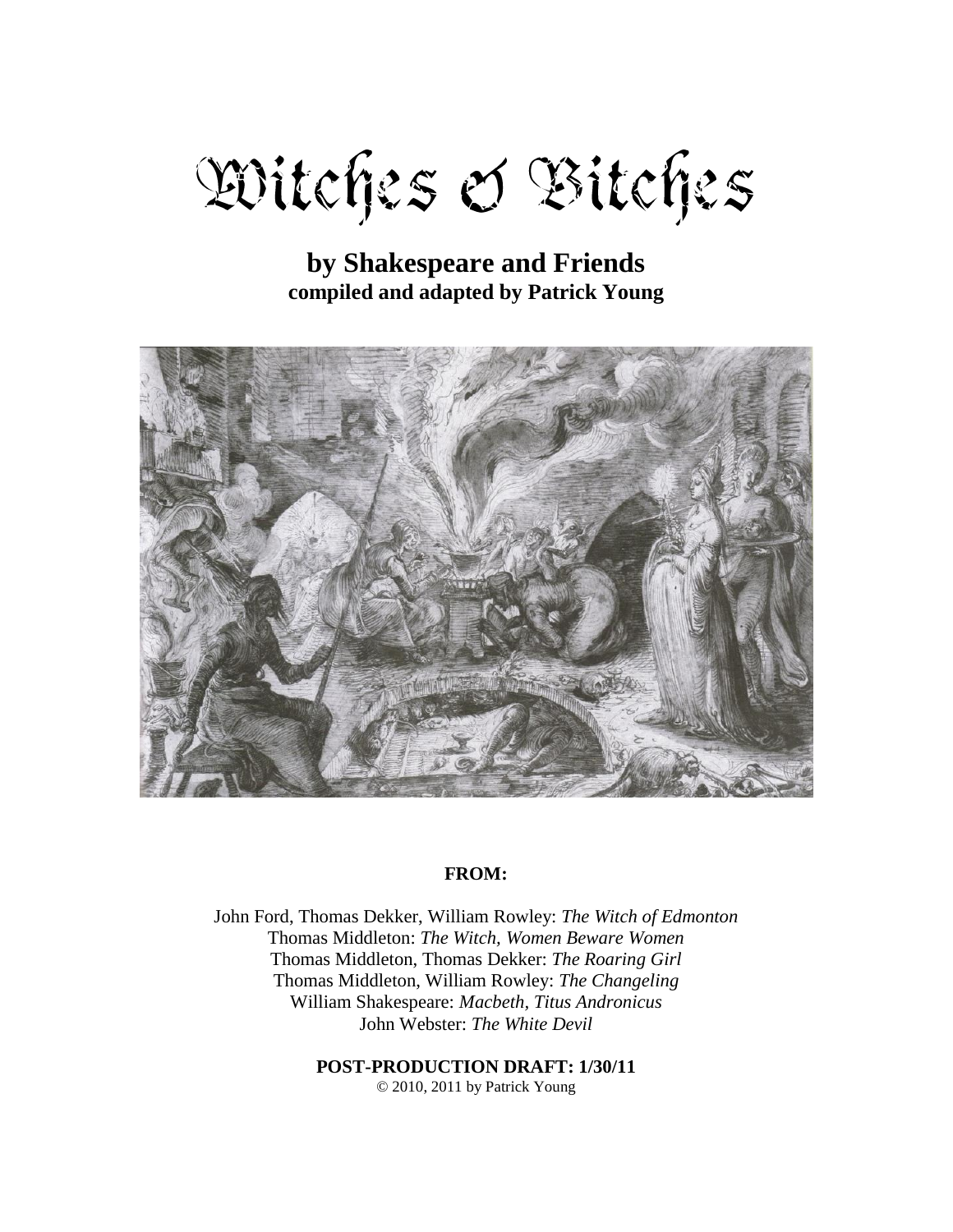# Witches & Bitches

# **by Shakespeare and Friends compiled and adapted by Patrick Young**



#### **FROM:**

John Ford, Thomas Dekker, William Rowley: *The Witch of Edmonton* Thomas Middleton: *The Witch, Women Beware Women* Thomas Middleton, Thomas Dekker: *The Roaring Girl* Thomas Middleton, William Rowley: *The Changeling* William Shakespeare: *Macbeth, Titus Andronicus* John Webster: *The White Devil*

**POST-PRODUCTION DRAFT: 1/30/11**

© 2010, 2011 by Patrick Young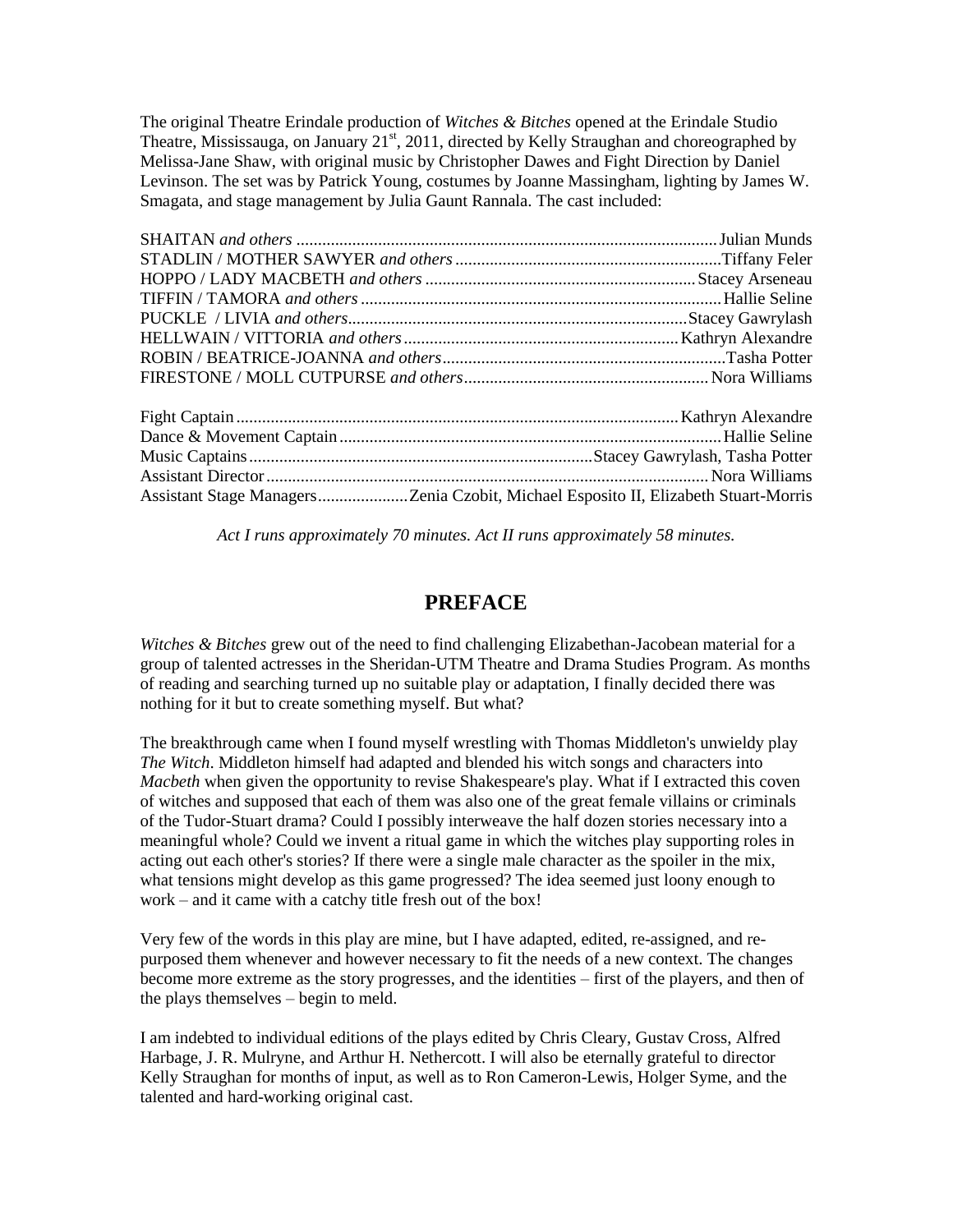The original Theatre Erindale production of *Witches & Bitches* opened at the Erindale Studio Theatre, Mississauga, on January 21<sup>st</sup>, 2011, directed by Kelly Straughan and choreographed by Melissa-Jane Shaw, with original music by Christopher Dawes and Fight Direction by Daniel Levinson. The set was by Patrick Young, costumes by Joanne Massingham, lighting by James W. Smagata, and stage management by Julia Gaunt Rannala. The cast included:

*Act I runs approximately 70 minutes. Act II runs approximately 58 minutes.*

# **PREFACE**

*Witches & Bitches* grew out of the need to find challenging Elizabethan-Jacobean material for a group of talented actresses in the Sheridan-UTM Theatre and Drama Studies Program. As months of reading and searching turned up no suitable play or adaptation, I finally decided there was nothing for it but to create something myself. But what?

The breakthrough came when I found myself wrestling with Thomas Middleton's unwieldy play *The Witch*. Middleton himself had adapted and blended his witch songs and characters into *Macbeth* when given the opportunity to revise Shakespeare's play. What if I extracted this coven of witches and supposed that each of them was also one of the great female villains or criminals of the Tudor-Stuart drama? Could I possibly interweave the half dozen stories necessary into a meaningful whole? Could we invent a ritual game in which the witches play supporting roles in acting out each other's stories? If there were a single male character as the spoiler in the mix, what tensions might develop as this game progressed? The idea seemed just loony enough to work – and it came with a catchy title fresh out of the box!

Very few of the words in this play are mine, but I have adapted, edited, re-assigned, and repurposed them whenever and however necessary to fit the needs of a new context. The changes become more extreme as the story progresses, and the identities – first of the players, and then of the plays themselves – begin to meld.

I am indebted to individual editions of the plays edited by Chris Cleary, Gustav Cross, Alfred Harbage, J. R. Mulryne, and Arthur H. Nethercott. I will also be eternally grateful to director Kelly Straughan for months of input, as well as to Ron Cameron-Lewis, Holger Syme, and the talented and hard-working original cast.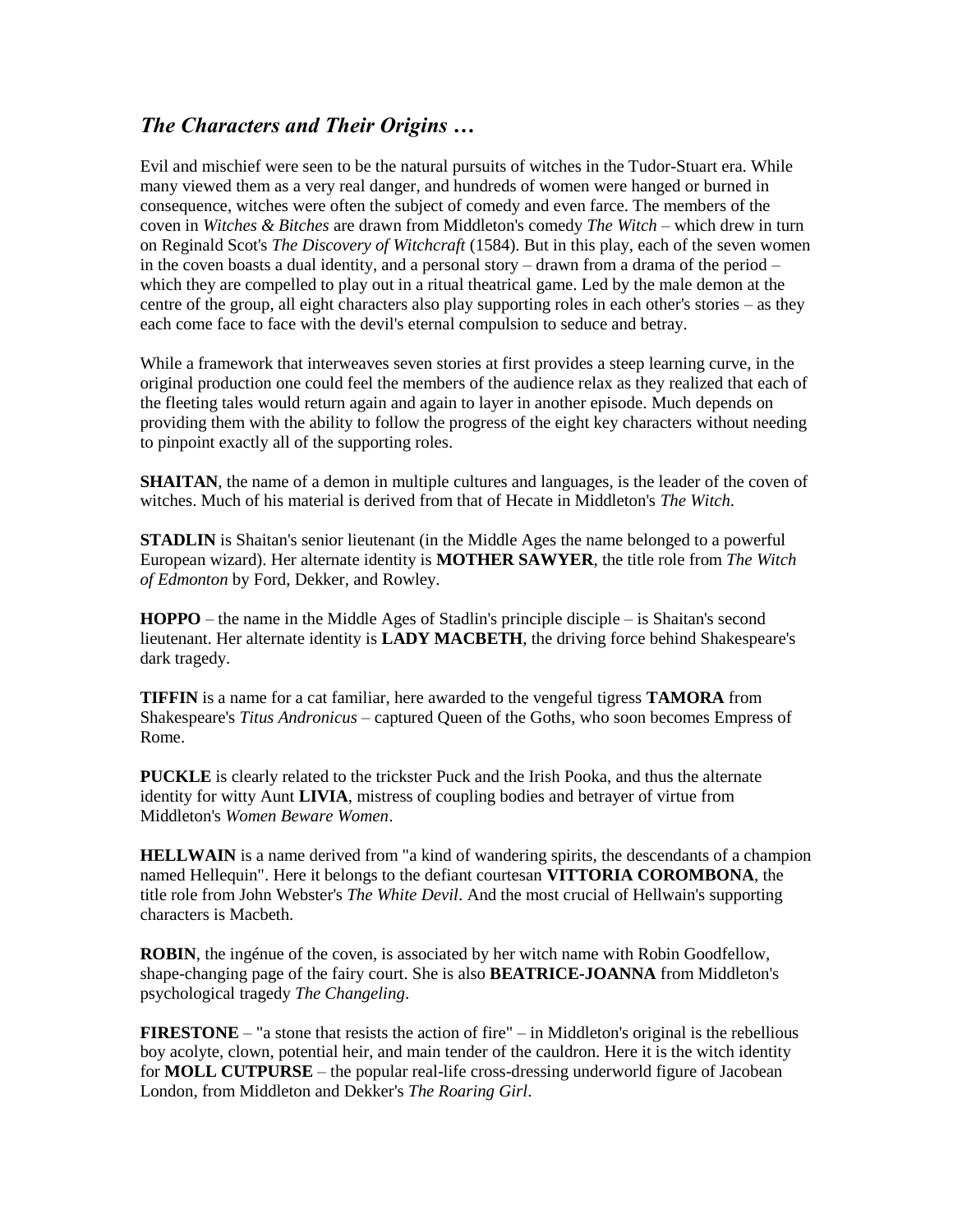# *The Characters and Their Origins …*

Evil and mischief were seen to be the natural pursuits of witches in the Tudor-Stuart era. While many viewed them as a very real danger, and hundreds of women were hanged or burned in consequence, witches were often the subject of comedy and even farce. The members of the coven in *Witches & Bitches* are drawn from Middleton's comedy *The Witch* – which drew in turn on Reginald Scot's *The Discovery of Witchcraft* (1584). But in this play, each of the seven women in the coven boasts a dual identity, and a personal story – drawn from a drama of the period – which they are compelled to play out in a ritual theatrical game. Led by the male demon at the centre of the group, all eight characters also play supporting roles in each other's stories – as they each come face to face with the devil's eternal compulsion to seduce and betray.

While a framework that interweaves seven stories at first provides a steep learning curve, in the original production one could feel the members of the audience relax as they realized that each of the fleeting tales would return again and again to layer in another episode. Much depends on providing them with the ability to follow the progress of the eight key characters without needing to pinpoint exactly all of the supporting roles.

**SHAITAN**, the name of a demon in multiple cultures and languages, is the leader of the coven of witches. Much of his material is derived from that of Hecate in Middleton's *The Witch*.

**STADLIN** is Shaitan's senior lieutenant (in the Middle Ages the name belonged to a powerful European wizard). Her alternate identity is **MOTHER SAWYER**, the title role from *The Witch of Edmonton* by Ford, Dekker, and Rowley.

**HOPPO** – the name in the Middle Ages of Stadlin's principle disciple – is Shaitan's second lieutenant. Her alternate identity is **LADY MACBETH**, the driving force behind Shakespeare's dark tragedy.

**TIFFIN** is a name for a cat familiar, here awarded to the vengeful tigress **TAMORA** from Shakespeare's *Titus Andronicus* – captured Queen of the Goths, who soon becomes Empress of Rome.

**PUCKLE** is clearly related to the trickster Puck and the Irish Pooka, and thus the alternate identity for witty Aunt **LIVIA**, mistress of coupling bodies and betrayer of virtue from Middleton's *Women Beware Women*.

**HELLWAIN** is a name derived from "a kind of wandering spirits, the descendants of a champion named Hellequin". Here it belongs to the defiant courtesan **VITTORIA COROMBONA**, the title role from John Webster's *The White Devil*. And the most crucial of Hellwain's supporting characters is Macbeth.

**ROBIN**, the ingénue of the coven, is associated by her witch name with Robin Goodfellow, shape-changing page of the fairy court. She is also **BEATRICE-JOANNA** from Middleton's psychological tragedy *The Changeling*.

**FIRESTONE** – "a stone that resists the action of fire" – in Middleton's original is the rebellious boy acolyte, clown, potential heir, and main tender of the cauldron. Here it is the witch identity for **MOLL CUTPURSE** – the popular real-life cross-dressing underworld figure of Jacobean London, from Middleton and Dekker's *The Roaring Girl*.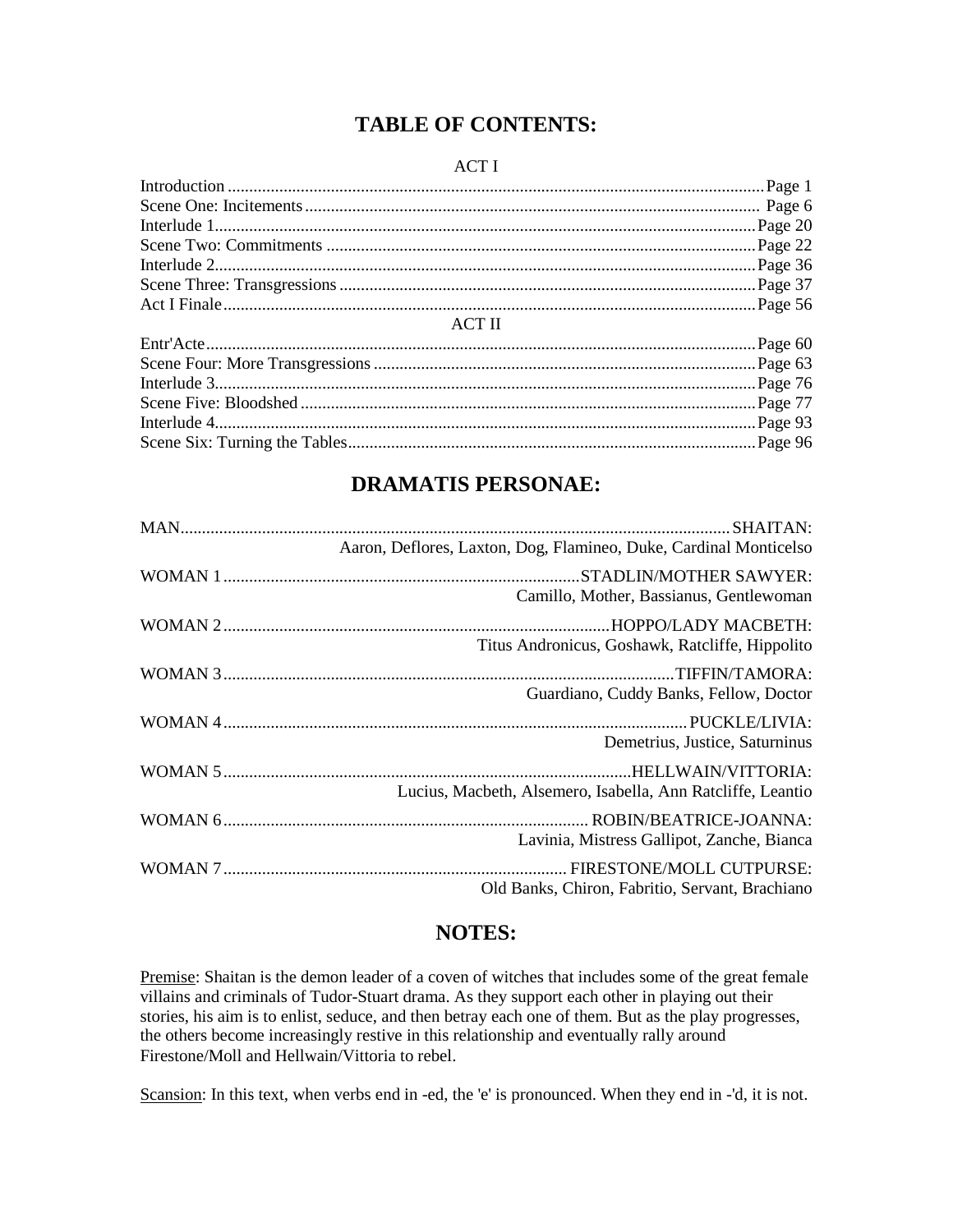# **TABLE OF CONTENTS:**

#### ACT I

|               | Page 22 |
|---------------|---------|
|               | Page 36 |
|               |         |
|               |         |
| <b>ACT II</b> |         |
|               |         |
|               |         |
|               |         |
|               | Page 77 |
|               |         |
|               |         |

# **DRAMATIS PERSONAE:**

| Aaron, Deflores, Laxton, Dog, Flamineo, Duke, Cardinal Monticelso |
|-------------------------------------------------------------------|
|                                                                   |
| Camillo, Mother, Bassianus, Gentlewoman                           |
| HOPPO/LADY MACBETH:                                               |
| Titus Andronicus, Goshawk, Ratcliffe, Hippolito                   |
|                                                                   |
| Guardiano, Cuddy Banks, Fellow, Doctor                            |
|                                                                   |
| Demetrius, Justice, Saturninus                                    |
|                                                                   |
| Lucius, Macbeth, Alsemero, Isabella, Ann Ratcliffe, Leantio       |
|                                                                   |
| Lavinia, Mistress Gallipot, Zanche, Bianca                        |
|                                                                   |
| Old Banks, Chiron, Fabritio, Servant, Brachiano                   |

# **NOTES:**

Premise: Shaitan is the demon leader of a coven of witches that includes some of the great female villains and criminals of Tudor-Stuart drama. As they support each other in playing out their stories, his aim is to enlist, seduce, and then betray each one of them. But as the play progresses, the others become increasingly restive in this relationship and eventually rally around Firestone/Moll and Hellwain/Vittoria to rebel.

Scansion: In this text, when verbs end in -ed, the 'e' is pronounced. When they end in -'d, it is not.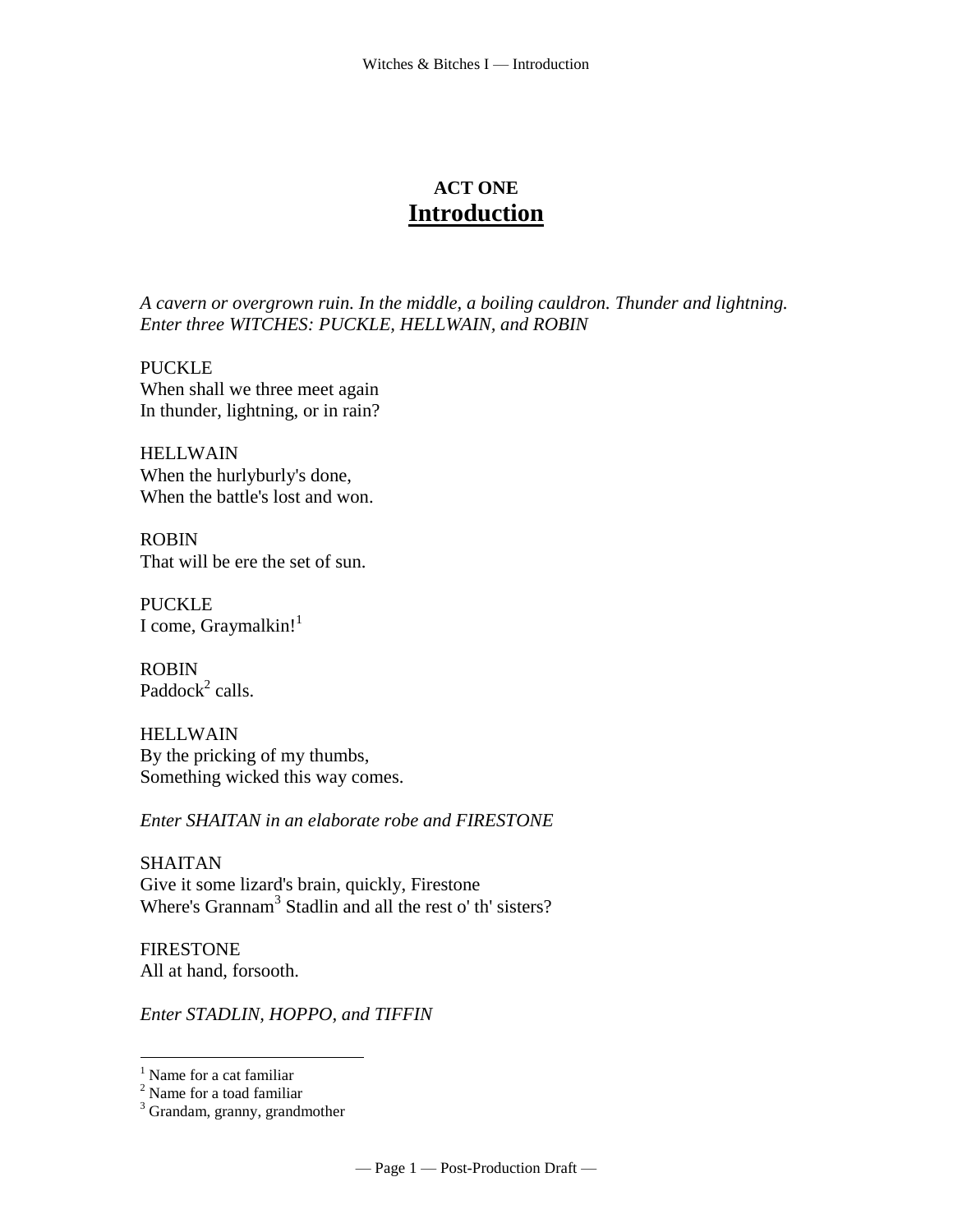# **ACT ONE Introduction**

*A cavern or overgrown ruin. In the middle, a boiling cauldron. Thunder and lightning. Enter three WITCHES: PUCKLE, HELLWAIN, and ROBIN*

PUCKLE When shall we three meet again In thunder, lightning, or in rain?

HELLWAIN When the hurlyburly's done, When the battle's lost and won.

ROBIN That will be ere the set of sun.

PUCKLE I come, Graymalkin! $1$ 

ROBIN Paddock<sup>2</sup> calls.

HELLWAIN By the pricking of my thumbs, Something wicked this way comes.

*Enter SHAITAN in an elaborate robe and FIRESTONE*

SHAITAN Give it some lizard's brain, quickly, Firestone Where's Grannam<sup>3</sup> Stadlin and all the rest o' th' sisters?

**FIRESTONE** All at hand, forsooth.

*Enter STADLIN, HOPPO, and TIFFIN*

<sup>&</sup>lt;sup>1</sup> Name for a cat familiar

<sup>&</sup>lt;sup>2</sup> Name for a toad familiar

<sup>&</sup>lt;sup>3</sup> Grandam, granny, grandmother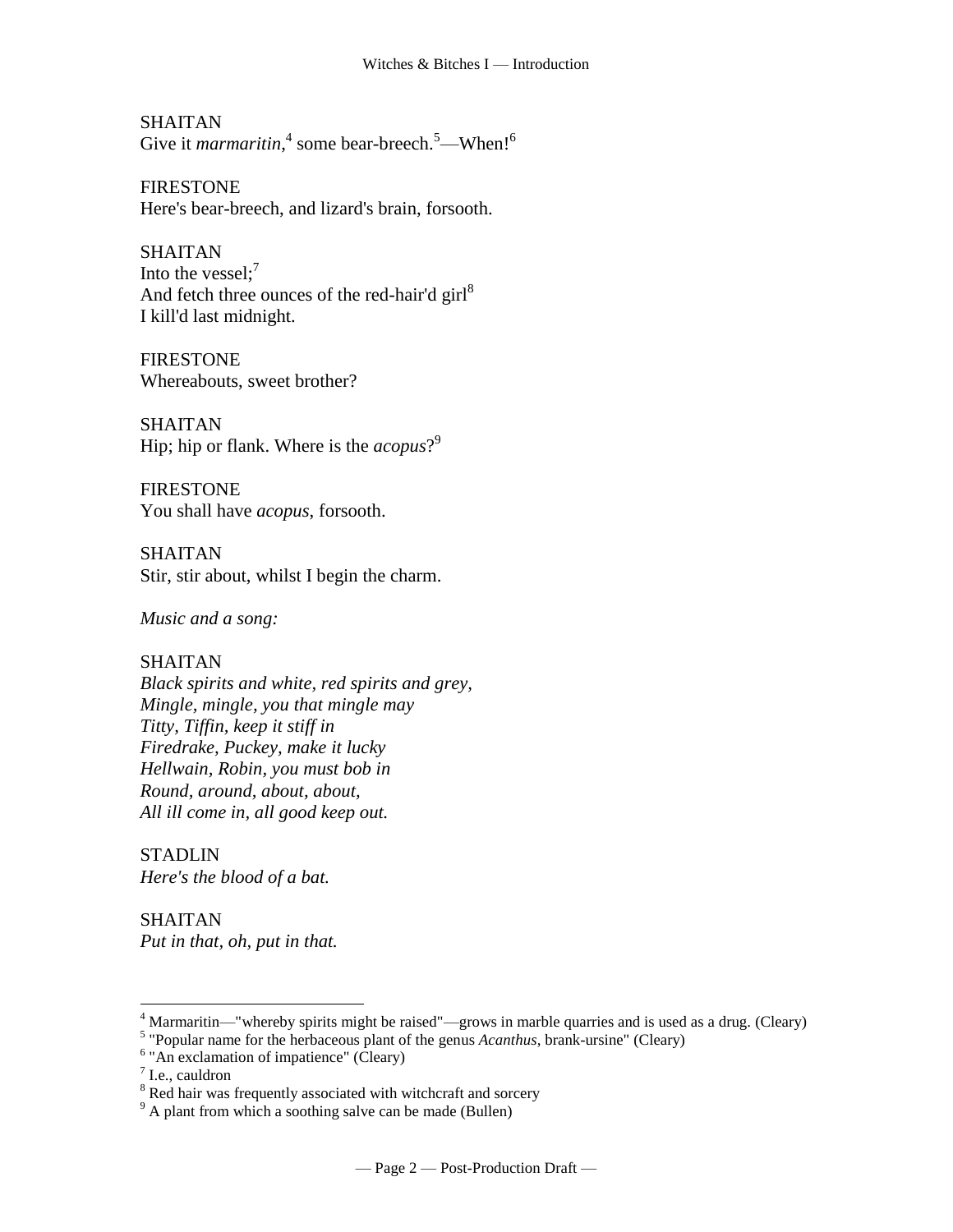SHAITAN Give it *marmaritin*,<sup>4</sup> some [bear-breech.](http://www.tech.org/~cleary/witch.html#BEARBREE)<sup>5</sup>[—When!](http://www.tech.org/~cleary/witch.html#WHEN)<sup>6</sup>

FIRESTONE Here's bear-breech, and lizard's brain, forsooth.

SHAITAN Into the vessel; $<sup>7</sup>$ </sup> And fetch three ounces of the [red-hair'd girl](http://www.tech.org/~cleary/witch.html#REDHAIRD) $^{8}$ I kill'd last midnight.

FIRESTONE Whereabouts, sweet brother?

SHAITAN Hip; hip or flank. Where is the *[acopus](http://www.tech.org/~cleary/witch.html#ACOPUS)*? 9

FIRESTONE You shall have *acopus*, forsooth.

SHAITAN Stir, stir about, whilst I begin the charm.

*Music and a song:*

# SHAITAN

*Black spirits and white, red spirits and grey, Mingle, mingle, you that mingle may Titty, Tiffin, keep it stiff in Firedrake, Puckey, make it lucky Hellwain, Robin, you must bob in Round, around, about, about, All ill come in, all good keep out.* 

STADLIN *Here's the blood of a bat.* 

SHAITAN *Put in that, oh, put in that.*

 $4$  Marmaritin—"whereby spirits might be raised"—grows in marble quarries and is used as a drug. (Cleary)

<sup>5</sup> "Popular name for the herbaceous plant of the genus *Acanthus*, brank-ursine" (Cleary)

<sup>&</sup>lt;sup>6</sup> "An exclamation of impatience" (Cleary)

 $<sup>7</sup>$  I.e., cauldron</sup>

<sup>&</sup>lt;sup>8</sup> Red hair was frequently associated with witchcraft and sorcery

 $9^9$  A plant from which a soothing salve can be made (Bullen)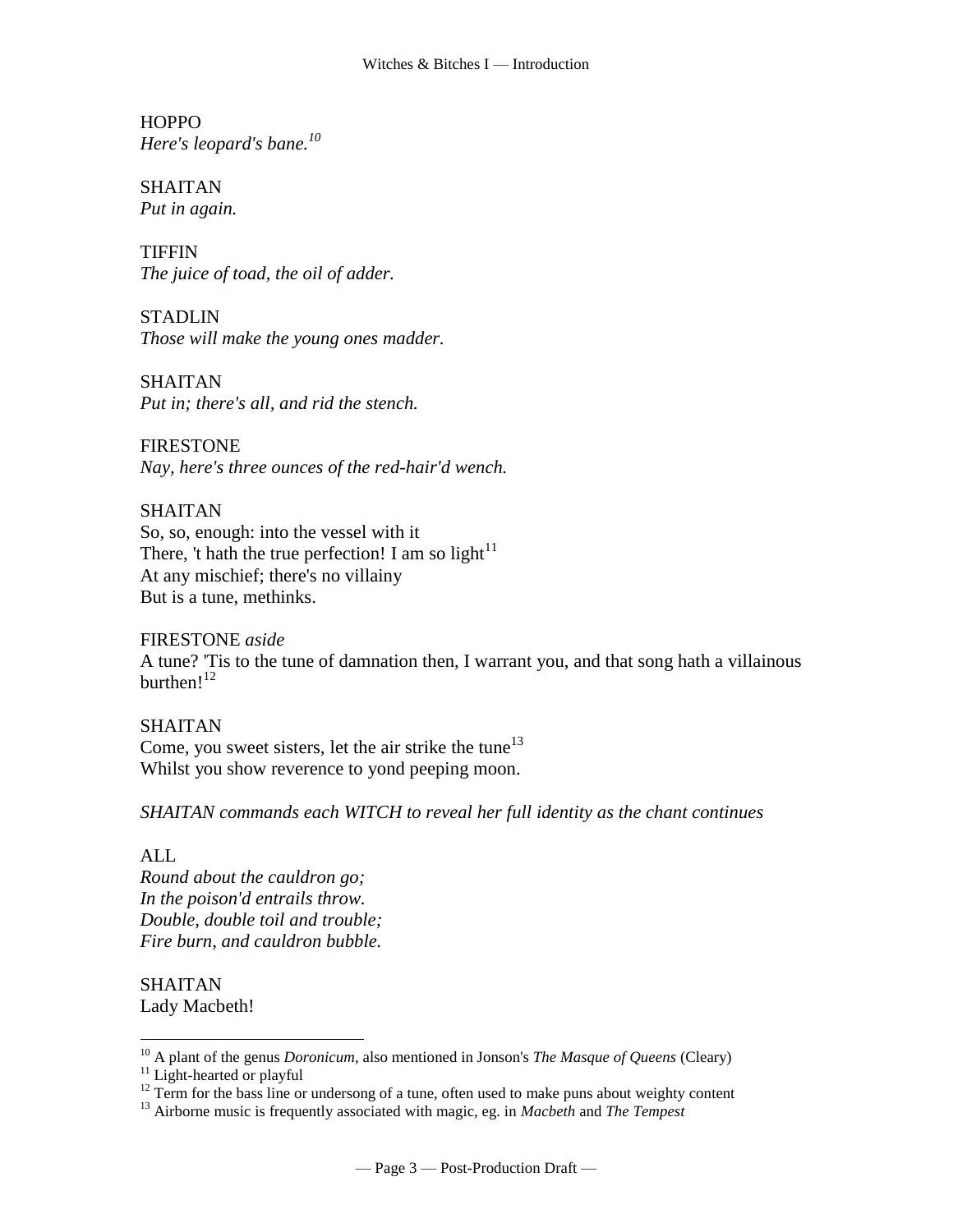**HOPPO** *Here's [leopard's bane.](http://www.tech.org/~cleary/witch.html#LIBBARDS) 10*

SHAITAN *Put in again.*

**TIFFIN** *The juice of toad, the oil of adder.*

STADLIN *Those will make the [young ones](http://www.tech.org/~cleary/witch.html#YOUNKER) madder.*

SHAITAN *Put in; there's all, and rid the stench.*

FIRESTONE *Nay, here's three ounces of the red-hair'd wench.*

SHAITAN So, so, enough: into the vessel with it There, 't hath the true perfection! I am so [light](http://www.tech.org/~cleary/witch.html#LIGHT2) $11$ At any mischief; there's no villainy But is a tune, methinks.

FIRESTONE *aside* A tune? 'Tis to the tune of damnation then, I warrant you, and that song hath a villainous [burthen!](http://www.tech.org/~cleary/witch.html#BURTHEN2)<sup>12</sup>

SHAITAN Come, you sweet sisters, [let the air strike the tune](http://www.tech.org/~cleary/witch.html#LETTHEAI)<sup>13</sup> Whilst you show reverence to yond peeping moon.

*SHAITAN commands each WITCH to reveal her full identity as the chant continues*

ALL

 $\overline{a}$ 

*Round about the cauldron go; In the poison'd entrails throw. Double, double toil and trouble; Fire burn, and cauldron bubble.*

SHAITAN Lady Macbeth!

<sup>10</sup> A plant of the genus *Doronicum*, also mentioned in Jonson's *The Masque of Queens* (Cleary)

<sup>&</sup>lt;sup>11</sup> Light-hearted or playful

 $12$  Term for the bass line or undersong of a tune, often used to make puns about weighty content

<sup>13</sup> Airborne music is frequently associated with magic, eg. in *Macbeth* and *The Tempest*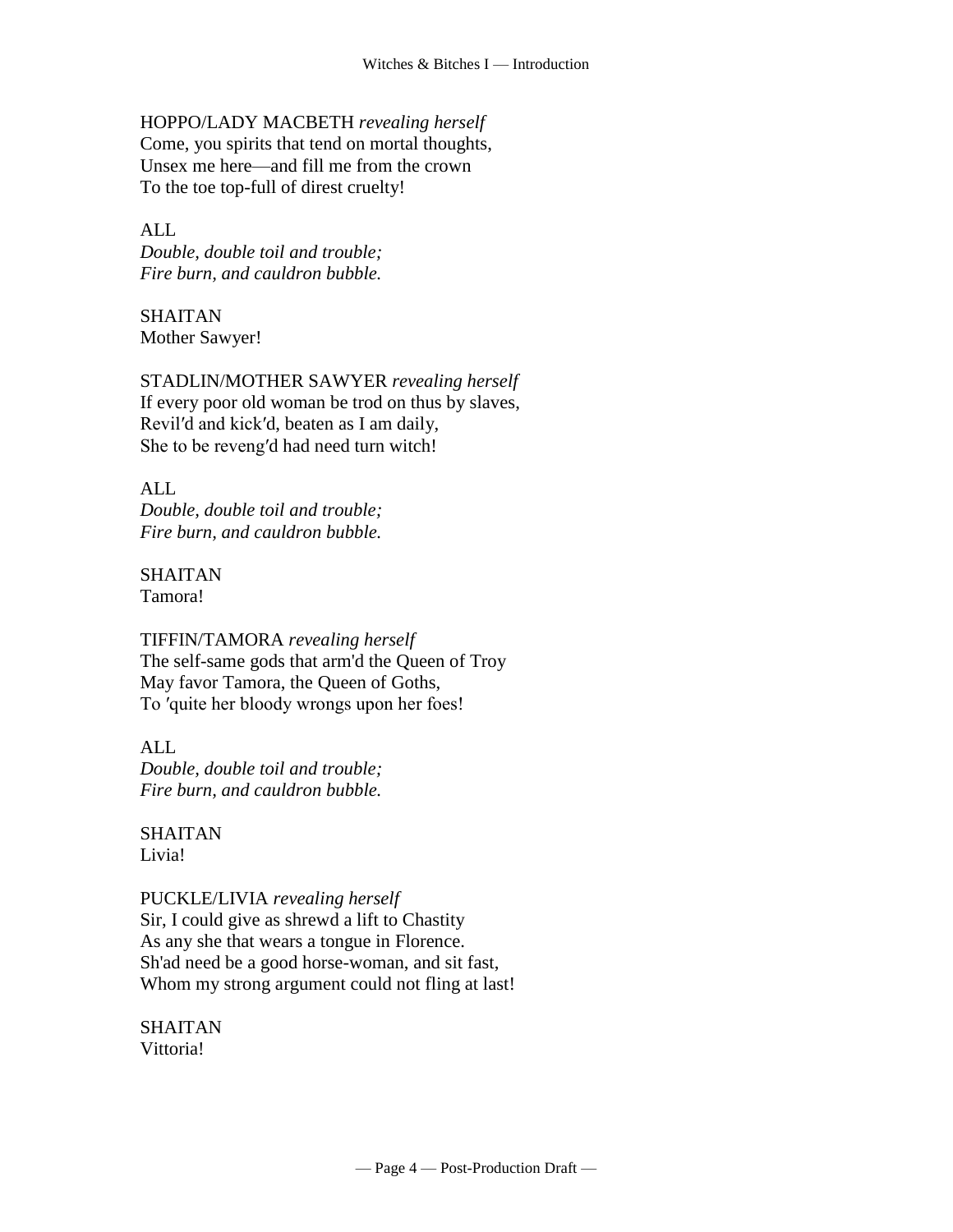# HOPPO/LADY MACBETH *revealing herself*

Come, you spirits that tend on mortal thoughts, Unsex me here—and fill me from the crown To the toe top-full of direst cruelty!

#### ALL

*Double, double toil and trouble; Fire burn, and cauldron bubble.*

SHAITAN Mother Sawyer!

STADLIN/MOTHER SAWYER *revealing herself* If every poor old woman be trod on thus by slaves, Revil′d and kick′d, beaten as I am daily, She to be reveng′d had need turn witch!

ALL *Double, double toil and trouble; Fire burn, and cauldron bubble.*

SHAITAN Tamora!

TIFFIN/TAMORA *revealing herself* The self-same gods that arm'd the Queen of Troy May favor Tamora, the Queen of Goths, To ′quite her bloody wrongs upon her foes!

ALL *Double, double toil and trouble; Fire burn, and cauldron bubble.*

SHAITAN Livia!

#### PUCKLE/LIVIA *revealing herself*

Sir, I could give as shrewd a lift to Chastity As any she that wears a tongue in Florence. Sh'ad need be a good horse-woman, and sit fast, Whom my strong argument could not fling at last!

SHAITAN Vittoria!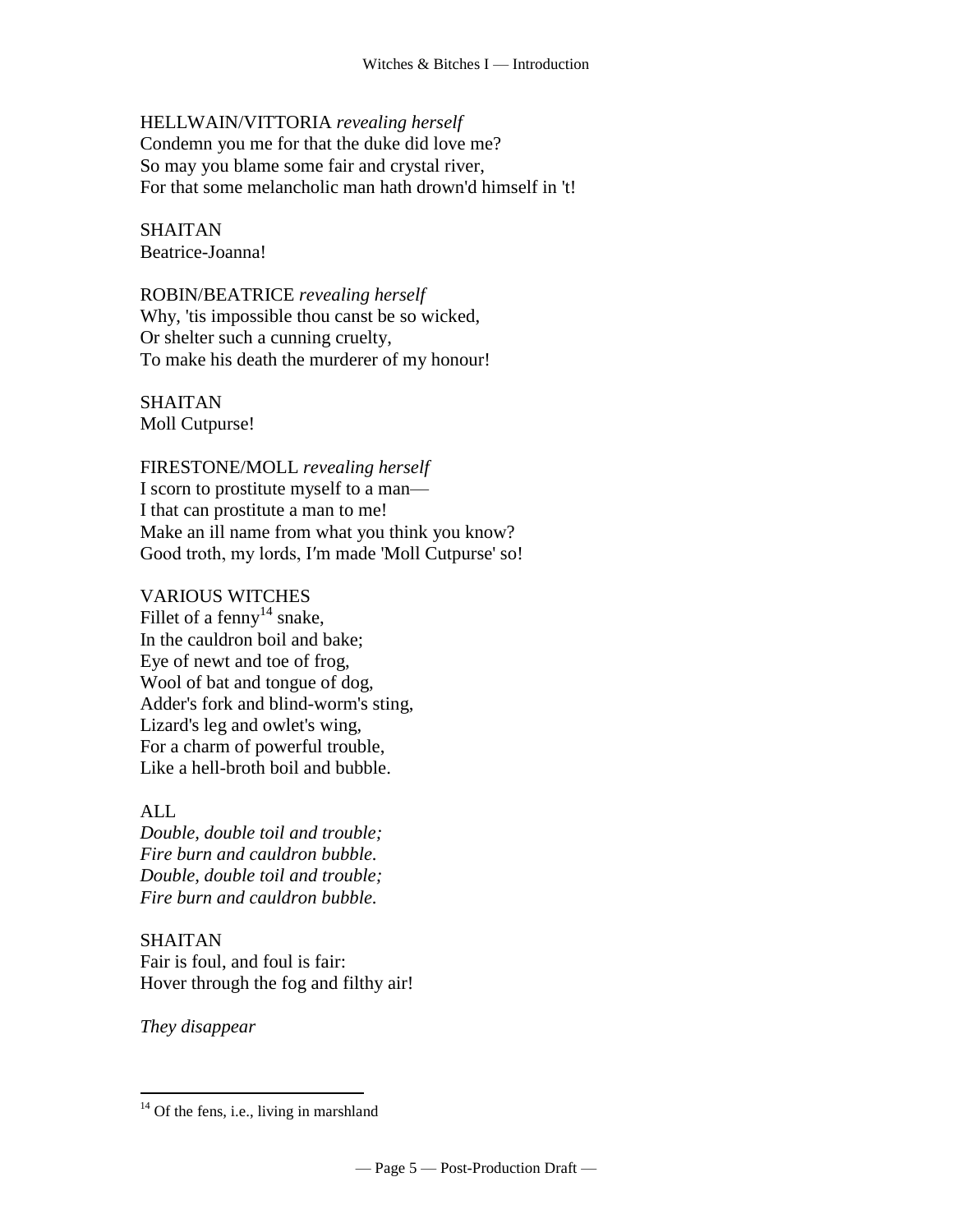## HELLWAIN/VITTORIA *revealing herself*

Condemn you me for that the duke did love me? So may you blame some fair and crystal river, For that some melancholic man hath drown'd himself in 't!

SHAITAN Beatrice-Joanna!

ROBIN/BEATRICE *revealing herself* Why, 'tis impossible thou canst be so wicked, Or shelter such a cunning cruelty, To make his death the murderer of my honour!

SHAITAN Moll Cutpurse!

FIRESTONE/MOLL *revealing herself* I scorn to prostitute myself to a man— I that can prostitute a man to me! Make an ill name from what you think you know? Good troth, my lords, I′m made 'Moll Cutpurse' so!

# VARIOUS WITCHES

Fillet of a fenny<sup>14</sup> snake, In the cauldron boil and bake; Eye of newt and toe of frog, Wool of bat and tongue of dog, Adder's fork and blind-worm's sting, Lizard's leg and owlet's wing, For a charm of powerful trouble, Like a hell-broth boil and bubble.

# ALL

*Double, double toil and trouble; Fire burn and cauldron bubble. Double, double toil and trouble; Fire burn and cauldron bubble.*

# SHAITAN

Fair is foul, and foul is fair: Hover through the fog and filthy air!

*They disappear*

 $14$  Of the fens, i.e., living in marshland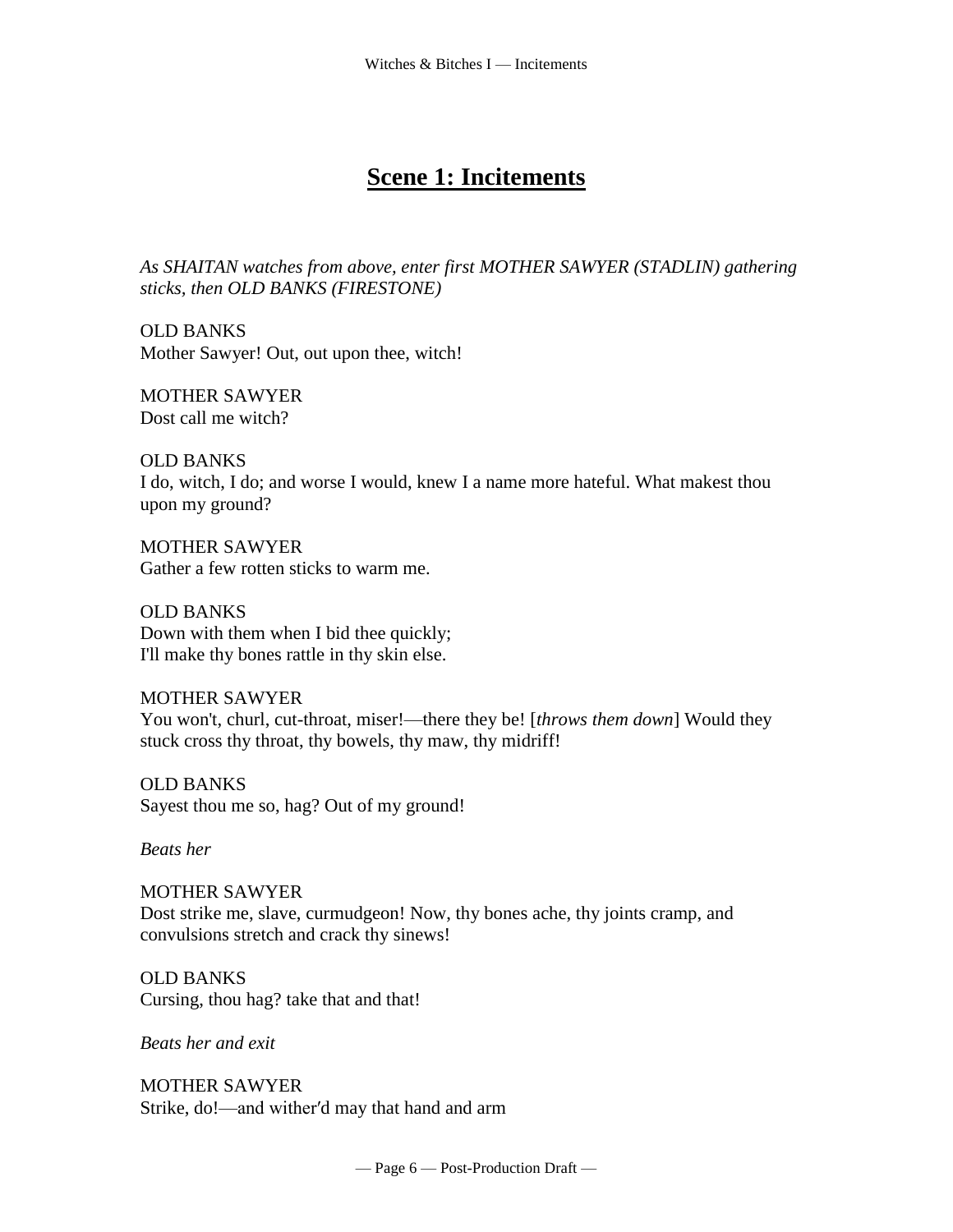# **Scene 1: Incitements**

*As SHAITAN watches from above, enter first MOTHER SAWYER (STADLIN) gathering sticks, then OLD BANKS (FIRESTONE)*

OLD BANKS Mother Sawyer! Out, out upon thee, witch!

MOTHER SAWYER Dost call me witch?

OLD BANKS I do, witch, I do; and worse I would, knew I a name more hateful. What makest thou upon my ground?

MOTHER SAWYER Gather a few rotten sticks to warm me.

OLD BANKS Down with them when I bid thee quickly; I'll make thy bones rattle in thy skin else.

MOTHER SAWYER You won't, churl, cut-throat, miser!—there they be! [*throws them down*] Would they stuck cross thy throat, thy bowels, thy maw, thy midriff!

OLD BANKS Sayest thou me so, hag? Out of my ground!

*Beats her*

MOTHER SAWYER Dost strike me, slave, curmudgeon! Now, thy bones ache, thy joints cramp, and convulsions stretch and crack thy sinews!

OLD BANKS Cursing, thou hag? take that and that!

*Beats her and exit*

MOTHER SAWYER Strike, do!—and wither′d may that hand and arm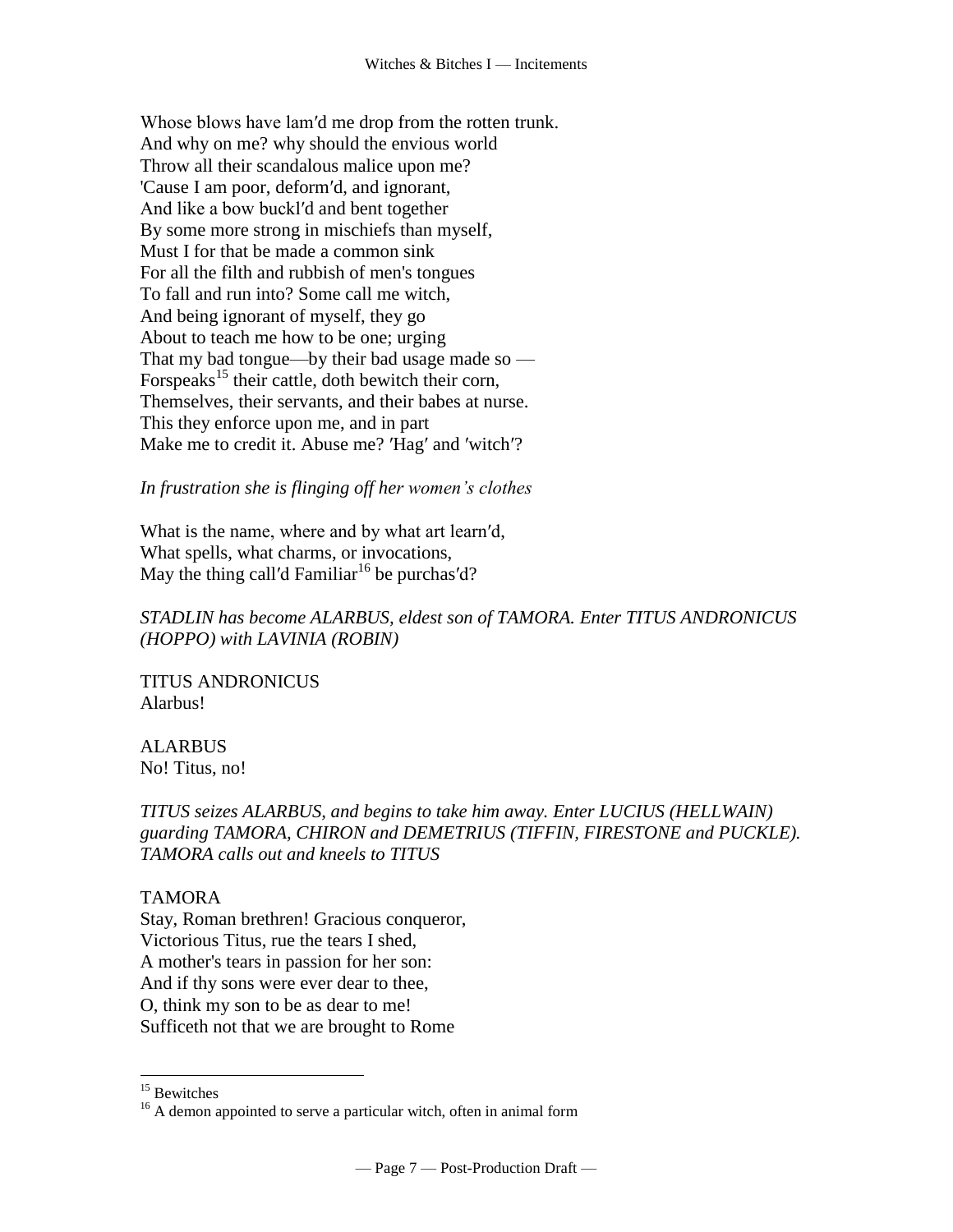Whose blows have lam′d me drop from the rotten trunk. And why on me? why should the envious world Throw all their scandalous malice upon me? 'Cause I am poor, deform′d, and ignorant, And like a bow buckl′d and bent together By some more strong in mischiefs than myself, Must I for that be made a common sink For all the filth and rubbish of men's tongues To fall and run into? Some call me witch, And being ignorant of myself, they go About to teach me how to be one; urging That my bad tongue—by their bad usage made so — For speaks<sup>15</sup> their cattle, doth bewitch their corn, Themselves, their servants, and their babes at nurse. This they enforce upon me, and in part Make me to credit it. Abuse me? 'Hag' and 'witch'?

*In frustration she is flinging off her women's clothes*

What is the name, where and by what art learn′d, What spells, what charms, or invocations, May the thing call'd Familiar<sup>16</sup> be purchas'd?

# *STADLIN has become ALARBUS, eldest son of TAMORA. Enter TITUS ANDRONICUS (HOPPO) with LAVINIA (ROBIN)*

TITUS ANDRONICUS Alarbus!

ALARBUS No! Titus, no!

*TITUS seizes ALARBUS, and begins to take him away. Enter LUCIUS (HELLWAIN) guarding TAMORA, CHIRON and DEMETRIUS (TIFFIN, FIRESTONE and PUCKLE). TAMORA calls out and kneels to TITUS* 

# TAMORA

Stay, Roman brethren! Gracious conqueror, Victorious Titus, rue the tears I shed, A mother's tears in passion for her son: And if thy sons were ever dear to thee, O, think my son to be as dear to me! Sufficeth not that we are brought to Rome

<sup>&</sup>lt;sup>15</sup> Bewitches

<sup>&</sup>lt;sup>16</sup> A demon appointed to serve a particular witch, often in animal form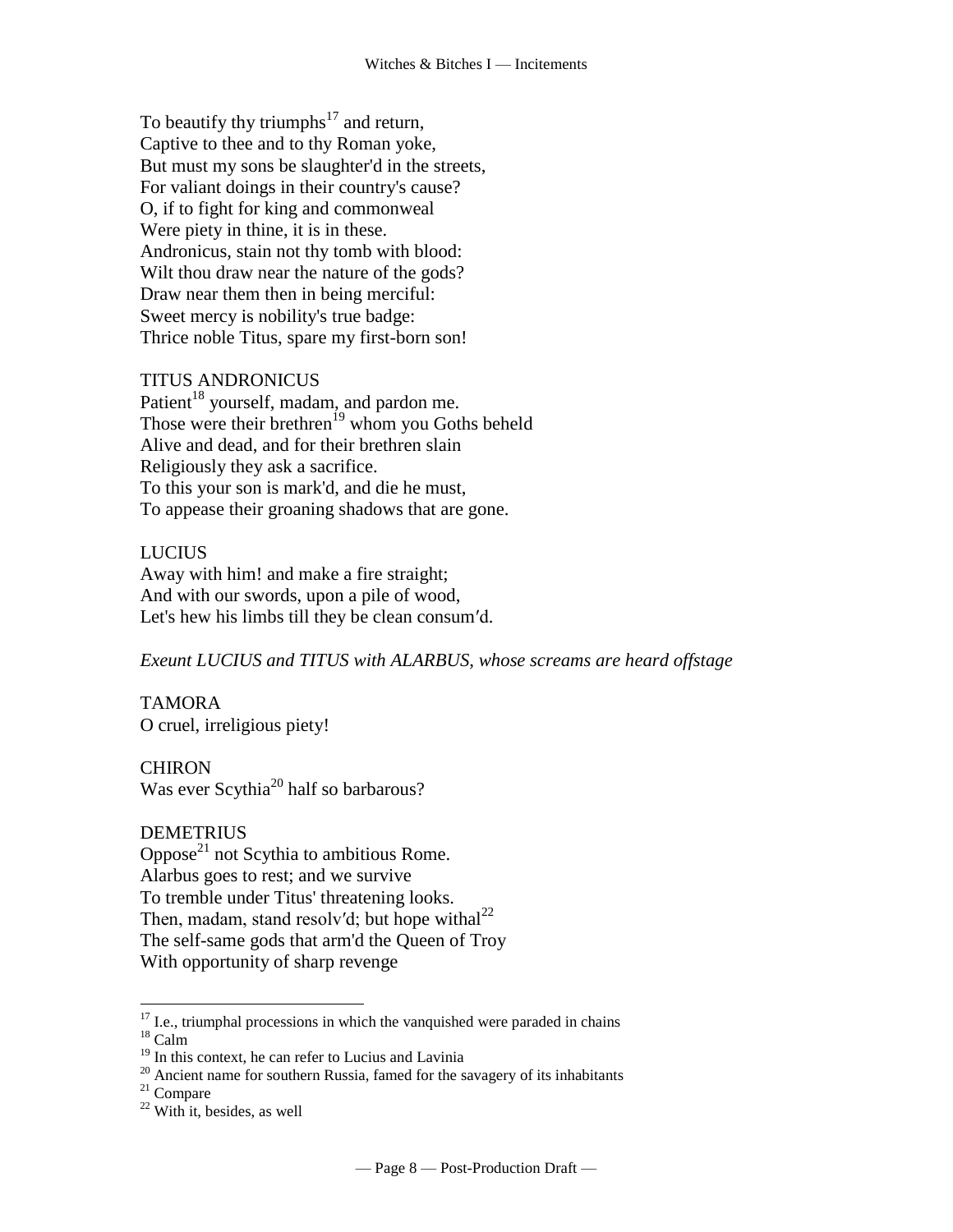To beautify thy triumphs<sup>17</sup> and return, Captive to thee and to thy Roman yoke, But must my sons be slaughter'd in the streets, For valiant doings in their country's cause? O, if to fight for king and commonweal Were piety in thine, it is in these. Andronicus, stain not thy tomb with blood: Wilt thou draw near the nature of the gods? Draw near them then in being merciful: Sweet mercy is nobility's true badge: Thrice noble Titus, spare my first-born son!

#### TITUS ANDRONICUS

Patient<sup>18</sup> yourself, madam, and pardon me. Those were their brethren<sup>19</sup> whom you Goths beheld Alive and dead, and for their brethren slain Religiously they ask a sacrifice. To this your son is mark'd, and die he must, To appease their groaning shadows that are gone.

# LUCIUS

Away with him! and make a fire straight; And with our swords, upon a pile of wood, Let's hew his limbs till they be clean consum′d.

*Exeunt LUCIUS and TITUS with ALARBUS, whose screams are heard offstage*

#### TAMORA O cruel, irreligious piety!

**CHIRON** Was ever Scythia<sup>20</sup> half so barbarous?

#### DEMETRIUS

Oppose $^{21}$  not Scythia to ambitious Rome. Alarbus goes to rest; and we survive To tremble under Titus' threatening looks. Then, madam, stand resolv'd; but hope withal<sup>22</sup> The self-same gods that arm'd the Queen of Troy With opportunity of sharp revenge

 $18$  Calm

 $\overline{a}$ 

```
20 Ancient name for southern Russia, famed for the savagery of its inhabitants
```
 $21$  Compare

 $17$  I.e., triumphal processions in which the vanquished were paraded in chains

<sup>&</sup>lt;sup>19</sup> In this context, he can refer to Lucius and Lavinia

 $22$  With it, besides, as well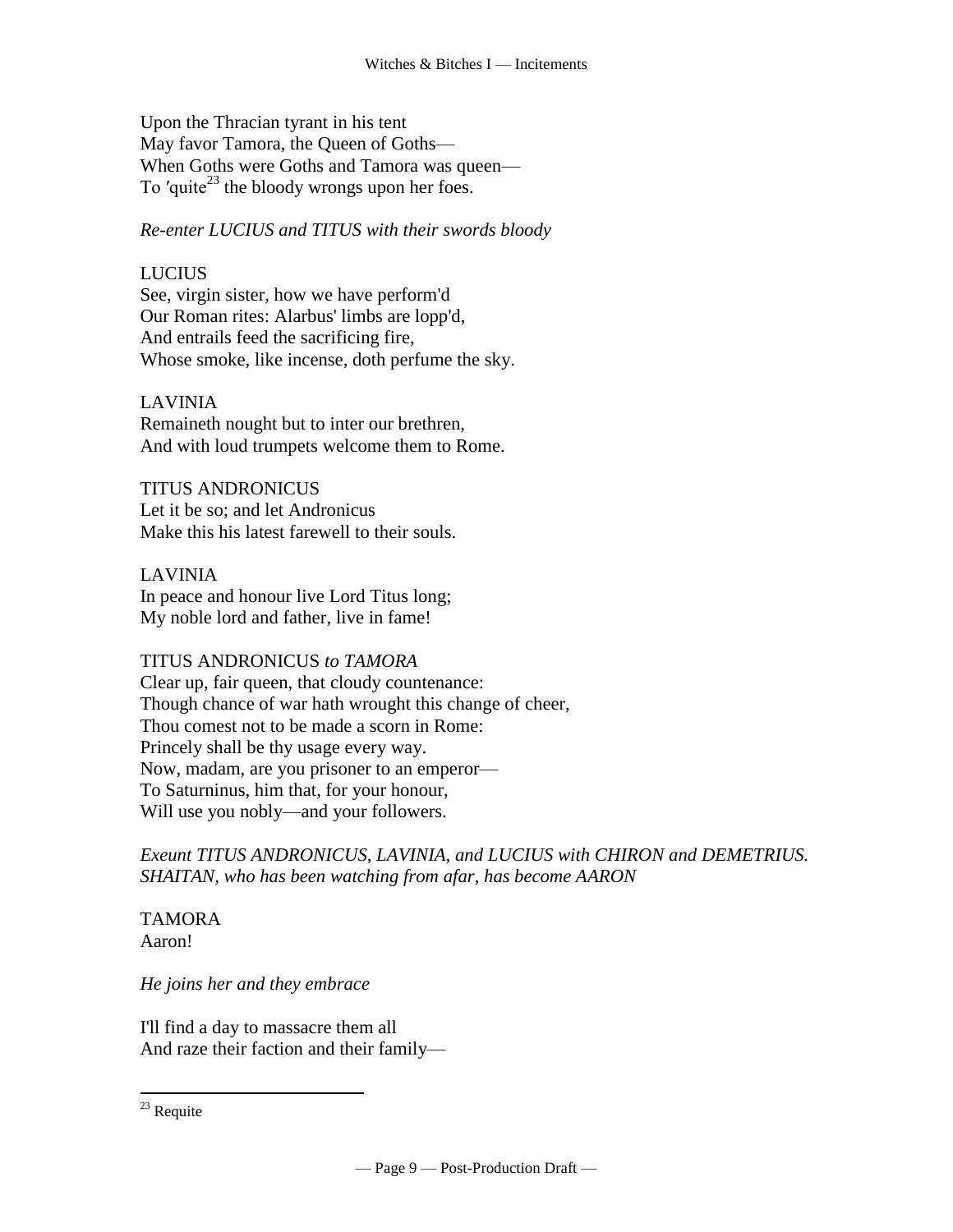Upon the Thracian tyrant in his tent May favor Tamora, the Queen of Goths— When Goths were Goths and Tamora was queen— To 'quite<sup>23</sup> the bloody wrongs upon her foes.

*Re-enter LUCIUS and TITUS with their swords bloody*

# LUCIUS

See, virgin sister, how we have perform'd Our Roman rites: Alarbus' limbs are lopp'd, And entrails feed the sacrificing fire, Whose smoke, like incense, doth perfume the sky.

# LAVINIA

Remaineth nought but to inter our brethren, And with loud trumpets welcome them to Rome.

TITUS ANDRONICUS Let it be so; and let Andronicus Make this his latest farewell to their souls.

LAVINIA In peace and honour live Lord Titus long; My noble lord and father, live in fame!

#### TITUS ANDRONICUS *to TAMORA*

Clear up, fair queen, that cloudy countenance: Though chance of war hath wrought this change of cheer, Thou comest not to be made a scorn in Rome: Princely shall be thy usage every way. Now, madam, are you prisoner to an emperor— To Saturninus, him that, for your honour, Will use you nobly—and your followers.

*Exeunt TITUS ANDRONICUS, LAVINIA, and LUCIUS with CHIRON and DEMETRIUS. SHAITAN, who has been watching from afar, has become AARON*

TAMORA Aaron!

*He joins her and they embrace*

I'll find a day to massacre them all And raze their faction and their family—

 $^{23}$  Requite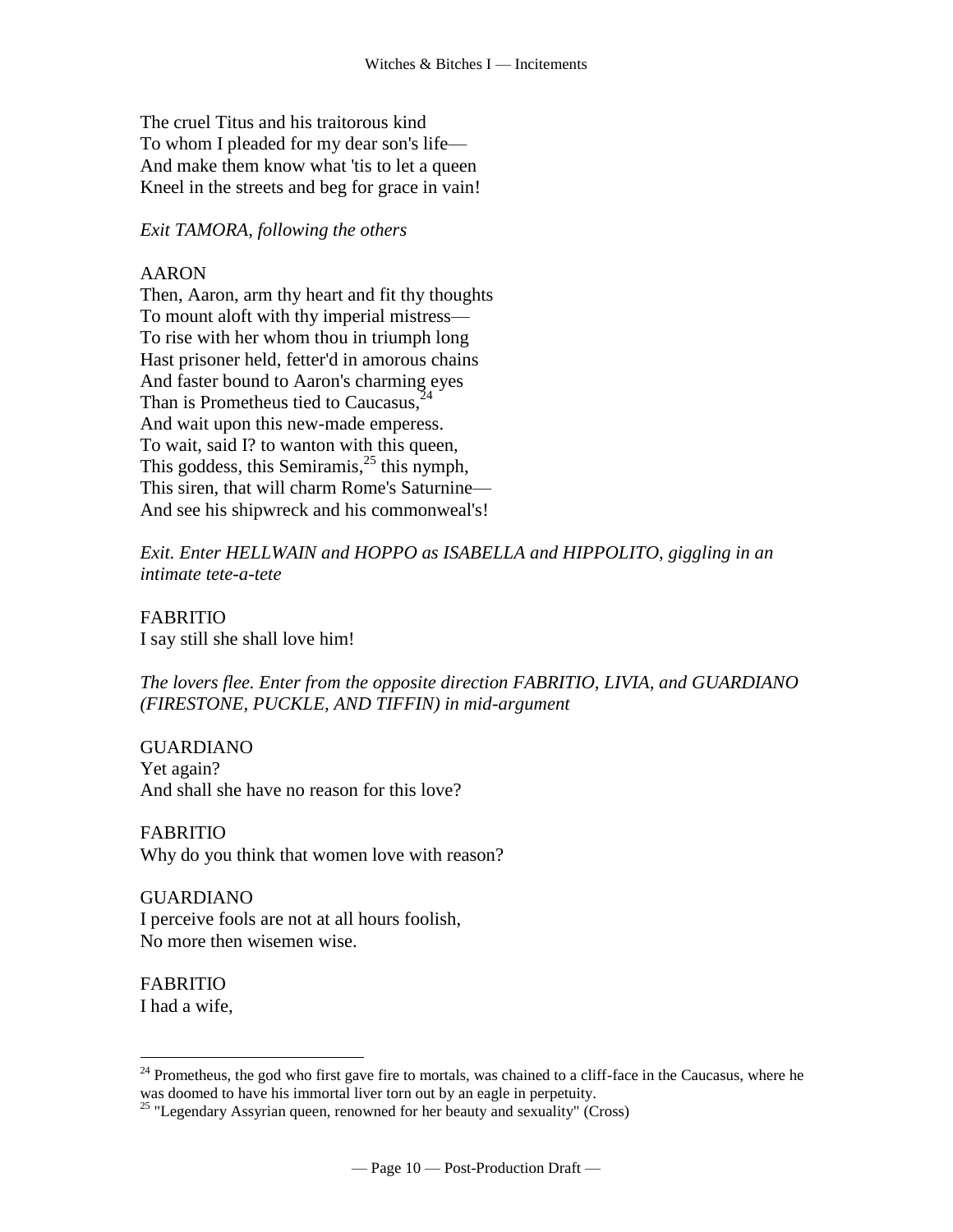The cruel Titus and his traitorous kind To whom I pleaded for my dear son's life— And make them know what 'tis to let a queen Kneel in the streets and beg for grace in vain!

#### *Exit TAMORA, following the others*

# AARON

Then, Aaron, arm thy heart and fit thy thoughts To mount aloft with thy imperial mistress— To rise with her whom thou in triumph long Hast prisoner held, fetter'd in amorous chains And faster bound to Aaron's charming eyes Than is Prometheus tied to Caucasus,<sup>24</sup> And wait upon this new-made emperess. To wait, said I? to wanton with this queen, This goddess, this Semiramis,  $^{25}$  this nymph, This siren, that will charm Rome's Saturnine— And see his shipwreck and his commonweal's!

*Exit. Enter HELLWAIN and HOPPO as ISABELLA and HIPPOLITO, giggling in an intimate tete-a-tete*

FABRITIO I say still she shall love him!

*The lovers flee. Enter from the opposite direction FABRITIO, LIVIA, and GUARDIANO (FIRESTONE, PUCKLE, AND TIFFIN) in mid-argument*

GUARDIANO Yet again? And shall she have no reason for this love?

# FABRITIO

Why do you think that women love with reason?

#### GUARDIANO

I perceive fools are not at all hours foolish, No more then wisemen wise.

FABRITIO

I had a wife,

 $24$  Prometheus, the god who first gave fire to mortals, was chained to a cliff-face in the Caucasus, where he was doomed to have his immortal liver torn out by an eagle in perpetuity.

 $^{25}$  "Legendary Assyrian queen, renowned for her beauty and sexuality" (Cross)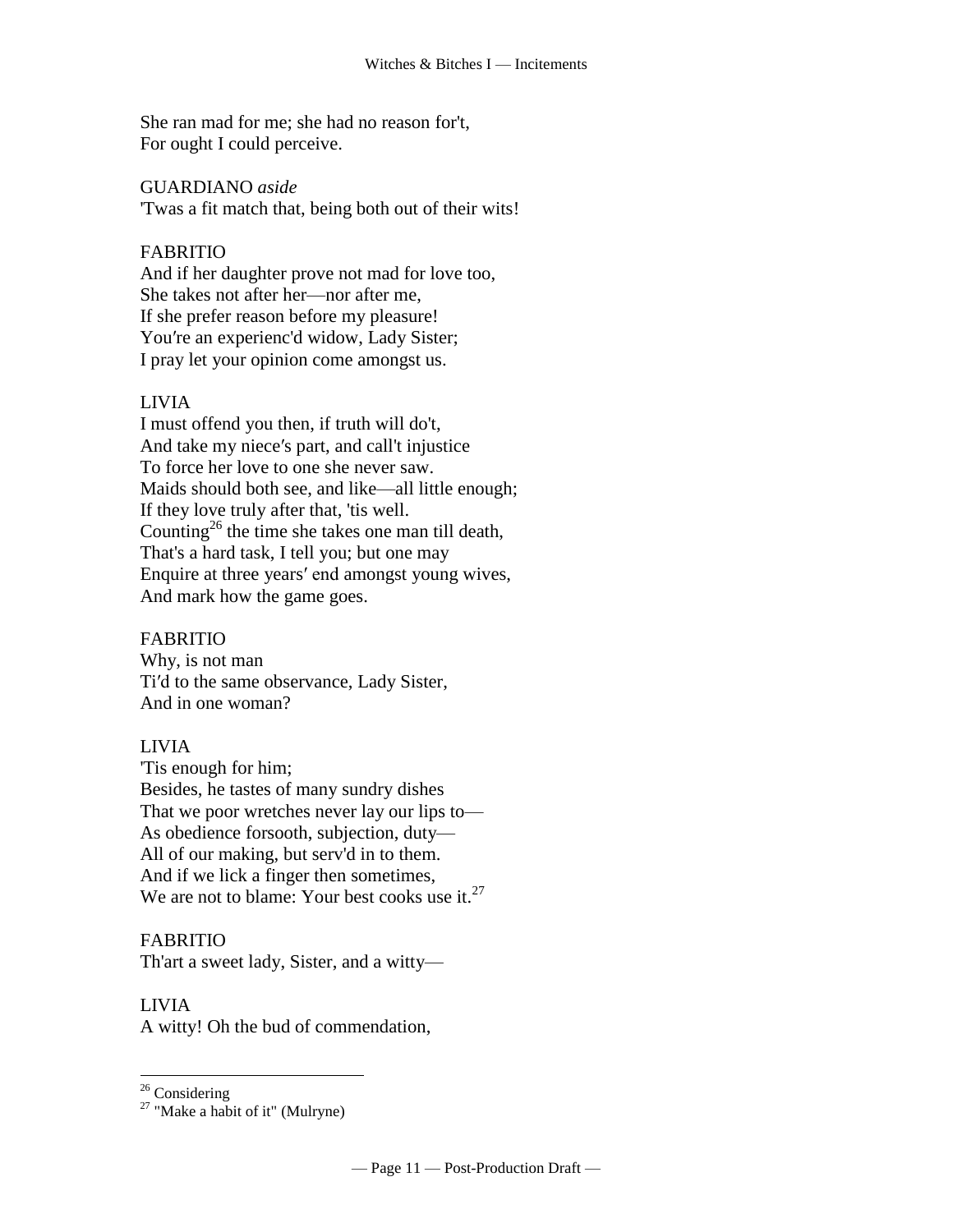She ran mad for me; she had no reason for't, For ought I could perceive.

#### GUARDIANO *aside*

'Twas a fit match that, being both out of their wits!

# FABRITIO

And if her daughter prove not mad for love too, She takes not after her—nor after me, If she prefer reason before my pleasure! You′re an experienc'd widow, Lady Sister; I pray let your opinion come amongst us.

# LIVIA

I must offend you then, if truth will do't, And take my niece′s part, and call't injustice To force her love to one she never saw. Maids should both see, and like—all little enough; If they love truly after that, 'tis well. Counting<sup>26</sup> the time she takes one man till death, That's a hard task, I tell you; but one may Enquire at three years′ end amongst young wives, And mark how the game goes.

# FABRITIO

Why, is not man Ti′d to the same observance, Lady Sister, And in one woman?

# LIVIA

'Tis enough for him; Besides, he tastes of many sundry dishes That we poor wretches never lay our lips to— As obedience forsooth, subjection, duty— All of our making, but serv'd in to them. And if we lick a finger then sometimes, We are not to blame: Your best cooks use it. $^{27}$ 

# FABRITIO

Th'art a sweet lady, Sister, and a witty—

# LIVIA

 $\overline{a}$ 

A witty! Oh the bud of commendation,

 $26$  Considering

 $27$  "Make a habit of it" (Mulryne)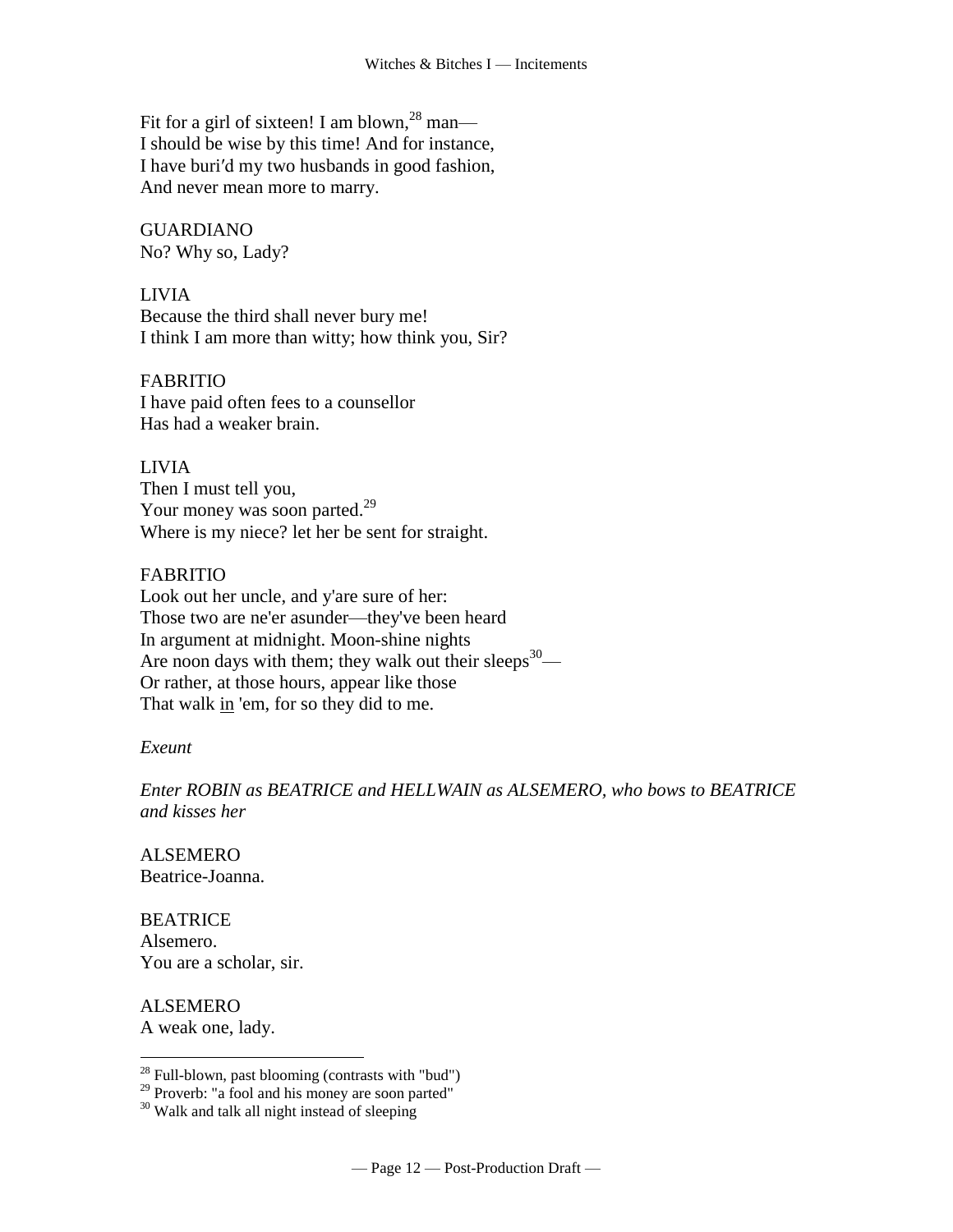Fit for a girl of sixteen! I am blown,<sup>28</sup> man— I should be wise by this time! And for instance, I have buri′d my two husbands in good fashion, And never mean more to marry.

GUARDIANO No? Why so, Lady?

LIVIA Because the third shall never bury me! I think I am more than witty; how think you, Sir?

FABRITIO I have paid often fees to a counsellor Has had a weaker brain.

LIVIA Then I must tell you, Your money was soon parted.<sup>29</sup> Where is my niece? let her be sent for straight.

#### FABRITIO

Look out her uncle, and y'are sure of her: Those two are ne'er asunder—they've been heard In argument at midnight. Moon-shine nights Are noon days with them; they walk out their sleeps $30-$ Or rather, at those hours, appear like those That walk in 'em, for so they did to me.

# *Exeunt*

*Enter ROBIN as BEATRICE and HELLWAIN as ALSEMERO, who bows to BEATRICE and kisses her*

ALSEMERO Beatrice-Joanna.

**BEATRICE** Alsemero. You are a scholar, sir.

ALSEMERO A weak one, lady.

 $2<sup>28</sup>$  Full-blown, past blooming (contrasts with "bud")

<sup>&</sup>lt;sup>29</sup> Proverb: "a fool and his money are soon parted"

<sup>&</sup>lt;sup>30</sup> Walk and talk all night instead of sleeping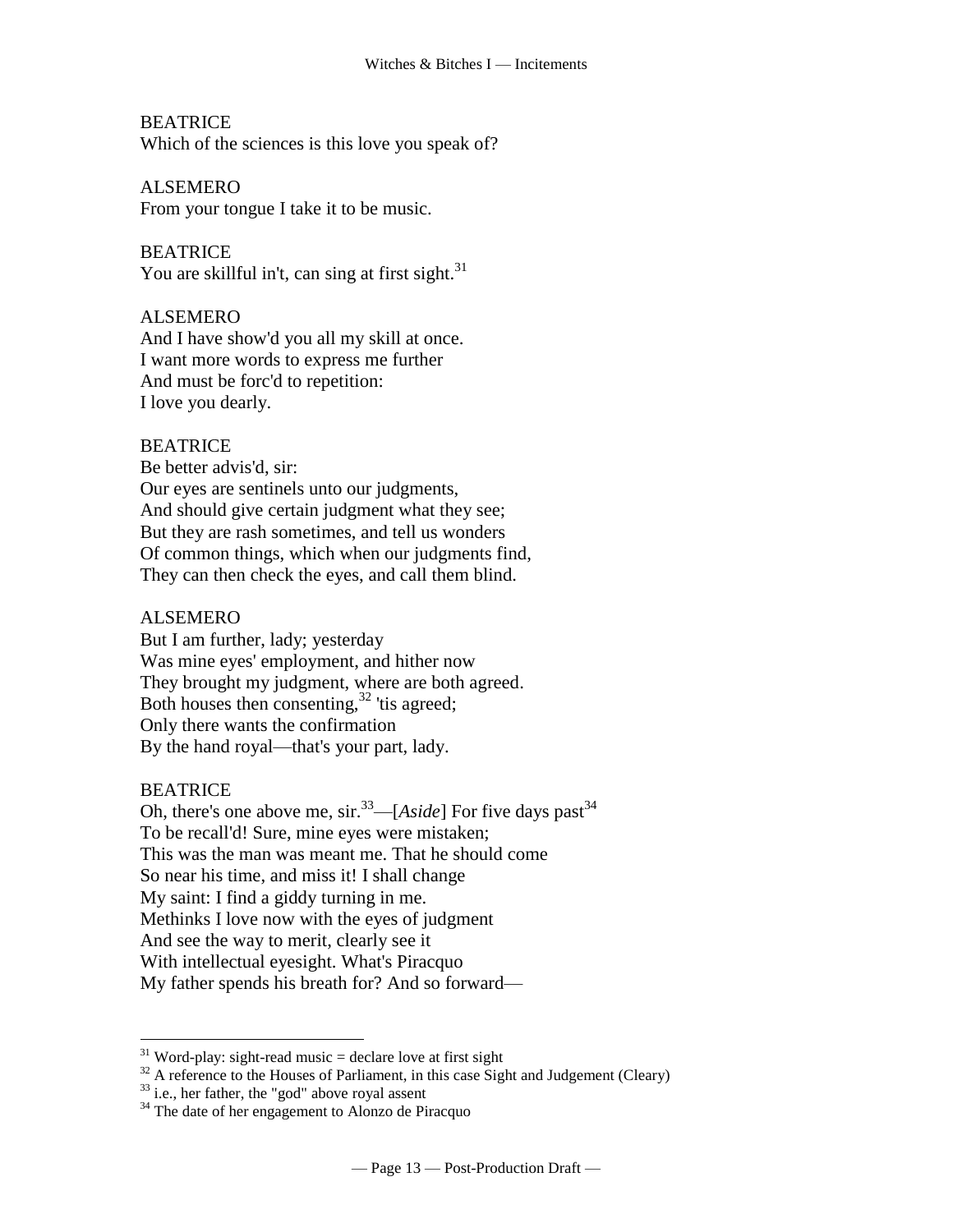**BEATRICE** 

Which of the sciences is this love you speak of?

ALSEMERO

From your tongue I take it to be music.

**BEATRICE** You are skillful in't, can [sing at first sight.](http://www.tech.org/~cleary/change.html#SINGATFI)<sup>31</sup>

# ALSEMERO

And I have show'd you all my skill at once. I want more words to express me further And must be forc'd to repetition: I love you dearly.

# BEATRICE

Be better advis'd, sir: Our eyes are sentinels unto our judgments, And should give certain judgment what they see; But they are rash sometimes, and tell us wonders Of common things, which when our judgments find, They can then check the eyes, and call them blind.

# ALSEMERO

But I am further, lady; yesterday Was mine eyes' employment, and hither now They brought my judgment, where are both agreed. [Both houses](http://www.tech.org/~cleary/change.html#BOTHHOUS) then consenting,  $32$  'tis agreed; Only there wants the confirmation By the hand royal—that's your part, lady.

#### **BEATRICE**

 $\overline{a}$ 

Oh, there's [one above me,](http://www.tech.org/~cleary/change.html#ONEABOVE)  $\sin^{33}$ —[*Aside*] For [five days past](http://www.tech.org/~cleary/change.html#FIVEDAYS)<sup>34</sup> To be recall'd! Sure, mine eyes were mistaken; This was the man was meant me. That he should come So near his time, and miss it! I shall change My saint: I find a giddy turning in me. Methinks I love now with the eyes of judgment And see the way to merit, clearly see it With intellectual eyesight. What's Piracquo My father spends his breath for? And so forward—

 $31$  Word-play: sight-read music = declare love at first sight

 $32$  A reference to the Houses of Parliament, in this case Sight and Judgement (Cleary)

 $33$  i.e., her father, the "god" above royal assent

 $34$  The date of her engagement to Alonzo de Piracquo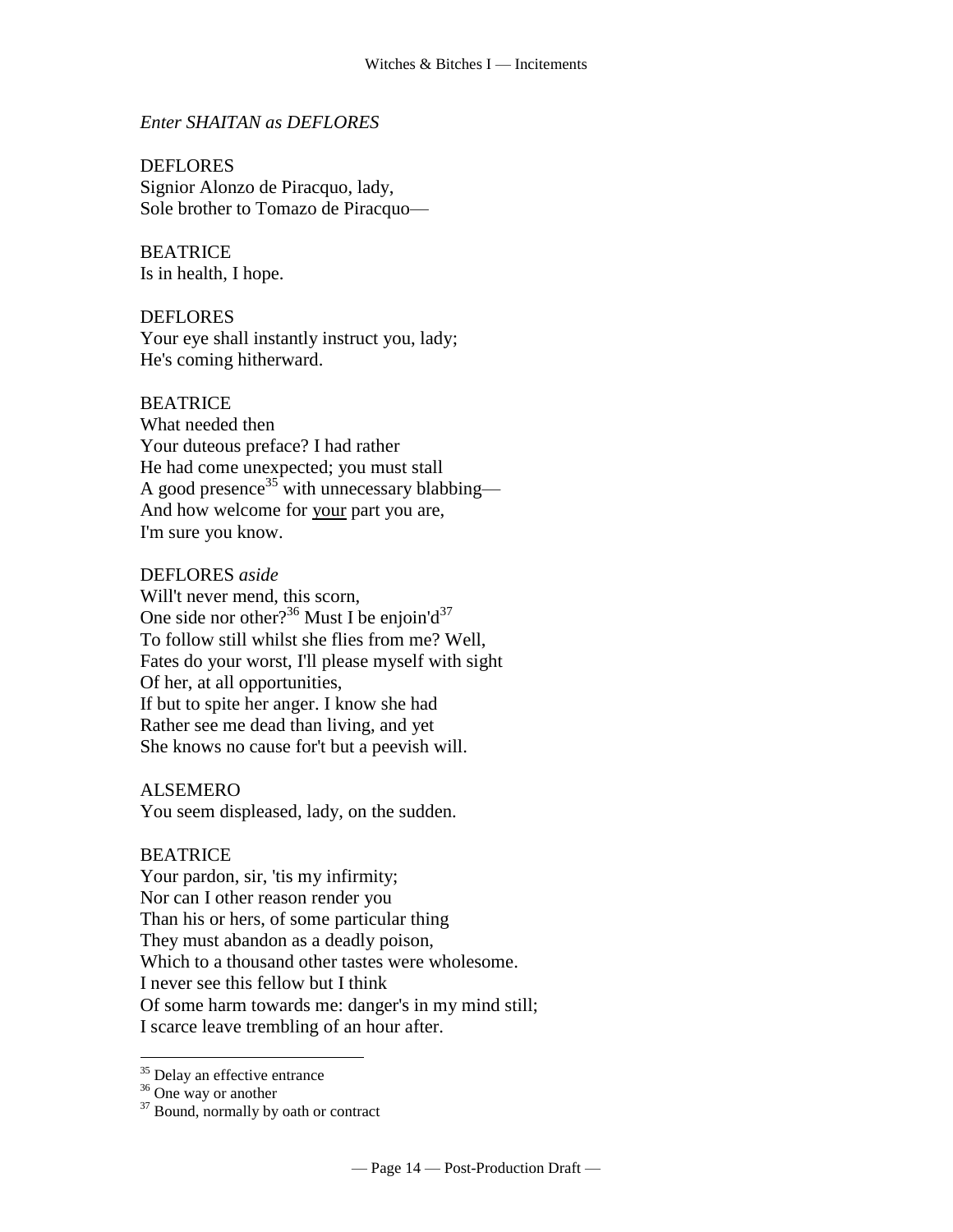### *Enter SHAITAN as DEFLORES*

DEFLORES Signior Alonzo de Piracquo, lady, Sole brother to Tomazo de Piracquo—

# **BEATRICE**

Is in health, I hope.

# DEFLORES

Your eye shall instantly instruct you, lady; He's coming hitherward.

# BEATRICE

What needed then Your duteous preface? I had rather He had come unexpected; you must [stall](http://www.tech.org/~cleary/change.html#STALL) A [good presence](http://www.tech.org/~cleary/change.html#GOODPRES)<sup>35</sup> with unnecessary blabbing— And how welcome for your part you are, I'm sure you know.

#### DEFLORES *aside*

Will't never mend, this scorn, [One side nor other?](http://www.tech.org/~cleary/change.html#ONESIDEN)<sup>36</sup> Must I be enjoin'd<sup>37</sup> To follow still whilst she flies from me? Well, Fates do your worst, I'll please myself with sight Of her, at all opportunities, If but to spite her anger. I know she had Rather see me dead than living, and yet She knows no cause for't but a peevish will.

#### ALSEMERO

You seem displeased, lady, on the sudden.

#### BEATRICE

Your pardon, sir, 'tis my infirmity; Nor can I other reason render you Than his or hers, of some particular thing They must abandon as a deadly poison, Which to a thousand other tastes were wholesome. I never see this fellow but I think Of some harm towards me: danger's in my mind still; I scarce leave trembling [of](http://www.tech.org/~cleary/change.html#OF2) an hour after.

<sup>&</sup>lt;sup>35</sup> Delay an effective entrance

 $36$  One way or another

 $37$  Bound, normally by oath or contract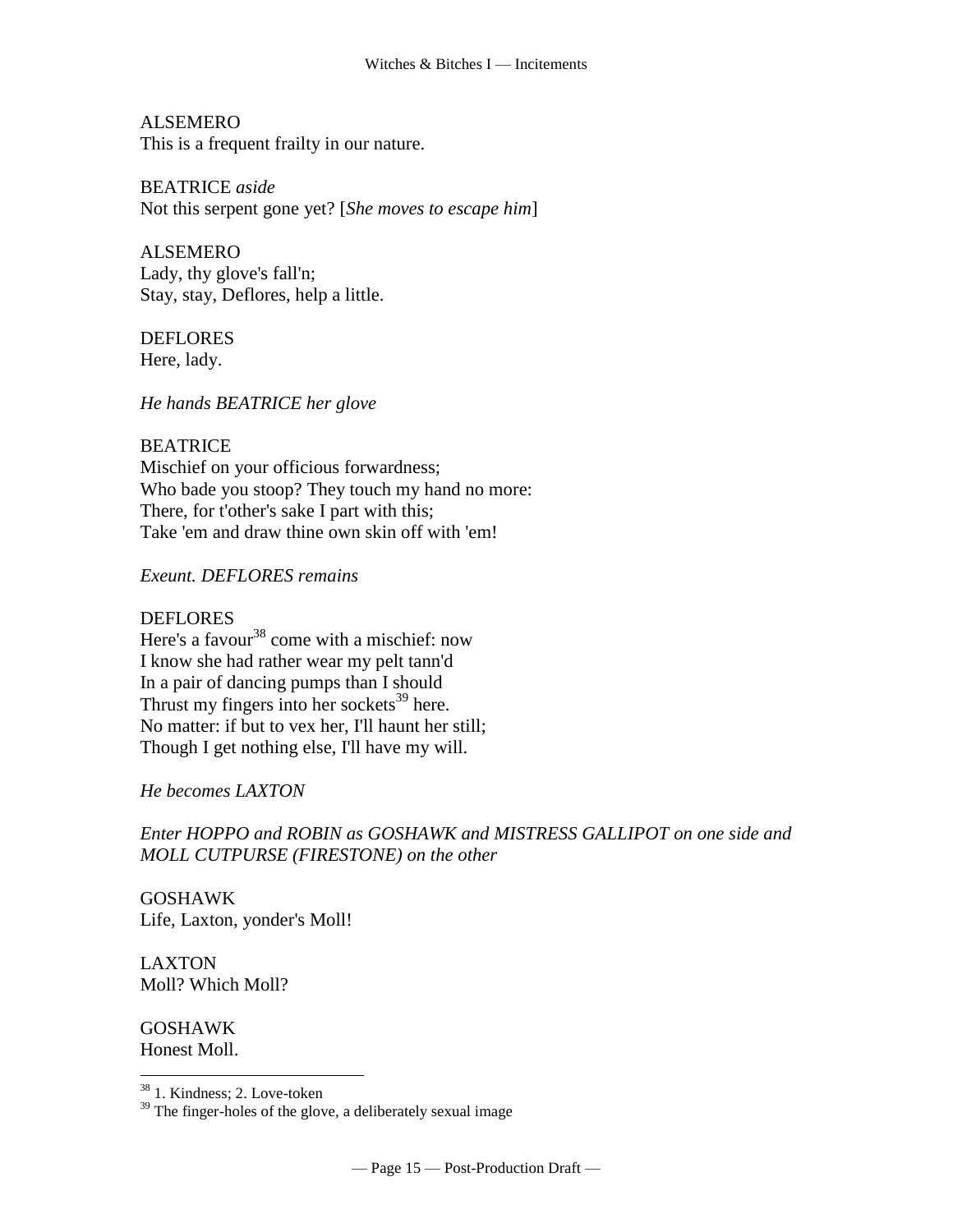ALSEMERO This is a frequent frailty in our nature.

BEATRICE *aside* Not this [serpent](http://www.tech.org/~cleary/change.html#SERPENT) gone yet? [*She moves to escape him*]

ALSEMERO Lady, [thy glove's fall'n;](http://www.tech.org/~cleary/change.html#THYGLOVE) Stay, stay, Deflores, help a little.

DEFLORES Here, lady.

*He hands BEATRICE her glove*

**BEATRICE** Mischief on your officious forwardness; Who bade you stoop? They touch my hand no more: There, for t'other's sake I part with this; Take 'em and draw thine own skin off with 'em!

*Exeunt. DEFLORES remains*

#### **DEFLORES**

Here's a [favour](http://www.tech.org/~cleary/change.html#FAVOUR)<sup>38</sup> come with a mischief: now I know she had rather wear my pelt tann'd In a pair of dancing pumps than I should Thrust my fingers into her [sockets](http://www.tech.org/~cleary/change.html#SOCKETS)<sup>39</sup> here. No matter: if but to vex her, I'll haunt her still; Though I get nothing else, I'll have my will.

*He becomes LAXTON*

*Enter HOPPO and ROBIN as GOSHAWK and MISTRESS GALLIPOT on one side and MOLL CUTPURSE (FIRESTONE) on the other*

GOSHAWK Life, Laxton, yonder's Moll!

LAXTON Moll? Which Moll?

GOSHAWK Honest Moll.

<sup>38</sup> 1. Kindness; 2. Love-token

 $39$  The finger-holes of the glove, a deliberately sexual image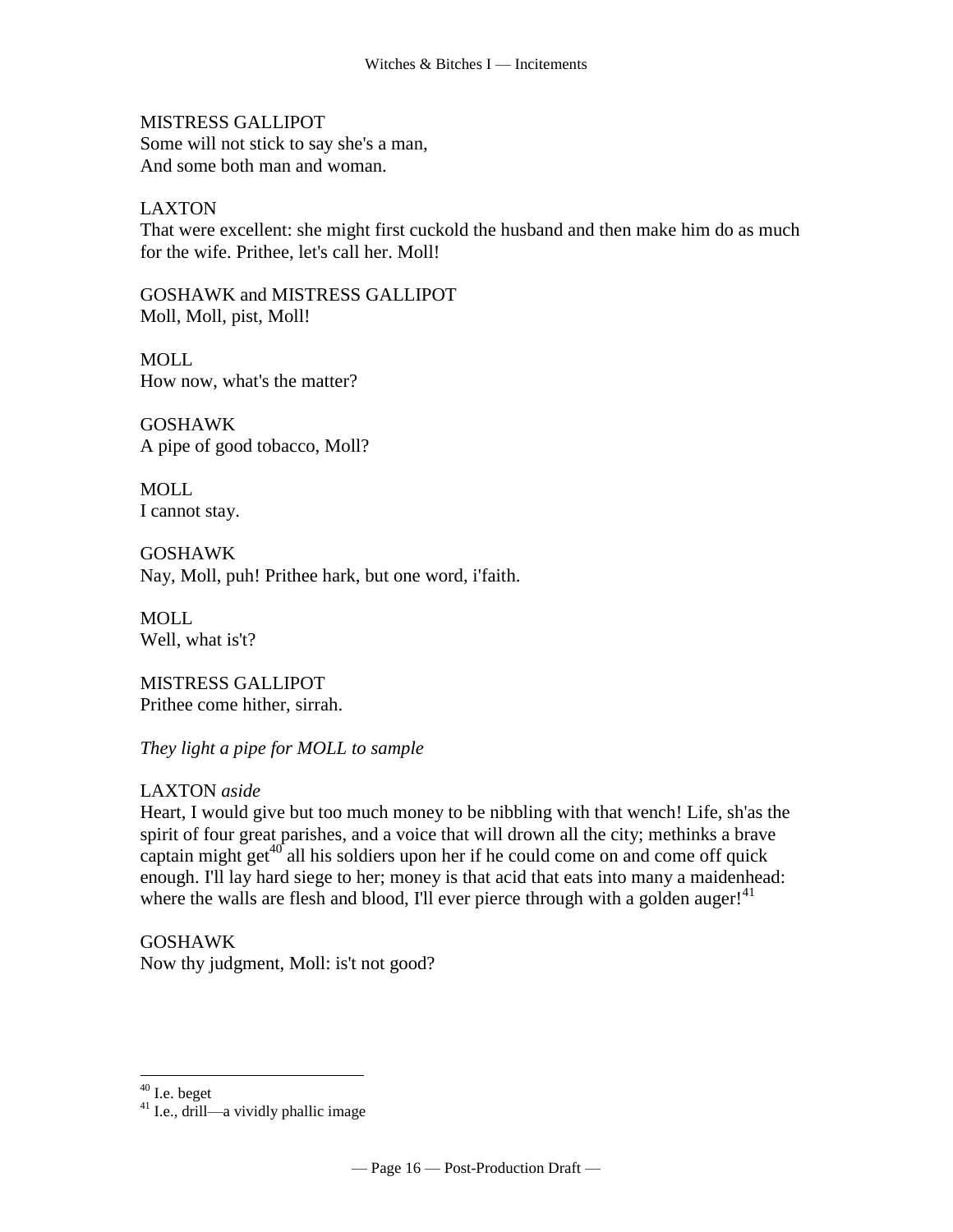MISTRESS GALLIPOT Some will not stick to say she's a man, And some both man and woman.

# LAXTON

That were excellent: she might first cuckold the husband and then make him do as much for the wife. Prithee, let's call her. Moll!

GOSHAWK and MISTRESS GALLIPOT Moll, Moll, pist, Moll!

MOLL How now, what's the matter?

GOSHAWK A pipe of good tobacco, Moll?

MOLL I cannot stay.

GOSHAWK Nay, Moll, puh! Prithee hark, but one word, i'faith.

MOLL Well, what is't?

MISTRESS GALLIPOT Prithee come hither, sirrah.

*They light a pipe for MOLL to sample*

#### LAXTON *aside*

Heart, I would give but too much money to be nibbling with that wench! Life, sh'as the spirit of four great parishes, and a voice that will drown all the city; methinks a brave captain might get $^{40}$  all his soldiers upon her if he could come on and come off quick enough. I'll lay hard siege to her; money is that acid that eats into many a maidenhead: where the walls are flesh and blood, I'll ever pierce through with a golden auger!<sup>41</sup>

# GOSHAWK

Now thy judgment, Moll: is't not good?

 $40$  I.e. beget

 $41$  I.e., drill—a vividly phallic image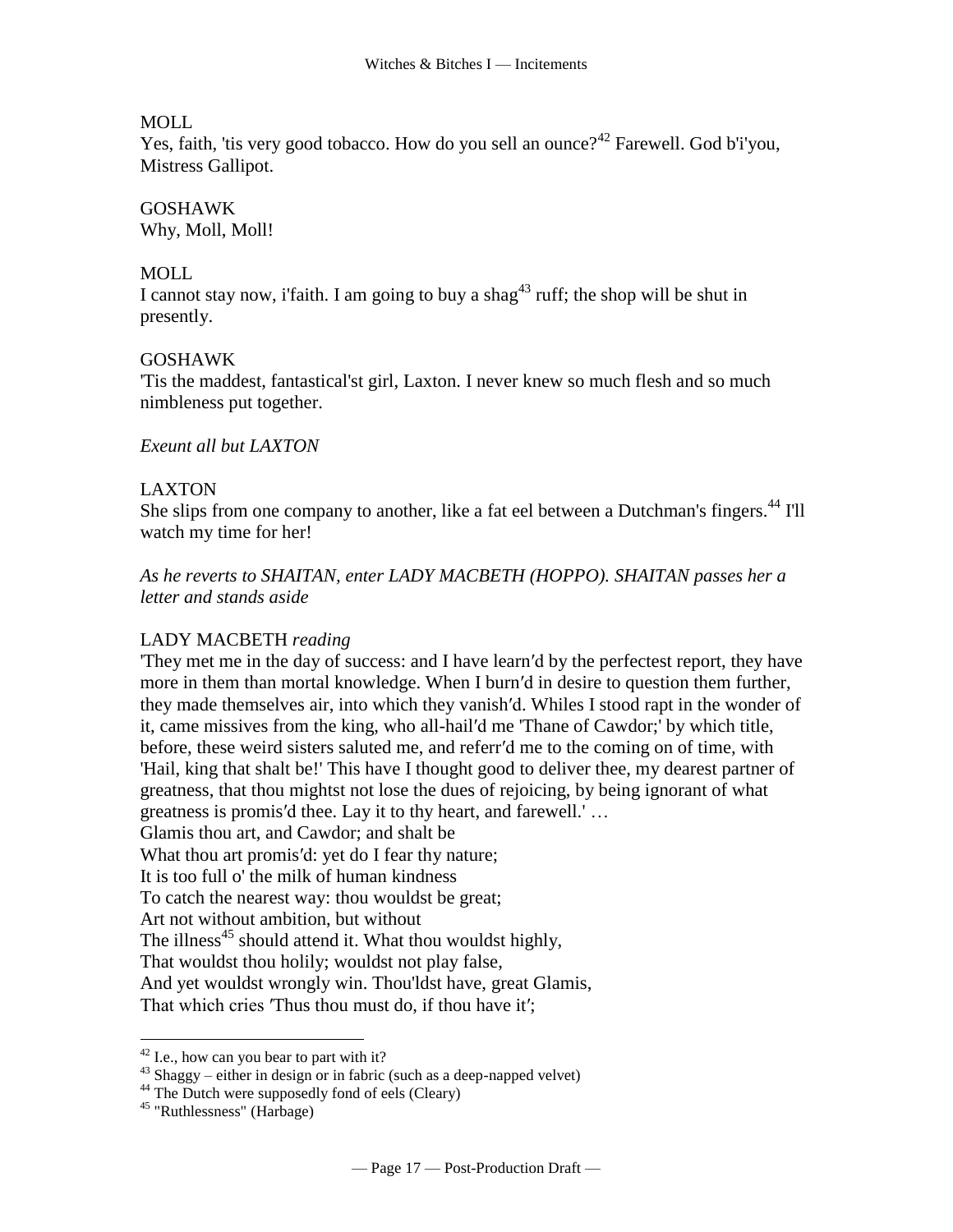### MOLL

Yes, faith, 'tis very good tobacco. How do you sell an ounce?<sup>42</sup> Farewell. God b'i'you, Mistress Gallipot.

# GOSHAWK

Why, Moll, Moll!

## MOLL

I cannot stay now, i'faith. I am going to buy a [shag](http://www.tech.org/~cleary/roar.html#SHAG)<sup>43</sup> ruff; the shop will be shut in presently.

# GOSHAWK

'Tis the maddest, fantastical'st girl, Laxton. I never knew so much flesh and so much nimbleness put together.

# *Exeunt all but LAXTON*

# LAXTON

She slips from one company to another, like a [fat eel between a Dutchman's fingers.](http://www.tech.org/~cleary/roar.html#FATEELBE)<sup>44</sup> I'll watch my time for her!

*As he reverts to SHAITAN, enter LADY MACBETH (HOPPO). SHAITAN passes her a letter and stands aside*

#### LADY MACBETH *reading*

'They met me in the day of success: and I have learn′d by the perfectest report, they have more in them than mortal knowledge. When I burn′d in desire to question them further, they made themselves air, into which they vanish′d. Whiles I stood rapt in the wonder of it, came missives from the king, who all-hail′d me 'Thane of Cawdor;' by which title, before, these weird sisters saluted me, and referr′d me to the coming on of time, with 'Hail, king that shalt be!' This have I thought good to deliver thee, my dearest partner of greatness, that thou mightst not lose the dues of rejoicing, by being ignorant of what greatness is promis′d thee. Lay it to thy heart, and farewell.' … Glamis thou art, and Cawdor; and shalt be

What thou art promis′d: yet do I fear thy nature;

It is too full o' the milk of human kindness

To catch the nearest way: thou wouldst be great;

Art not without ambition, but without

The illness<sup>45</sup> should attend it. What thou wouldst highly,

That wouldst thou holily; wouldst not play false,

And yet wouldst wrongly win. Thou'ldst have, great Glamis,

That which cries 'Thus thou must do, if thou have it';

 $42$  I.e., how can you bear to part with it?

 $43$  Shaggy – either in design or in fabric (such as a deep-napped velvet)

 $^{44}$  The Dutch were supposedly fond of eels (Cleary)

<sup>45</sup> "Ruthlessness" (Harbage)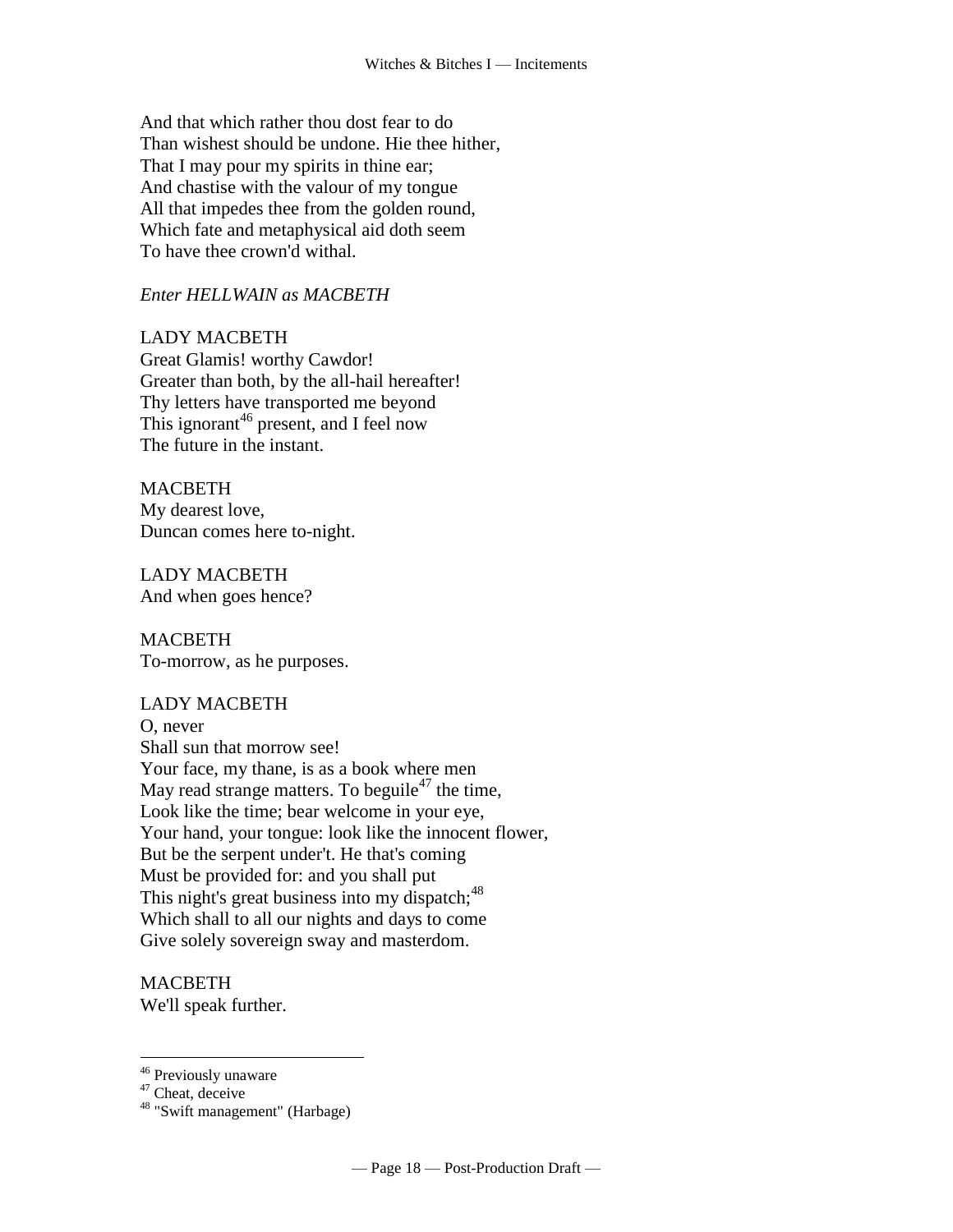And that which rather thou dost fear to do Than wishest should be undone. Hie thee hither, That I may pour my spirits in thine ear; And chastise with the valour of my tongue All that impedes thee from the golden round, Which fate and metaphysical aid doth seem To have thee crown'd withal.

# *Enter HELLWAIN as MACBETH*

# LADY MACBETH

Great Glamis! worthy Cawdor! Greater than both, by the all-hail hereafter! Thy letters have transported me beyond This ignorant<sup>46</sup> present, and I feel now The future in the instant.

# MACBETH

My dearest love, Duncan comes here to-night.

LADY MACBETH And when goes hence?

MACBETH To-morrow, as he purposes.

# LADY MACBETH

O, never Shall sun that morrow see! Your face, my thane, is as a book where men May read strange matters. To beguile<sup>47</sup> the time, Look like the time; bear welcome in your eye, Your hand, your tongue: look like the innocent flower, But be the serpent under't. He that's coming Must be provided for: and you shall put This night's great business into my dispatch; $48$ Which shall to all our nights and days to come Give solely sovereign sway and masterdom.

**MACBETH** We'll speak further.

<sup>46</sup> Previously unaware

<sup>&</sup>lt;sup>47</sup> Cheat, deceive

<sup>48</sup> "Swift management" (Harbage)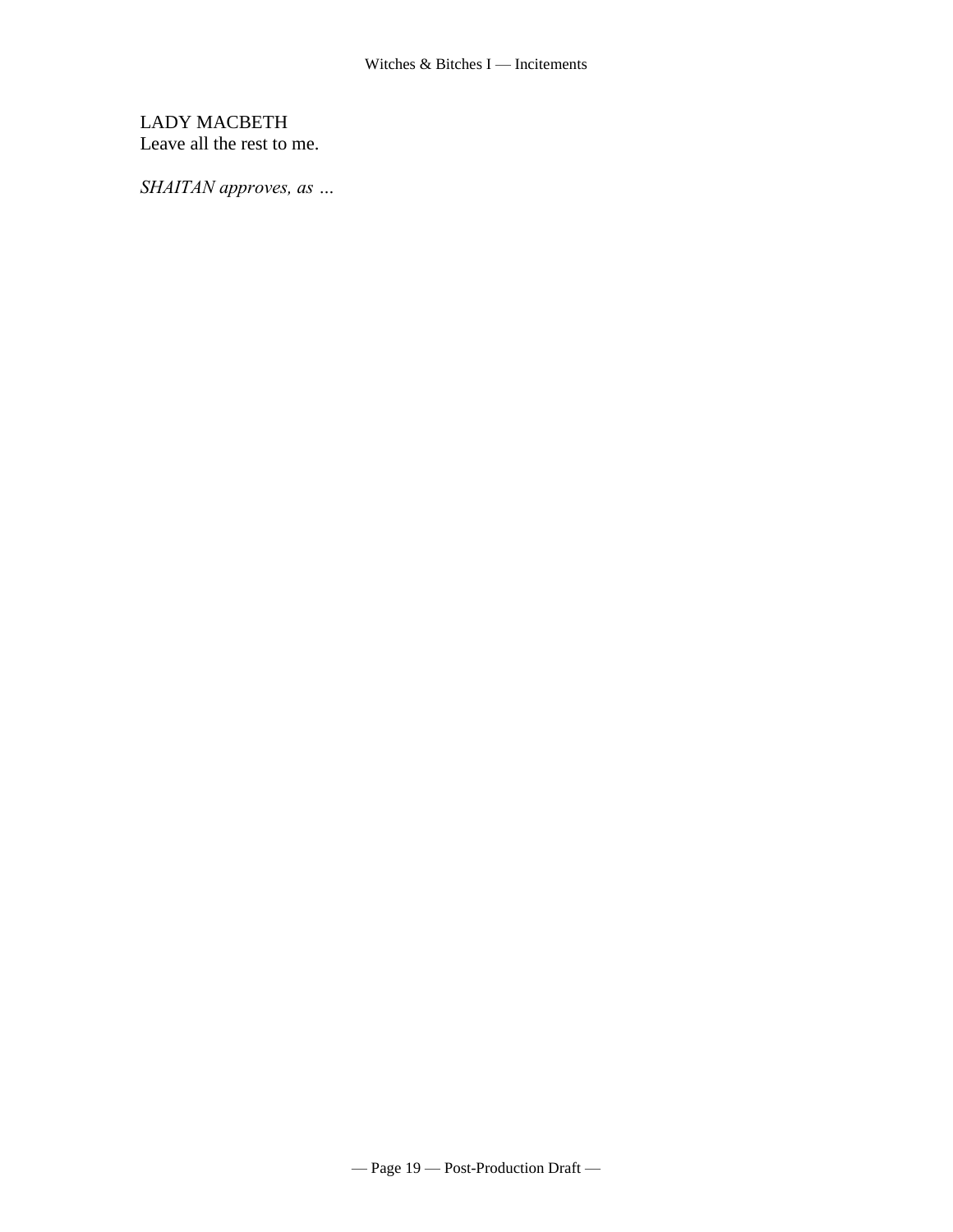# LADY MACBETH Leave all the rest to me.

*SHAITAN approves, as …*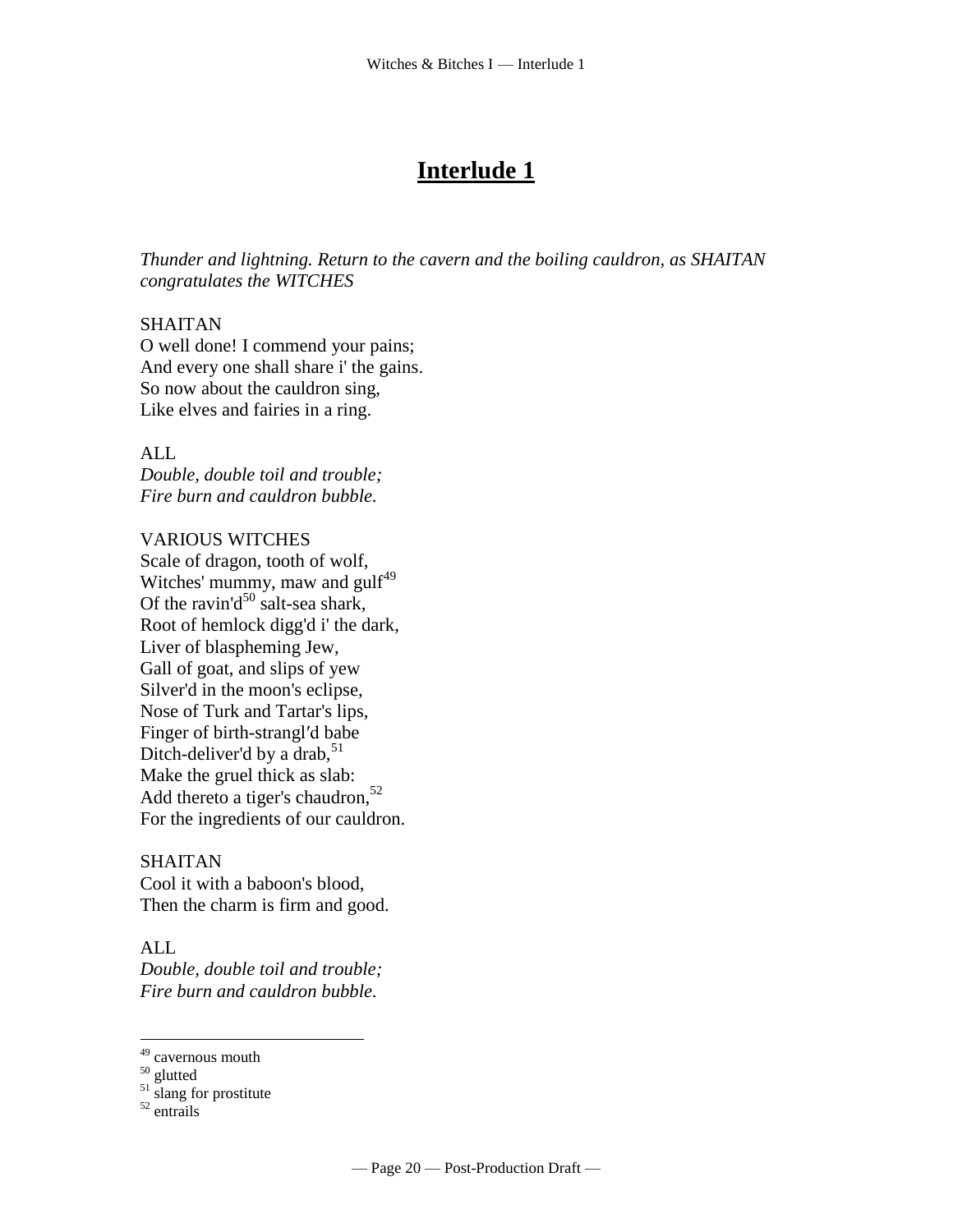# **Interlude 1**

*Thunder and lightning. Return to the cavern and the boiling cauldron, as SHAITAN congratulates the WITCHES*

#### SHAITAN

O well done! I commend your pains; And every one shall share i' the gains. So now about the cauldron sing, Like elves and fairies in a ring.

#### ALL

*Double, double toil and trouble; Fire burn and cauldron bubble.*

#### VARIOUS WITCHES

Scale of dragon, tooth of wolf, Witches' mummy, maw and gulf<sup>49</sup> Of the ravin'd<sup>50</sup> salt-sea shark, Root of hemlock digg'd i' the dark, Liver of blaspheming Jew, Gall of goat, and slips of yew Silver'd in the moon's eclipse, Nose of Turk and Tartar's lips, Finger of birth-strangl′d babe Ditch-deliver'd by a drab,  $51$ Make the gruel thick as slab: Add thereto a tiger's chaudron,<sup>52</sup> For the ingredients of our cauldron.

#### SHAITAN

Cool it with a baboon's blood, Then the charm is firm and good.

#### ALL

 $\overline{a}$ 

*Double, double toil and trouble; Fire burn and cauldron bubble.*

<sup>51</sup> slang for prostitute

<sup>&</sup>lt;sup>49</sup> cavernous mouth

<sup>&</sup>lt;sup>50</sup> glutted

<sup>52</sup> entrails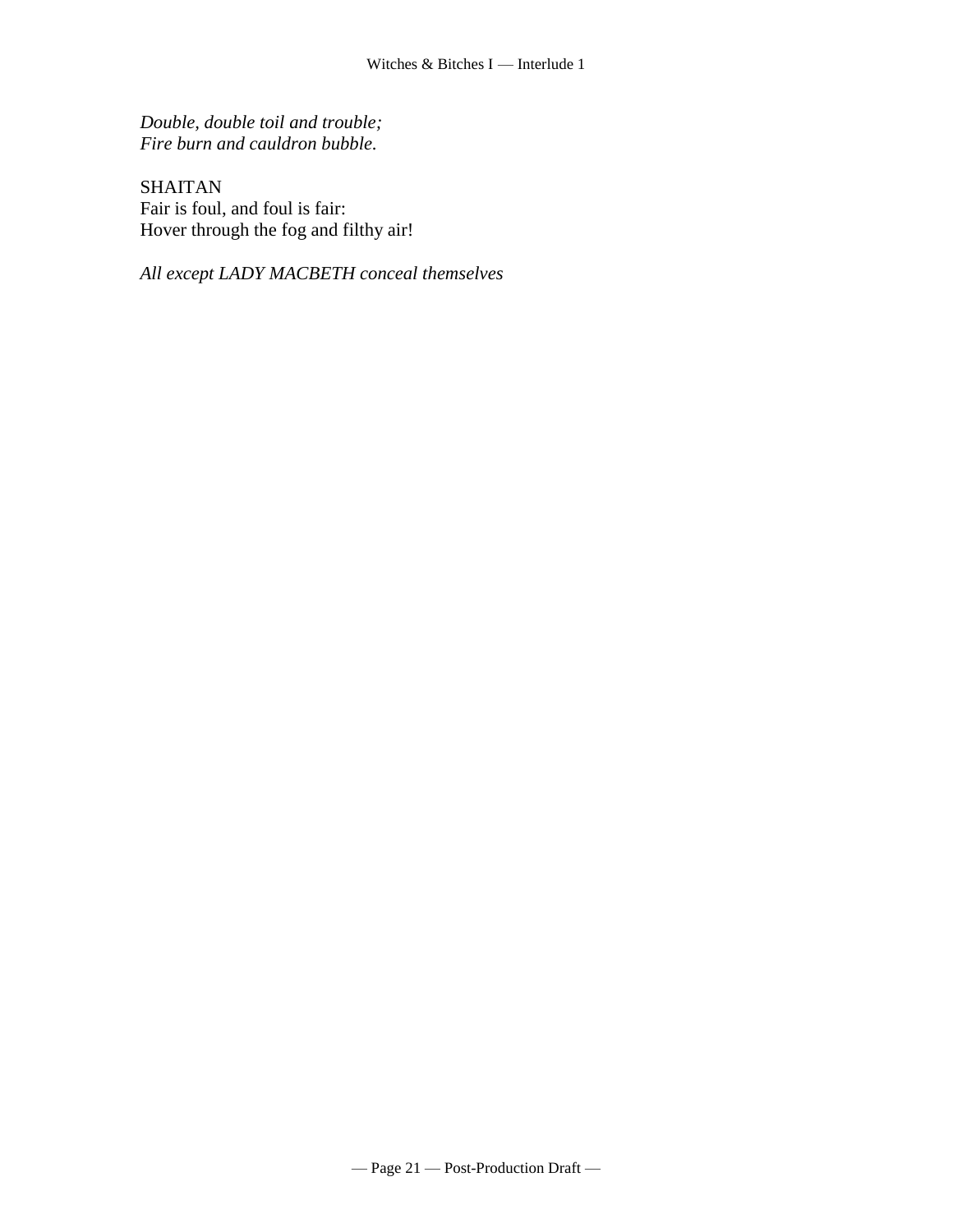*Double, double toil and trouble; Fire burn and cauldron bubble.*

SHAITAN Fair is foul, and foul is fair: Hover through the fog and filthy air!

*All except LADY MACBETH conceal themselves*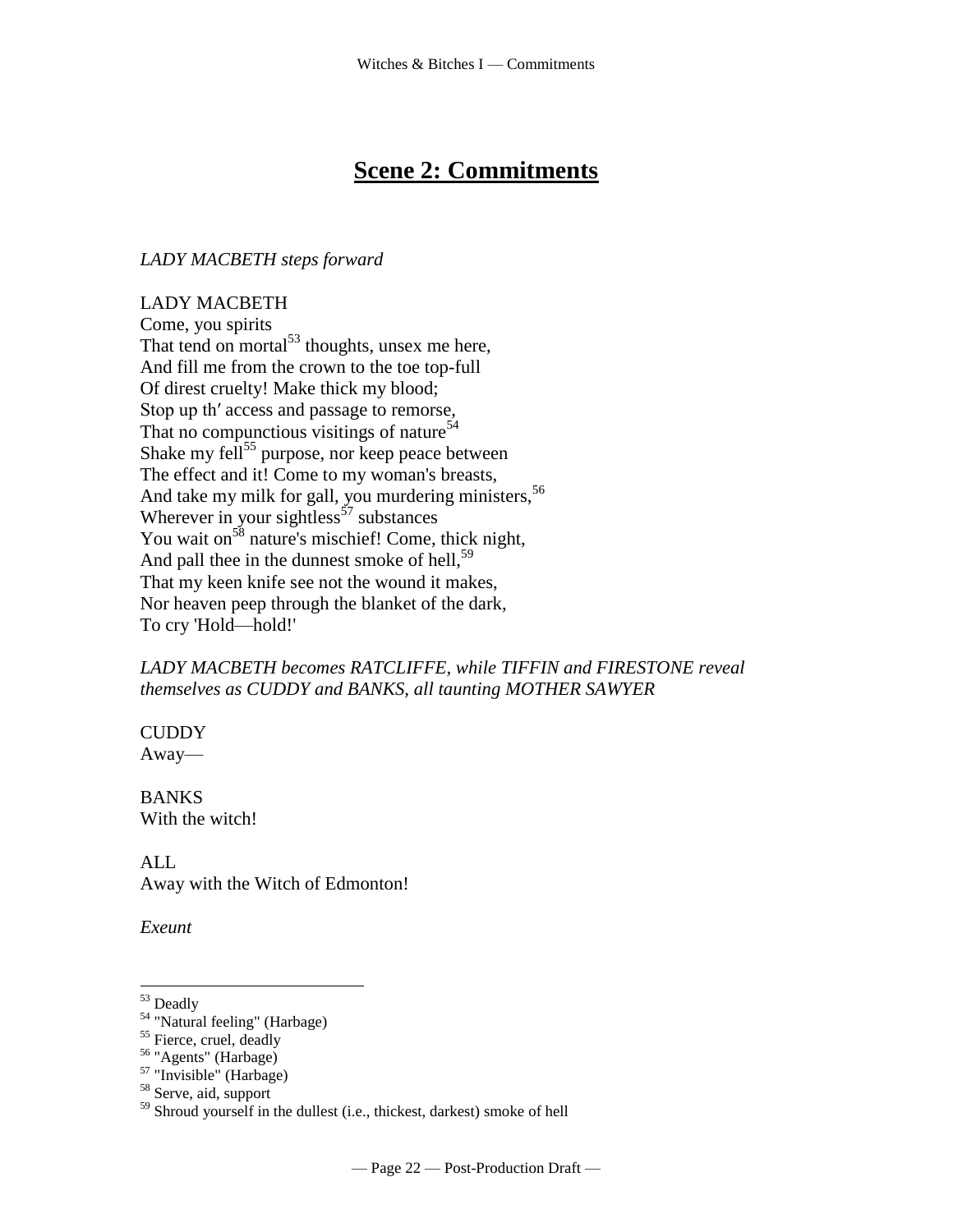# **Scene 2: Commitments**

# *LADY MACBETH steps forward*

LADY MACBETH Come, you spirits That tend on mortal $53$  thoughts, unsex me here, And fill me from the crown to the toe top-full Of direst cruelty! Make thick my blood; Stop up th′ access and passage to remorse, That no compunctious visitings of nature<sup>54</sup> Shake my fell<sup>55</sup> purpose, nor keep peace between The effect and it! Come to my woman's breasts, And take my milk for gall, you murdering ministers,<sup>56</sup> Wherever in your sightless<sup>57</sup> substances You wait on<sup>58</sup> nature's mischief! Come, thick night, And pall thee in the dunnest smoke of hell,  $59$ That my keen knife see not the wound it makes, Nor heaven peep through the blanket of the dark, To cry 'Hold—hold!'

# *LADY MACBETH becomes RATCLIFFE, while TIFFIN and FIRESTONE reveal themselves as CUDDY and BANKS, all taunting MOTHER SAWYER*

**CUDDY** Away—

BANKS With the witch!

ALL Away with the Witch of Edmonton!

*Exeunt*

<sup>&</sup>lt;sup>53</sup> Deadly

<sup>&</sup>lt;sup>54</sup> "Natural feeling" (Harbage)

<sup>&</sup>lt;sup>55</sup> Fierce, cruel, deadly

<sup>56</sup> "Agents" (Harbage)

 $57$  "Invisible" (Harbage)

<sup>58</sup> Serve, aid, support

<sup>&</sup>lt;sup>59</sup> Shroud yourself in the dullest (i.e., thickest, darkest) smoke of hell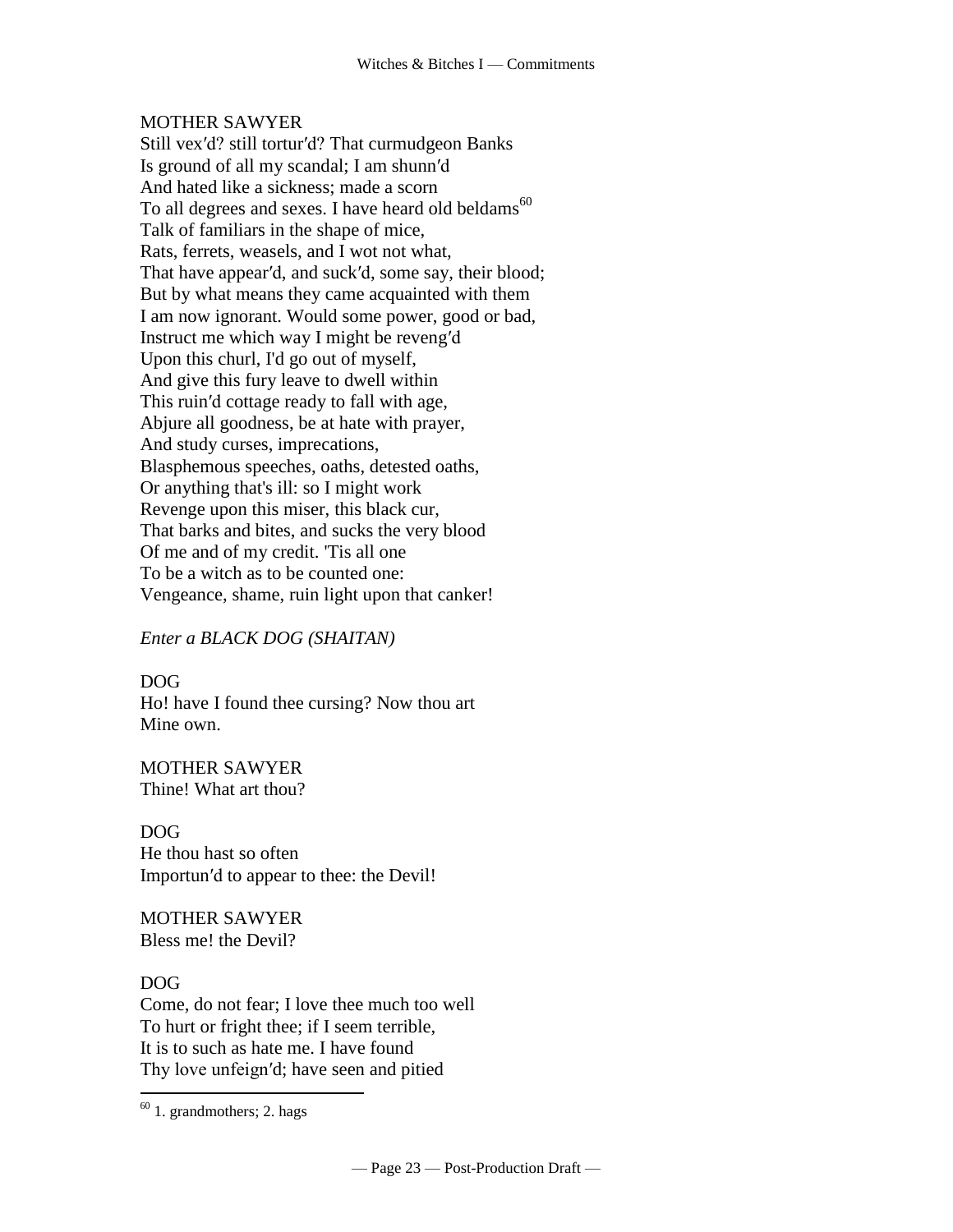# MOTHER SAWYER

Still vex′d? still tortur′d? That curmudgeon Banks Is ground of all my scandal; I am shunn′d And hated like a sickness; made a scorn To all degrees and sexes. I have heard old beldams<sup>60</sup> Talk of familiars in the shape of mice, Rats, ferrets, weasels, and I wot not what, That have appear′d, and suck′d, some say, their blood; But by what means they came acquainted with them I am now ignorant. Would some power, good or bad, Instruct me which way I might be reveng′d Upon this churl, I'd go out of myself, And give this fury leave to dwell within This ruin′d cottage ready to fall with age, Abjure all goodness, be at hate with prayer, And study curses, imprecations, Blasphemous speeches, oaths, detested oaths, Or anything that's ill: so I might work Revenge upon this miser, this black cur, That barks and bites, and sucks the very blood Of me and of my credit. 'Tis all one To be a witch as to be counted one: Vengeance, shame, ruin light upon that canker!

# *Enter a BLACK DOG (SHAITAN)*

DOG Ho! have I found thee cursing? Now thou art Mine own.

MOTHER SAWYER Thine! What art thou?

DOG He thou hast so often Importun′d to appear to thee: the Devil!

MOTHER SAWYER Bless me! the Devil?

#### DOG

 $\overline{a}$ 

Come, do not fear; I love thee much too well To hurt or fright thee; if I seem terrible, It is to such as hate me. I have found Thy love unfeign′d; have seen and pitied

 $60$  1. grandmothers; 2. hags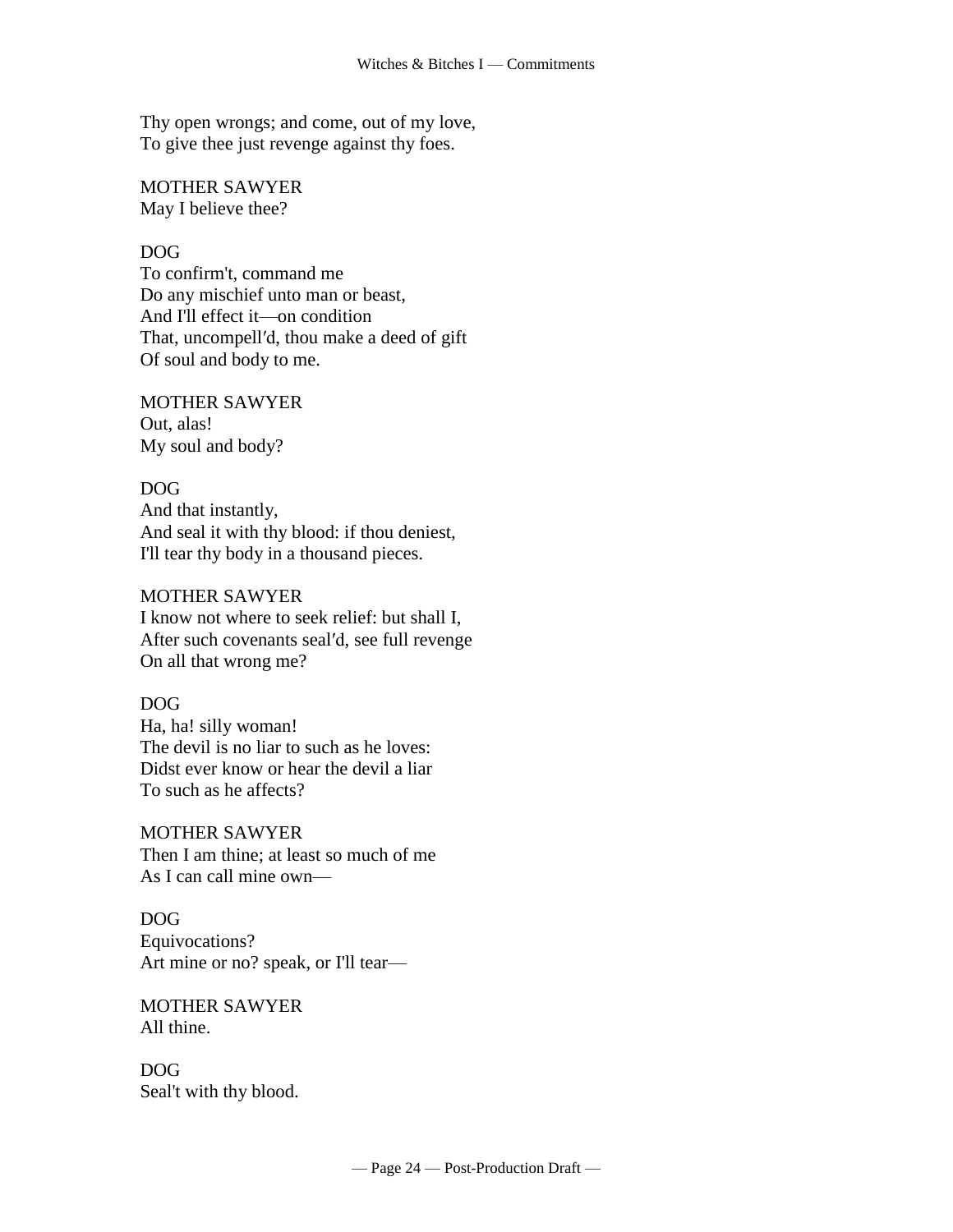Thy open wrongs; and come, out of my love, To give thee just revenge against thy foes.

MOTHER SAWYER May I believe thee?

#### DOG

To confirm't, command me Do any mischief unto man or beast, And I'll effect it—on condition That, uncompell′d, thou make a deed of gift Of soul and body to me.

#### MOTHER SAWYER

Out, alas! My soul and body?

#### DOG

And that instantly, And seal it with thy blood: if thou deniest, I'll tear thy body in a thousand pieces.

#### MOTHER SAWYER

I know not where to seek relief: but shall I, After such covenants seal′d, see full revenge On all that wrong me?

#### DOG

Ha, ha! silly woman! The devil is no liar to such as he loves: Didst ever know or hear the devil a liar To such as he affects?

MOTHER SAWYER Then I am thine; at least so much of me As I can call mine own—

# DOG Equivocations? Art mine or no? speak, or I'll tear—

MOTHER SAWYER All thine.

DOG Seal't with thy blood.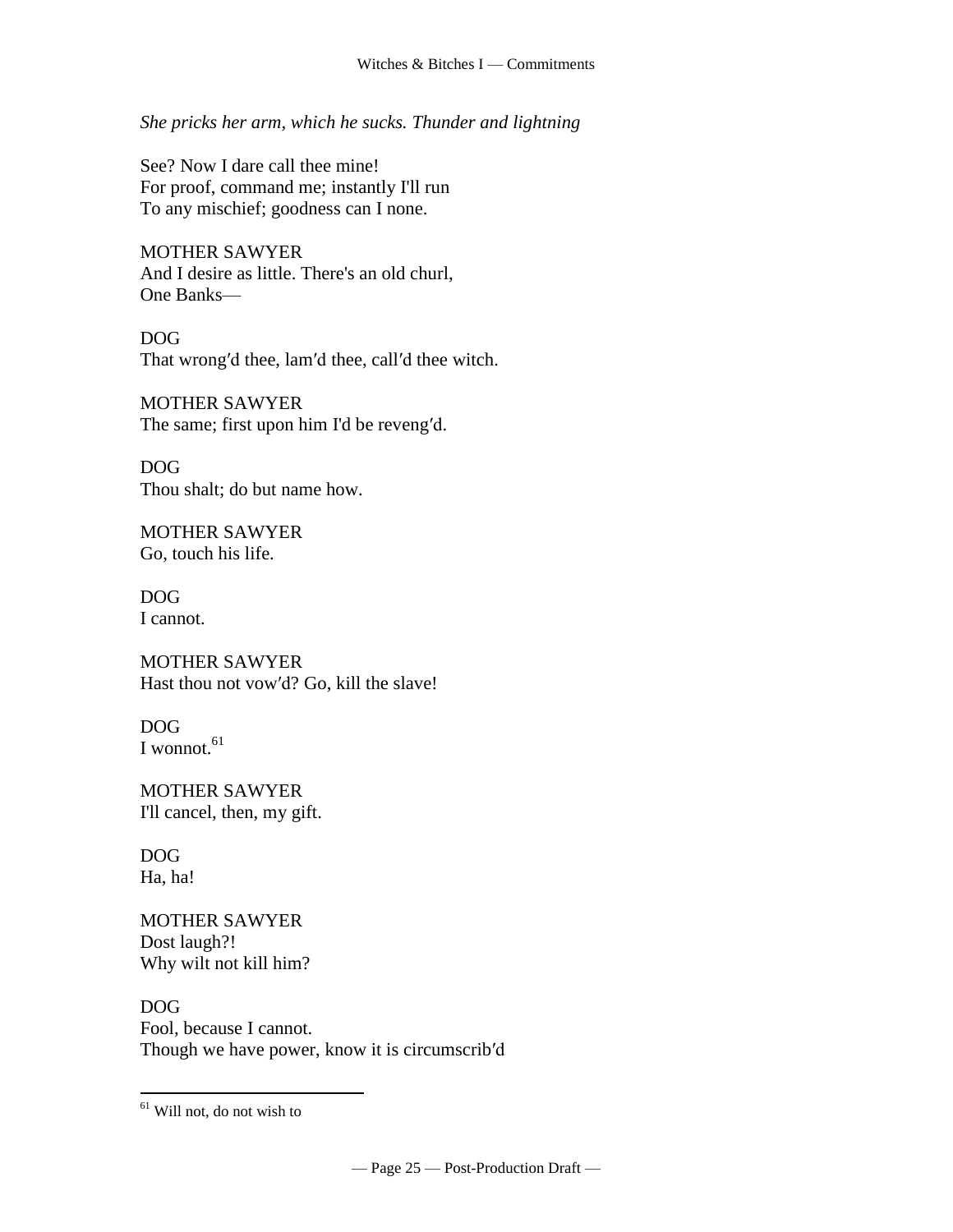*She pricks her arm, which he sucks. Thunder and lightning*

See? Now I dare call thee mine! For proof, command me; instantly I'll run To any mischief; goodness can I none.

MOTHER SAWYER And I desire as little. There's an old churl, One Banks—

DOG That wrong′d thee, lam′d thee, call′d thee witch.

MOTHER SAWYER The same; first upon him I'd be reveng′d.

DOG Thou shalt; do but name how.

MOTHER SAWYER Go, touch his life.

DOG I cannot.

MOTHER SAWYER Hast thou not vow′d? Go, kill the slave!

DOG I wonnot. $61$ 

MOTHER SAWYER I'll cancel, then, my gift.

DOG Ha, ha!

 $\overline{a}$ 

MOTHER SAWYER Dost laugh?! Why wilt not kill him?

DOG Fool, because I cannot. Though we have power, know it is circumscrib′d

<sup>&</sup>lt;sup>61</sup> Will not, do not wish to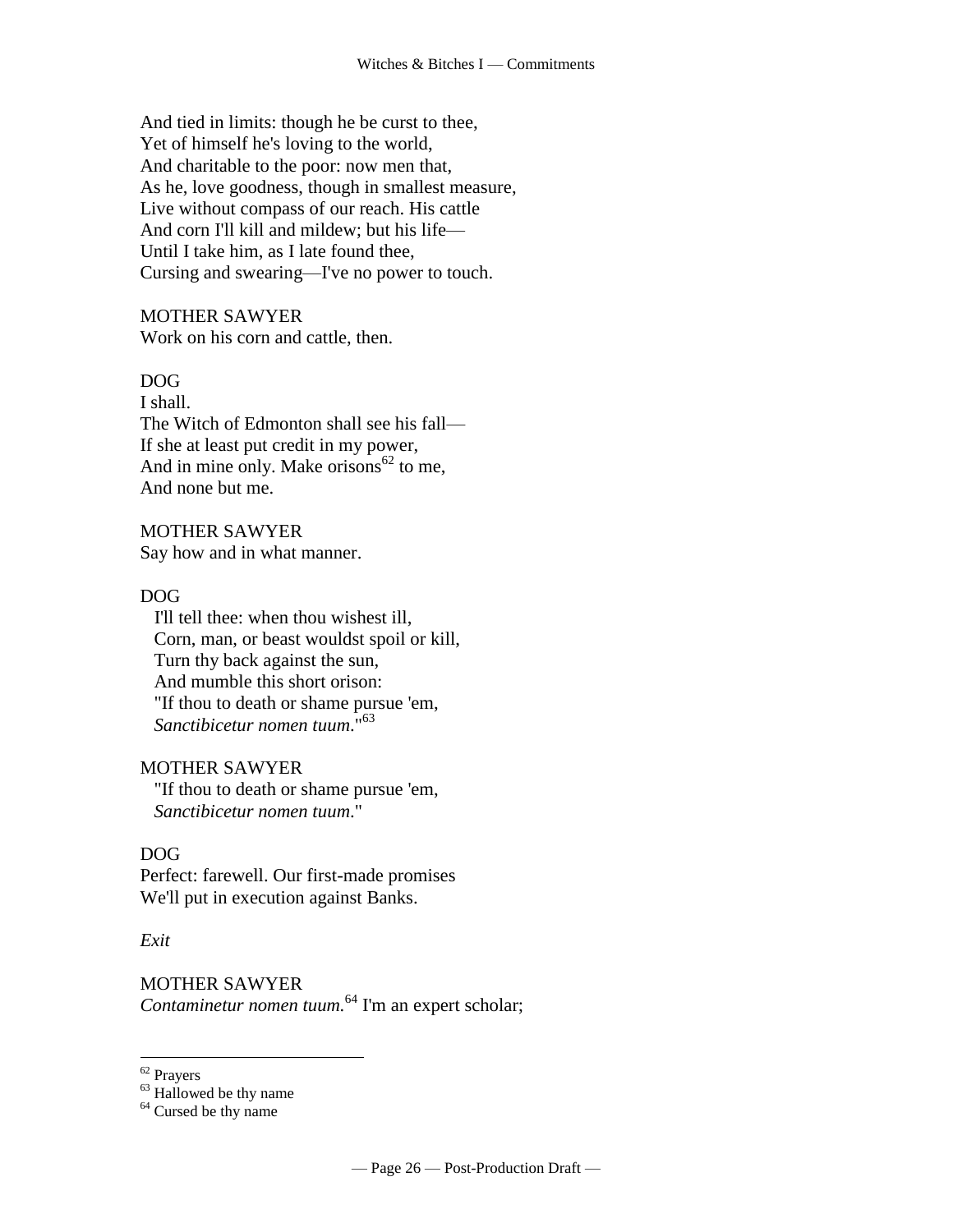And tied in limits: though he be curst to thee, Yet of himself he's loving to the world, And charitable to the poor: now men that, As he, love goodness, though in smallest measure, Live without compass of our reach. His cattle And corn I'll kill and mildew; but his life— Until I take him, as I late found thee, Cursing and swearing—I've no power to touch.

#### MOTHER SAWYER

Work on his corn and cattle, then.

# DOG

I shall. The Witch of Edmonton shall see his fall— If she at least put credit in my power, And in mine only. Make orisons  $62$  to me, And none but me.

#### MOTHER SAWYER

Say how and in what manner.

#### DOG

 I'll tell thee: when thou wishest ill, Corn, man, or beast wouldst spoil or kill, Turn thy back against the sun, And mumble this short orison: "If thou to death or shame pursue 'em,  *Sanctibicetur nomen tuum*."<sup>63</sup>

#### MOTHER SAWYER

 "If thou to death or shame pursue 'em,  *Sanctibicetur nomen tuum*."

#### DOG

Perfect: farewell. Our first-made promises We'll put in execution against Banks.

#### *Exit*

MOTHER SAWYER *Contaminetur nomen tuum.*<sup>64</sup> I'm an expert scholar;

<sup>&</sup>lt;sup>62</sup> Prayers

 $63$  Hallowed be thy name

<sup>&</sup>lt;sup>64</sup> Cursed be thy name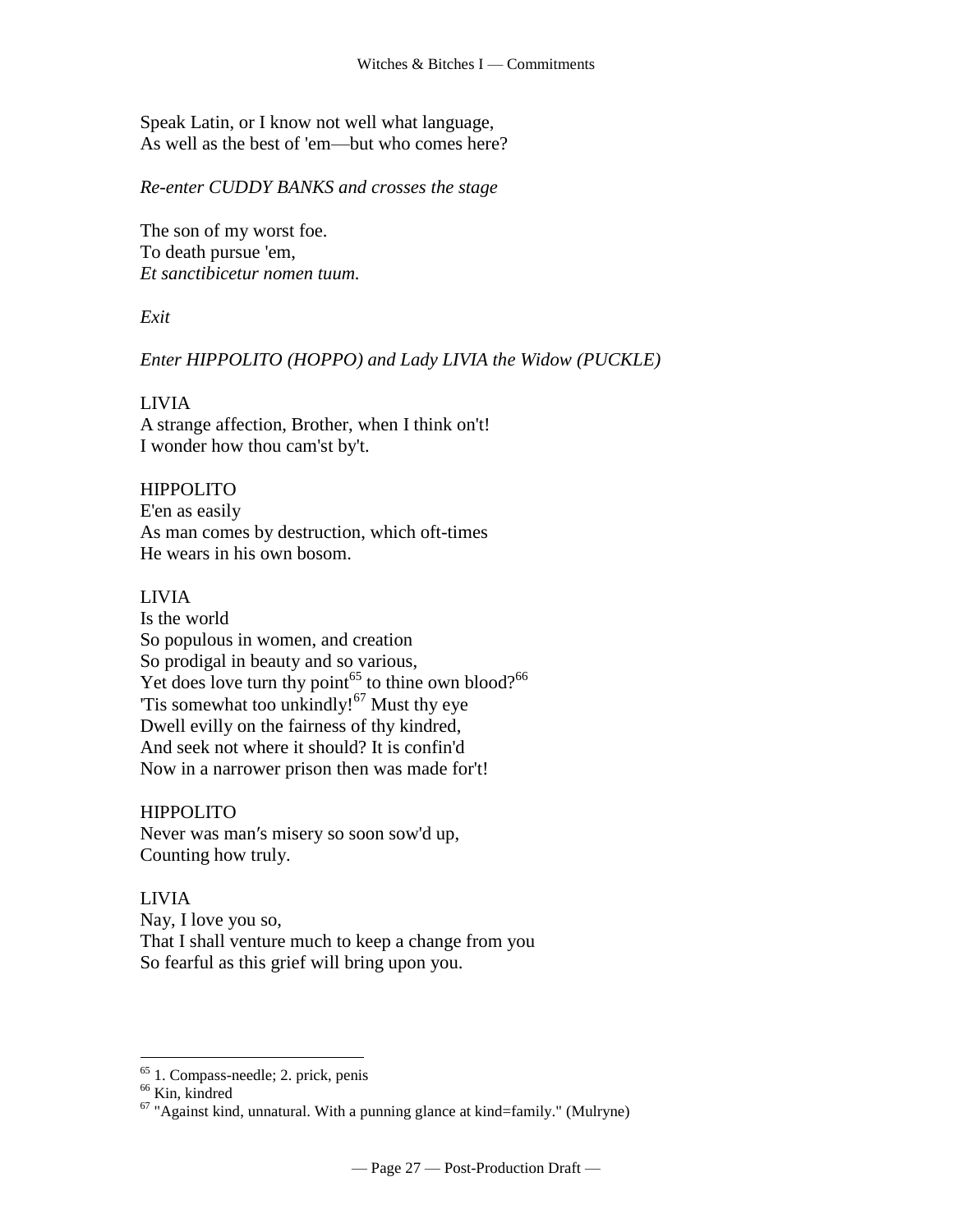Speak Latin, or I know not well what language, As well as the best of 'em—but who comes here?

*Re-enter CUDDY BANKS and crosses the stage*

The son of my worst foe. To death pursue 'em, *Et sanctibicetur nomen tuum.*

*Exit*

#### *Enter HIPPOLITO (HOPPO) and Lady LIVIA the Widow (PUCKLE)*

#### LIVIA

A strange affection, Brother, when I think on't! I wonder how thou cam'st by't.

#### HIPPOLITO

E'en as easily As man comes by destruction, which oft-times He wears in his own bosom.

#### LIVIA

Is the world So populous in women, and creation So prodigal in beauty and so various, Yet does love turn thy point<sup>65</sup> to thine own blood?<sup>66</sup> Tis somewhat too unkindly! $67$  Must thy eye Dwell evilly on the fairness of thy kindred, And seek not where it should? It is confin'd Now in a narrower prison then was made for't!

HIPPOLITO

Never was man′s misery so soon sow'd up, Counting how truly.

# LIVIA

Nay, I love you so, That I shall venture much to keep a change from you So fearful as this grief will bring upon you.

<sup>&</sup>lt;sup>65</sup> 1. Compass-needle; 2. prick, penis

<sup>&</sup>lt;sup>66</sup> Kin, kindred

 $67$  "Against kind, unnatural. With a punning glance at kind=family." (Mulryne)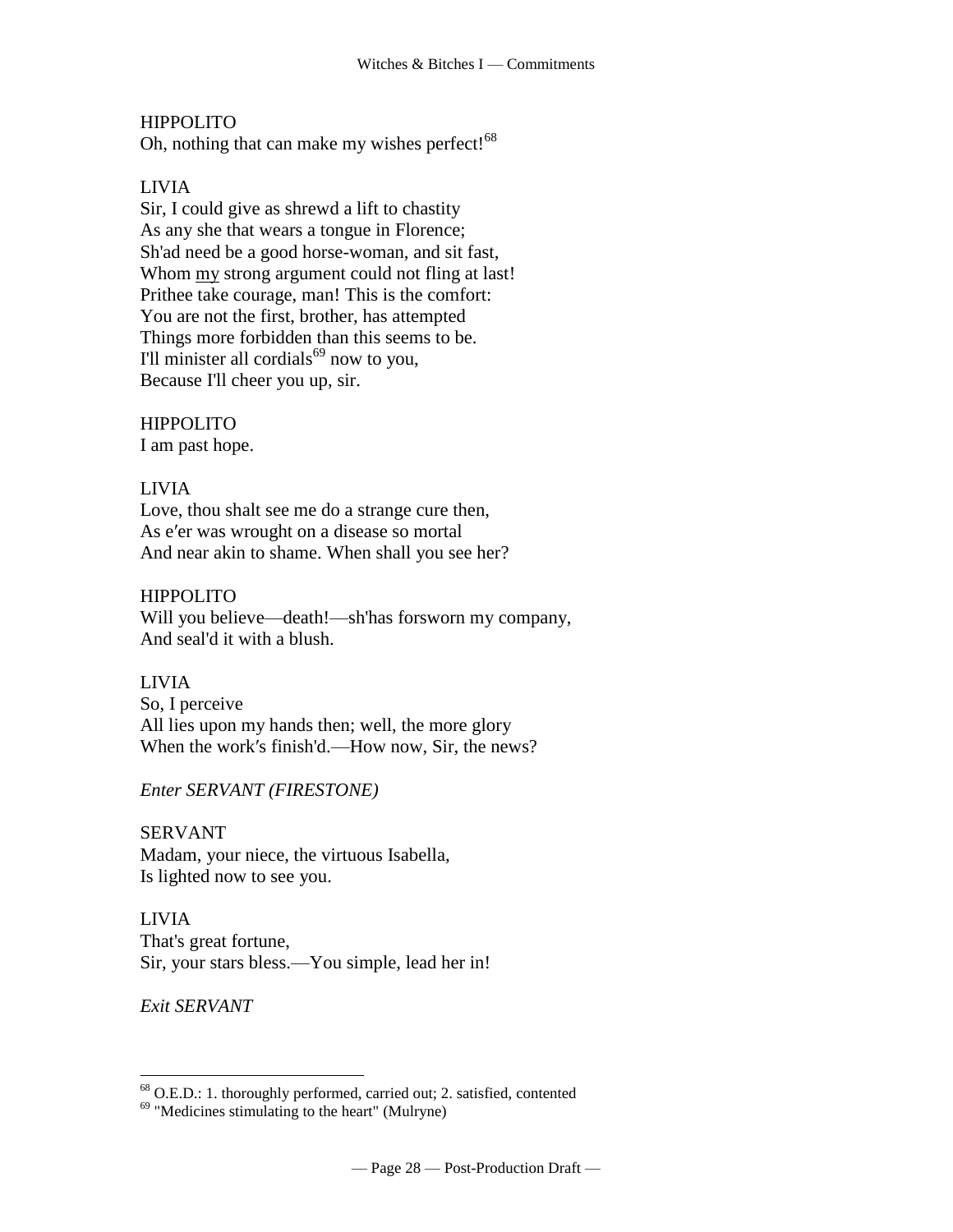# HIPPOLITO

Oh, nothing that can make my wishes perfect!<sup>68</sup>

# LIVIA

Sir, I could give as shrewd a lift to chastity As any she that wears a tongue in Florence; Sh'ad need be a good horse-woman, and sit fast, Whom my strong argument could not fling at last! Prithee take courage, man! This is the comfort: You are not the first, brother, has attempted Things more forbidden than this seems to be. I'll minister all cordials $^{69}$  now to you, Because I'll cheer you up, sir.

# HIPPOLITO

I am past hope.

# LIVIA

Love, thou shalt see me do a strange cure then, As e′er was wrought on a disease so mortal And near akin to shame. When shall you see her?

# HIPPOLITO

Will you believe—death!—sh'has forsworn my company, And seal'd it with a blush.

#### LIVIA

So, I perceive All lies upon my hands then; well, the more glory When the work's finish'd.—How now, Sir, the news?

# *Enter SERVANT (FIRESTONE)*

SERVANT Madam, your niece, the virtuous Isabella, Is lighted now to see you.

LIVIA That's great fortune, Sir, your stars bless.—You simple, lead her in!

*Exit SERVANT*

 $68$  O.E.D.: 1. thoroughly performed, carried out; 2. satisfied, contented

<sup>69</sup> "Medicines stimulating to the heart" (Mulryne)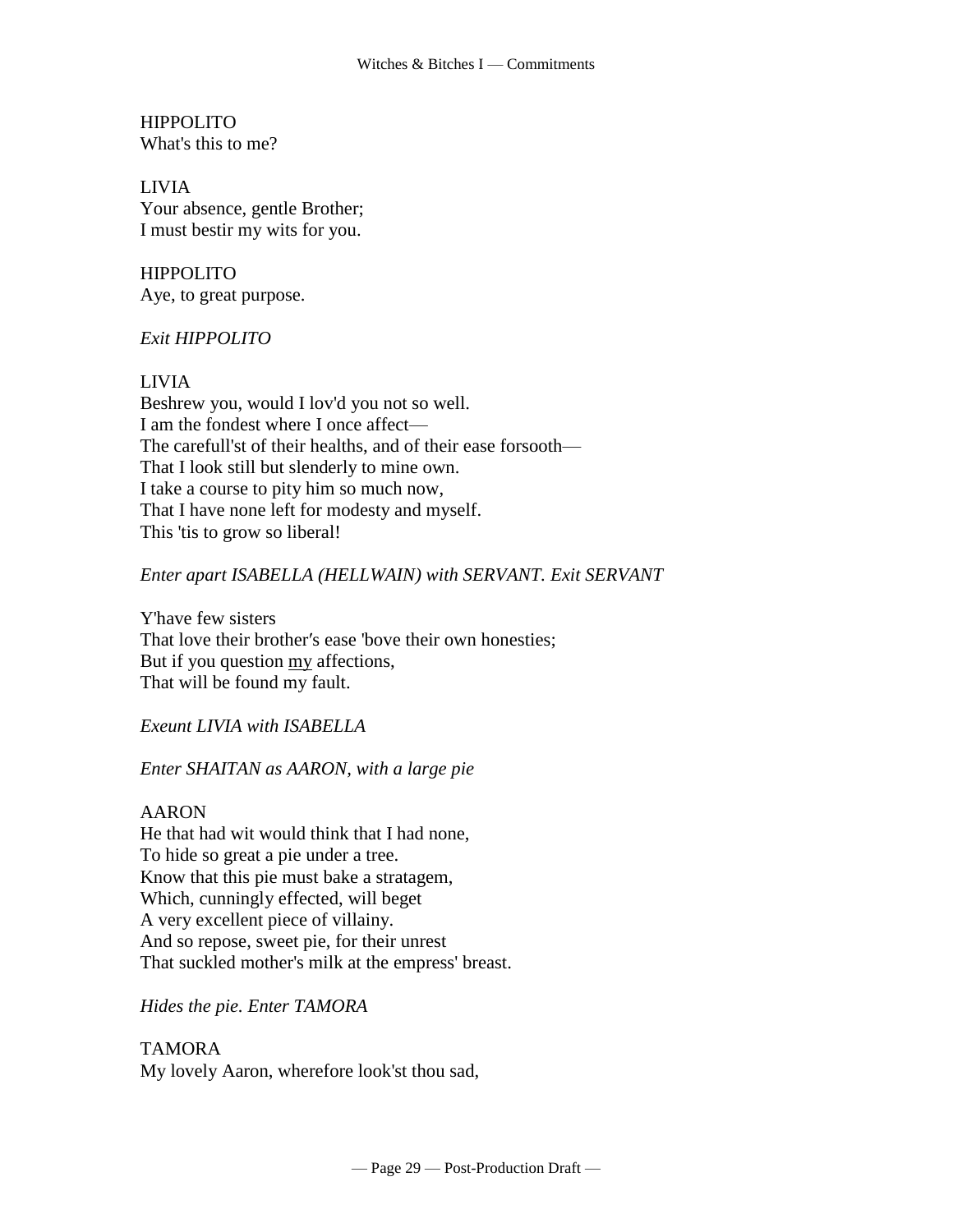**HIPPOLITO** What's this to me?

LIVIA Your absence, gentle Brother; I must bestir my wits for you.

HIPPOLITO Aye, to great purpose.

# *Exit HIPPOLITO*

LIVIA

Beshrew you, would I lov'd you not so well. I am the fondest where I once affect— The carefull'st of their healths, and of their ease forsooth— That I look still but slenderly to mine own. I take a course to pity him so much now, That I have none left for modesty and myself. This 'tis to grow so liberal!

# *Enter apart ISABELLA (HELLWAIN) with SERVANT. Exit SERVANT*

Y'have few sisters That love their brother′s ease 'bove their own honesties; But if you question my affections, That will be found my fault.

*Exeunt LIVIA with ISABELLA*

*Enter SHAITAN as AARON, with a large pie*

AARON

He that had wit would think that I had none, To hide so great a pie under a tree. Know that this pie must bake a stratagem, Which, cunningly effected, will beget A very excellent piece of villainy. And so repose, sweet pie, for their unrest That suckled mother's milk at the empress' breast.

*Hides the pie. Enter TAMORA*

TAMORA My lovely Aaron, wherefore look'st thou sad,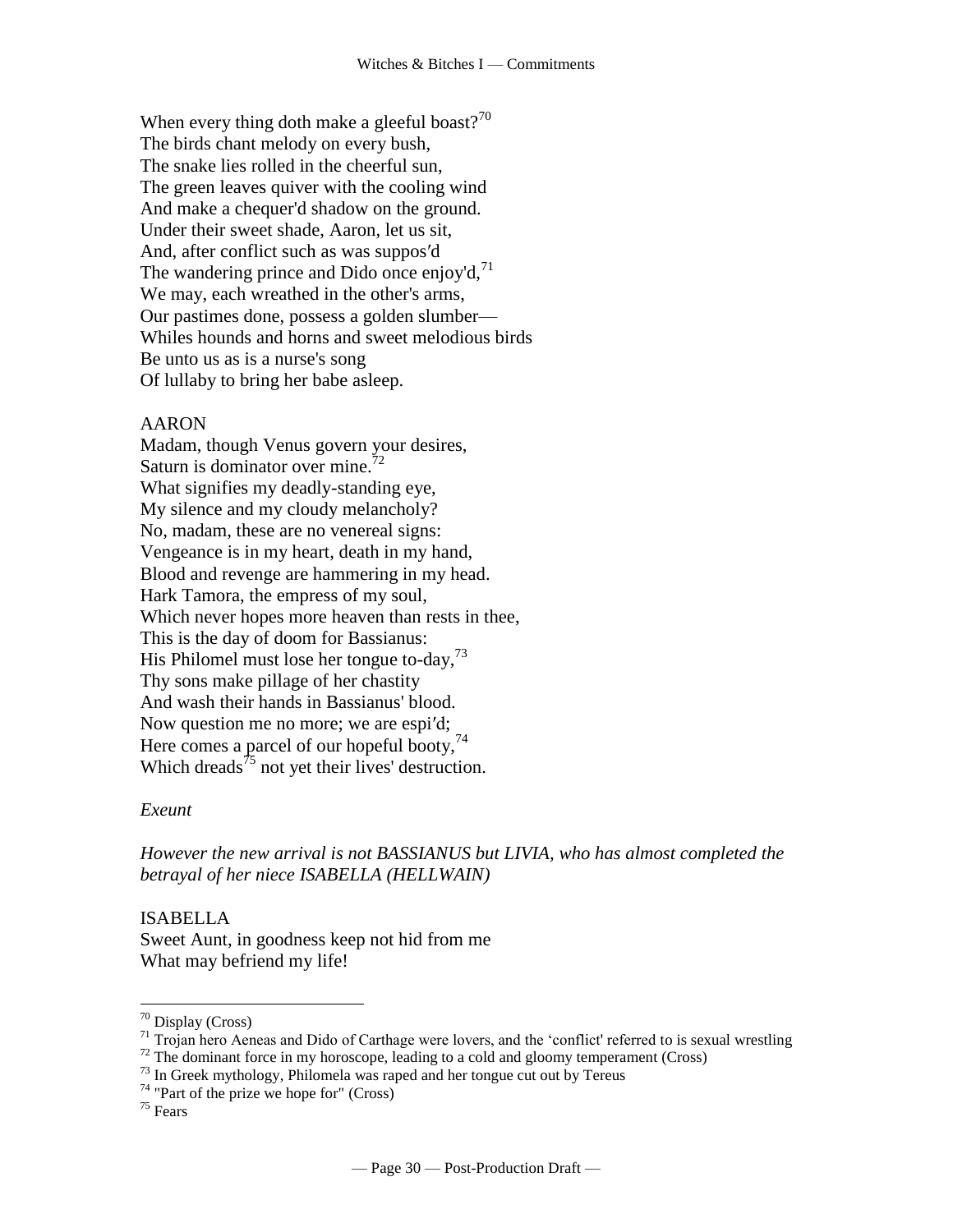When every thing doth make a gleeful boast?<sup>70</sup> The birds chant melody on every bush, The snake lies rolled in the cheerful sun, The green leaves quiver with the cooling wind And make a chequer'd shadow on the ground. Under their sweet shade, Aaron, let us sit, And, after conflict such as was suppos′d The wandering prince and Dido once enjoy'd, $71$ We may, each wreathed in the other's arms, Our pastimes done, possess a golden slumber— Whiles hounds and horns and sweet melodious birds Be unto us as is a nurse's song Of lullaby to bring her babe asleep.

#### AARON

Madam, though Venus govern your desires, Saturn is dominator over mine.<sup>72</sup> What signifies my deadly-standing eye, My silence and my cloudy melancholy? No, madam, these are no venereal signs: Vengeance is in my heart, death in my hand, Blood and revenge are hammering in my head. Hark Tamora, the empress of my soul, Which never hopes more heaven than rests in thee, This is the day of doom for Bassianus: His Philomel must lose her tongue to-day, $^{73}$ Thy sons make pillage of her chastity And wash their hands in Bassianus' blood. Now question me no more; we are espi′d; Here comes a parcel of our hopeful booty, $74$ Which dreads<sup> $75$ </sup> not yet their lives' destruction.

#### *Exeunt*

*However the new arrival is not BASSIANUS but LIVIA, who has almost completed the betrayal of her niece ISABELLA (HELLWAIN)*

#### ISABELLA

Sweet Aunt, in goodness keep not hid from me What may befriend my life!

<sup>70</sup> Display (Cross)

 $71$  Trojan hero Aeneas and Dido of Carthage were lovers, and the 'conflict' referred to is sexual wrestling

 $72$  The dominant force in my horoscope, leading to a cold and gloomy temperament (Cross)

<sup>&</sup>lt;sup>73</sup> In Greek mythology, Philomela was raped and her tongue cut out by Tereus

 $74$  "Part of the prize we hope for" (Cross)

<sup>75</sup> Fears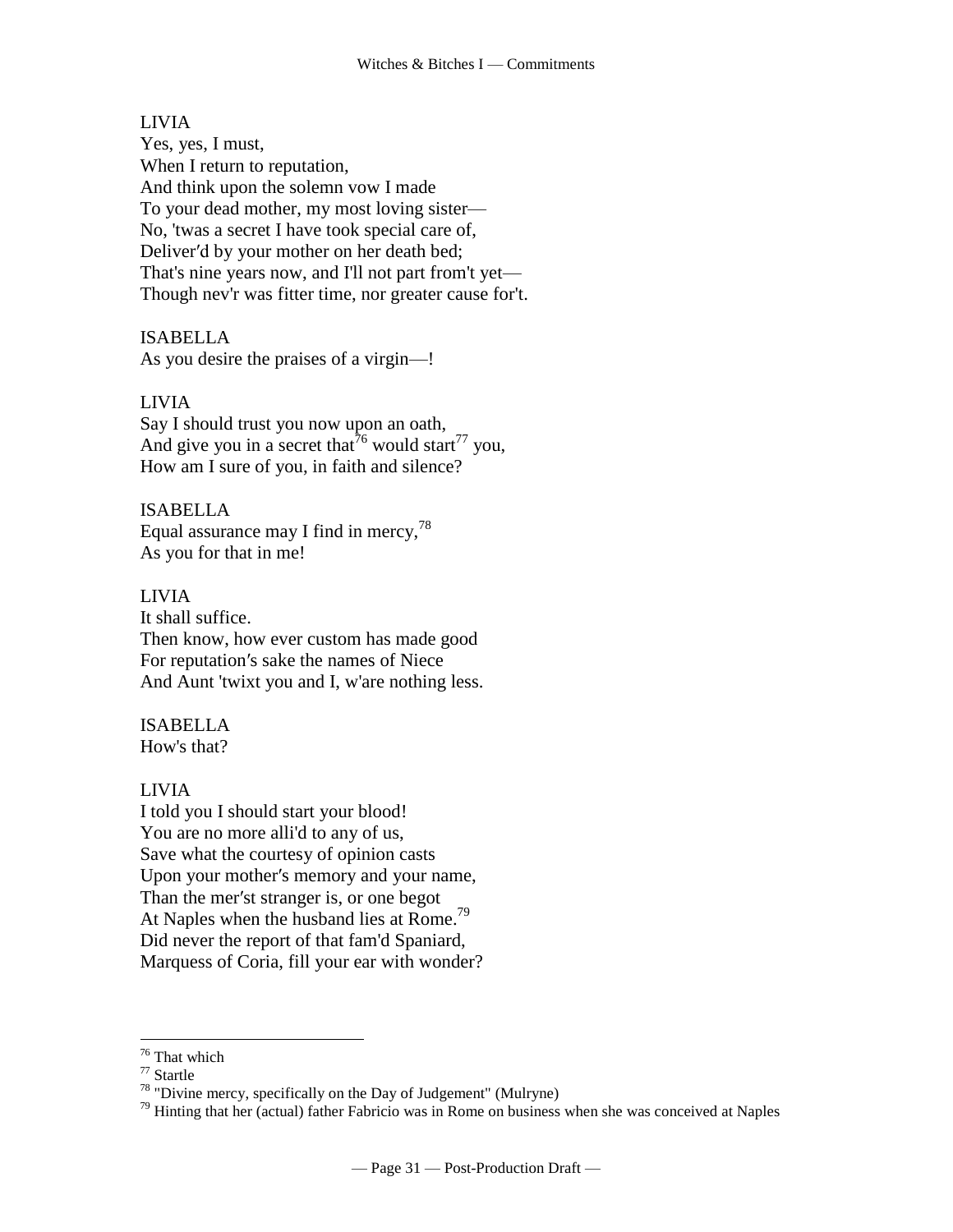#### LIVIA

Yes, yes, I must, When I return to reputation, And think upon the solemn vow I made To your dead mother, my most loving sister— No, 'twas a secret I have took special care of, Deliver′d by your mother on her death bed; That's nine years now, and I'll not part from't yet— Though nev'r was fitter time, nor greater cause for't.

#### ISABELLA

As you desire the praises of a virgin—!

### LIVIA

Say I should trust you now upon an oath, And give you in a secret that  $\sqrt[7]{\ }$ <sup>6</sup> would start<sup>77</sup> you, How am I sure of you, in faith and silence?

#### ISABELLA

Equal assurance may I find in mercy,  $^{78}$ As you for that in me!

#### LIVIA

It shall suffice. Then know, how ever custom has made good For reputation′s sake the names of Niece And Aunt 'twixt you and I, w'are nothing less.

#### ISABELLA

How's that?

#### LIVIA

I told you I should start your blood! You are no more alli'd to any of us, Save what the courtesy of opinion casts Upon your mother′s memory and your name, Than the mer′st stranger is, or one begot At Naples when the husband lies at Rome.<sup>79</sup> Did never the report of that fam'd Spaniard, Marquess of Coria, fill your ear with wonder?

 $\overline{a}$ 

 $79$  Hinting that her (actual) father Fabricio was in Rome on business when she was conceived at Naples

<sup>&</sup>lt;sup>76</sup> That which

 $77$  Startle

 $78$  "Divine mercy, specifically on the Day of Judgement" (Mulryne)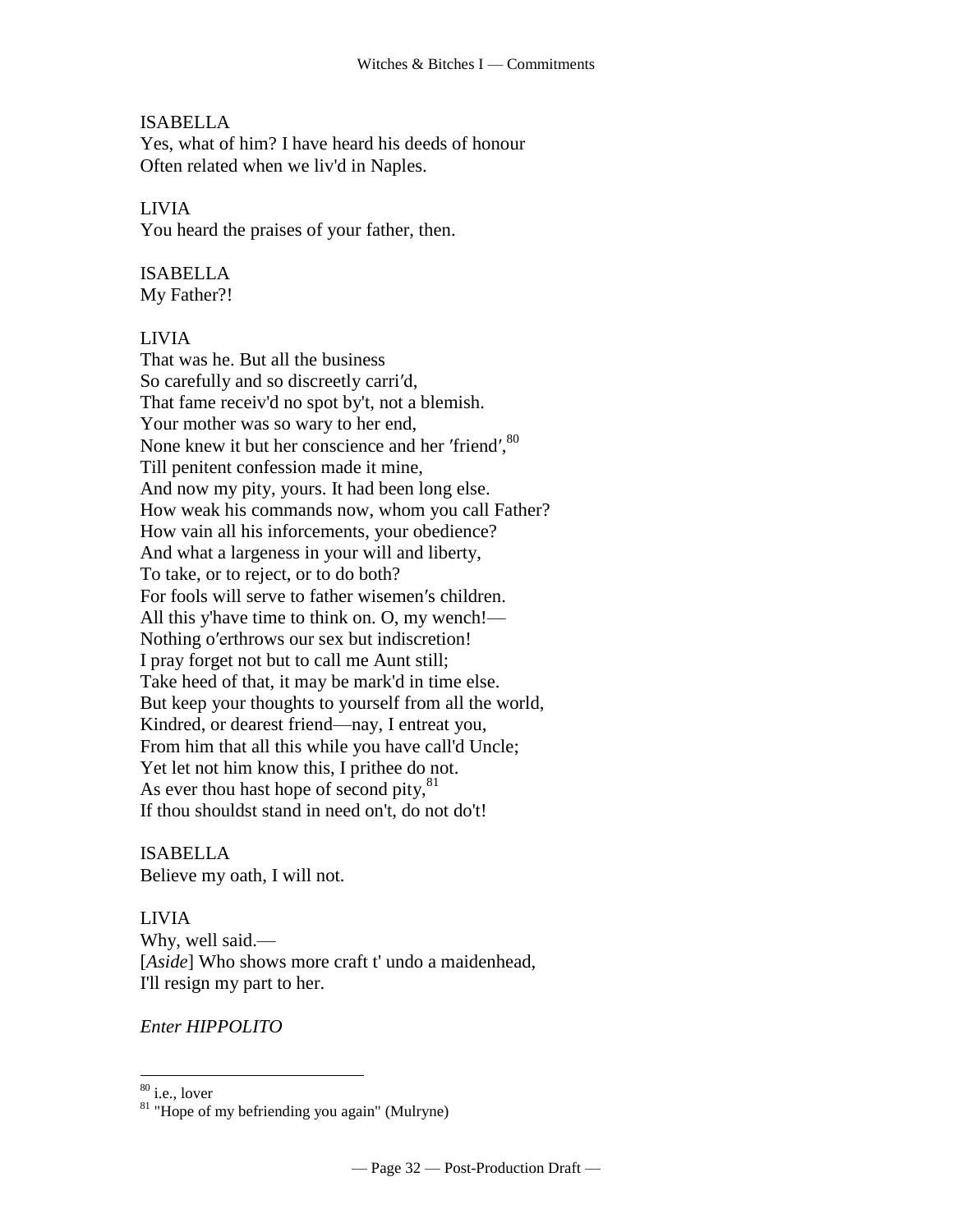## ISABELLA

Yes, what of him? I have heard his deeds of honour Often related when we liv'd in Naples.

#### LIVIA

You heard the praises of your father, then.

# ISABELLA

My Father?!

#### LIVIA

That was he. But all the business So carefully and so discreetly carri′d, That fame receiv'd no spot by't, not a blemish. Your mother was so wary to her end, None knew it but her conscience and her 'friend',<sup>80</sup> Till penitent confession made it mine, And now my pity, yours. It had been long else. How weak his commands now, whom you call Father? How vain all his inforcements, your obedience? And what a largeness in your will and liberty, To take, or to reject, or to do both? For fools will serve to father wisemen′s children. All this y'have time to think on. O, my wench!— Nothing o′erthrows our sex but indiscretion! I pray forget not but to call me Aunt still; Take heed of that, it may be mark'd in time else. But keep your thoughts to yourself from all the world, Kindred, or dearest friend—nay, I entreat you, From him that all this while you have call'd Uncle; Yet let not him know this, I prithee do not. As ever thou hast hope of second pity, $81$ If thou shouldst stand in need on't, do not do't!

ISABELLA Believe my oath, I will not.

LIVIA Why, well said.— [*Aside*] Who shows more craft t' undo a maidenhead, I'll resign my part to her.

*Enter HIPPOLITO*

 $80$  i.e., lover

<sup>&</sup>lt;sup>81</sup> "Hope of my befriending you again" (Mulryne)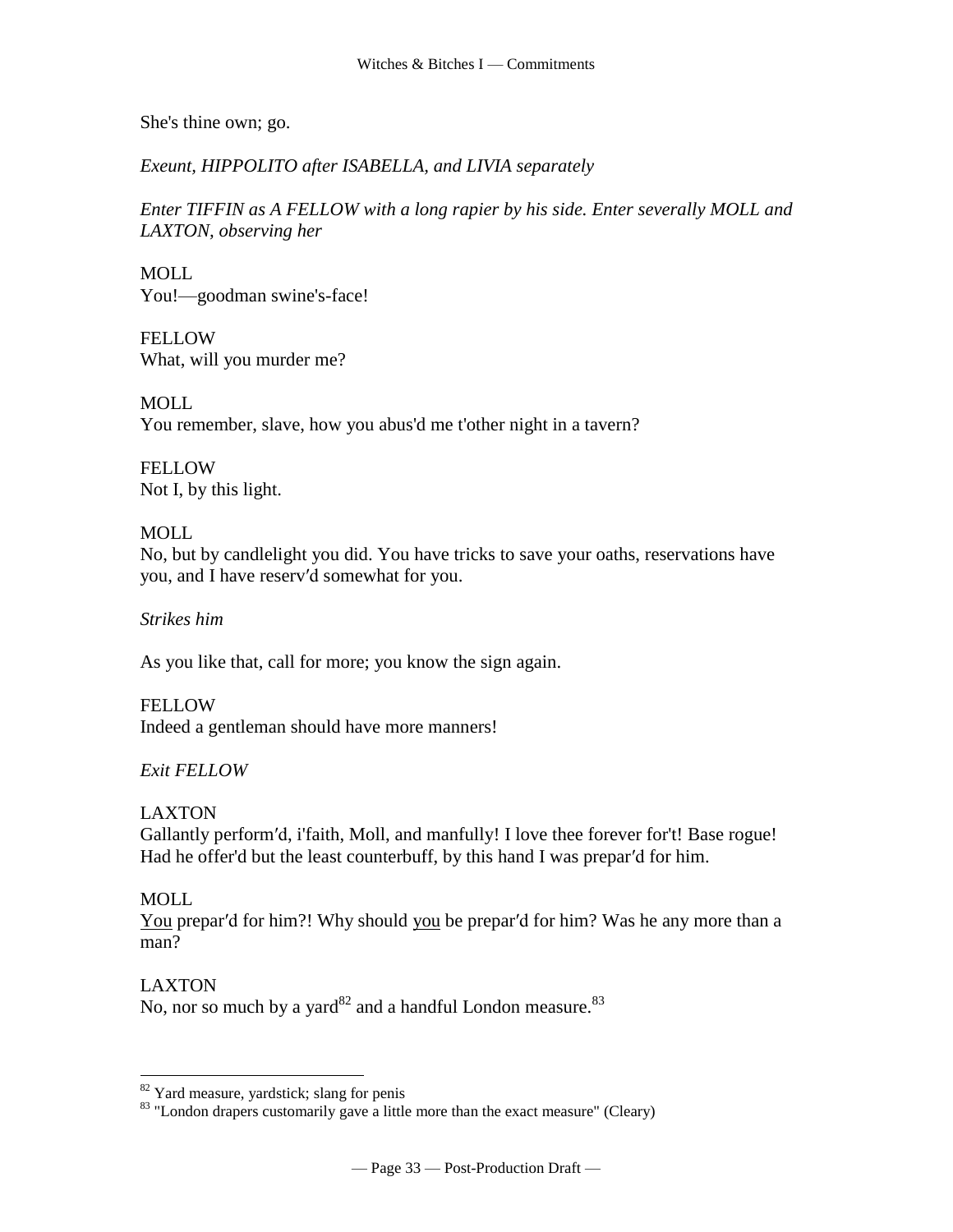She's thine own; go.

*Exeunt, HIPPOLITO after ISABELLA, and LIVIA separately*

*Enter TIFFIN as A FELLOW with a long rapier by his side. Enter severally MOLL and LAXTON, observing her*

MOLL You!—goodman swine's-face!

FELLOW What, will you murder me?

MOLL You remember, slave, how you abus'd me t'other night in a tavern?

**FELLOW** Not I, by this light.

# MOLL

No, but by candlelight you did. You have tricks to save your oaths, reservations have you, and I have reserv′d somewhat for you.

*Strikes him*

As you like that, call for more; you know the sign again.

**FELLOW** Indeed a gentleman should have more manners!

# *Exit FELLOW*

LAXTON

Gallantly perform′d, i'faith, Moll, and manfully! I love thee forever for't! Base rogue! Had he offer'd but the least counterbuff, by this hand I was prepar'd for him.

# MOLL

You prepar'd for him?! Why should you be prepar'd for him? Was he any more than a man?

# LAXTON

 $\overline{a}$ 

No, nor so much by a [yard](http://www.tech.org/~cleary/roar.html#YARD) $^{82}$  and a handful [London measure.](http://www.tech.org/~cleary/roar.html#LONDONME) $^{83}$ 

 $82$  Yard measure, yardstick; slang for penis

<sup>&</sup>lt;sup>83</sup> "London drapers customarily gave a little more than the exact measure" (Cleary)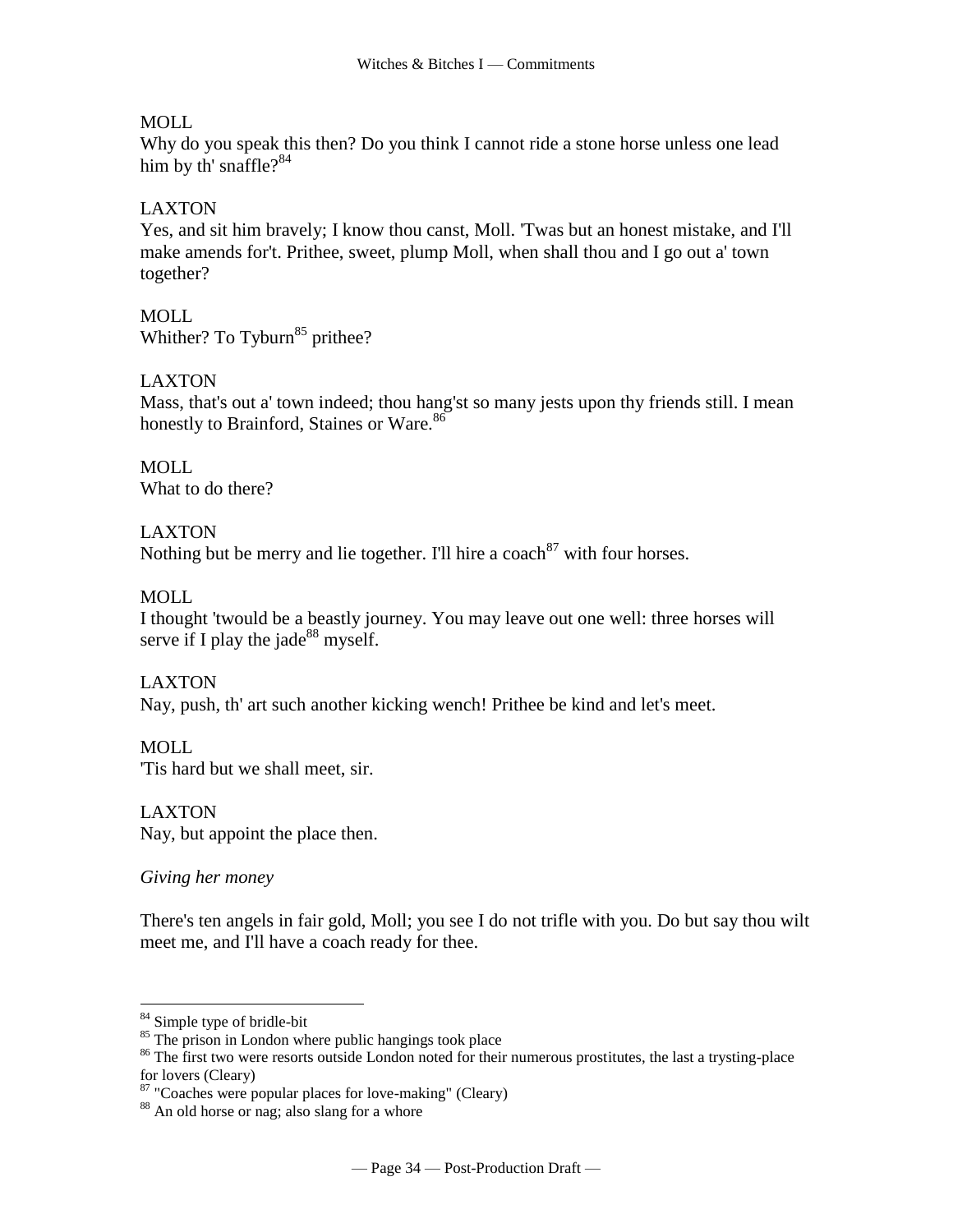## MOLL

Why do you speak this then? Do you think I cannot ride a stone horse unless one lead him by th' [snaffle?](http://www.tech.org/~cleary/roar.html#SNAFFLE)<sup>84</sup>

# LAXTON

Yes, and sit him bravely; I know thou canst, Moll. 'Twas but an honest mistake, and I'll make amends for't. Prithee, sweet, plump Moll, when shall thou and I go out a' town together?

MOLL Whither? To [Tyburn](http://www.tech.org/~cleary/roar.html#TYBURN) $85$  prithee?

# LAXTON

Mass, that's out a' town indeed; thou hang'st so many jests upon thy friends still. I mean honestly to [Brainford,](http://www.tech.org/~cleary/roar.html#BRAINFOR) [Staines](http://www.tech.org/~cleary/roar.html#STAINES) or [Ware.](http://www.tech.org/~cleary/roar.html#WARE) 86

MOLL What to do there?

LAXTON Nothing but be merry and lie together. I'll hire a [coach](http://www.tech.org/~cleary/roar.html#COACH)<sup>87</sup> with four horses.

MOLL

I thought 'twould be a beastly journey. You may leave out one well: three horses will serve if I play the [jade](http://www.tech.org/~cleary/roar.html#JADE)<sup>88</sup> myself.

LAXTON Nay, push, th' art such another kicking wench! Prithee be kind and let's meet.

MOLL 'Tis hard but we shall meet, sir.

LAXTON Nay, but appoint the place then.

*Giving her money*

There's ten angels in fair gold, Moll; you see I do not trifle with you. Do but say thou wilt meet me, and I'll have a coach ready for thee.

<sup>&</sup>lt;sup>84</sup> Simple type of bridle-bit

 $85$  The prison in London where public hangings took place

<sup>&</sup>lt;sup>86</sup> The first two were resorts outside London noted for their numerous prostitutes, the last a trysting-place for lovers (Cleary)

<sup>&</sup>lt;sup>87</sup> "Coaches were popular places for love-making" (Cleary)

<sup>88</sup> An old horse or nag; also slang for a whore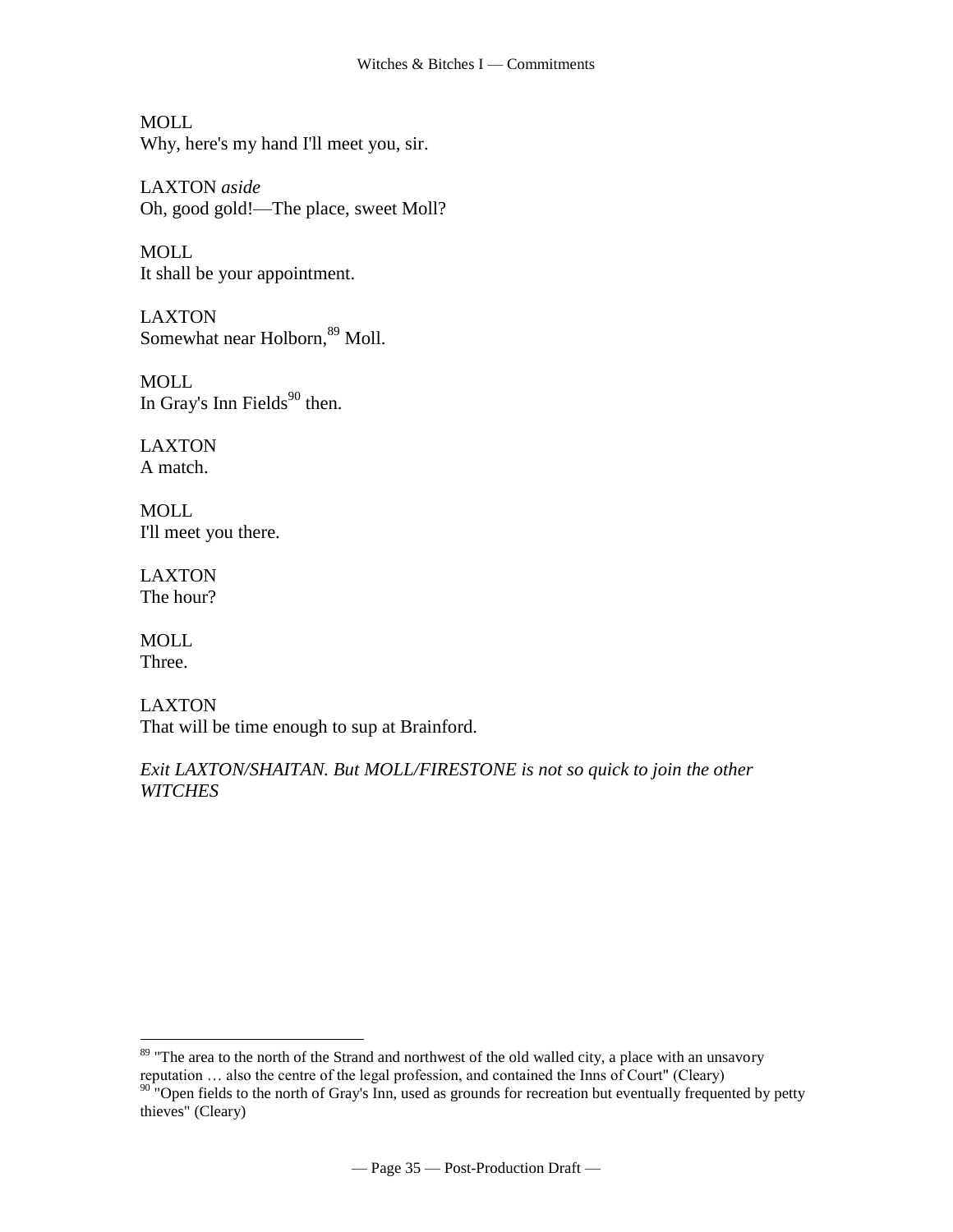MOLL Why, here's my hand I'll meet you, sir.

LAXTON *aside* Oh, good gold!—The place, sweet Moll?

MOLL It shall be your appointment.

LAXTON Somewhat near [Holborn,](http://www.tech.org/~cleary/roar.html#HOLBORN) <sup>89</sup> Moll.

MOLL In [Gray's Inn Fields](http://www.tech.org/~cleary/roar.html#GRAYSINN) $90$  then.

LAXTON A match.

MOLL I'll meet you there.

LAXTON The hour?

MOLL Three.

 $\overline{a}$ 

LAXTON That will be time enough to sup at Brainford.

*Exit LAXTON/SHAITAN. But MOLL/FIRESTONE is not so quick to join the other WITCHES*

<sup>&</sup>lt;sup>89</sup> "The area to the north of the Strand and northwest of the old walled city, a place with an unsavory reputation … also the centre of the legal profession, and contained the Inns of Court" (Cleary)

 $90$  "Open fields to the north of Gray's Inn, used as grounds for recreation but eventually frequented by petty thieves" (Cleary)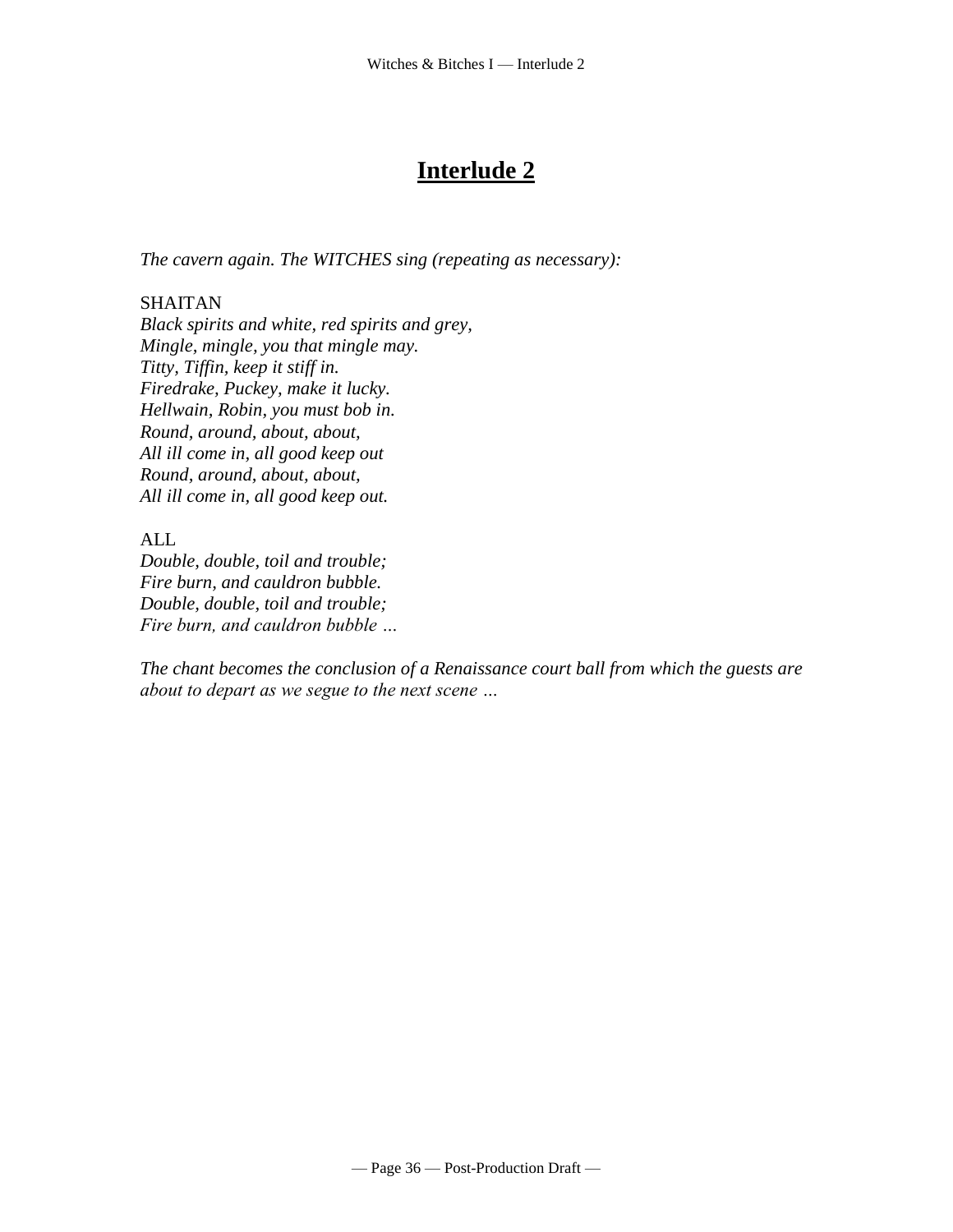# **Interlude 2**

*The cavern again. The WITCHES sing (repeating as necessary):*

# SHAITAN

*Black spirits and white, red spirits and grey, Mingle, mingle, you that mingle may. Titty, Tiffin, keep it stiff in. Firedrake, Puckey, make it lucky. Hellwain, Robin, you must bob in. Round, around, about, about, All ill come in, all good keep out Round, around, about, about, All ill come in, all good keep out.*

ALL

*Double, double, toil and trouble; Fire burn, and cauldron bubble. Double, double, toil and trouble; Fire burn, and cauldron bubble …*

*The chant becomes the conclusion of a Renaissance court ball from which the guests are about to depart as we segue to the next scene …*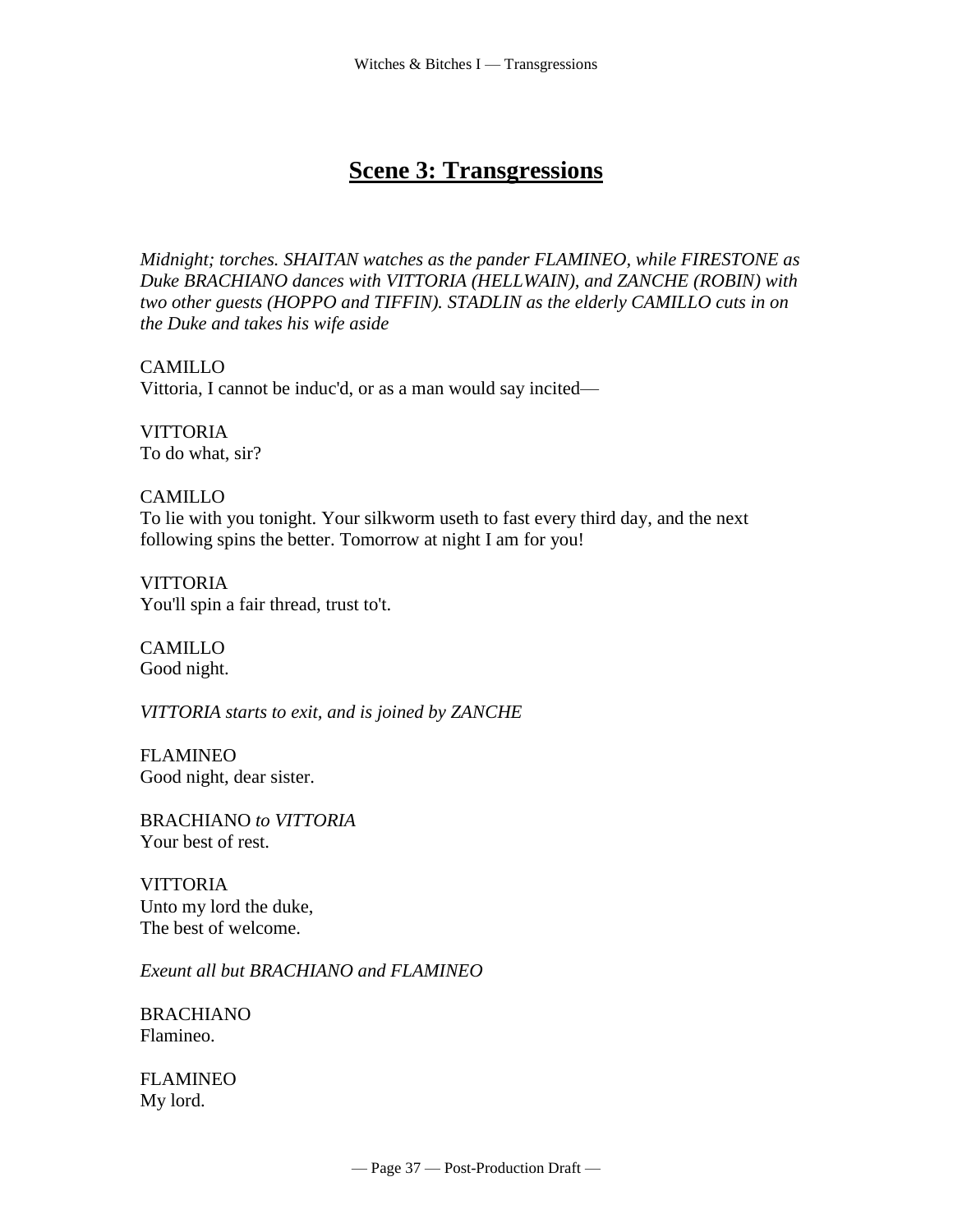# **Scene 3: Transgressions**

*Midnight; torches. SHAITAN watches as the pander FLAMINEO, while FIRESTONE as Duke BRACHIANO dances with VITTORIA (HELLWAIN), and ZANCHE (ROBIN) with two other guests (HOPPO and TIFFIN). STADLIN as the elderly CAMILLO cuts in on the Duke and takes his wife aside*

CAMILLO Vittoria, I cannot be induc'd, or as a man would say incited—

**VITTORIA** To do what, sir?

CAMILLO To lie with you tonight. Your silkworm useth to fast every third day, and the next following spins the better. Tomorrow at night I am for you!

**VITTORIA** You'll spin a fair thread, trust to't.

CAMILLO Good night.

*VITTORIA starts to exit, and is joined by ZANCHE*

FLAMINEO Good night, dear sister.

BRACHIANO *to VITTORIA* Your best of rest.

**VITTORIA** Unto my lord the duke, The best of welcome.

*Exeunt all but BRACHIANO and FLAMINEO*

BRACHIANO Flamineo.

FLAMINEO My lord.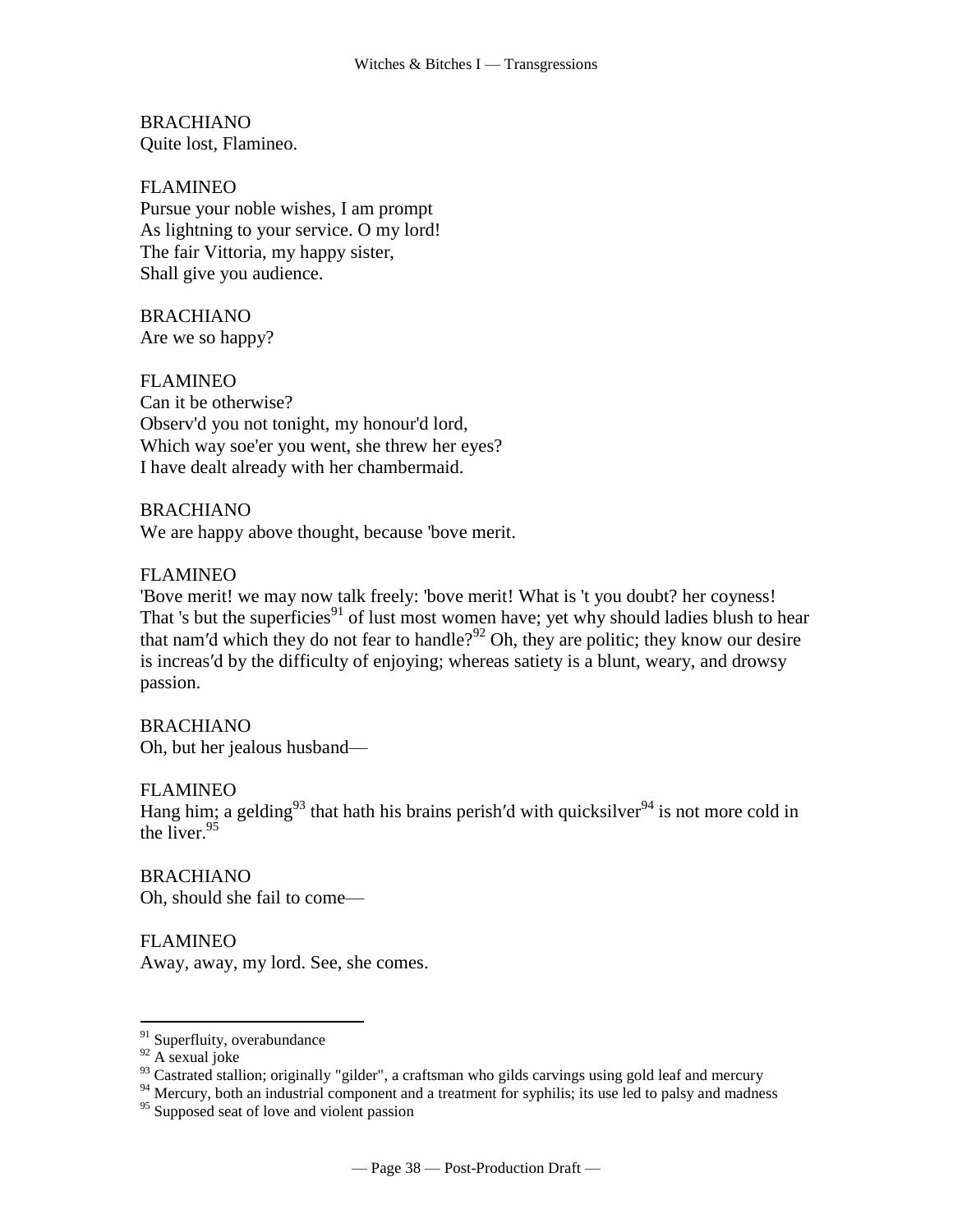BRACHIANO Quite lost, Flamineo.

FLAMINEO Pursue your noble wishes, I am prompt As lightning to your service. O my lord! The fair Vittoria, my happy sister, Shall give you audience.

BRACHIANO Are we so happy?

FLAMINEO Can it be otherwise? Observ'd you not tonight, my honour'd lord, Which way soe'er you went, she threw her eyes? I have dealt already with her chambermaid.

BRACHIANO We are happy above thought, because 'bove merit.

FLAMINEO

'Bove merit! we may now talk freely: 'bove merit! What is 't you doubt? her coyness! That 's but the superficies<sup>91</sup> of lust most women have; yet why should ladies blush to hear that nam'd which they do not fear to handle?<sup>92</sup> Oh, they are politic; they know our desire is increas′d by the difficulty of enjoying; whereas satiety is a blunt, weary, and drowsy passion.

BRACHIANO Oh, but her jealous husband—

FLAMINEO Hang him; a gelding<sup>93</sup> that hath his brains perish'd with quicksilver<sup>94</sup> is not more cold in the liver.<sup>95</sup>

BRACHIANO Oh, should she fail to come—

FLAMINEO Away, away, my lord. See, she comes.

<sup>&</sup>lt;sup>91</sup> Superfluity, overabundance

 $92$  A sexual joke

 $93$  Castrated stallion; originally "gilder", a craftsman who gilds carvings using gold leaf and mercury

<sup>&</sup>lt;sup>94</sup> Mercury, both an industrial component and a treatment for syphilis; its use led to palsy and madness

<sup>&</sup>lt;sup>95</sup> Supposed seat of love and violent passion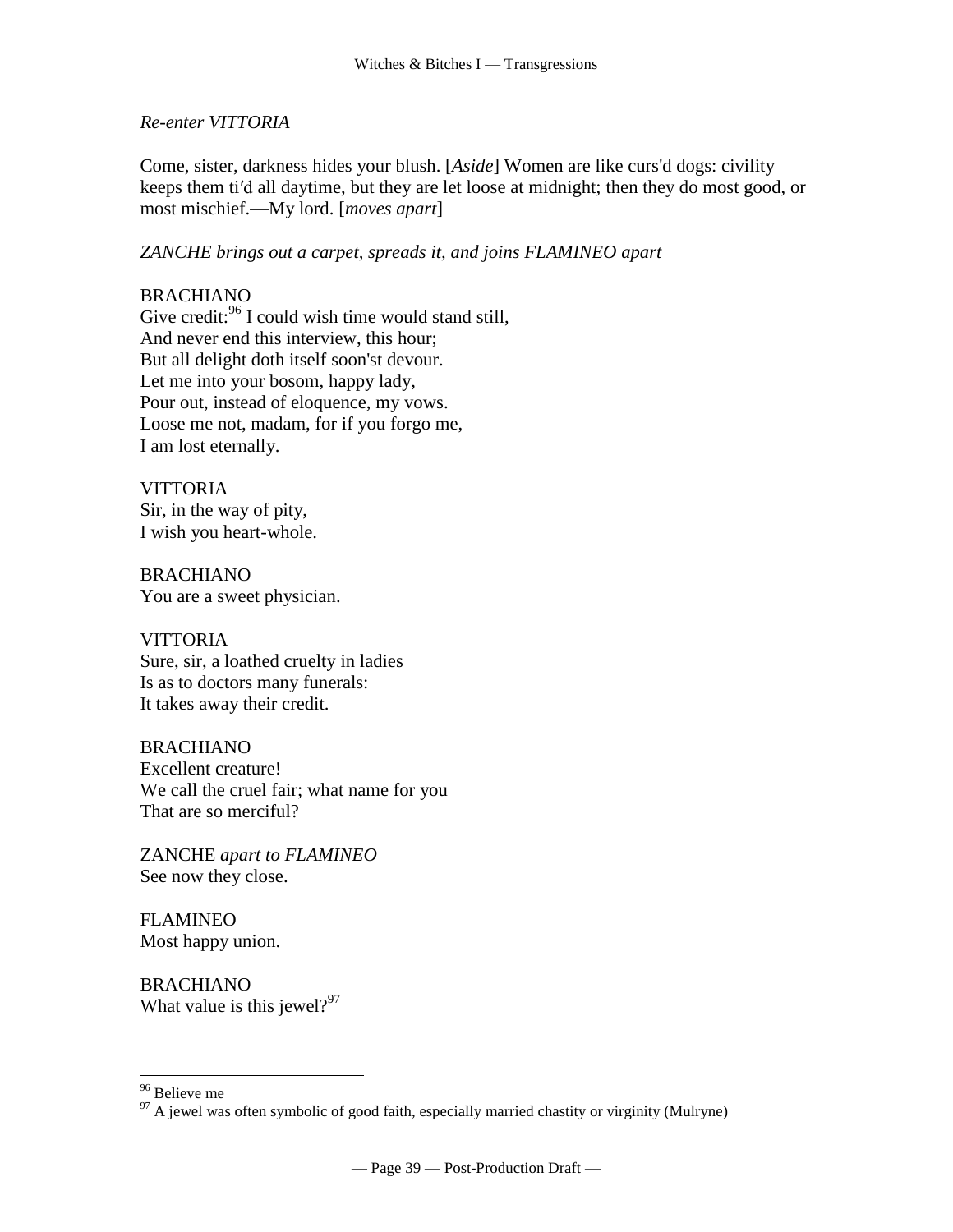#### *Re-enter VITTORIA*

Come, sister, darkness hides your blush. [*Aside*] Women are like curs'd dogs: civility keeps them ti′d all daytime, but they are let loose at midnight; then they do most good, or most mischief.—My lord. [*moves apart*]

*ZANCHE brings out a carpet, spreads it, and joins FLAMINEO apart*

# BRACHIANO

Give credit:<sup>96</sup> I could wish time would stand still, And never end this interview, this hour; But all delight doth itself soon'st devour. Let me into your bosom, happy lady, Pour out, instead of eloquence, my vows. Loose me not, madam, for if you forgo me, I am lost eternally.

## **VITTORIA**

Sir, in the way of pity, I wish you heart-whole.

BRACHIANO You are a sweet physician.

#### VITTORIA

Sure, sir, a loathed cruelty in ladies Is as to doctors many funerals: It takes away their credit.

#### BRACHIANO Excellent creature! We call the cruel fair; what name for you That are so merciful?

ZANCHE *apart to FLAMINEO* See now they close.

FLAMINEO Most happy union.

BRACHIANO What value is this jewel? $97$ 

<sup>&</sup>lt;sup>96</sup> Believe me

 $97$  A jewel was often symbolic of good faith, especially married chastity or virginity (Mulryne)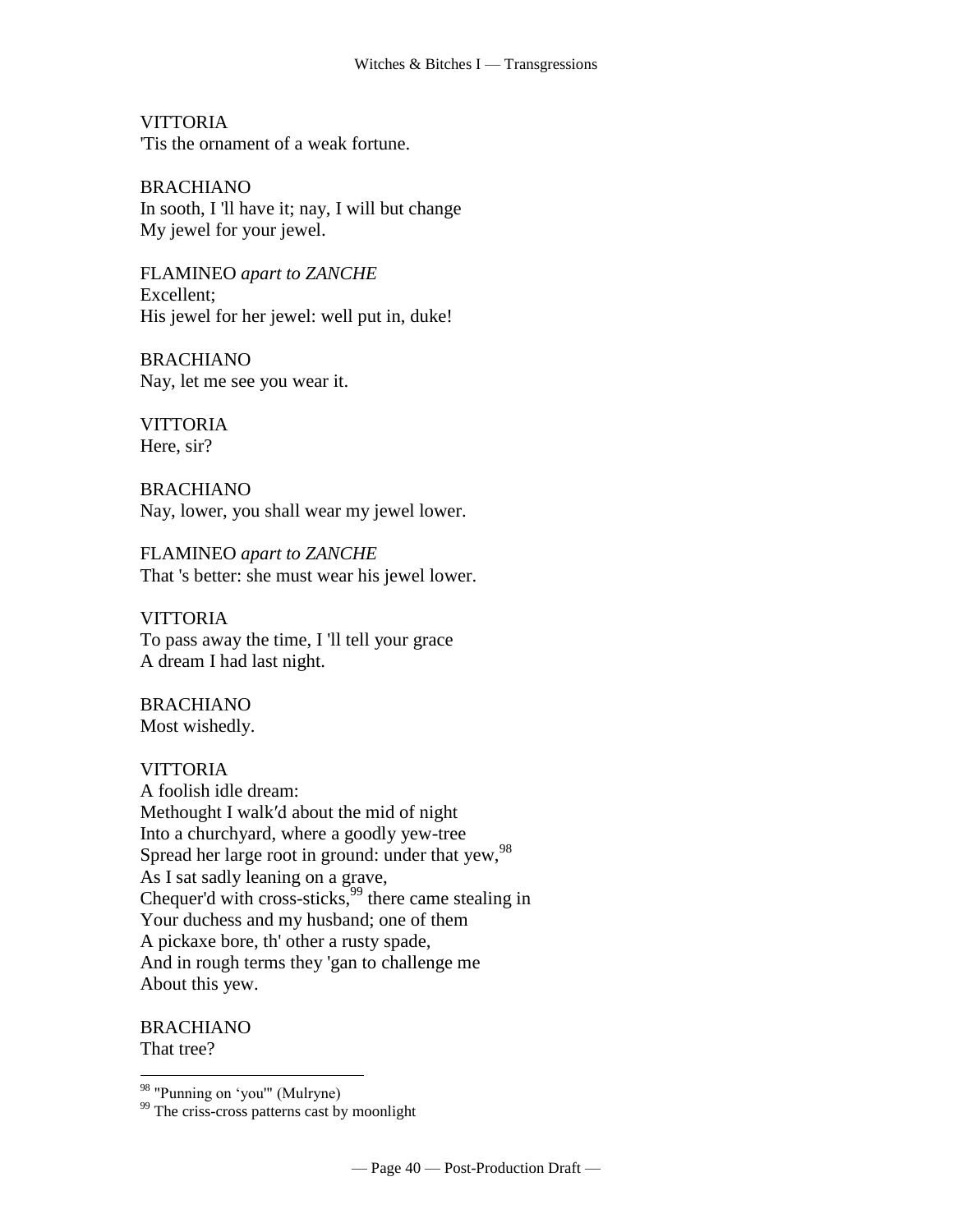VITTORIA 'Tis the ornament of a weak fortune.

BRACHIANO In sooth, I 'll have it; nay, I will but change My jewel for your jewel.

FLAMINEO *apart to ZANCHE* Excellent; His jewel for her jewel: well put in, duke!

BRACHIANO Nay, let me see you wear it.

**VITTORIA** Here, sir?

BRACHIANO Nay, lower, you shall wear my jewel lower.

FLAMINEO *apart to ZANCHE* That 's better: she must wear his jewel lower.

VITTORIA To pass away the time, I 'll tell your grace A dream I had last night.

BRACHIANO Most wishedly.

# **VITTORIA**

A foolish idle dream: Methought I walk′d about the mid of night Into a churchyard, where a goodly yew-tree Spread her large root in ground: under that yew, 98 As I sat sadly leaning on a grave, Chequer'd with cross-sticks,  $^{99}$  there came stealing in Your duchess and my husband; one of them A pickaxe bore, th' other a rusty spade, And in rough terms they 'gan to challenge me About this yew.

BRACHIANO That tree?

<sup>&</sup>lt;sup>98</sup> "Punning on 'you'" (Mulryne)

<sup>&</sup>lt;sup>99</sup> The criss-cross patterns cast by moonlight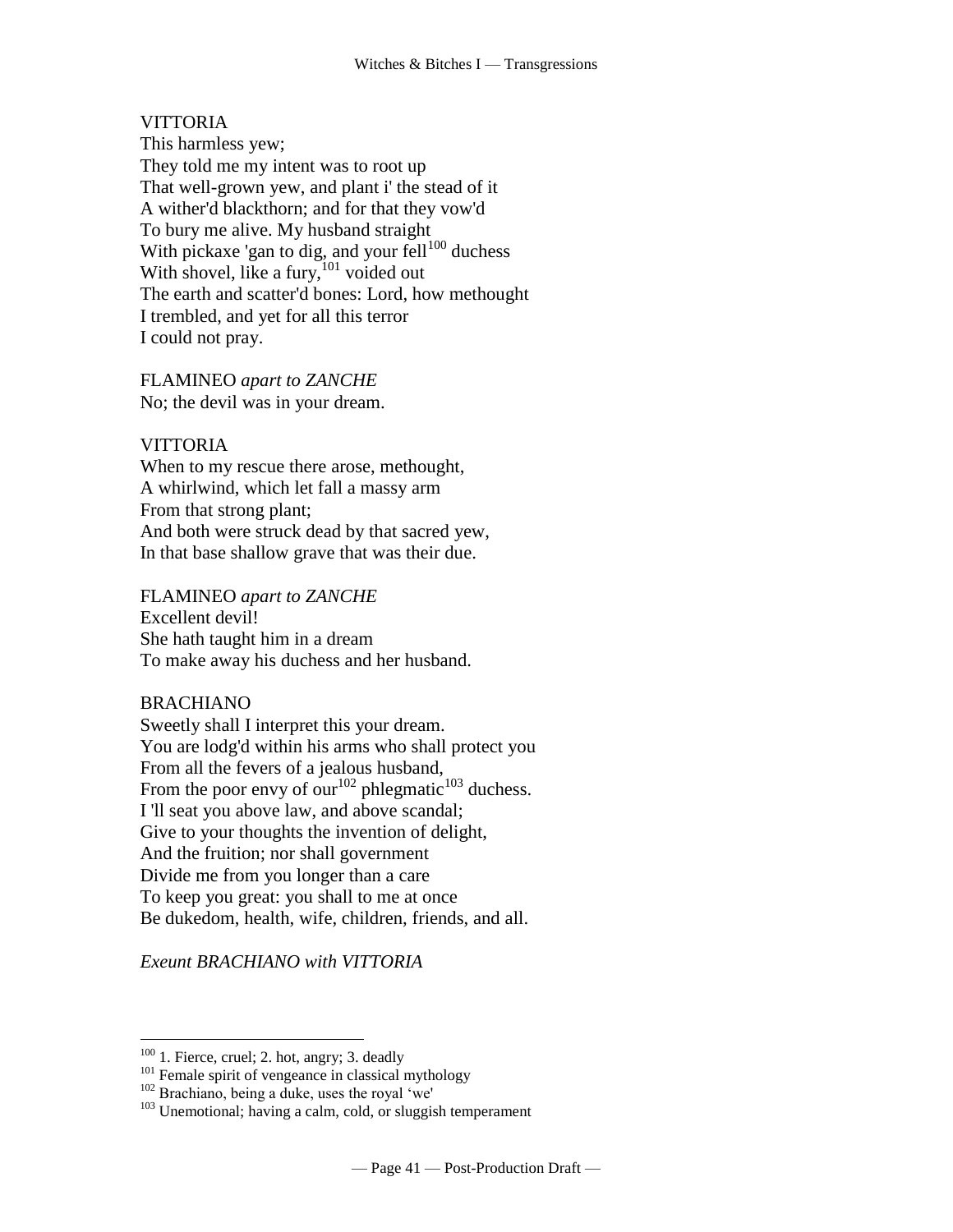# VITTORIA

This harmless yew; They told me my intent was to root up That well-grown yew, and plant i' the stead of it A wither'd blackthorn; and for that they vow'd To bury me alive. My husband straight With pickaxe 'gan to dig, and your fell<sup>100</sup> duchess With shovel, like a fury,  $^{101}$  voided out The earth and scatter'd bones: Lord, how methought I trembled, and yet for all this terror I could not pray.

FLAMINEO *apart to ZANCHE* No; the devil was in your dream.

#### **VITTORIA**

When to my rescue there arose, methought, A whirlwind, which let fall a massy arm From that strong plant; And both were struck dead by that sacred yew, In that base shallow grave that was their due.

FLAMINEO *apart to ZANCHE*

Excellent devil! She hath taught him in a dream To make away his duchess and her husband.

#### BRACHIANO

 $\overline{a}$ 

Sweetly shall I interpret this your dream. You are lodg'd within his arms who shall protect you From all the fevers of a jealous husband, From the poor envy of  $\text{our}^{102}$  phlegmatic<sup>103</sup> duchess. I 'll seat you above law, and above scandal; Give to your thoughts the invention of delight, And the fruition; nor shall government Divide me from you longer than a care To keep you great: you shall to me at once Be dukedom, health, wife, children, friends, and all.

*Exeunt BRACHIANO with VITTORIA*

 $100$  1. Fierce, cruel; 2. hot, angry; 3. deadly

<sup>&</sup>lt;sup>101</sup> Female spirit of vengeance in classical mythology

<sup>&</sup>lt;sup>102</sup> Brachiano, being a duke, uses the royal 'we'

 $103$  Unemotional; having a calm, cold, or sluggish temperament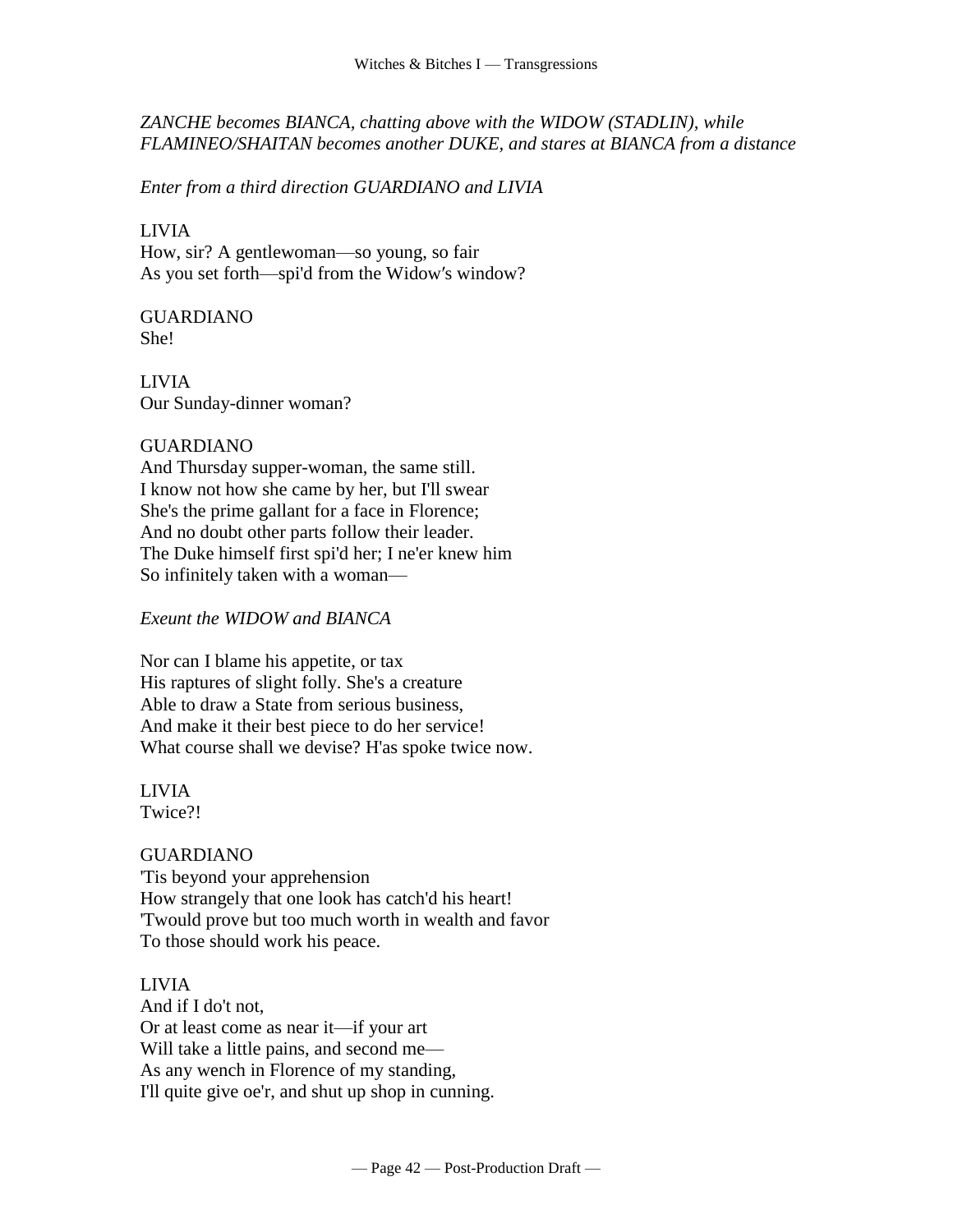*ZANCHE becomes BIANCA, chatting above with the WIDOW (STADLIN), while FLAMINEO/SHAITAN becomes another DUKE, and stares at BIANCA from a distance*

*Enter from a third direction GUARDIANO and LIVIA*

LIVIA How, sir? A gentlewoman—so young, so fair As you set forth—spi'd from the Widow′s window?

GUARDIANO She!

LIVIA Our Sunday-dinner woman?

## GUARDIANO

And Thursday supper-woman, the same still. I know not how she came by her, but I'll swear She's the prime gallant for a face in Florence; And no doubt other parts follow their leader. The Duke himself first spi'd her; I ne'er knew him So infinitely taken with a woman—

# *Exeunt the WIDOW and BIANCA*

Nor can I blame his appetite, or tax His raptures of slight folly. She's a creature Able to draw a State from serious business, And make it their best piece to do her service! What course shall we devise? H'as spoke twice now.

LIVIA Twice?!

# GUARDIANO

'Tis beyond your apprehension How strangely that one look has catch'd his heart! 'Twould prove but too much worth in wealth and favor To those should work his peace.

LIVIA And if I do't not, Or at least come as near it—if your art Will take a little pains, and second me— As any wench in Florence of my standing, I'll quite give oe'r, and shut up shop in cunning.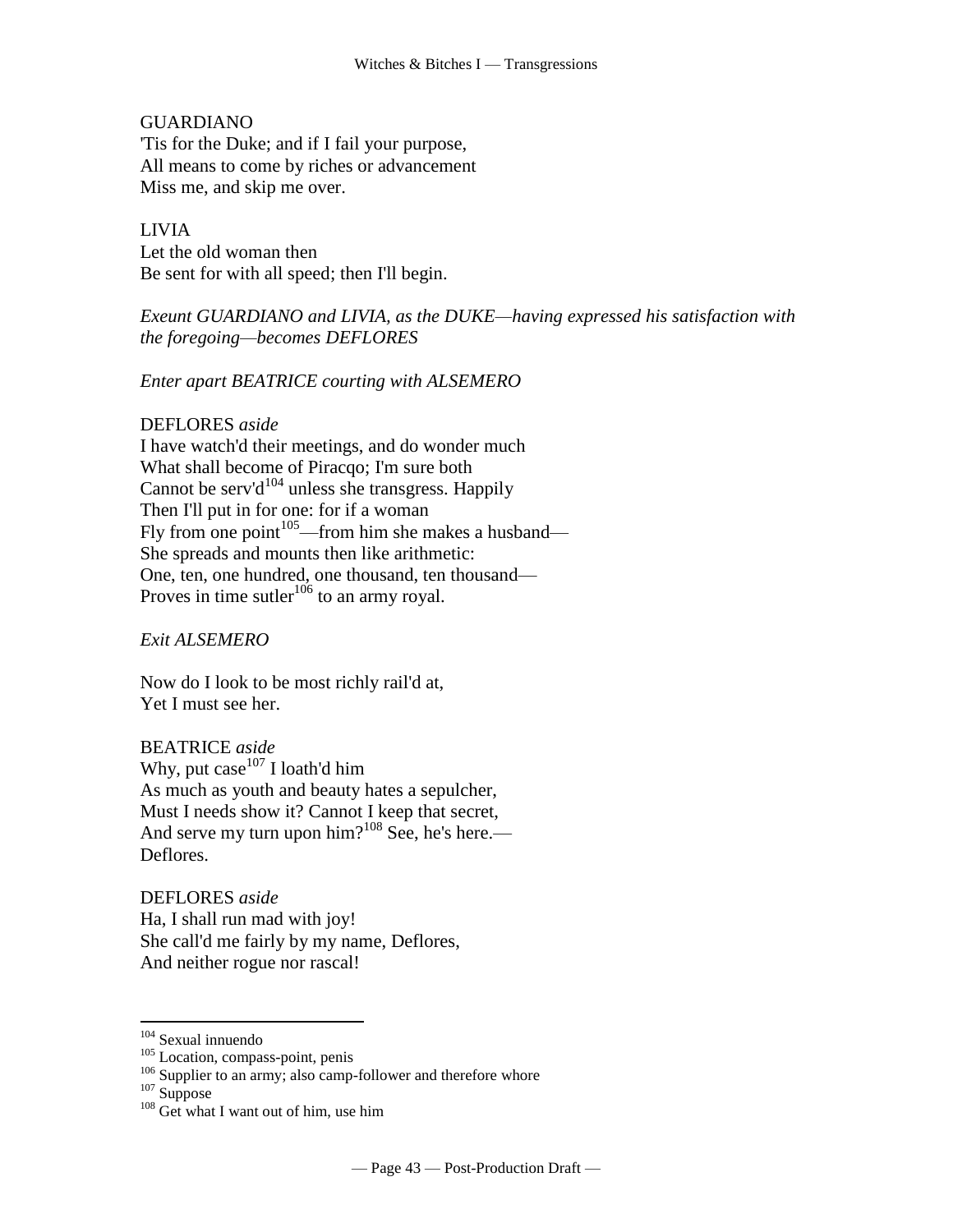#### GUARDIANO

'Tis for the Duke; and if I fail your purpose, All means to come by riches or advancement Miss me, and skip me over.

## LIVIA

Let the old woman then Be sent for with all speed; then I'll begin.

*Exeunt GUARDIANO and LIVIA, as the DUKE—having expressed his satisfaction with the foregoing—becomes DEFLORES*

## *Enter apart BEATRICE courting with ALSEMERO*

#### DEFLORES *aside*

I have watch'd their meetings, and do wonder much What shall become of Piracqo; I'm sure both Cannot be [serv'd](http://www.tech.org/~cleary/change.html#SERVD)<sup>104</sup> unless she transgress. Happily Then I'll put in for one: for if a woman Fly from one [point](http://www.tech.org/~cleary/change.html#POINT) $105$ —from him she makes a husband— She spreads and mounts then like arithmetic: One, ten, one hundred, one thousand, ten thousand Proves in time [sutler](http://www.tech.org/~cleary/change.html#SUTLER)<sup>106</sup> to an [army royal.](http://www.tech.org/~cleary/change.html#ARMYROYA)

*Exit ALSEMERO*

Now do I look to be most richly rail'd at, Yet I must see her.

BEATRICE *aside* Why, put  $case^{107}$  I loath'd him As much as youth and beauty hates a sepulcher, Must I needs show it? Cannot I keep that secret, And serve my turn upon  $\text{him?}^{108}$  See, he's here.— Deflores.

DEFLORES *aside* Ha, I shall run mad with joy! She call'd me fairly by my name, Deflores, And neither rogue nor rascal!

<sup>104</sup> Sexual innuendo

<sup>&</sup>lt;sup>105</sup> Location, compass-point, penis

<sup>&</sup>lt;sup>106</sup> Supplier to an army; also camp-follower and therefore whore

<sup>&</sup>lt;sup>107</sup> Suppose

<sup>&</sup>lt;sup>108</sup> Get what I want out of him, use him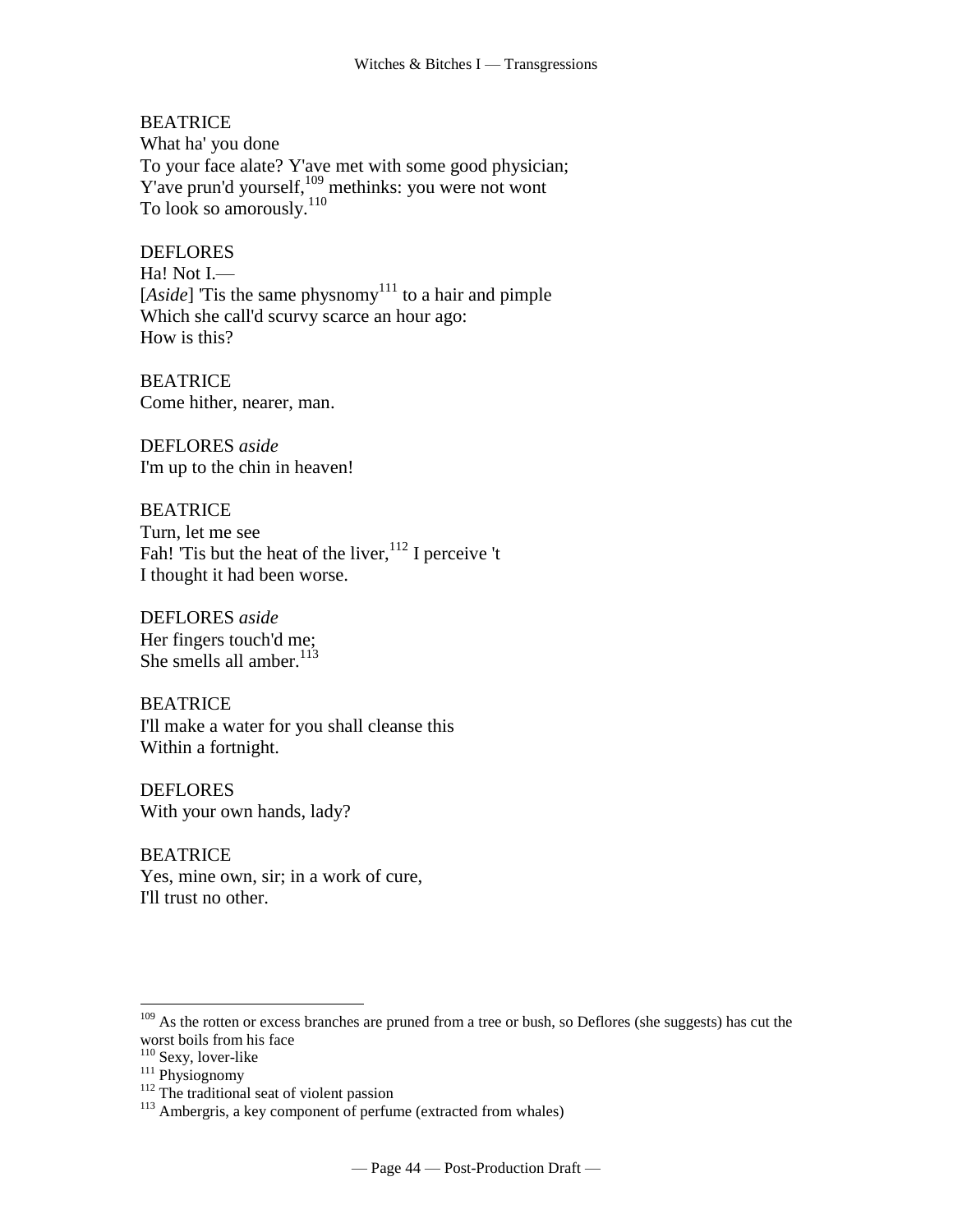## **BEATRICE**

What ha' you done To your face alate? Y'ave met with some good physician; Y'ave [prun'd](http://www.tech.org/~cleary/change.html#PRUND) yourself,<sup>109</sup> methinks: you were not wont To look so [amorously.](http://www.tech.org/~cleary/change.html#AMOROUSL)<sup>110</sup>

#### DEFLORES

Ha! Not I.— [ $Aside$ ] 'Tis the same [physnomy](http://www.tech.org/~cleary/change.html#PHYSNOMY)<sup>111</sup> to a hair and pimple Which she call'd scurvy scarce an hour ago: How is this?

BEATRICE Come hither, nearer, man.

DEFLORES *aside* I'm up to the chin in heaven!

BEATRICE Turn, let me see Fah! 'Tis but the heat of the [liver,](http://www.tech.org/~cleary/change.html#LIVER)<sup>112</sup> I perceive 't I thought it had been worse.

DEFLORES *aside* Her fingers touch'd me; She smells [all amber.](http://www.tech.org/~cleary/change.html#ALLAMBER)<sup>113</sup>

BEATRICE I'll make a water for you shall cleanse this Within a fortnight.

DEFLORES With your own hands, lady?

BEATRICE Yes, mine own, sir; in a work of cure, I'll trust no other.

<sup>&</sup>lt;sup>109</sup> As the rotten or excess branches are pruned from a tree or bush, so Deflores (she suggests) has cut the worst boils from his face

<sup>&</sup>lt;sup>110</sup> Sexy, lover-like

<sup>&</sup>lt;sup>111</sup> Physiognomy

 $112$  The traditional seat of violent passion

<sup>&</sup>lt;sup>113</sup> Ambergris, a key component of perfume (extracted from whales)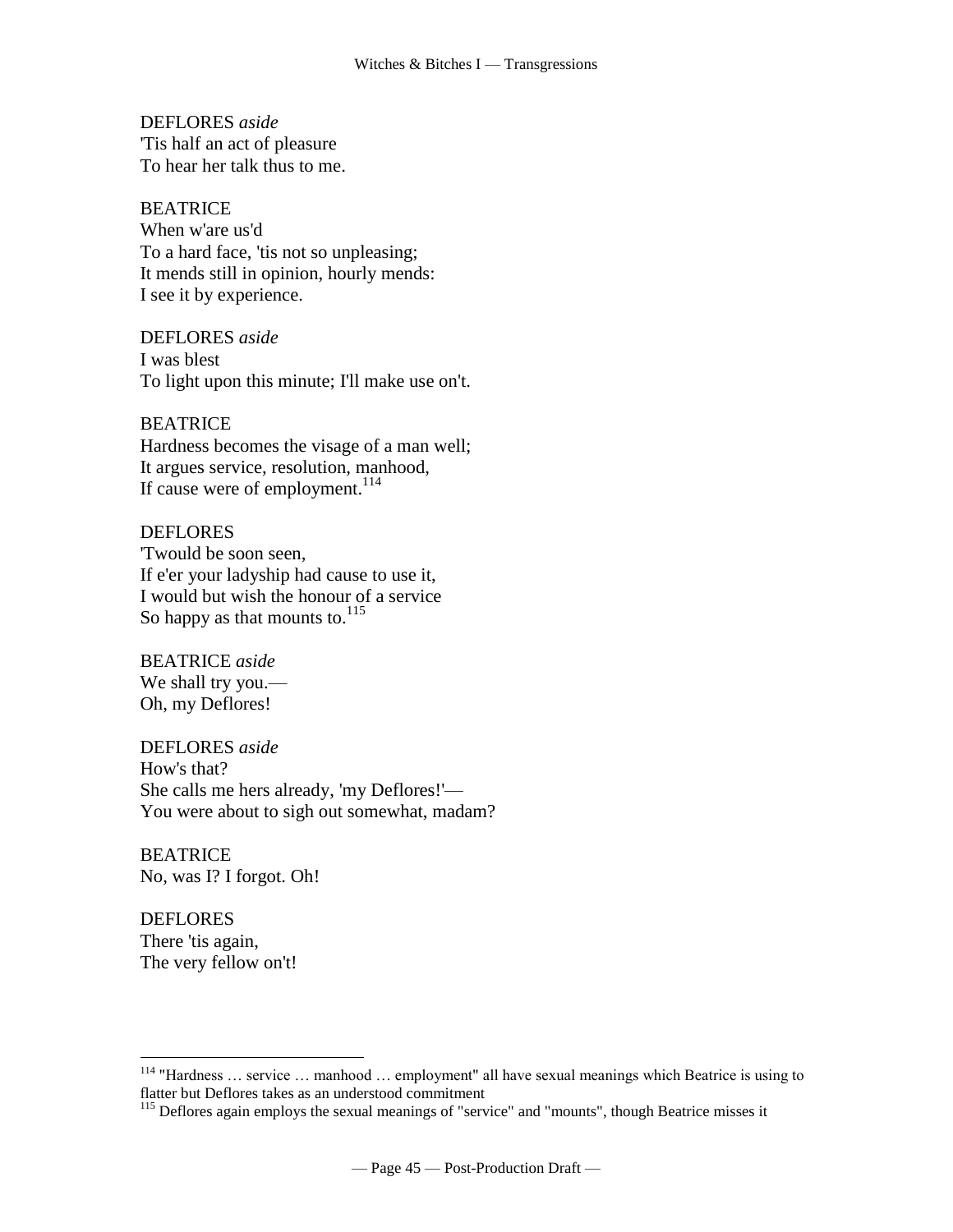DEFLORES *aside* 'Tis half an act of pleasure To hear her talk thus to me.

#### **BEATRICE**

When w'are us'd To a hard face, 'tis not so unpleasing; It mends still in opinion, hourly mends: I see it by experience.

DEFLORES *aside* I was blest To light upon this minute; I'll make use on't.

#### BEATRICE

Hardness becomes the visage of a man well; It argues service, resolution, manhood, If cause were of [employment.](http://www.tech.org/~cleary/change.html#EMPLOYME)<sup>114</sup>

#### DEFLORES

'Twould be soon seen, If e'er your ladyship had cause to use it, I would but wish the honour of a service So happy as that mounts to.<sup>115</sup>

BEATRICE *aside* We shall try you.— Oh, my Deflores!

DEFLORES *aside* How's that? She calls me hers already, 'my Deflores!'— You were about to sigh out somewhat, madam?

BEATRICE No, was I? I forgot. Oh!

**DEFLORES** There 'tis again, The very fellow on't!

<sup>114</sup> "Hardness … service … manhood … employment" all have sexual meanings which Beatrice is using to flatter but Deflores takes as an understood commitment

<sup>&</sup>lt;sup>115</sup> Deflores again employs the sexual meanings of "service" and "mounts", though Beatrice misses it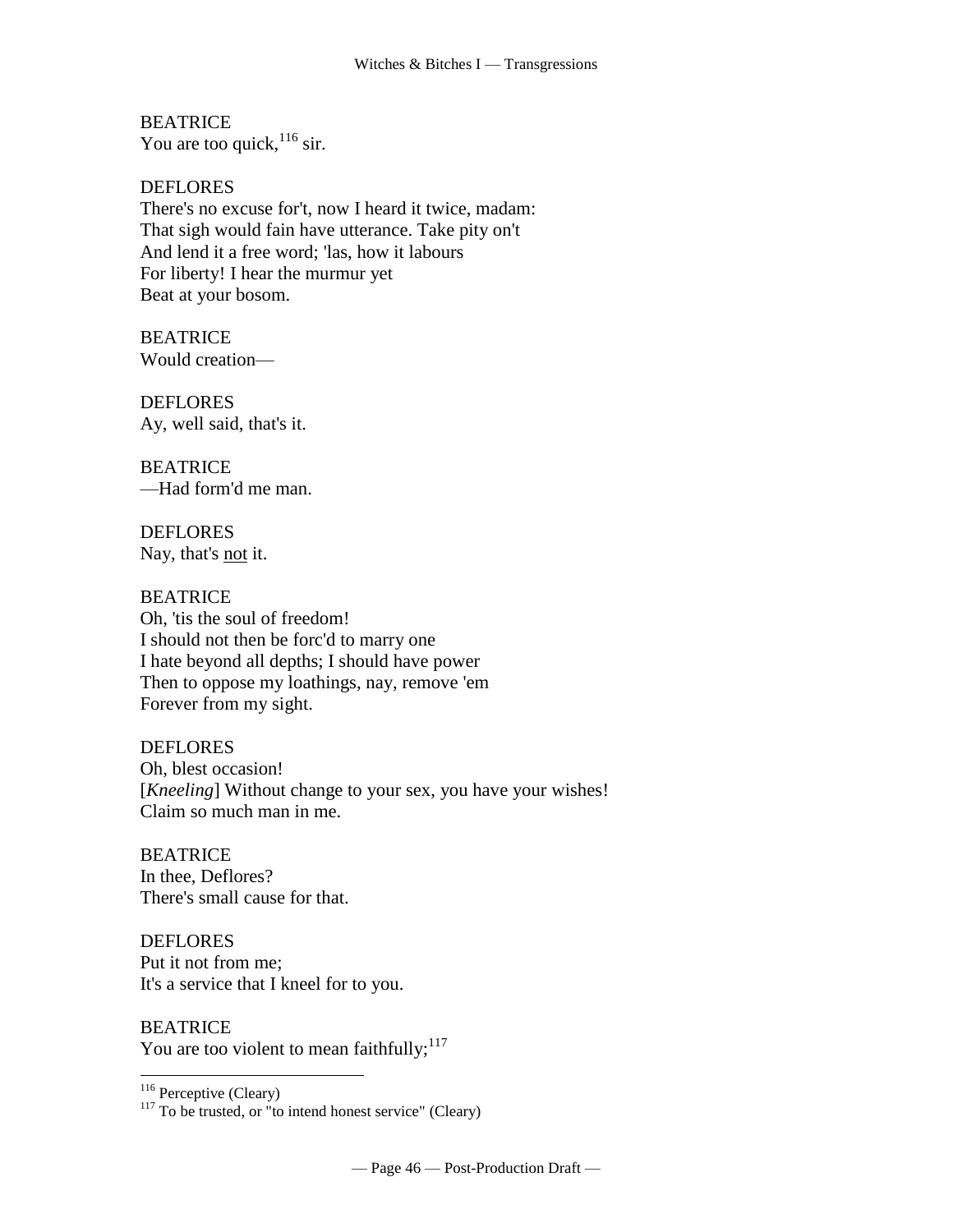**BEATRICE** You are too [quick,](http://www.tech.org/~cleary/change.html#QUICK)  $116 \text{ sir.}$ 

DEFLORES There's no excuse for't, now I heard it twice, madam: That sigh would fain have utterance. Take pity on't And lend it a free word; 'las, how it labours For liberty! I hear the murmur yet Beat at your bosom.

**BEATRICE** Would creation—

**DEFLORES** Ay, well said, that's it.

BEATRICE [—Had form'd me man.](http://www.tech.org/~cleary/change.html#HADFORMD)

**DEFLORES** Nay, that's <u>not</u> it.

BEATRICE Oh, 'tis the soul of freedom! I should not then be forc'd to marry one I hate beyond all depths; I should have power Then to oppose my loathings, nay, remove 'em Forever from my sight.

DEFLORES Oh, blest occasion! [*Kneeling*] Without change to your sex, you have your wishes! Claim so much man in me.

BEATRICE In thee, Deflores? There's small cause for that.

DEFLORES Put it not from me; It's a service that I kneel for to you.

BEATRICE You are too violent [to mean faithfully;](http://www.tech.org/~cleary/change.html#TOMEANFA)  $117$ 

<sup>116</sup> Perceptive (Cleary)

 $117$  To be trusted, or "to intend honest service" (Cleary)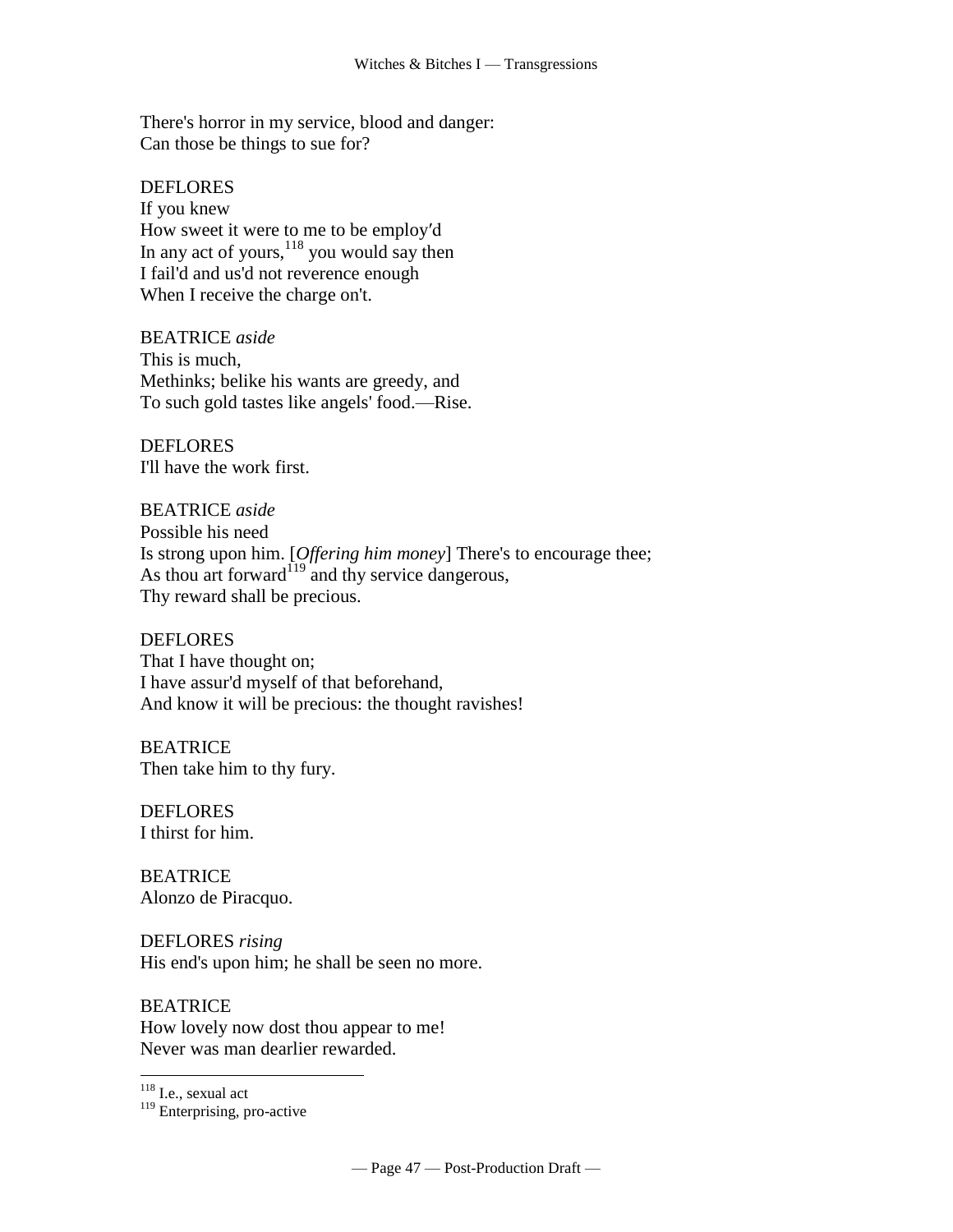There's horror in my service, blood and danger: Can those be things to sue for?

**DEFLORES** If you knew How sweet it were to me to be employ′d In any act of yours, $118$  you would say then I fail'd and us'd not reverence enough When I receive the charge on't.

BEATRICE *aside* This is much, Methinks; belike his wants are greedy, and To such gold tastes like [angels' food.](http://www.tech.org/~cleary/change.html#ANGELSFO)—Rise.

**DEFLORES** I'll have the work first.

BEATRICE *aside* Possible his need Is strong upon him. [*Offering him money*] There's to encourage thee; As thou art [forward](http://www.tech.org/~cleary/change.html#FORWARD) $119$  and thy service dangerous, Thy reward shall be precious.

DEFLORES That I have thought on; I have assur'd myself of that beforehand, And know it will be precious: the thought ravishes!

**BEATRICE** Then take him to thy fury.

DEFLORES I thirst for him.

BEATRICE Alonzo de Piracquo.

DEFLORES *rising* His end's upon him; he shall be seen no more.

**BEATRICE** How lovely now dost thou appear to me! Never was man dearlier rewarded.

<sup>&</sup>lt;sup>118</sup> I.e., sexual act

<sup>&</sup>lt;sup>119</sup> Enterprising, pro-active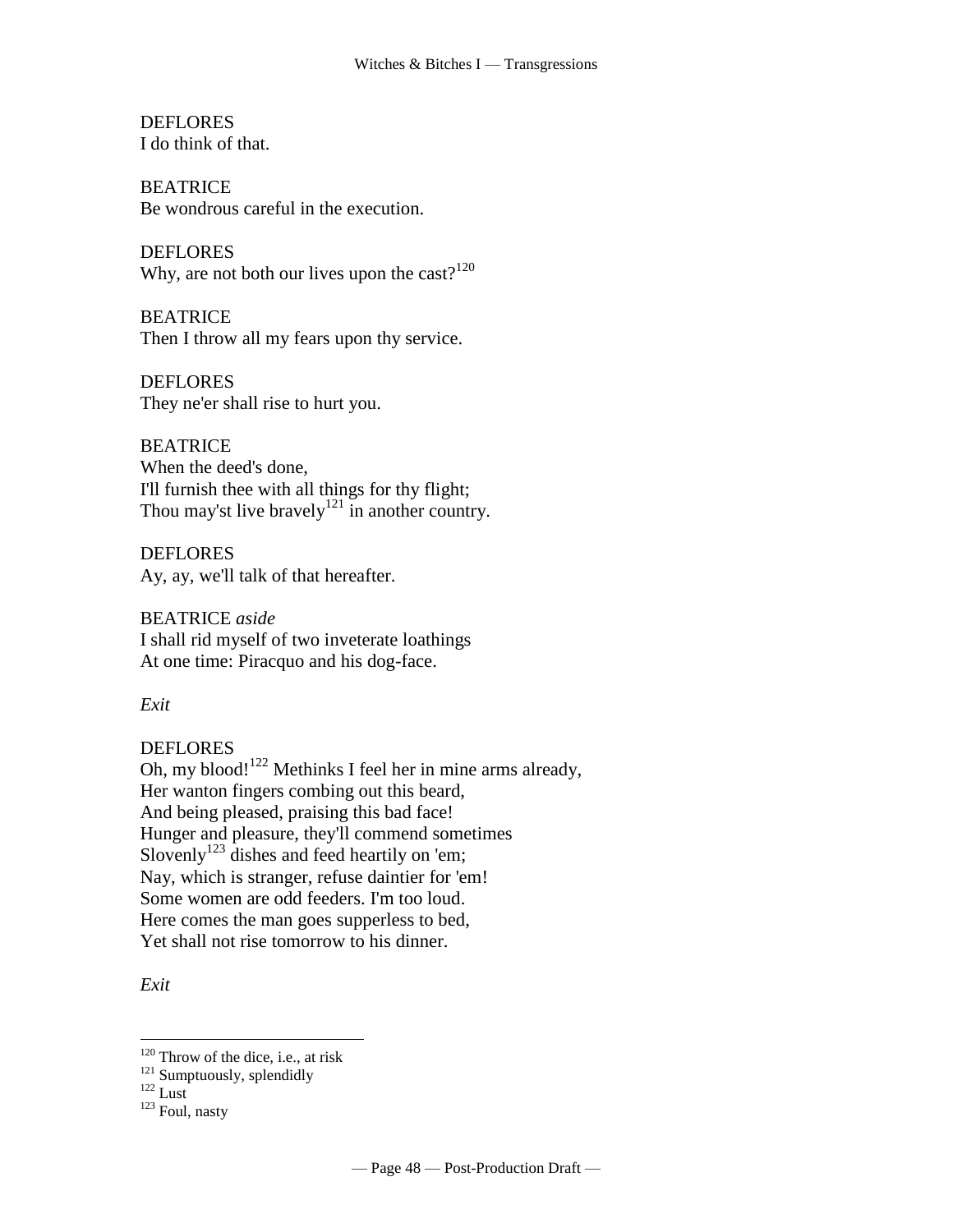**DEFLORES** I do think of that.

**BEATRICE** Be wondrous careful in the execution.

DEFLORES Why, are not both our lives upon the [cast?](http://www.tech.org/~cleary/change.html#CAST) $120$ 

**BEATRICE** Then I throw all my fears upon thy service.

**DEFLORES** They ne'er shall rise to hurt you.

BEATRICE When the deed's done, I'll furnish thee with all things for thy flight; Thou may'st live [bravely](http://www.tech.org/~cleary/change.html#BRAVELY)<sup>121</sup> in another country.

**DEFLORES** Ay, ay, we'll talk of that hereafter.

BEATRICE *aside* I shall rid myself of two inveterate loathings At one time: Piracquo and his dog-face.

*Exit*

# DEFLORES

Oh, my [blood!](http://www.tech.org/~cleary/change.html#BLOOD)<sup>122</sup> Methinks I feel her in mine arms already, Her wanton fingers combing out this beard, And being pleased, praising this bad face! Hunger and pleasure, they'll commend sometimes [Slovenly](http://www.tech.org/~cleary/change.html#SLOVENLY)<sup>123</sup> dishes and feed heartily on 'em; Nay, which is stranger, refuse daintier for 'em! Some women are odd feeders. I'm too loud. Here comes the man goes [supperless](http://www.tech.org/~cleary/change.html#SUPPERLE) to bed, Yet shall not rise tomorrow to his dinner.

*Exit*

 $120$  Throw of the dice, i.e., at risk

<sup>&</sup>lt;sup>121</sup> Sumptuously, splendidly

 $122$  Lust

<sup>123</sup> Foul, nasty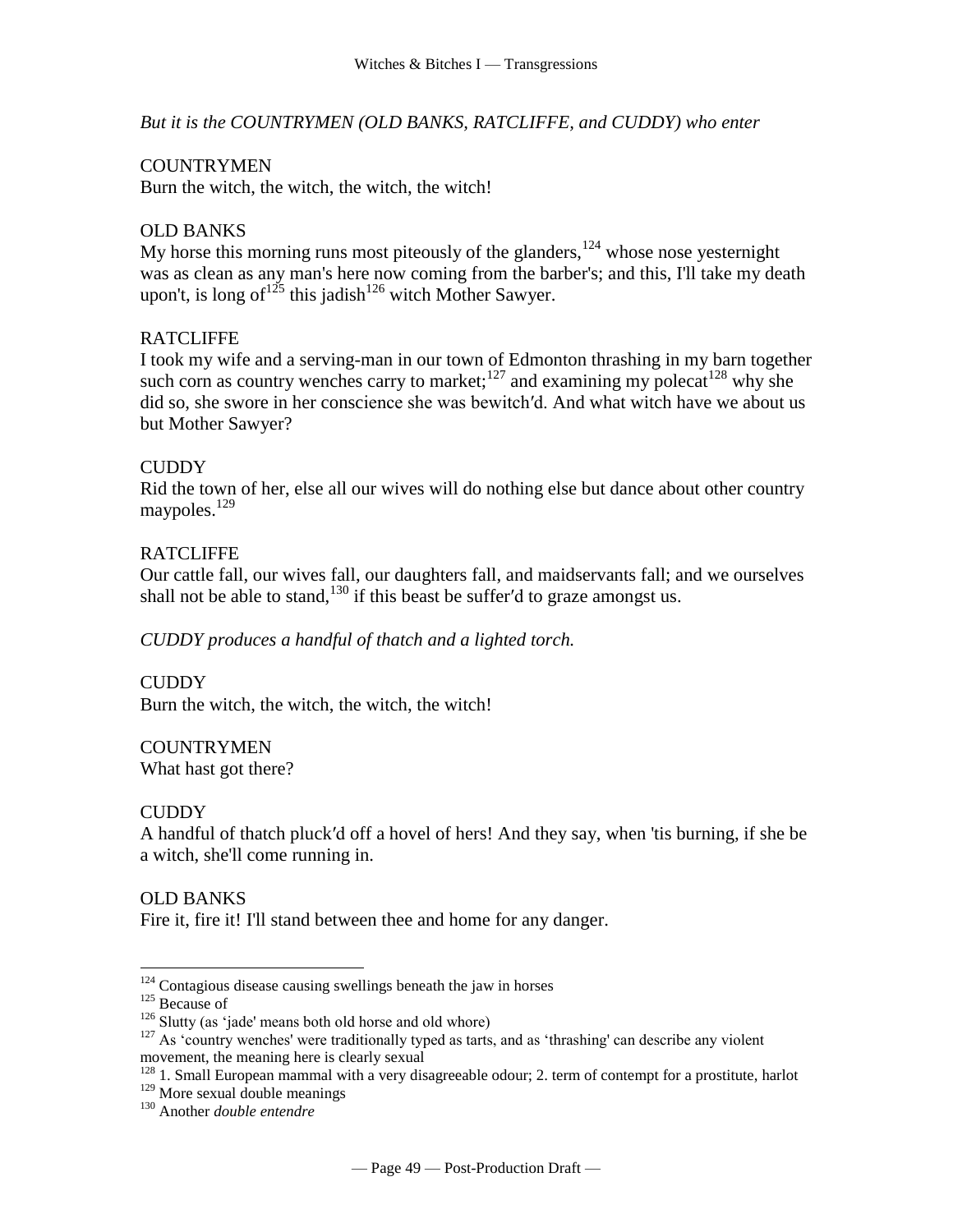*But it is the COUNTRYMEN (OLD BANKS, RATCLIFFE, and CUDDY) who enter*

#### **COUNTRYMEN**

Burn the witch, the witch, the witch, the witch!

# OLD BANKS

My horse this morning runs most piteously of the glanders,  $124$  whose nose yesternight was as clean as any man's here now coming from the barber's; and this, I'll take my death upon't, is long of  $1^{25}$  this jadish<sup>126</sup> witch Mother Sawyer.

## **RATCLIFFE**

I took my wife and a serving-man in our town of Edmonton thrashing in my barn together such corn as country wenches carry to market;<sup>127</sup> and examining my polecat<sup>128</sup> why she did so, she swore in her conscience she was bewitch′d. And what witch have we about us but Mother Sawyer?

#### CUDDY

Rid the town of her, else all our wives will do nothing else but dance about other country maypoles.<sup>129</sup>

## RATCLIFFE

Our cattle fall, our wives fall, our daughters fall, and maidservants fall; and we ourselves shall not be able to stand,<sup>130</sup> if this beast be suffer'd to graze amongst us.

*CUDDY produces a handful of thatch and a lighted torch.*

CUDDY Burn the witch, the witch, the witch, the witch!

**COUNTRYMEN** What hast got there?

# CUDDY

A handful of thatch pluck′d off a hovel of hers! And they say, when 'tis burning, if she be a witch, she'll come running in.

# OLD BANKS

Fire it, fire it! I'll stand between thee and home for any danger.

 $\overline{a}$ 

<sup>128</sup> 1. Small European mammal with a very disagreeable odour; 2. term of contempt for a prostitute, harlot

 $124$  Contagious disease causing swellings beneath the jaw in horses

<sup>125</sup> Because of

 $126$  Slutty (as 'jade' means both old horse and old whore)

<sup>&</sup>lt;sup>127</sup> As 'country wenches' were traditionally typed as tarts, and as 'thrashing' can describe any violent movement, the meaning here is clearly sexual

<sup>&</sup>lt;sup>129</sup> More sexual double meanings

<sup>130</sup> Another *double entendre*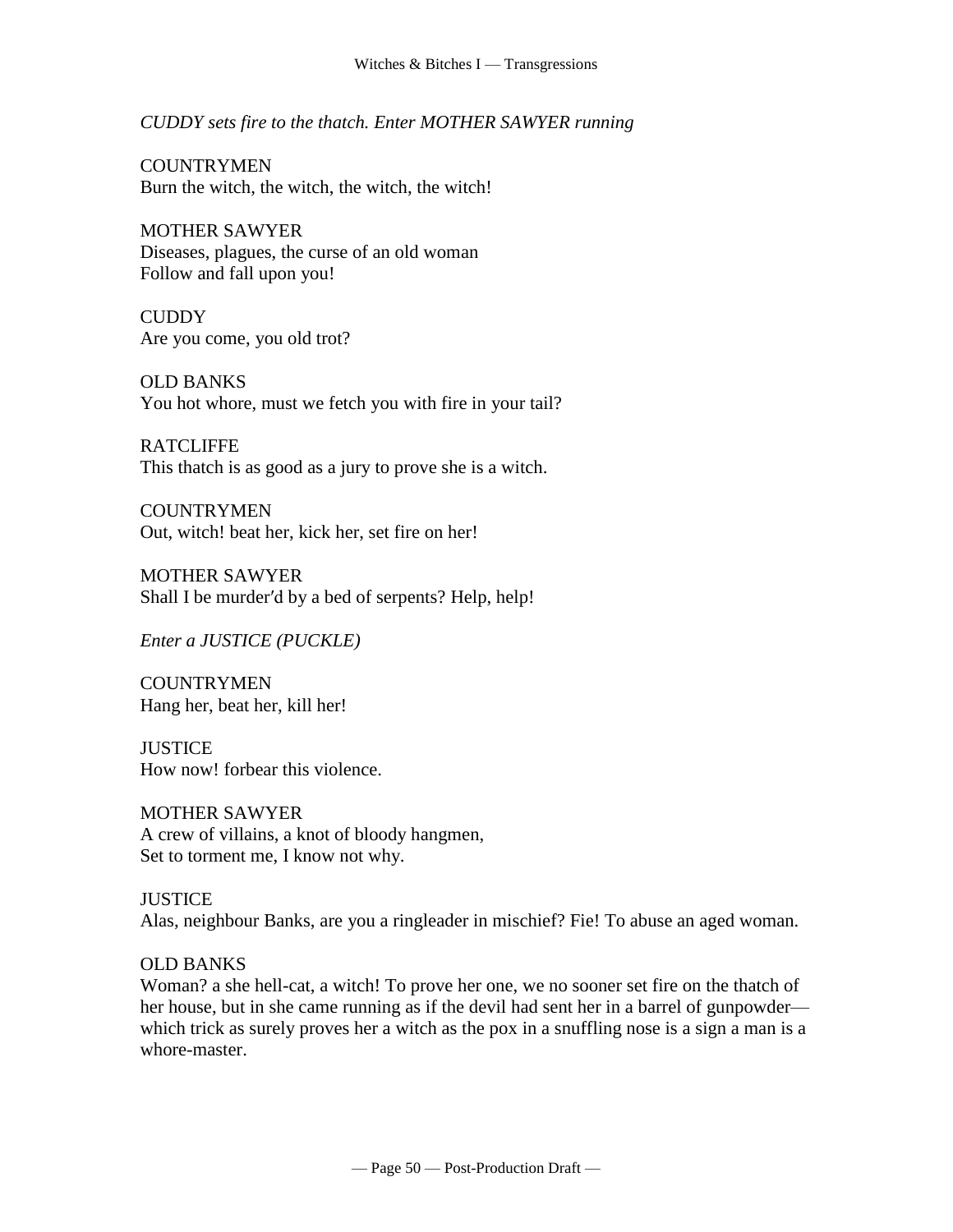*CUDDY sets fire to the thatch. Enter MOTHER SAWYER running*

**COUNTRYMEN** Burn the witch, the witch, the witch, the witch!

MOTHER SAWYER Diseases, plagues, the curse of an old woman Follow and fall upon you!

**CUDDY** Are you come, you old trot?

OLD BANKS You hot whore, must we fetch you with fire in your tail?

**RATCLIFFE** This thatch is as good as a jury to prove she is a witch.

**COUNTRYMEN** Out, witch! beat her, kick her, set fire on her!

MOTHER SAWYER Shall I be murder′d by a bed of serpents? Help, help!

*Enter a JUSTICE (PUCKLE)*

**COUNTRYMEN** Hang her, beat her, kill her!

**JUSTICE** How now! forbear this violence.

MOTHER SAWYER A crew of villains, a knot of bloody hangmen, Set to torment me, I know not why.

#### **JUSTICE**

Alas, neighbour Banks, are you a ringleader in mischief? Fie! To abuse an aged woman.

# OLD BANKS

Woman? a she hell-cat, a witch! To prove her one, we no sooner set fire on the thatch of her house, but in she came running as if the devil had sent her in a barrel of gunpowder which trick as surely proves her a witch as the pox in a snuffling nose is a sign a man is a whore-master.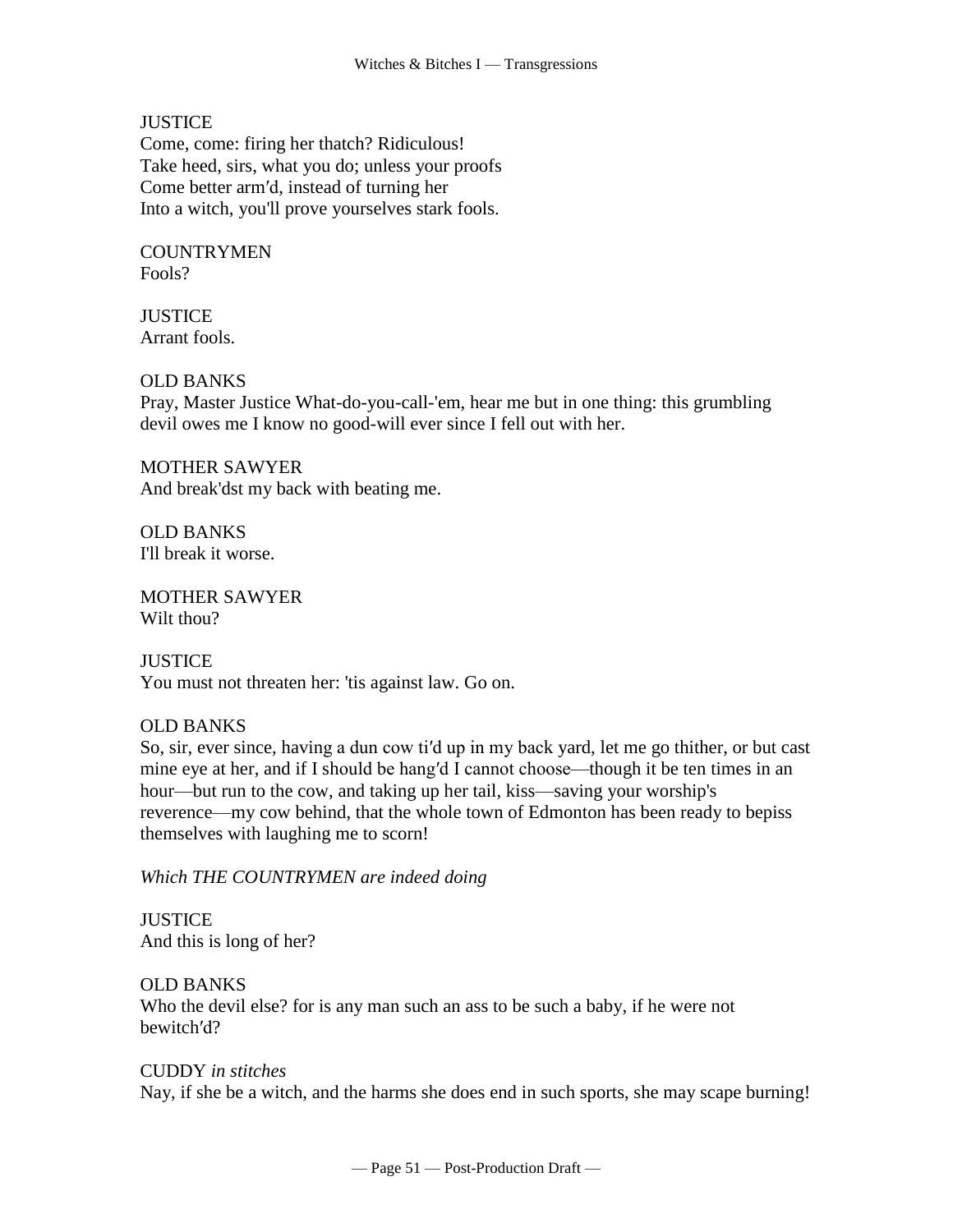**JUSTICE** 

Come, come: firing her thatch? Ridiculous! Take heed, sirs, what you do; unless your proofs Come better arm′d, instead of turning her Into a witch, you'll prove yourselves stark fools.

**COUNTRYMEN** Fools?

**JUSTICE** Arrant fools.

## OLD BANKS

Pray, Master Justice What-do-you-call-'em, hear me but in one thing: this grumbling devil owes me I know no good-will ever since I fell out with her.

MOTHER SAWYER And break'dst my back with beating me.

OLD BANKS I'll break it worse.

MOTHER SAWYER Wilt thou?

**JUSTICE** You must not threaten her: 'tis against law. Go on.

# OLD BANKS

So, sir, ever since, having a dun cow ti′d up in my back yard, let me go thither, or but cast mine eye at her, and if I should be hang′d I cannot choose—though it be ten times in an hour—but run to the cow, and taking up her tail, kiss—saving your worship's reverence—my cow behind, that the whole town of Edmonton has been ready to bepiss themselves with laughing me to scorn!

*Which THE COUNTRYMEN are indeed doing*

**JUSTICE** And this is long of her?

OLD BANKS Who the devil else? for is any man such an ass to be such a baby, if he were not bewitch′d?

#### CUDDY *in stitches*

Nay, if she be a witch, and the harms she does end in such sports, she may scape burning!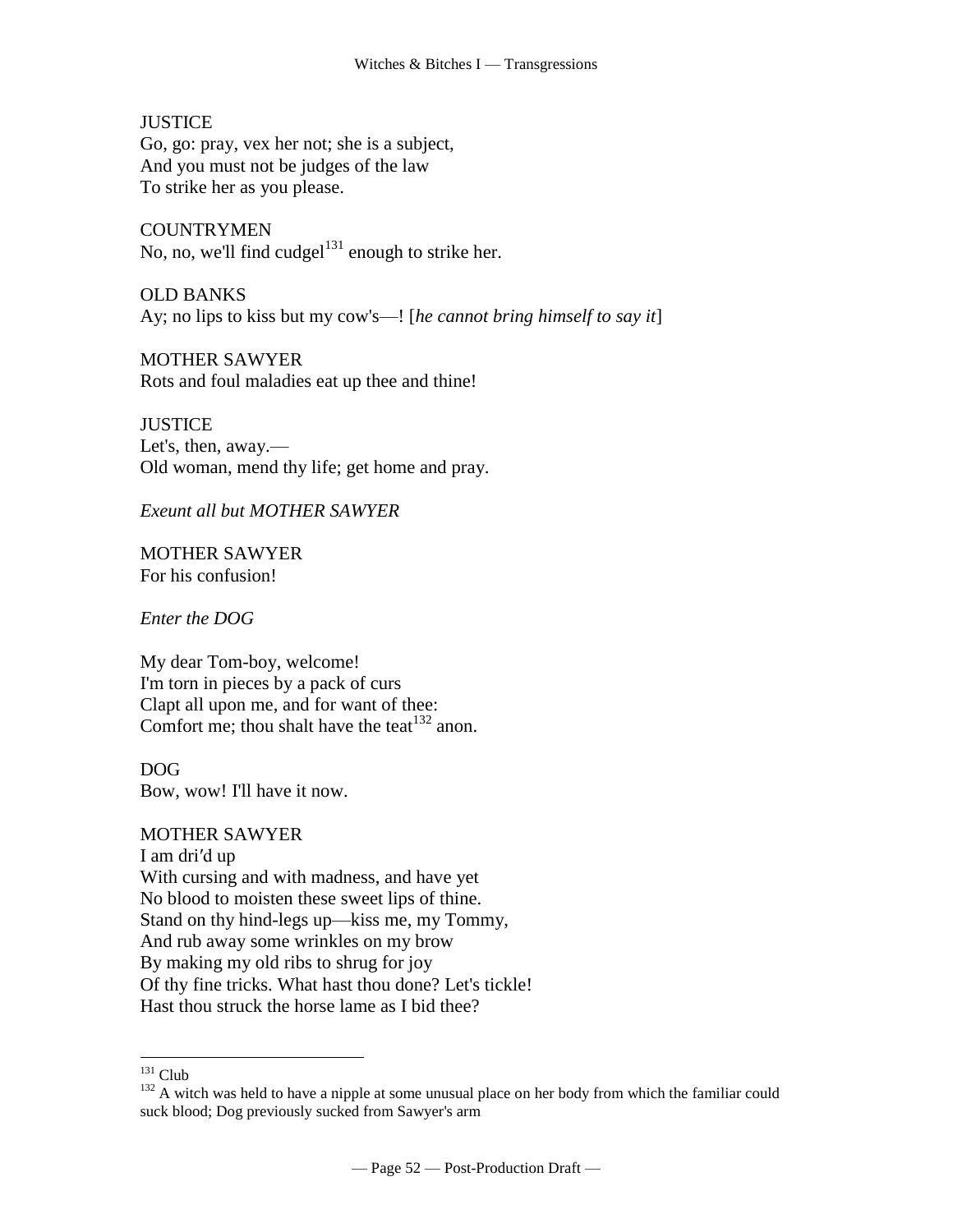**JUSTICE** Go, go: pray, vex her not; she is a subject, And you must not be judges of the law To strike her as you please.

**COUNTRYMEN** No, no, we'll find cudgel<sup>131</sup> enough to strike her.

OLD BANKS Ay; no lips to kiss but my cow's—! [*he cannot bring himself to say it*]

MOTHER SAWYER Rots and foul maladies eat up thee and thine!

**JUSTICE** Let's, then, away.— Old woman, mend thy life; get home and pray.

*Exeunt all but MOTHER SAWYER*

MOTHER SAWYER For his confusion!

*Enter the DOG*

My dear Tom-boy, welcome! I'm torn in pieces by a pack of curs Clapt all upon me, and for want of thee: Comfort me; thou shalt have the teat<sup>132</sup> anon.

DOG Bow, wow! I'll have it now.

MOTHER SAWYER

I am dri′d up With cursing and with madness, and have yet No blood to moisten these sweet lips of thine. Stand on thy hind-legs up—kiss me, my Tommy, And rub away some wrinkles on my brow By making my old ribs to shrug for joy Of thy fine tricks. What hast thou done? Let's tickle! Hast thou struck the horse lame as I bid thee?

 $131$  Club

<sup>&</sup>lt;sup>132</sup> A witch was held to have a nipple at some unusual place on her body from which the familiar could suck blood; Dog previously sucked from Sawyer's arm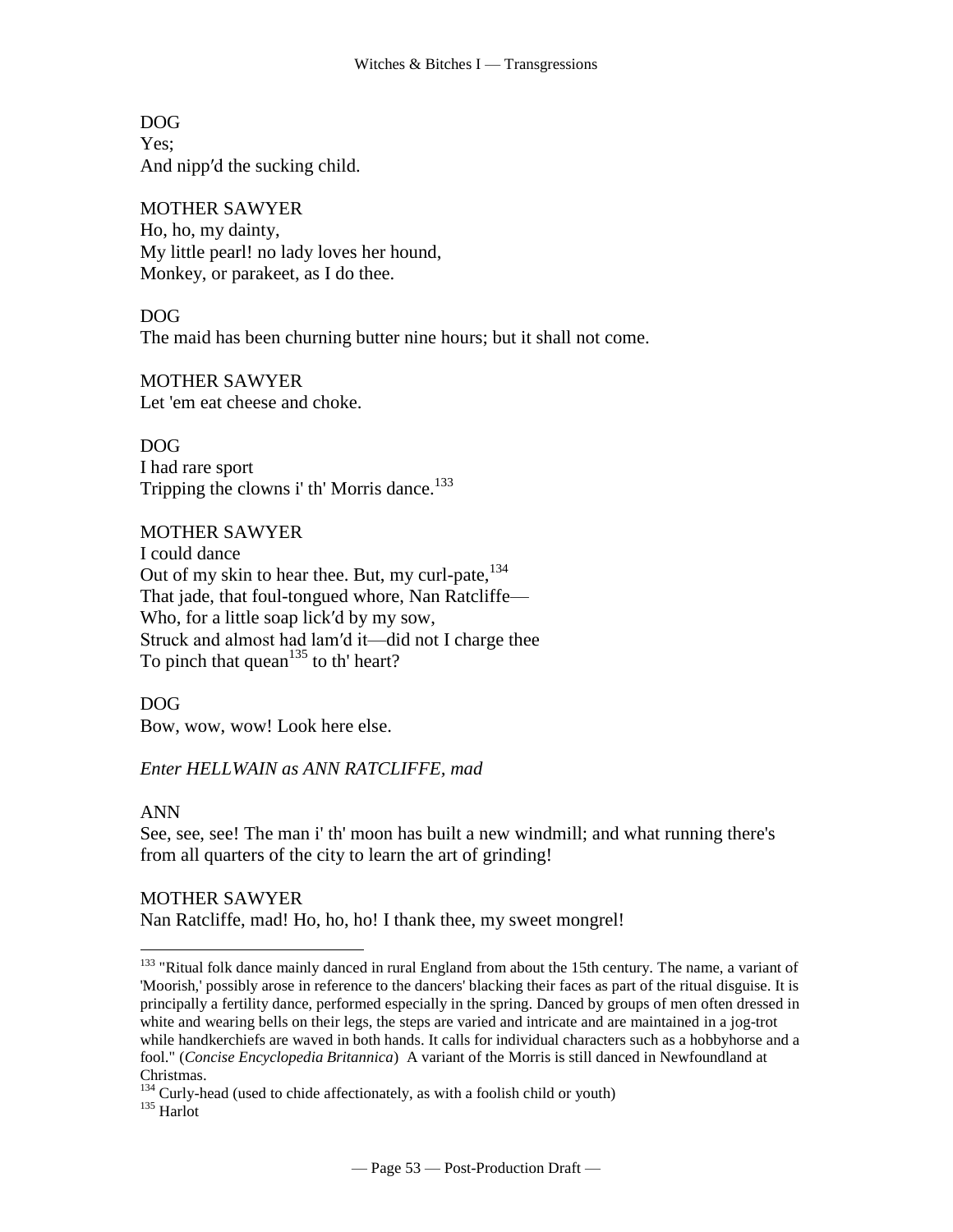DOG Yes: And nipp′d the sucking child.

MOTHER SAWYER Ho, ho, my dainty, My little pearl! no lady loves her hound, Monkey, or parakeet, as I do thee.

DOG The maid has been churning butter nine hours; but it shall not come.

MOTHER SAWYER Let 'em eat cheese and choke.

DOG I had rare sport Tripping the clowns i' th' Morris dance.<sup>133</sup>

#### MOTHER SAWYER

I could dance Out of my skin to hear thee. But, my curl-pate,  $134$ That jade, that foul-tongued whore, Nan Ratcliffe— Who, for a little soap lick'd by my sow, Struck and almost had lam′d it—did not I charge thee To pinch that quean $135$  to th' heart?

DOG Bow, wow, wow! Look here else.

*Enter HELLWAIN as ANN RATCLIFFE, mad*

# ANN

 $\overline{a}$ 

See, see, see! The man i' th' moon has built a new windmill; and what running there's from all quarters of the city to learn the art of grinding!

# MOTHER SAWYER

Nan Ratcliffe, mad! Ho, ho, ho! I thank thee, my sweet mongrel!

<sup>133</sup> "Ritual folk dance mainly danced in rural England from about the 15th century. The name, a variant of 'Moorish,' possibly arose in reference to the dancers' blacking their faces as part of the ritual disguise. It is principally a fertility dance, performed especially in the spring. Danced by groups of men often dressed in white and wearing bells on their legs, the steps are varied and intricate and are maintained in a jog-trot while handkerchiefs are waved in both hands. It calls for individual characters such as a hobbyhorse and a fool." (*Concise Encyclopedia Britannica*) A variant of the Morris is still danced in Newfoundland at Christmas.

<sup>&</sup>lt;sup>134</sup> Curly-head (used to chide affectionately, as with a foolish child or youth)

 $^{135}$  Harlot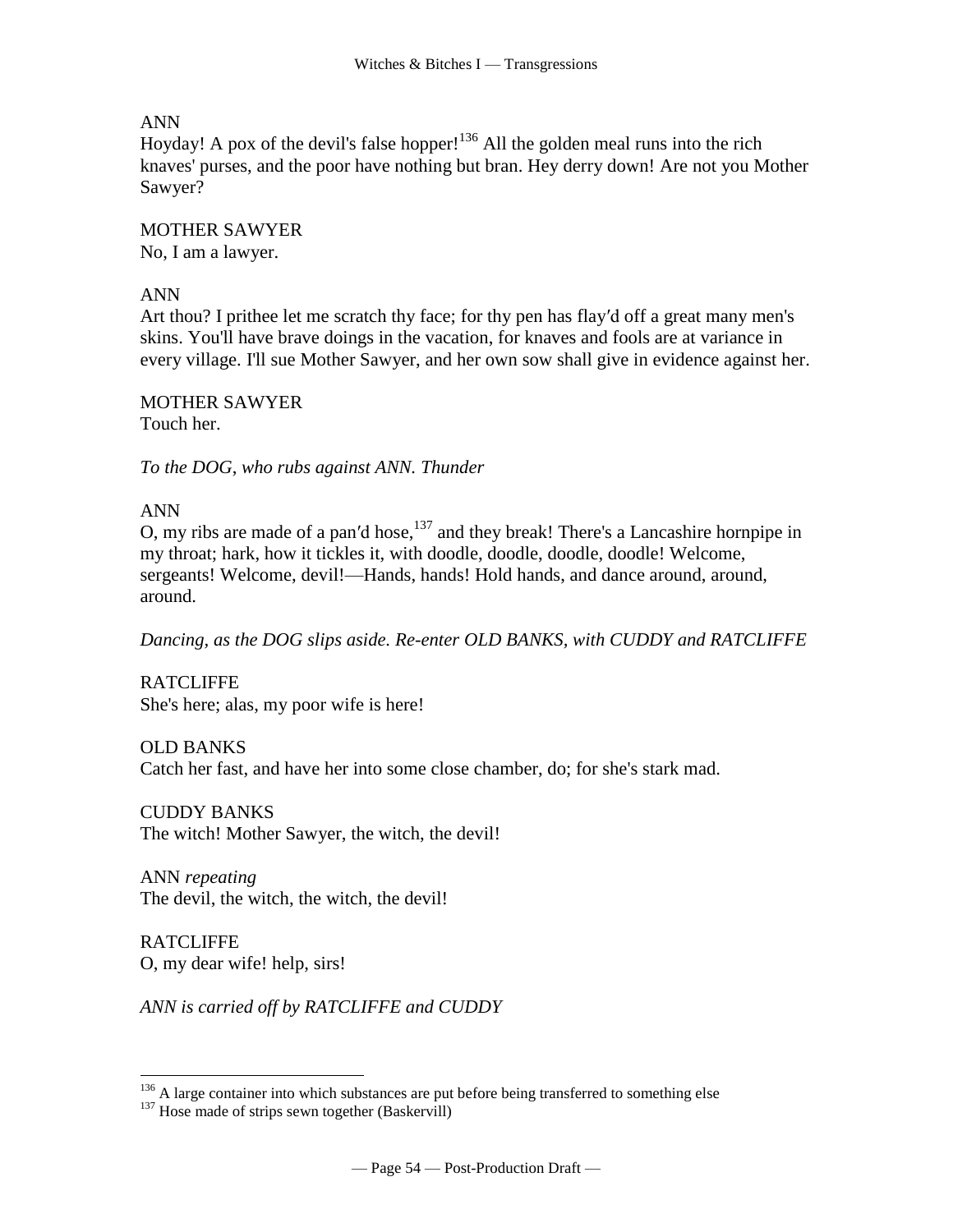# ANN

Hoyday! A pox of the devil's false hopper!<sup>136</sup> All the golden meal runs into the rich knaves' purses, and the poor have nothing but bran. Hey derry down! Are not you Mother Sawyer?

MOTHER SAWYER No, I am a lawyer.

## ANN

Art thou? I prithee let me scratch thy face; for thy pen has flay′d off a great many men's skins. You'll have brave doings in the vacation, for knaves and fools are at variance in every village. I'll sue Mother Sawyer, and her own sow shall give in evidence against her.

MOTHER SAWYER Touch her.

*To the DOG*, *who rubs against ANN. Thunder*

ANN

O, my ribs are made of a pan'd hose,  $137$  and they break! There's a Lancashire hornpipe in my throat; hark, how it tickles it, with doodle, doodle, doodle, doodle! Welcome, sergeants! Welcome, devil!—Hands, hands! Hold hands, and dance around, around, around.

*Dancing, as the DOG slips aside. Re-enter OLD BANKS, with CUDDY and RATCLIFFE*

RATCLIFFE She's here; alas, my poor wife is here!

OLD BANKS Catch her fast, and have her into some close chamber, do; for she's stark mad.

CUDDY BANKS The witch! Mother Sawyer, the witch, the devil!

ANN *repeating* The devil, the witch, the witch, the devil!

RATCLIFFE O, my dear wife! help, sirs!

 $\overline{a}$ 

*ANN is carried off by RATCLIFFE and CUDDY*

 $136$  A large container into which substances are put before being transferred to something else

 $137$  Hose made of strips sewn together (Baskervill)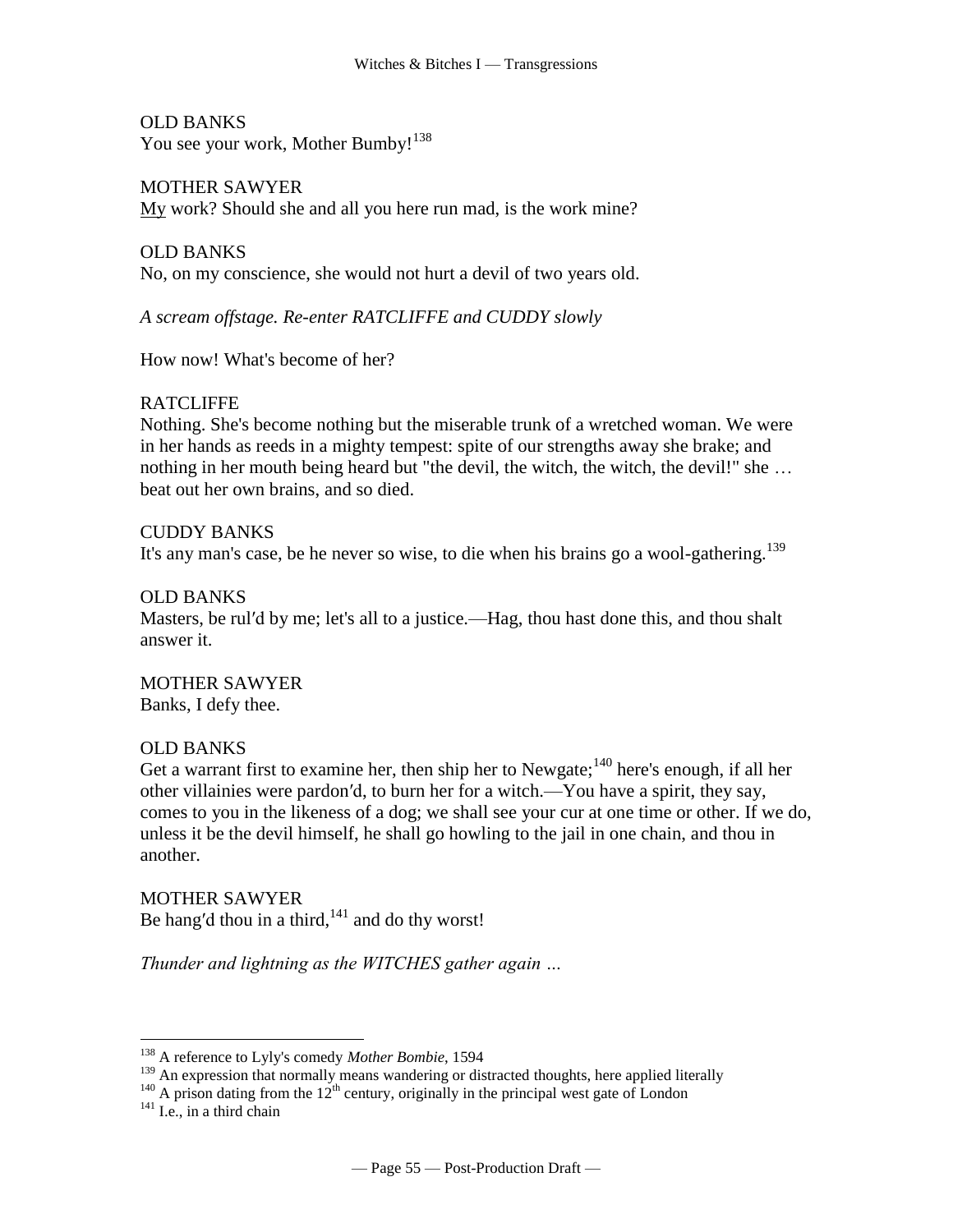OLD BANKS You see your work, Mother Bumby!<sup>138</sup>

MOTHER SAWYER My work? Should she and all you here run mad, is the work mine?

OLD BANKS No, on my conscience, she would not hurt a devil of two years old.

*A scream offstage. Re-enter RATCLIFFE and CUDDY slowly*

How now! What's become of her?

# **RATCLIFFE**

Nothing. She's become nothing but the miserable trunk of a wretched woman. We were in her hands as reeds in a mighty tempest: spite of our strengths away she brake; and nothing in her mouth being heard but "the devil, the witch, the witch, the devil!" she … beat out her own brains, and so died.

CUDDY BANKS It's any man's case, be he never so wise, to die when his brains go a wool-gathering.<sup>139</sup>

## OLD BANKS

Masters, be rul′d by me; let's all to a justice.—Hag, thou hast done this, and thou shalt answer it.

MOTHER SAWYER Banks, I defy thee.

# OLD BANKS

Get a warrant first to examine her, then ship her to Newgate;<sup>140</sup> here's enough, if all her other villainies were pardon′d, to burn her for a witch.—You have a spirit, they say, comes to you in the likeness of a dog; we shall see your cur at one time or other. If we do, unless it be the devil himself, he shall go howling to the jail in one chain, and thou in another.

MOTHER SAWYER Be hang'd thou in a third, $141$  and do thy worst!

*Thunder and lightning as the WITCHES gather again …*

<sup>138</sup> A reference to Lyly's comedy *Mother Bombie*, 1594

<sup>&</sup>lt;sup>139</sup> An expression that normally means wandering or distracted thoughts, here applied literally

 $140$  A prison dating from the 12<sup>th</sup> century, originally in the principal west gate of London

 $141$  I.e., in a third chain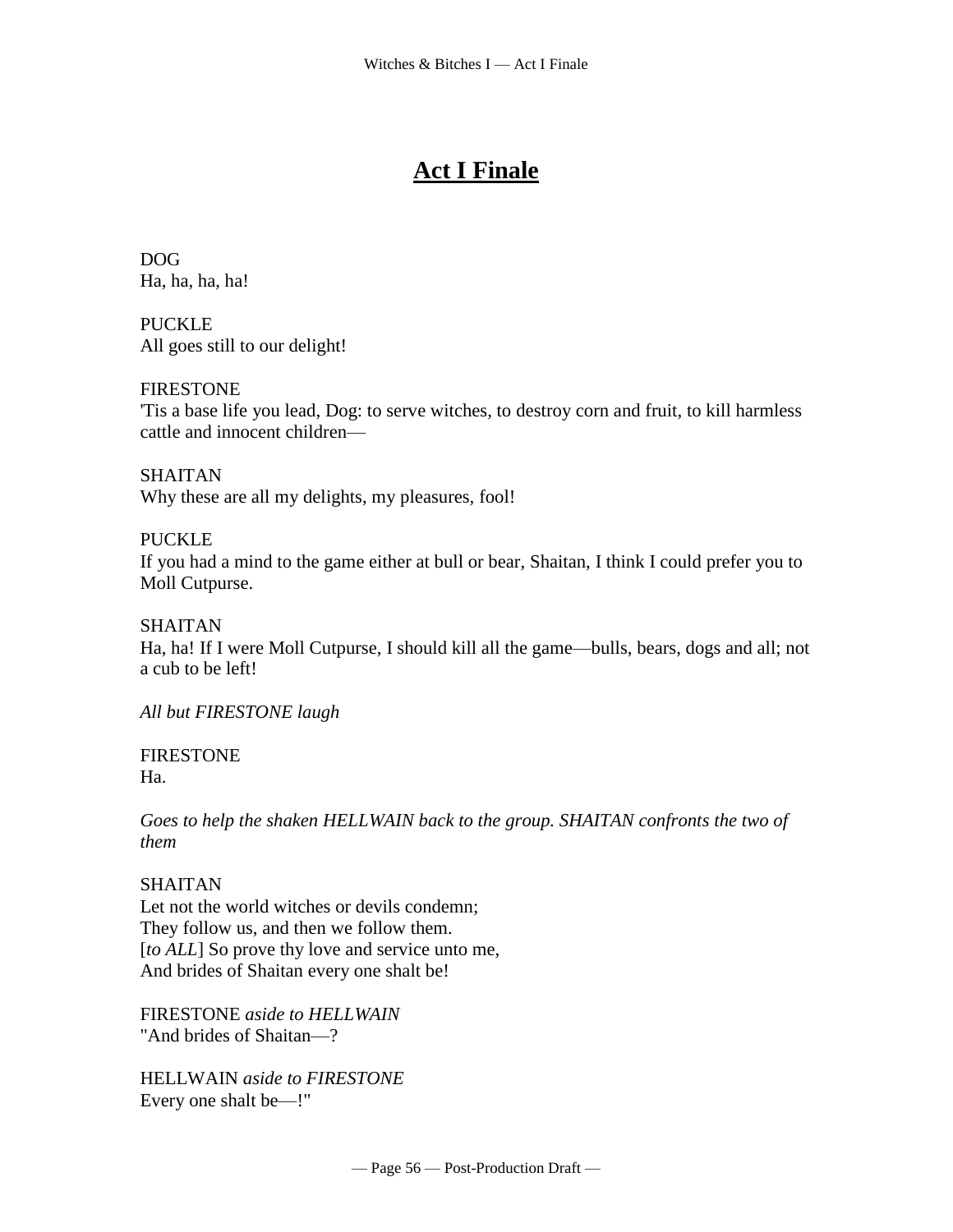# **Act I Finale**

DOG Ha, ha, ha, ha!

PUCKLE All goes still to our delight!

# FIRESTONE

'Tis a base life you lead, Dog: to serve witches, to destroy corn and fruit, to kill harmless cattle and innocent children—

SHAITAN Why these are all my delights, my pleasures, fool!

## PUCKLE

If you had a mind to the game either at bull or bear, Shaitan, I think I could prefer you to Moll Cutpurse.

SHAITAN

Ha, ha! If I were Moll Cutpurse, I should kill all the game—bulls, bears, dogs and all; not a cub to be left!

*All but FIRESTONE laugh*

#### FIRESTONE Ha.

*Goes to help the shaken HELLWAIN back to the group. SHAITAN confronts the two of them*

# SHAITAN

Let not the world witches or devils condemn; They follow us, and then we follow them. [*to ALL*] So prove thy love and service unto me, And brides of Shaitan every one shalt be!

FIRESTONE *aside to HELLWAIN* "And brides of Shaitan—?

HELLWAIN *aside to FIRESTONE* Every one shalt be—!"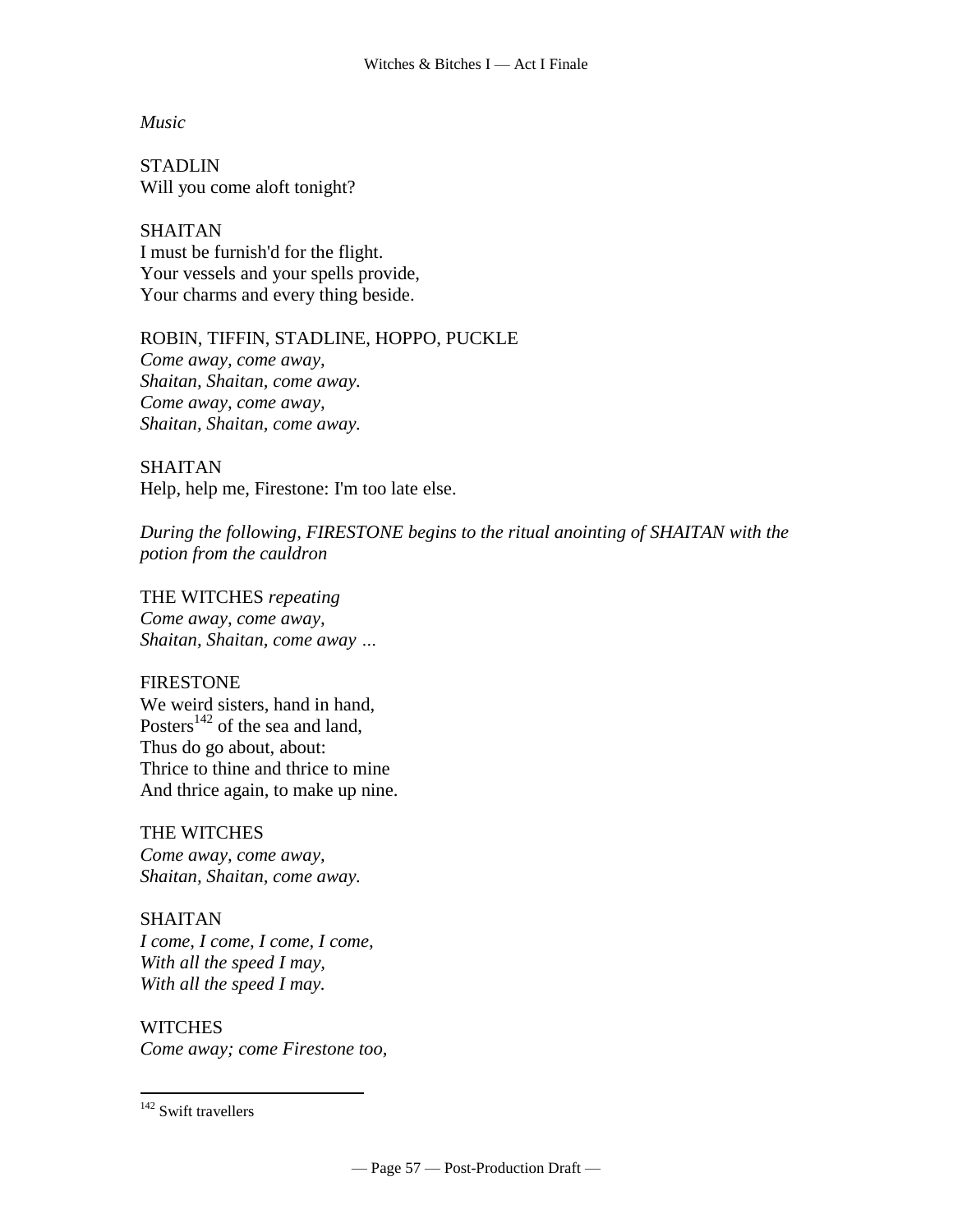*Music*

**STADLIN** Will you come aloft tonight?

SHAITAN I must be furnish'd for the flight. Your vessels and your spells provide, Your charms and every thing beside.

ROBIN, TIFFIN, STADLINE, HOPPO, PUCKLE *Come away, come away, Shaitan, Shaitan, come away. Come away, come away, Shaitan, Shaitan, come away.*

SHAITAN Help, help me, Firestone: I'm too late else.

*During the following, FIRESTONE begins to the ritual anointing of SHAITAN with the potion from the cauldron*

THE WITCHES *repeating Come away, come away, Shaitan, Shaitan, come away …*

#### FIRESTONE

We weird sisters, hand in hand, Posters<sup>142</sup> of the sea and land, Thus do go about, about: Thrice to thine and thrice to mine And thrice again, to make up nine.

THE WITCHES *Come away, come away, Shaitan, Shaitan, come away.*

SHAITAN *I come, I come, I come, I come, With all the speed I may, With all the speed I may.*

**WITCHES** *Come away; come Firestone too,*

<sup>&</sup>lt;sup>142</sup> Swift travellers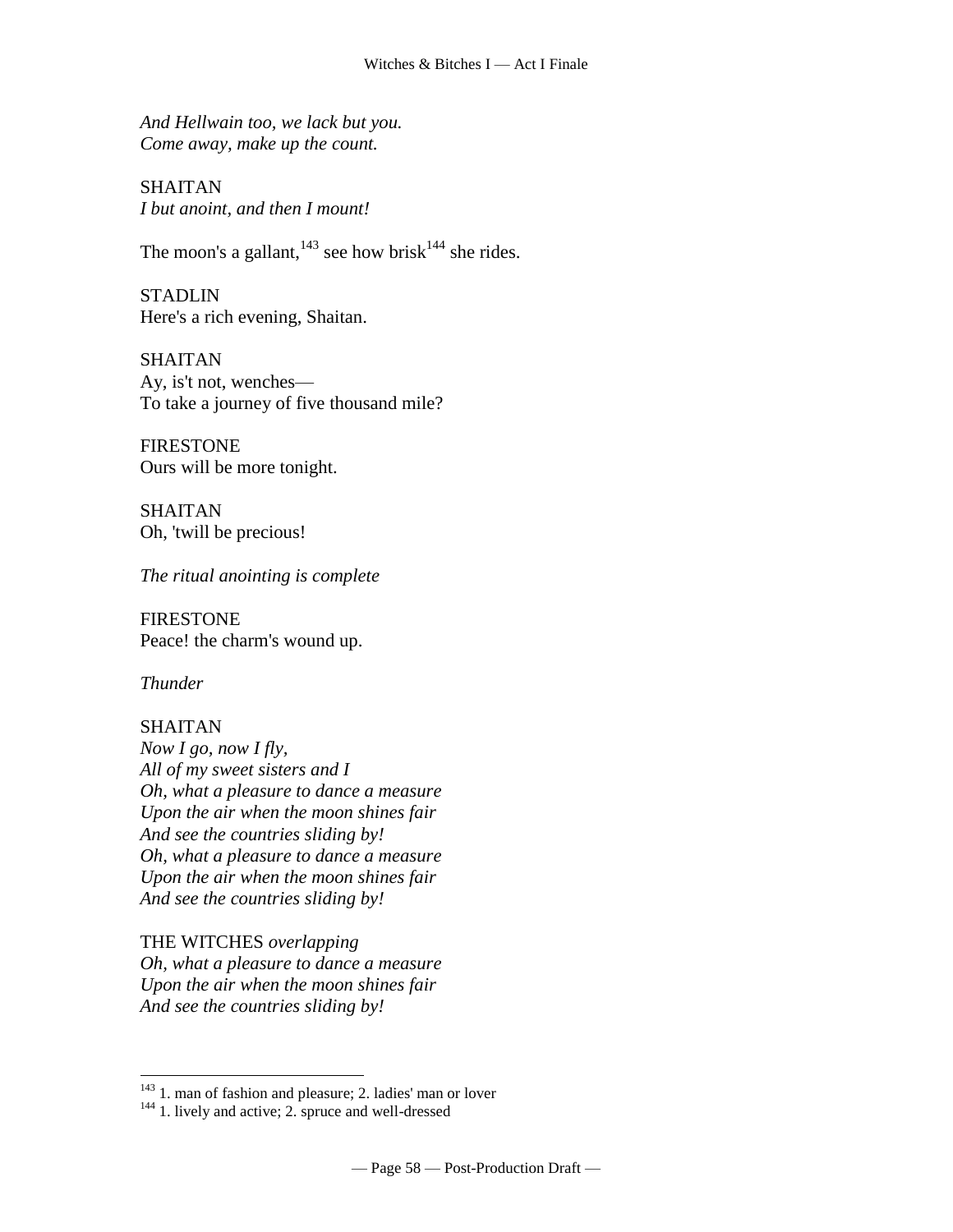*And Hellwain too, we lack but you. Come away, make up the count.*

SHAITAN *I but anoint, and then I mount!*

The moon's a gallant,  $143$  see how [brisk](http://www.tech.org/~cleary/witch.html#BRISK) $144$  she rides.

**STADLIN** Here's a rich evening, Shaitan.

SHAITAN Ay, is't not, wenches— To take a journey of five thousand mile?

FIRESTONE Ours will be more tonight.

SHAITAN Oh, 'twill be precious!

*The ritual anointing is complete*

FIRESTONE Peace! the charm's wound up.

*Thunder*

#### **SHAITAN**

 $\overline{a}$ 

*Now I go, now I fly, All of my sweet sisters and I Oh, what a pleasure to dance a measure Upon the air when the moon shines fair And see the countries sliding by! Oh, what a pleasure to dance a measure Upon the air when the moon shines fair And see the countries sliding by!*

THE WITCHES *overlapping Oh, what a pleasure to dance a measure Upon the air when the moon shines fair And see the countries sliding by!*

<sup>&</sup>lt;sup>143</sup> 1. man of fashion and pleasure; 2. ladies' man or lover

<sup>&</sup>lt;sup>144</sup> 1. lively and active; 2. spruce and well-dressed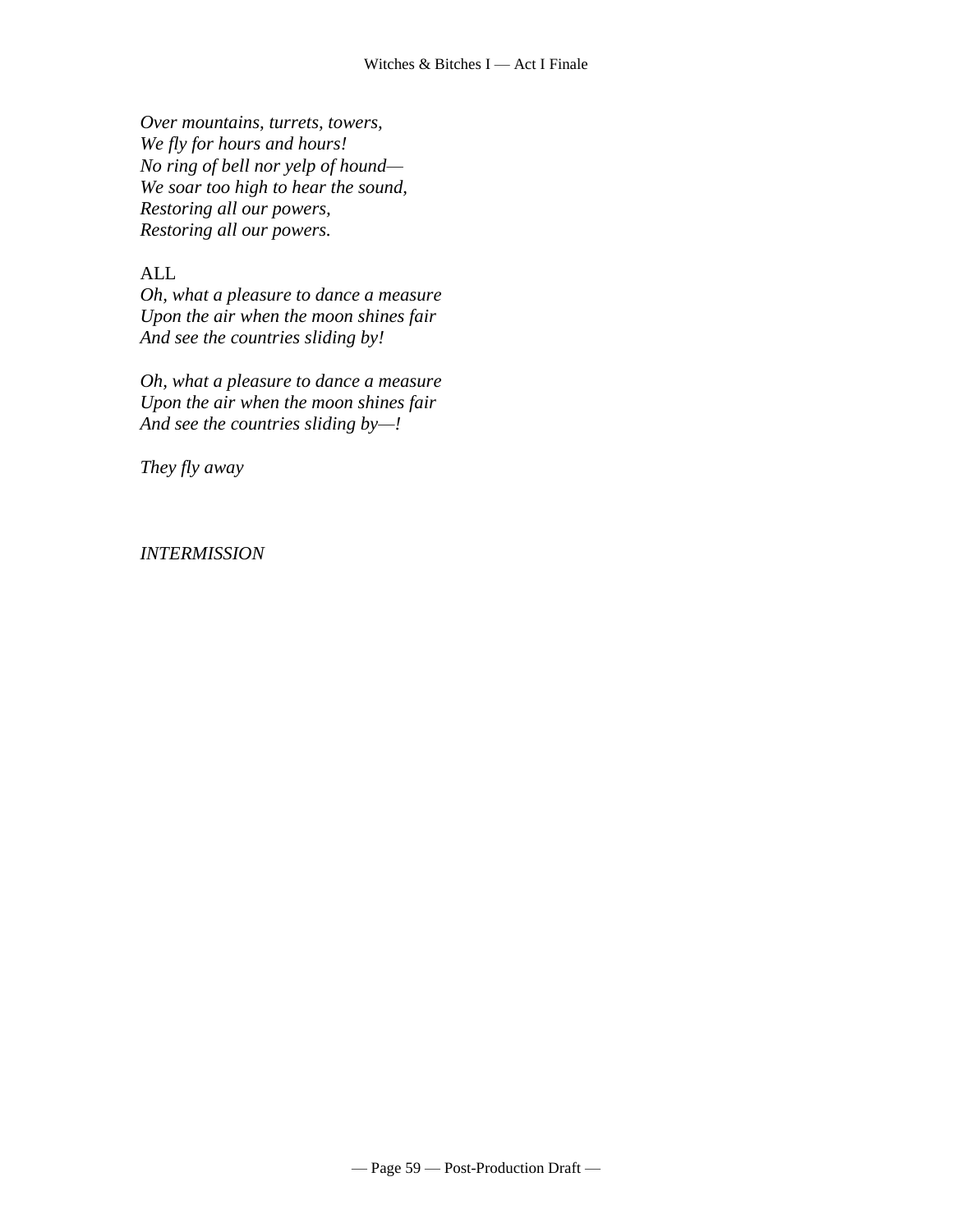*Over [mountains,](http://www.tech.org/~cleary/witch.html#STEEPLES) turrets, towers, We fly for hours and hours! No ring of bell nor yelp of hound— We soar too high to hear the sound, Restoring all our powers, Restoring all our powers.*

# ALL

*Oh, what a pleasure to dance a measure Upon the air when the moon shines fair And see the countries sliding by!*

*Oh, what a pleasure to dance a measure Upon the air when the moon shines fair And see the countries sliding by—!*

*They fly away*

#### *INTERMISSION*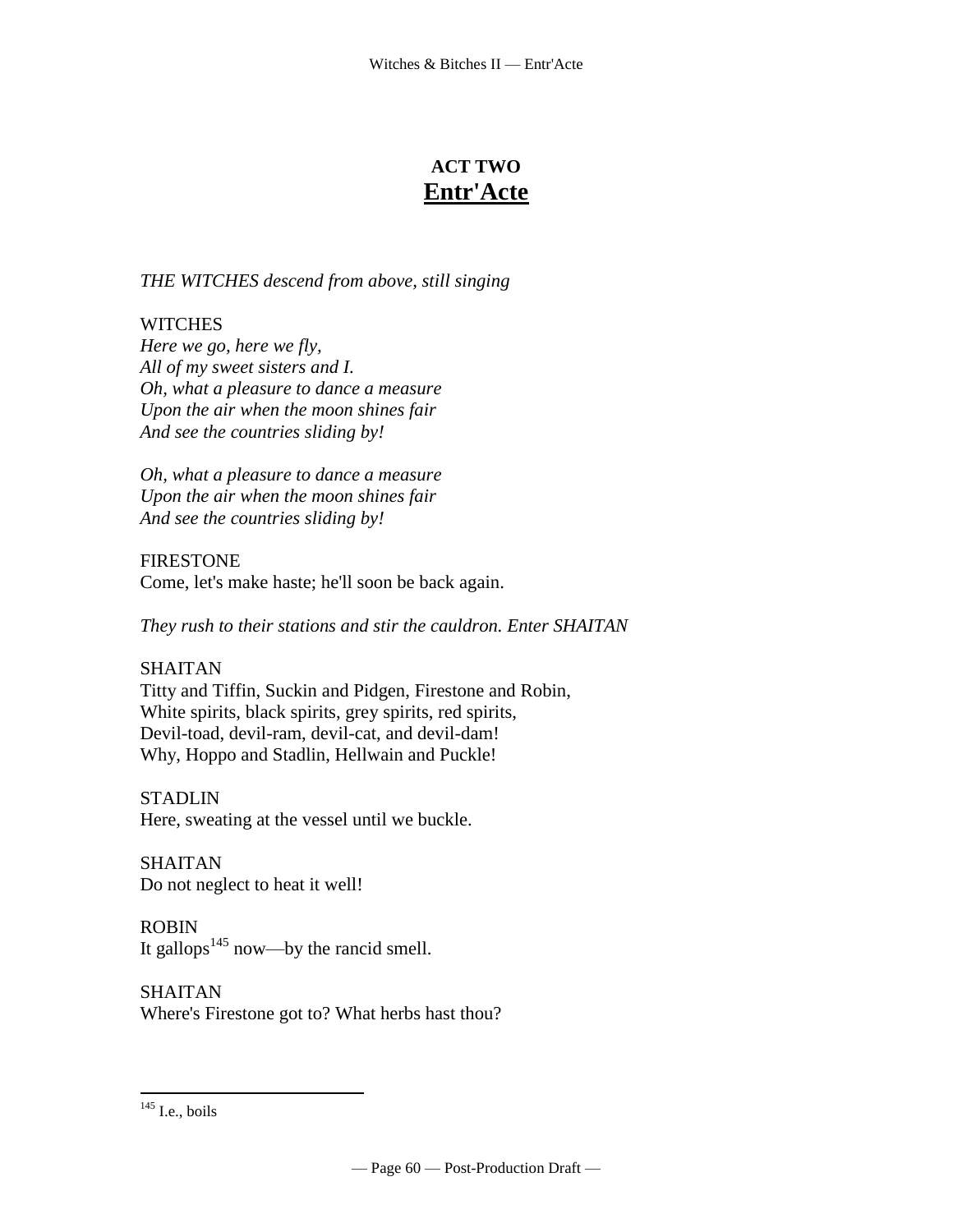# **ACT TWO Entr'Acte**

*THE WITCHES descend from above, still singing*

# **WITCHES**

*Here we go, here we fly, All of my sweet sisters and I. Oh, what a pleasure to dance a measure Upon the air when the moon shines fair And see the countries sliding by!*

*Oh, what a pleasure to dance a measure Upon the air when the moon shines fair And see the countries sliding by!*

FIRESTONE Come, let's make haste; he'll soon be back again.

*They rush to their stations and stir the cauldron. Enter SHAITAN*

# SHAITAN

[Titty and Tiffin, Suckin and Pidgen, Firestone](http://www.tech.org/~cleary/witch.html#TITTYAND) and Robin, [White spirits, black spirits, grey spirits, red spirits,](http://www.tech.org/~cleary/witch.html#TITTYAND)  [Devil-toad, devil-ram, devil-cat, and devil-dam!](http://www.tech.org/~cleary/witch.html#TITTYAND)  [Why, Hoppo and Stadlin, Hellwain and](http://www.tech.org/~cleary/witch.html#TITTYAND) Puckle!

STADLIN Here, sweating at the [vessel](http://www.tech.org/~cleary/witch.html#VESSEL) until we buckle.

SHAITAN Do not neglect to heat it well!

ROBIN It [gallops](http://www.tech.org/~cleary/witch.html#GALLOPS)<sup>145</sup> now—by the rancid smell.

SHAITAN Where's Firestone got to? What herbs hast thou?

 $145$  I.e., boils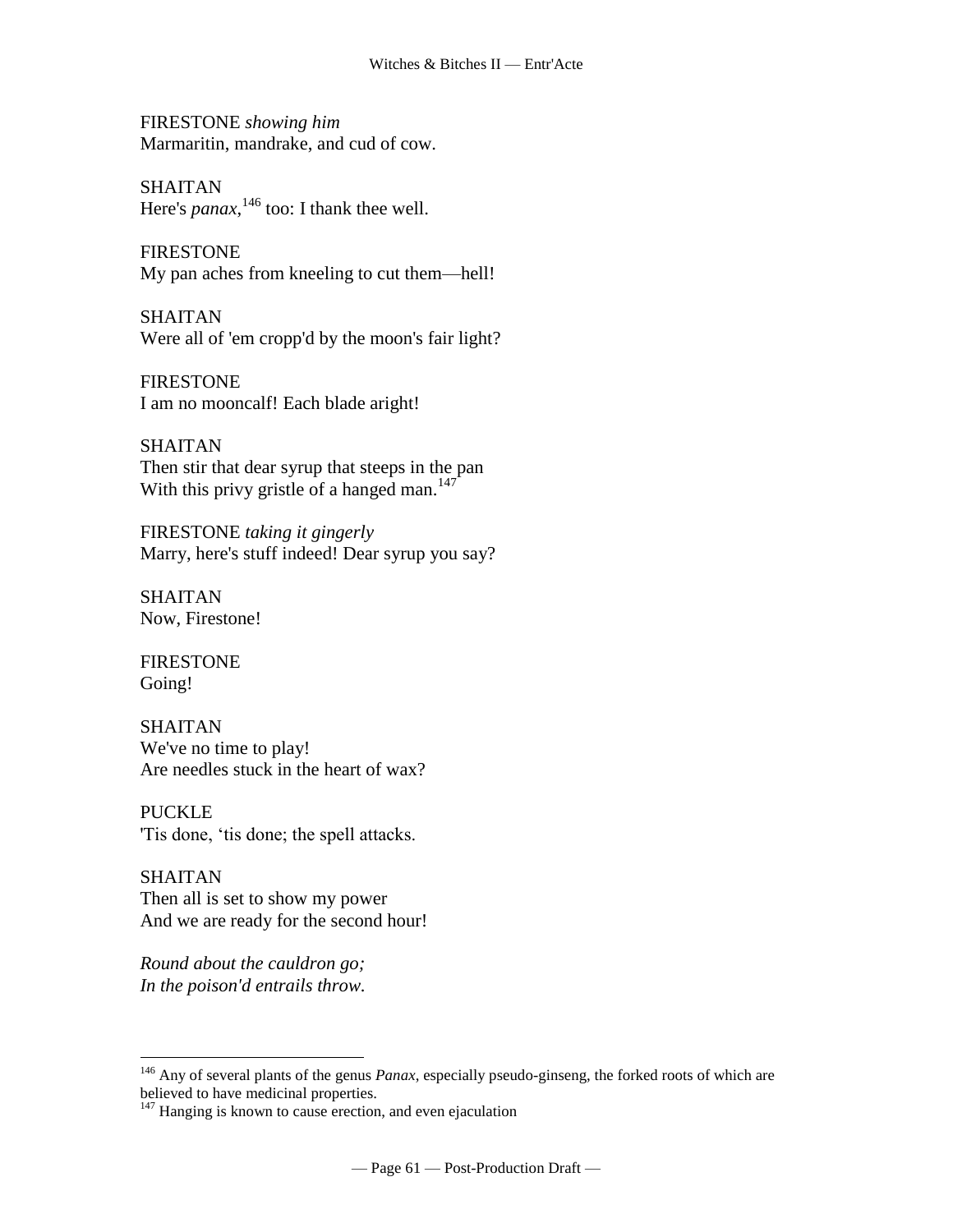FIRESTONE *showing him* [Marmaritin,](http://www.tech.org/~cleary/witch.html#MARMARTI) mandrake, and cud of cow.

SHAITAN Here's *[panax](http://www.tech.org/~cleary/witch.html#PANAX)*, <sup>146</sup> too: I thank thee well.

FIRESTONE My pan aches from kneeling to cut them—hell!

SHAITAN Were all of 'em cropp'd by the moon's fair light?

FIRESTONE I am no [mooncalf!](http://www.tech.org/~cleary/witch.html#MOONCALF) Each blade aright!

SHAITAN Then stir that dear syrup that steeps in the pan With this [privy gristle](http://www.tech.org/~cleary/witch.html#PRIVYGRI) of a hanged man. $147$ 

FIRESTONE *taking it gingerly* Marry, here's stuff indeed! Dear syrup you say?

SHAITAN Now, Firestone!

FIRESTONE Going!

 $\overline{a}$ 

SHAITAN We've no time to play! Are needles stuck in the heart of wax?

PUCKLE 'Tis done, 'tis done; the spell attacks.

SHAITAN Then all is set to show my power And we are ready for the second hour!

*Round about the cauldron go; In the poison'd entrails throw.*

<sup>146</sup> Any of several plants of the genus *Panax*, especially pseudo-ginseng, the forked roots of which are believed to have medicinal properties.

 $147$  Hanging is known to cause erection, and even ejaculation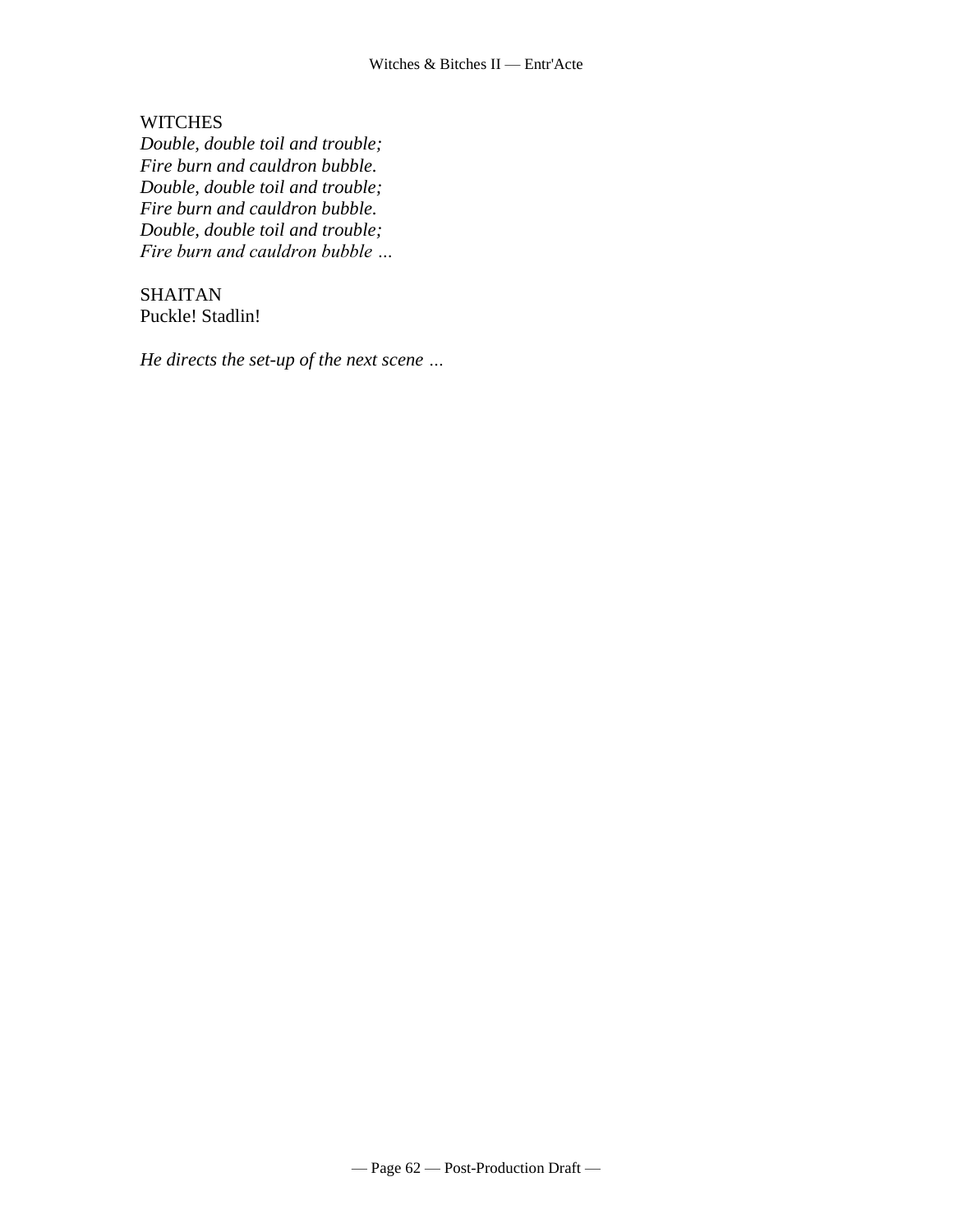**WITCHES** 

*Double, double toil and trouble; Fire burn and cauldron bubble. Double, double toil and trouble; Fire burn and cauldron bubble. Double, double toil and trouble; Fire burn and cauldron bubble …*

SHAITAN Puckle! Stadlin!

*He directs the set-up of the next scene …*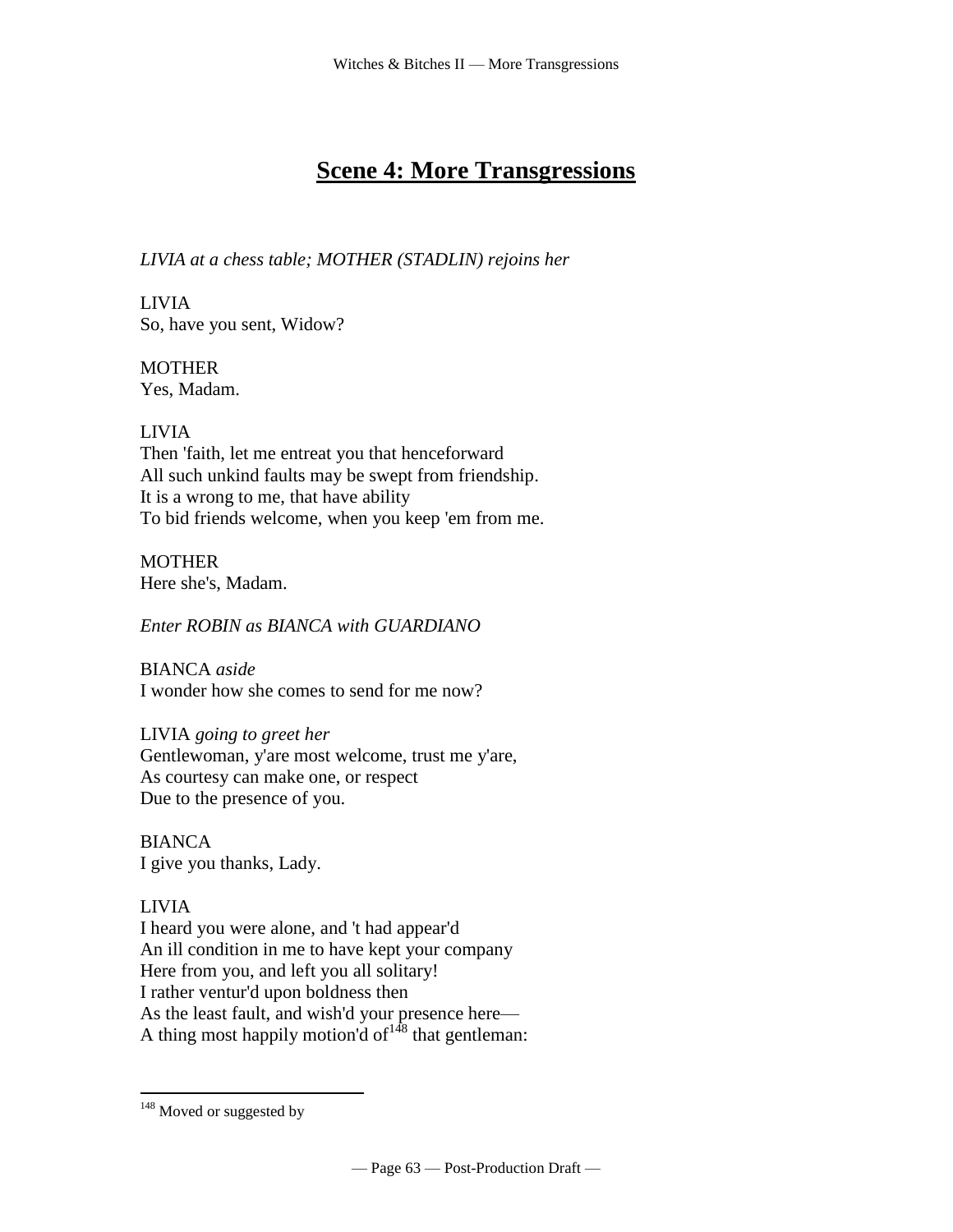# **Scene 4: More Transgressions**

*LIVIA at a chess table; MOTHER (STADLIN) rejoins her*

LIVIA So, have you sent, Widow?

**MOTHER** Yes, Madam.

# LIVIA

Then 'faith, let me entreat you that henceforward All such unkind faults may be swept from friendship. It is a wrong to me, that have ability To bid friends welcome, when you keep 'em from me.

**MOTHER** Here she's, Madam.

*Enter ROBIN as BIANCA with GUARDIANO*

BIANCA *aside* I wonder how she comes to send for me now?

LIVIA *going to greet her* Gentlewoman, y'are most welcome, trust me y'are, As courtesy can make one, or respect Due to the presence of you.

**BIANCA** I give you thanks, Lady.

LIVIA

 $\overline{a}$ 

I heard you were alone, and 't had appear'd An ill condition in me to have kept your company Here from you, and left you all solitary! I rather ventur'd upon boldness then As the least fault, and wish'd your presence here— A thing most happily motion'd of  $148$  that gentleman:

 $148$  Moved or suggested by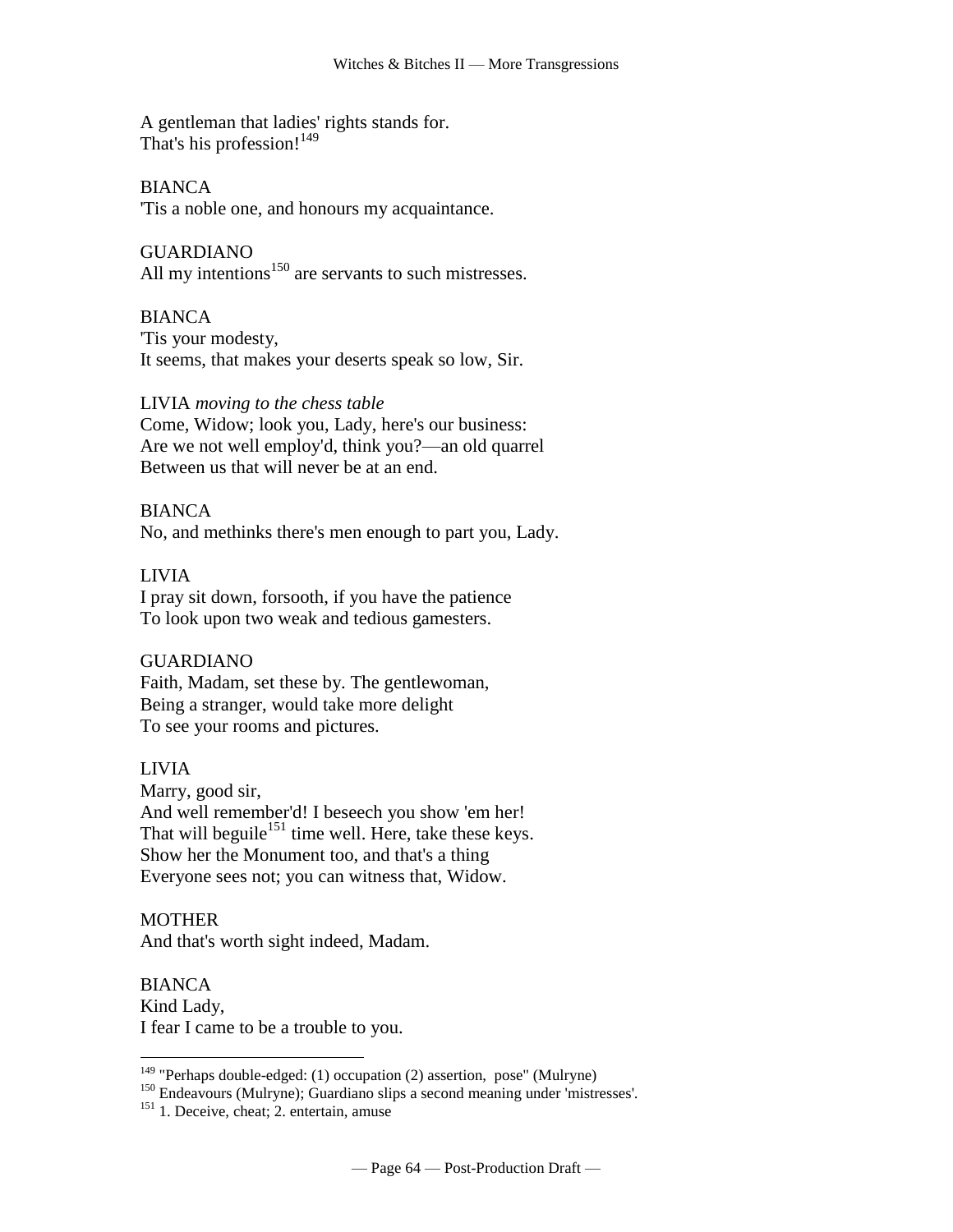A gentleman that ladies' rights stands for. That's his profession!<sup>149</sup>

BIANCA 'Tis a noble one, and honours my acquaintance.

GUARDIANO All my intentions $150$  are servants to such mistresses.

BIANCA 'Tis your modesty, It seems, that makes your deserts speak so low, Sir.

#### LIVIA *moving to the chess table*

Come, Widow; look you, Lady, here's our business: Are we not well employ'd, think you?—an old quarrel Between us that will never be at an end.

#### BIANCA

No, and methinks there's men enough to part you, Lady.

#### LIVIA

I pray sit down, forsooth, if you have the patience To look upon two weak and tedious gamesters.

#### GUARDIANO

Faith, Madam, set these by. The gentlewoman, Being a stranger, would take more delight To see your rooms and pictures.

#### LIVIA

Marry, good sir, And well remember'd! I beseech you show 'em her! That will beguile<sup>151</sup> time well. Here, take these keys. Show her the Monument too, and that's a thing Everyone sees not; you can witness that, Widow.

#### MOTHER

 $\overline{a}$ 

And that's worth sight indeed, Madam.

**BIANCA** Kind Lady, I fear I came to be a trouble to you.

<sup>&</sup>lt;sup>149</sup> "Perhaps double-edged: (1) occupation (2) assertion, pose" (Mulryne)

<sup>150</sup> Endeavours (Mulryne); Guardiano slips a second meaning under 'mistresses'.

<sup>&</sup>lt;sup>151</sup> 1. Deceive, cheat; 2. entertain, amuse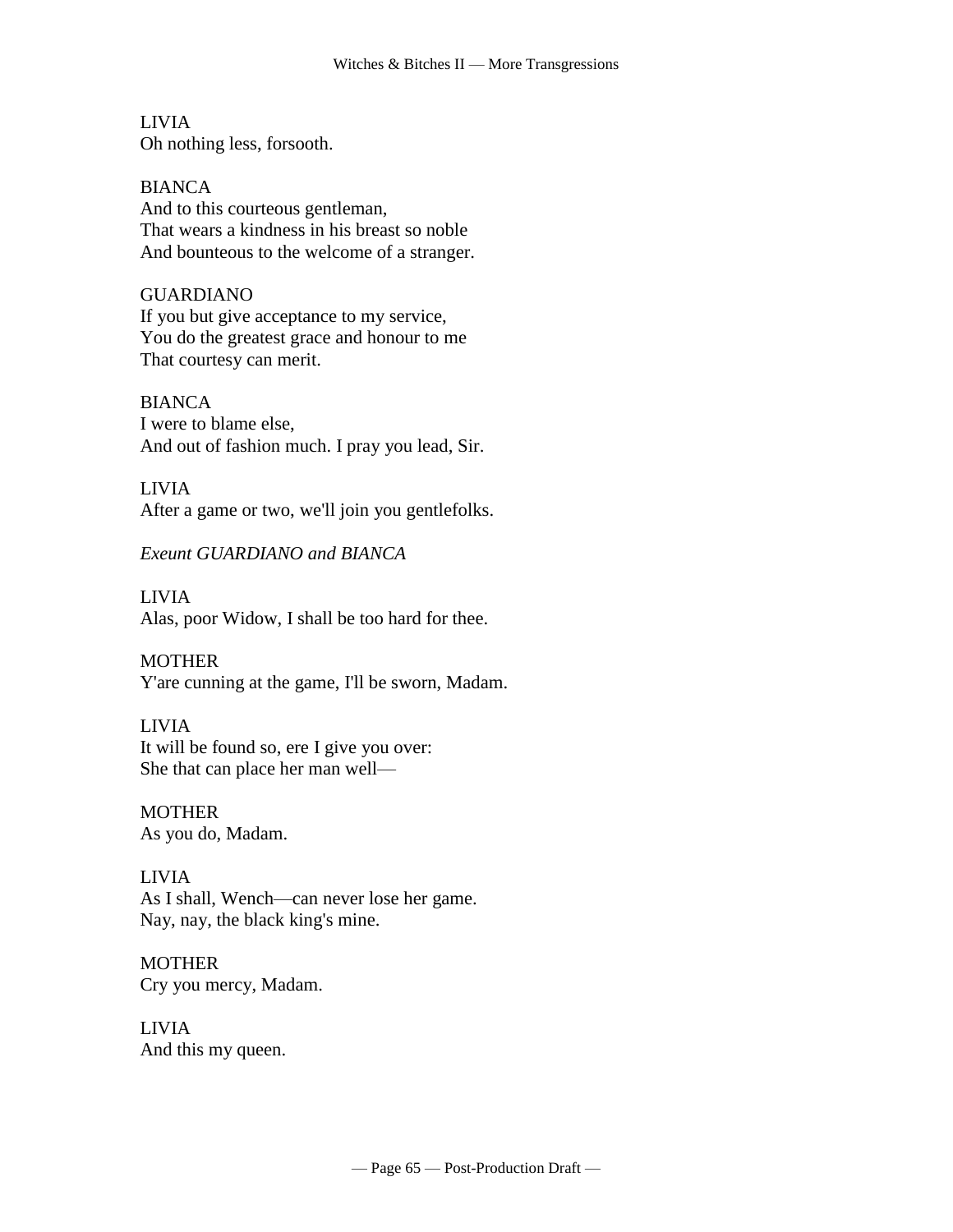LIVIA Oh nothing less, forsooth.

BIANCA And to this courteous gentleman, That wears a kindness in his breast so noble And bounteous to the welcome of a stranger.

#### GUARDIANO

If you but give acceptance to my service, You do the greatest grace and honour to me That courtesy can merit.

BIANCA I were to blame else, And out of fashion much. I pray you lead, Sir.

#### LIVIA

After a game or two, we'll join you gentlefolks.

*Exeunt GUARDIANO and BIANCA*

LIVIA Alas, poor Widow, I shall be too hard for thee.

#### **MOTHER**

Y'are cunning at the game, I'll be sworn, Madam.

#### LIVIA

It will be found so, ere I give you over: She that can place her man well—

MOTHER As you do, Madam.

# LIVIA As I shall, Wench—can never lose her game. Nay, nay, the black king's mine.

MOTHER Cry you mercy, Madam.

LIVIA And this my queen.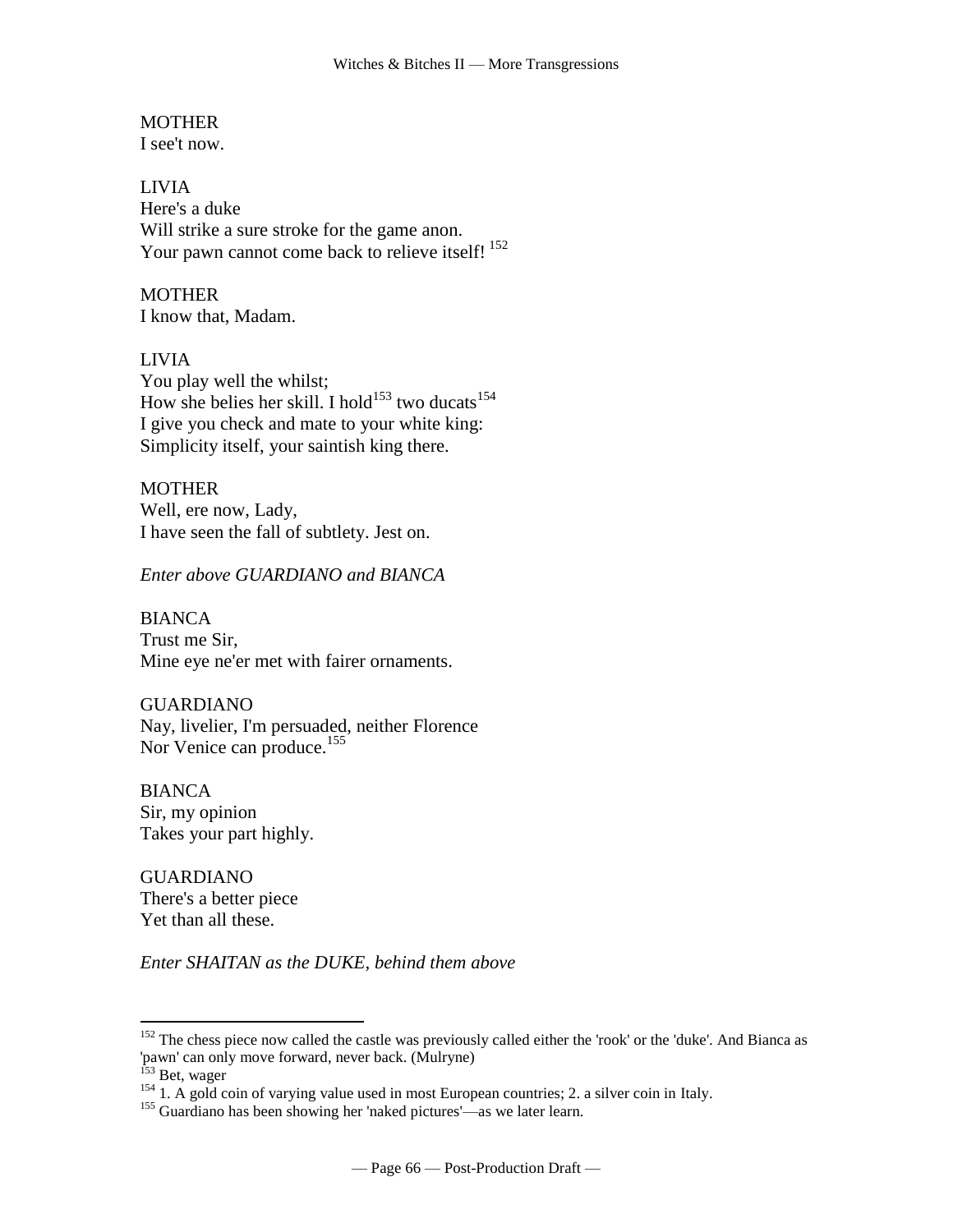# **MOTHER**

I see't now.

LIVIA Here's a duke Will strike a sure stroke for the game anon. Your pawn cannot come back to relieve itself!<sup>152</sup>

## **MOTHER**

I know that, Madam.

#### LIVIA

You play well the whilst; How she belies her skill. I hold<sup>153</sup> two ducats<sup>154</sup> I give you check and mate to your white king: Simplicity itself, your saintish king there.

#### **MOTHER**

Well, ere now, Lady, I have seen the fall of subtlety. Jest on.

*Enter above GUARDIANO and BIANCA*

#### BIANCA Trust me Sir, Mine eye ne'er met with fairer ornaments.

## GUARDIANO Nay, livelier, I'm persuaded, neither Florence Nor Venice can produce.<sup>155</sup>

BIANCA Sir, my opinion Takes your part highly.

GUARDIANO There's a better piece Yet than all these.

*Enter SHAITAN as the DUKE, behind them above*

<sup>&</sup>lt;sup>152</sup> The chess piece now called the castle was previously called either the 'rook' or the 'duke'. And Bianca as 'pawn' can only move forward, never back. (Mulryne)

<sup>&</sup>lt;sup>153</sup> Bet, wager

<sup>&</sup>lt;sup>154</sup> 1. A gold coin of varying value used in most European countries; 2. a silver coin in Italy.

<sup>155</sup> Guardiano has been showing her 'naked pictures'—as we later learn.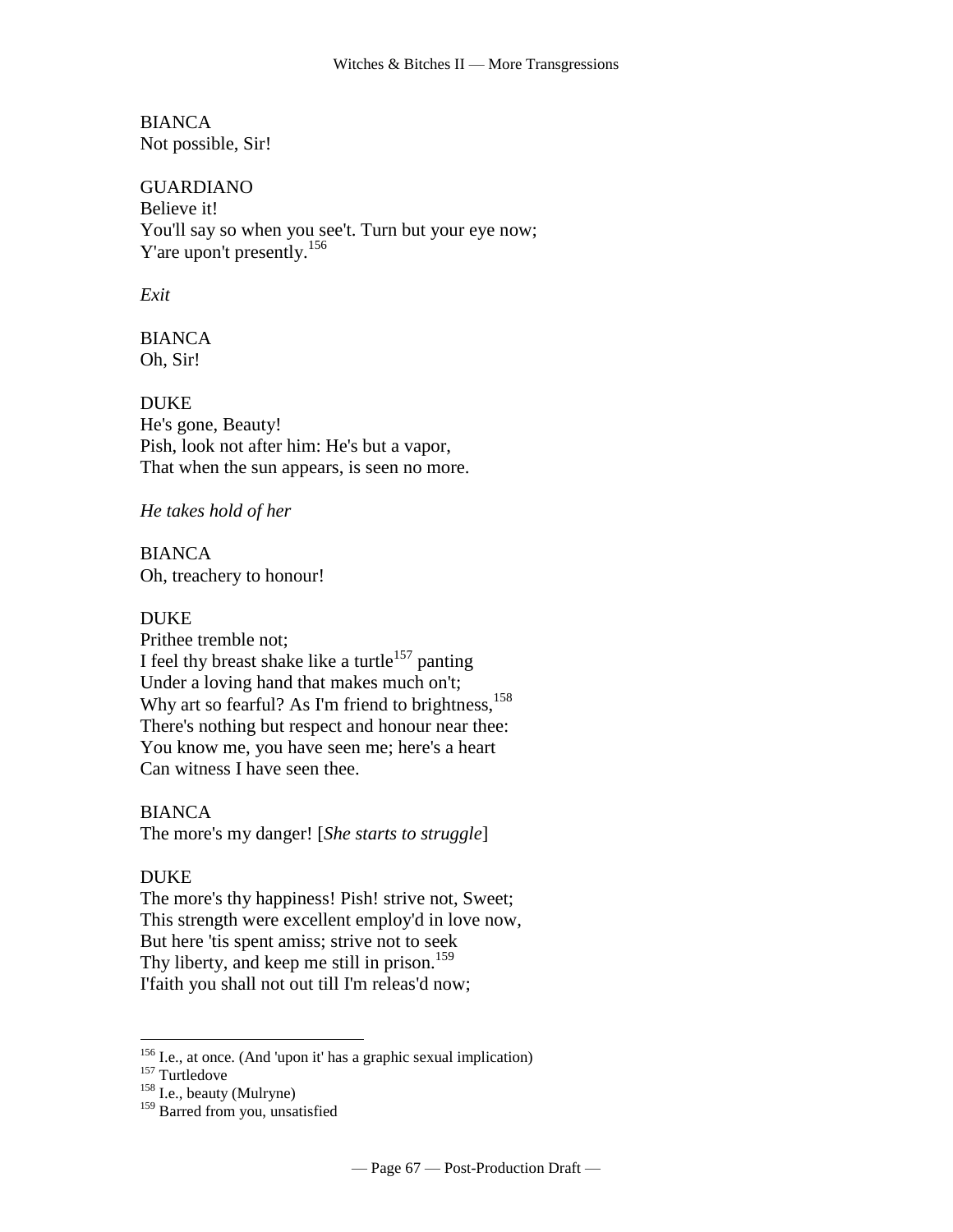BIANCA Not possible, Sir!

GUARDIANO Believe it! You'll say so when you see't. Turn but your eye now; Y'are upon't presently.<sup>156</sup>

*Exit*

BIANCA Oh, Sir!

DUKE He's gone, Beauty! Pish, look not after him: He's but a vapor, That when the sun appears, is seen no more.

#### *He takes hold of her*

BIANCA Oh, treachery to honour!

#### DUKE

Prithee tremble not; I feel thy breast shake like a turtle<sup>157</sup> panting Under a loving hand that makes much on't; Why art so fearful? As I'm friend to brightness,<sup>158</sup> There's nothing but respect and honour near thee: You know me, you have seen me; here's a heart Can witness I have seen thee.

#### BIANCA

The more's my danger! [*She starts to struggle*]

#### DUKE

 $\overline{a}$ 

The more's thy happiness! Pish! strive not, Sweet; This strength were excellent employ'd in love now, But here 'tis spent amiss; strive not to seek Thy liberty, and keep me still in prison.<sup>159</sup> I'faith you shall not out till I'm releas'd now;

 $156$  I.e., at once. (And 'upon it' has a graphic sexual implication)

 $157$  Turtledove

<sup>&</sup>lt;sup>158</sup> I.e., beauty (Mulryne)

<sup>&</sup>lt;sup>159</sup> Barred from you, unsatisfied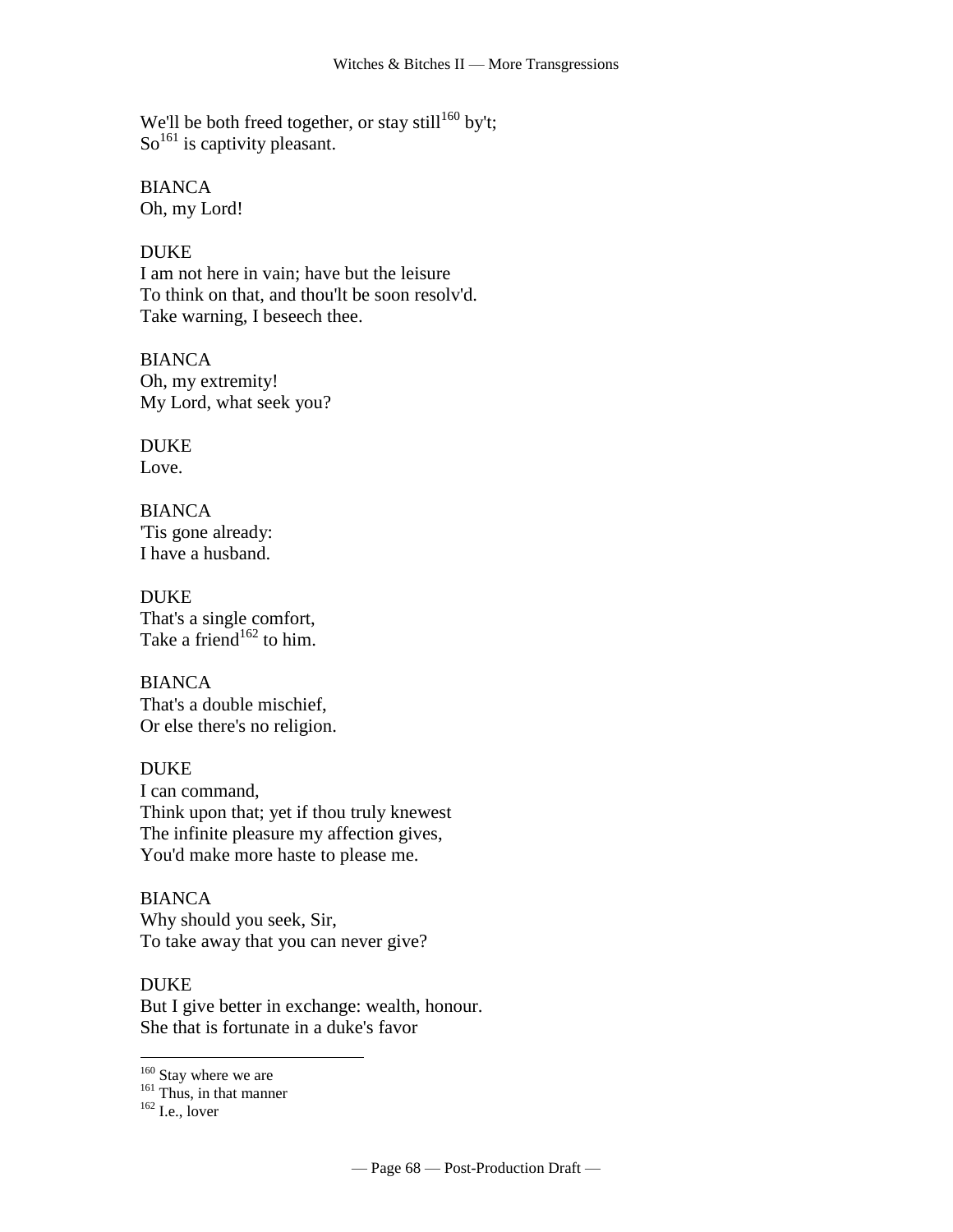We'll be both freed together, or stay still<sup>160</sup> by't;  $\text{So}^{161}$  is captivity pleasant.

BIANCA Oh, my Lord!

#### **DUKE**

I am not here in vain; have but the leisure To think on that, and thou'lt be soon resolv'd. Take warning, I beseech thee.

BIANCA Oh, my extremity! My Lord, what seek you?

DUKE Love.

BIANCA 'Tis gone already: I have a husband.

DUKE That's a single comfort, Take a friend<sup>162</sup> to him.

**BIANCA** That's a double mischief, Or else there's no religion.

DUKE I can command, Think upon that; yet if thou truly knewest The infinite pleasure my affection gives, You'd make more haste to please me.

BIANCA Why should you seek, Sir, To take away that you can never give?

DUKE

 $\overline{a}$ 

But I give better in exchange: wealth, honour. She that is fortunate in a duke's favor

<sup>160</sup> Stay where we are

 $162$  I.e., lover

<sup>&</sup>lt;sup>161</sup> Thus, in that manner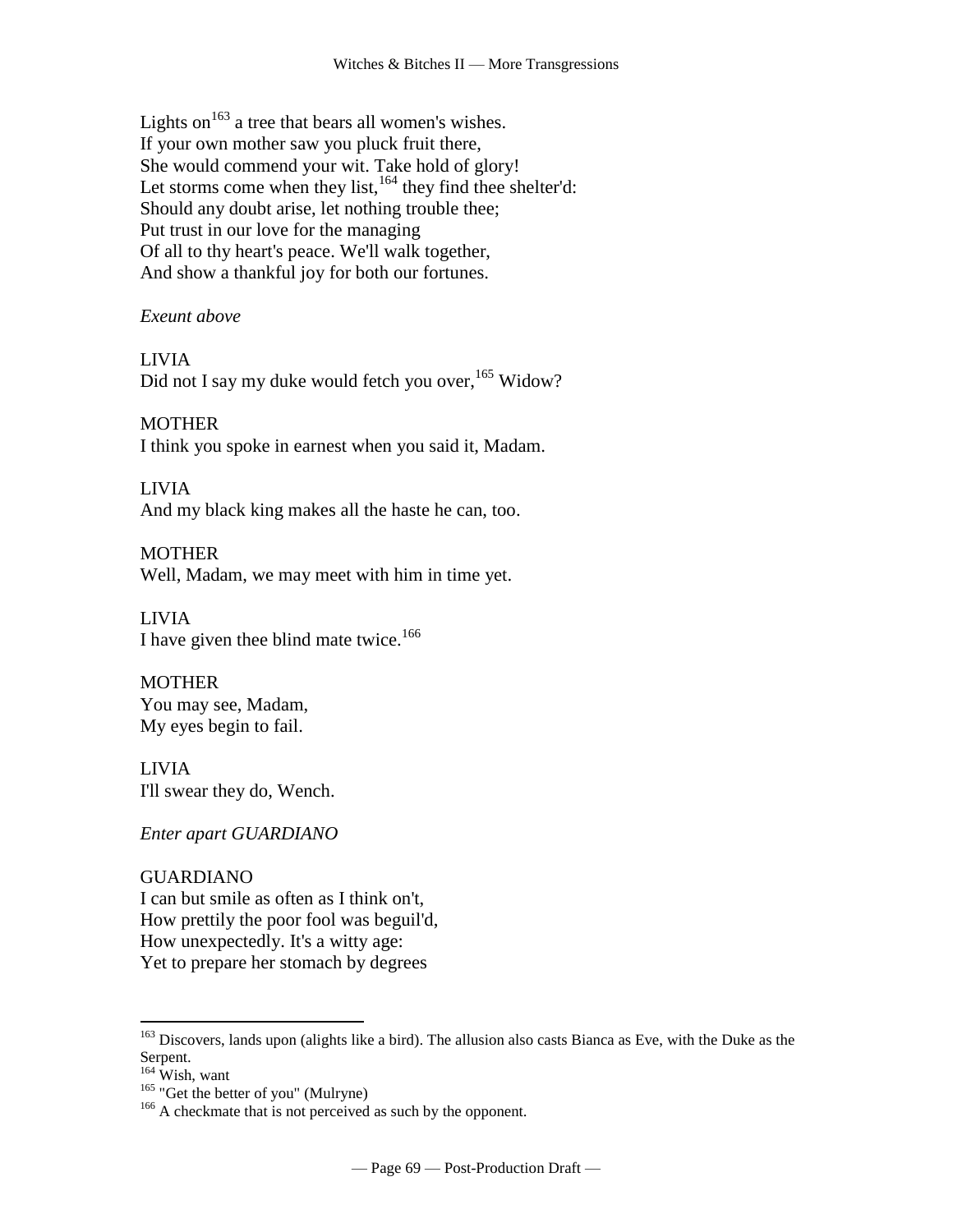Lights on  $163$  a tree that bears all women's wishes. If your own mother saw you pluck fruit there, She would commend your wit. Take hold of glory! Let storms come when they list, $164$  they find thee shelter'd: Should any doubt arise, let nothing trouble thee; Put trust in our love for the managing Of all to thy heart's peace. We'll walk together, And show a thankful joy for both our fortunes.

*Exeunt above*

## LIVIA

Did not I say my duke would fetch you over,<sup>165</sup> Widow?

## **MOTHER**

I think you spoke in earnest when you said it, Madam.

## LIVIA

And my black king makes all the haste he can, too.

MOTHER Well, Madam, we may meet with him in time yet.

LIVIA I have given thee blind mate twice.<sup>166</sup>

**MOTHER** You may see, Madam, My eyes begin to fail.

#### LIVIA I'll swear they do, Wench.

*Enter apart GUARDIANO*

# GUARDIANO

I can but smile as often as I think on't, How prettily the poor fool was beguil'd, How unexpectedly. It's a witty age: Yet to prepare her stomach by degrees

<sup>&</sup>lt;sup>163</sup> Discovers, lands upon (alights like a bird). The allusion also casts Bianca as Eve, with the Duke as the Serpent.

<sup>164</sup> Wish, want

<sup>&</sup>lt;sup>165</sup> "Get the better of you" (Mulryne)

<sup>&</sup>lt;sup>166</sup> A checkmate that is not perceived as such by the opponent.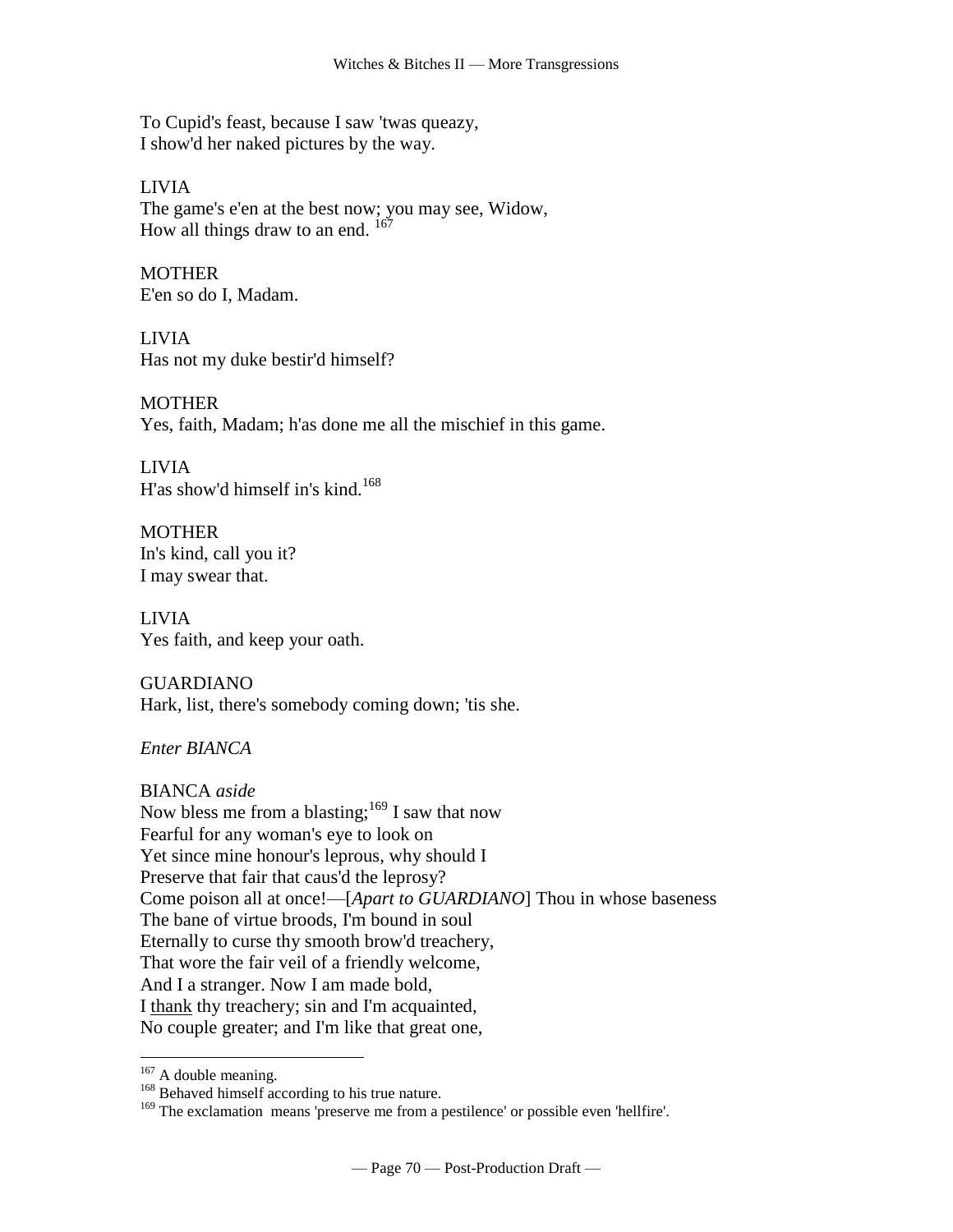To Cupid's feast, because I saw 'twas queazy, I show'd her naked pictures by the way.

LIVIA The game's e'en at the best now; you may see, Widow, How all things draw to an end.  $167$ 

**MOTHER** E'en so do I, Madam.

LIVIA Has not my duke bestir'd himself?

**MOTHER** Yes, faith, Madam; h'as done me all the mischief in this game.

LIVIA H'as show'd himself in's kind.<sup>168</sup>

**MOTHER** In's kind, call you it? I may swear that.

LIVIA Yes faith, and keep your oath.

GUARDIANO Hark, list, there's somebody coming down; 'tis she.

*Enter BIANCA*

BIANCA *aside*

Now bless me from a blasting; $169$  I saw that now Fearful for any woman's eye to look on Yet since mine honour's leprous, why should I Preserve that fair that caus'd the leprosy? Come poison all at once!—[*Apart to GUARDIANO*] Thou in whose baseness The bane of virtue broods, I'm bound in soul Eternally to curse thy smooth brow'd treachery, That wore the fair veil of a friendly welcome, And I a stranger. Now I am made bold, I thank thy treachery; sin and I'm acquainted, No couple greater; and I'm like that great one,

 $167$  A double meaning.

<sup>&</sup>lt;sup>168</sup> Behaved himself according to his true nature.

<sup>&</sup>lt;sup>169</sup> The exclamation means 'preserve me from a pestilence' or possible even 'hellfire'.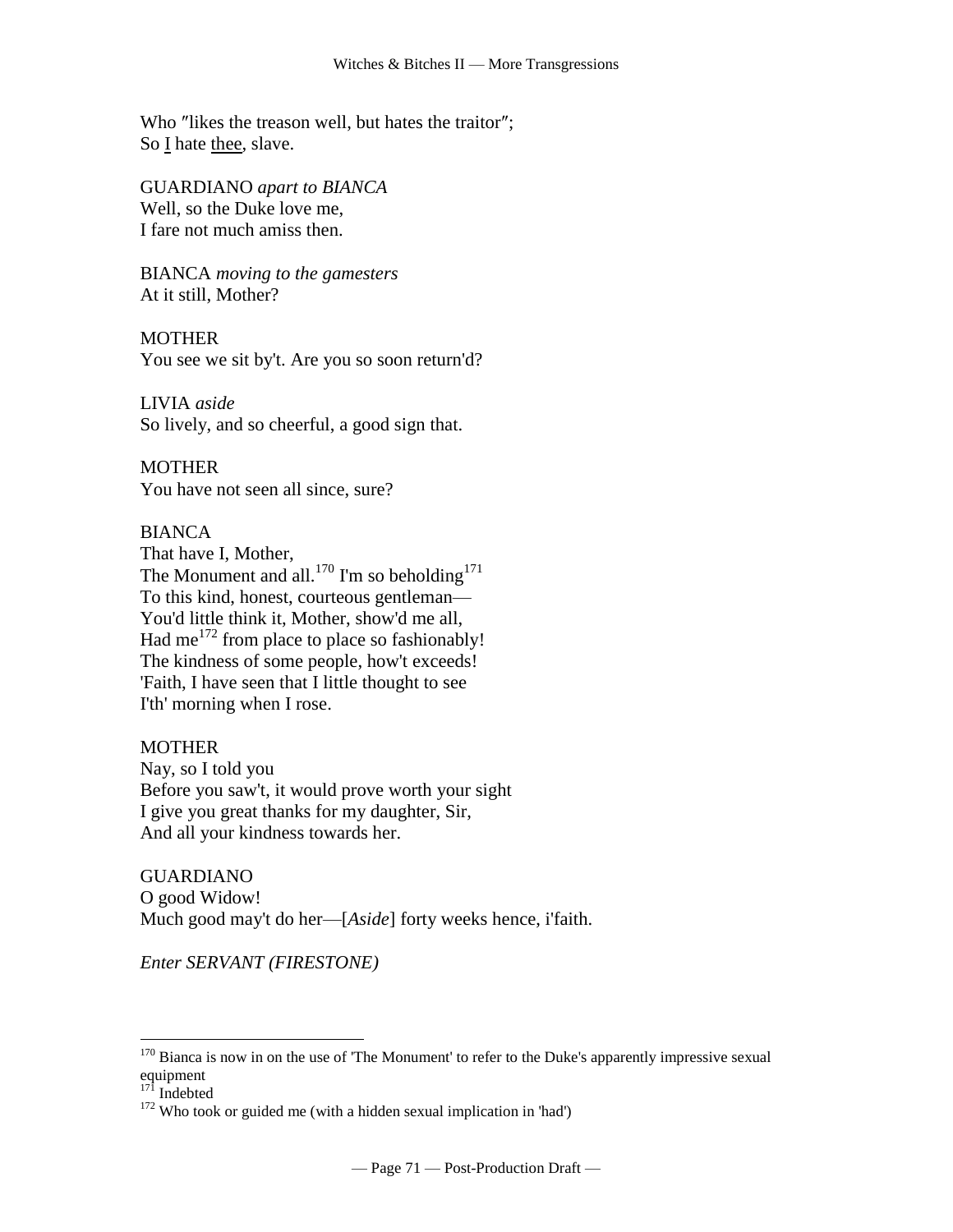Who "likes the treason well, but hates the traitor"; So I hate thee, slave.

GUARDIANO *apart to BIANCA* Well, so the Duke love me, I fare not much amiss then.

BIANCA *moving to the gamesters* At it still, Mother?

**MOTHER** You see we sit by't. Are you so soon return'd?

LIVIA *aside* So lively, and so cheerful, a good sign that.

**MOTHER** You have not seen all since, sure?

## BIANCA

That have I, Mother, The Monument and all.<sup>170</sup> I'm so beholding<sup>171</sup> To this kind, honest, courteous gentleman— You'd little think it, Mother, show'd me all, Had me<sup>172</sup> from place to place so fashionably! The kindness of some people, how't exceeds! 'Faith, I have seen that I little thought to see I'th' morning when I rose.

## MOTHER

Nay, so I told you Before you saw't, it would prove worth your sight I give you great thanks for my daughter, Sir, And all your kindness towards her.

GUARDIANO O good Widow! Much good may't do her—[*Aside*] forty weeks hence, i'faith.

*Enter SERVANT (FIRESTONE)*

 $170$  Bianca is now in on the use of 'The Monument' to refer to the Duke's apparently impressive sexual equipment

 $17\overline{1}$  Indebted

 $172$  Who took or guided me (with a hidden sexual implication in 'had')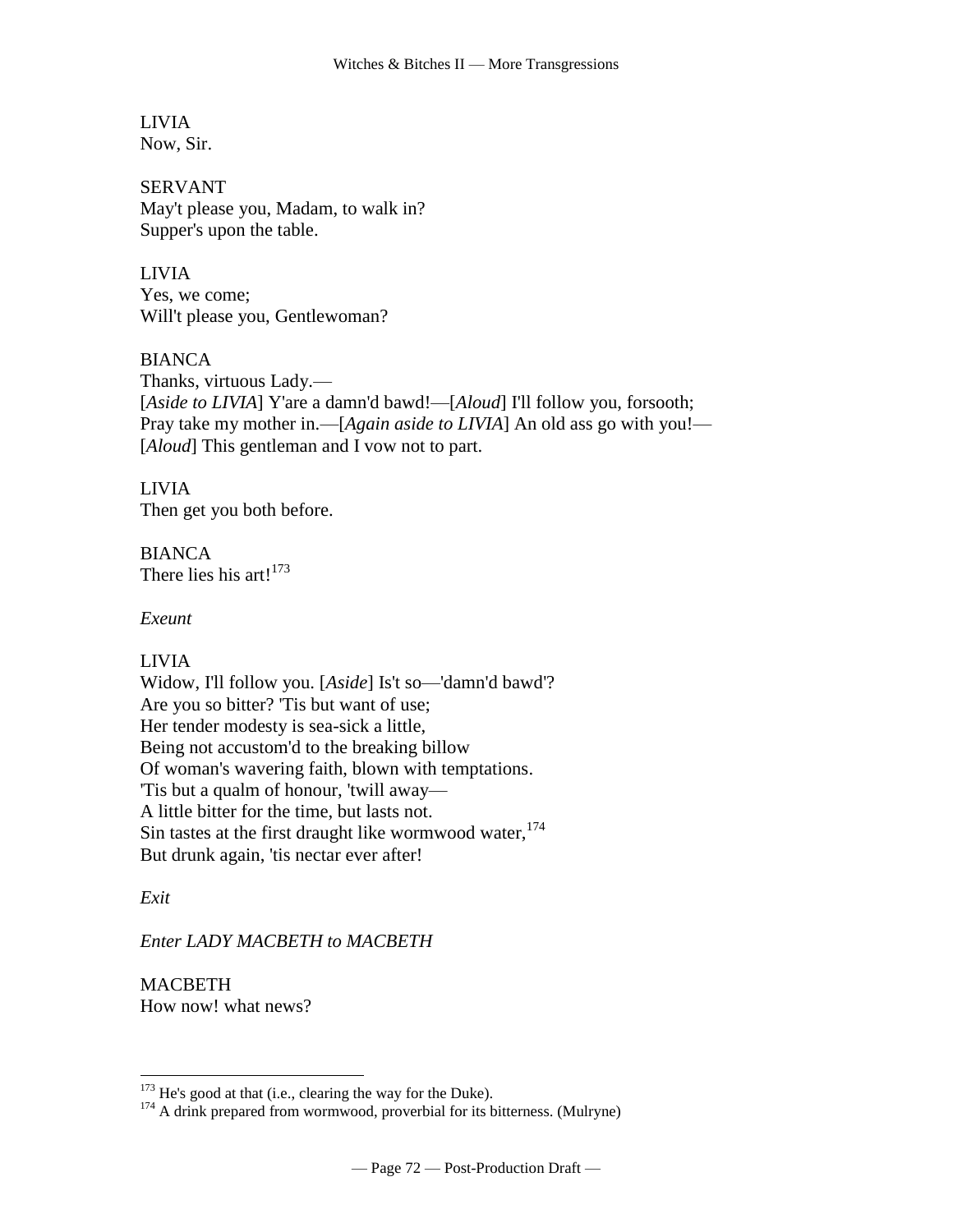LIVIA Now, Sir.

SERVANT May't please you, Madam, to walk in? Supper's upon the table.

LIVIA Yes, we come; Will't please you, Gentlewoman?

BIANCA Thanks, virtuous Lady.— [*Aside to LIVIA*] Y'are a damn'd bawd!—[*Aloud*] I'll follow you, forsooth; Pray take my mother in.—[*Again aside to LIVIA*] An old ass go with you!— [*Aloud*] This gentleman and I vow not to part.

LIVIA Then get you both before.

**BIANCA** There lies his art!<sup>173</sup>

*Exeunt*

# LIVIA

Widow, I'll follow you. [*Aside*] Is't so—'damn'd bawd'? Are you so bitter? 'Tis but want of use; Her tender modesty is sea-sick a little, Being not accustom'd to the breaking billow Of woman's wavering faith, blown with temptations. 'Tis but a qualm of honour, 'twill away— A little bitter for the time, but lasts not. Sin tastes at the first draught like wormwood water,<sup>174</sup> But drunk again, 'tis nectar ever after!

*Exit*

 $\overline{a}$ 

*Enter LADY MACBETH to MACBETH*

MACBETH How now! what news?

 $173$  He's good at that (i.e., clearing the way for the Duke).

<sup>&</sup>lt;sup>174</sup> A drink prepared from wormwood, proverbial for its bitterness. (Mulryne)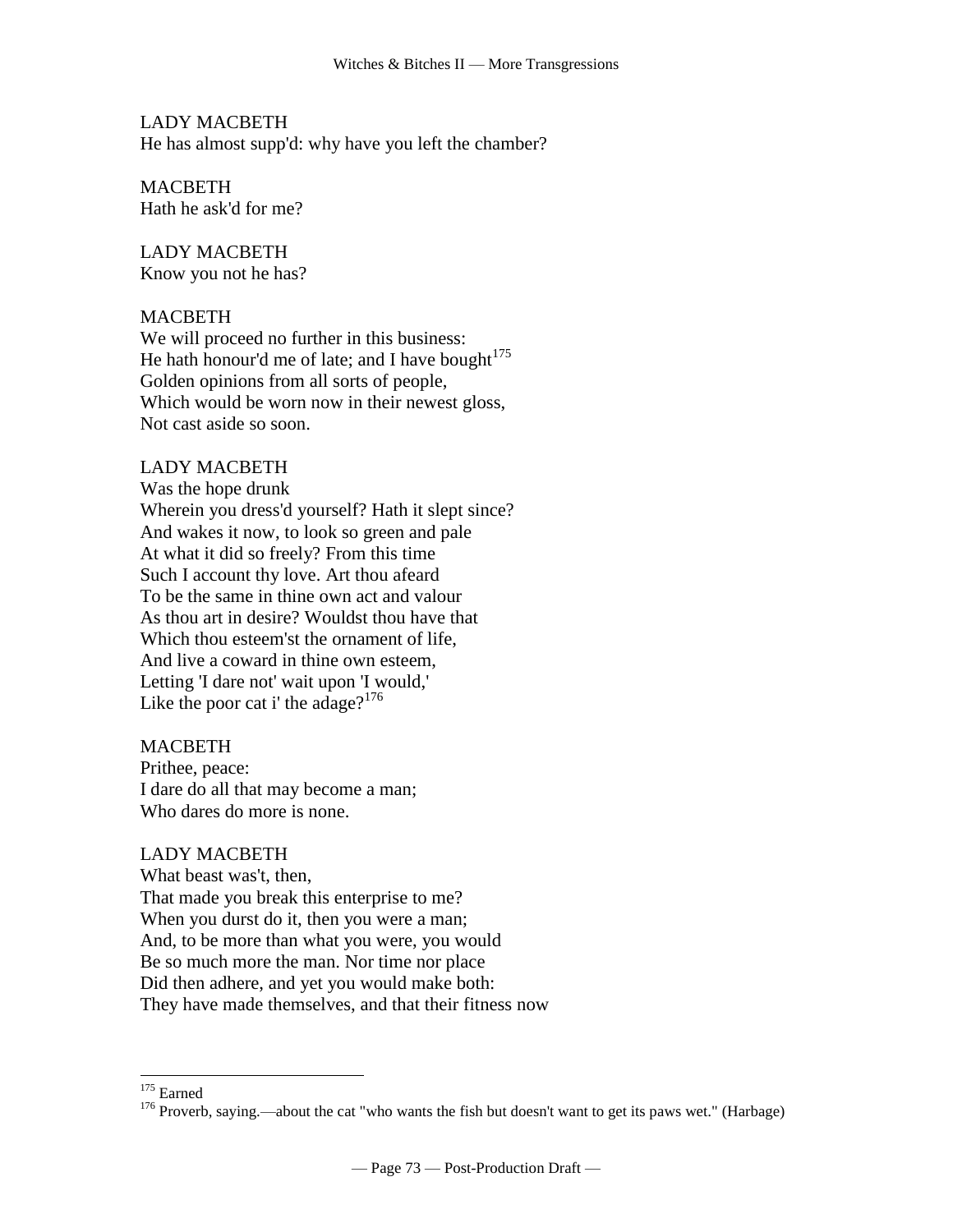LADY MACBETH He has almost supp'd: why have you left the chamber?

MACBETH Hath he ask'd for me?

LADY MACBETH Know you not he has?

#### MACBETH

We will proceed no further in this business: He hath honour'd me of late; and I have bought $175$ Golden opinions from all sorts of people, Which would be worn now in their newest gloss, Not cast aside so soon.

#### LADY MACBETH

Was the hope drunk Wherein you dress'd yourself? Hath it slept since? And wakes it now, to look so green and pale At what it did so freely? From this time Such I account thy love. Art thou afeard To be the same in thine own act and valour As thou art in desire? Wouldst thou have that Which thou esteem'st the ornament of life, And live a coward in thine own esteem, Letting 'I dare not' wait upon 'I would,' Like the poor cat i' the adage?<sup>176</sup>

#### **MACBETH**

Prithee, peace: I dare do all that may become a man; Who dares do more is none.

#### LADY MACBETH

What beast was't, then, That made you break this enterprise to me? When you durst do it, then you were a man; And, to be more than what you were, you would Be so much more the man. Nor time nor place Did then adhere, and yet you would make both: They have made themselves, and that their fitness now

<sup>&</sup>lt;sup>175</sup> Earned

<sup>&</sup>lt;sup>176</sup> Proverb, saying.—about the cat "who wants the fish but doesn't want to get its paws wet." (Harbage)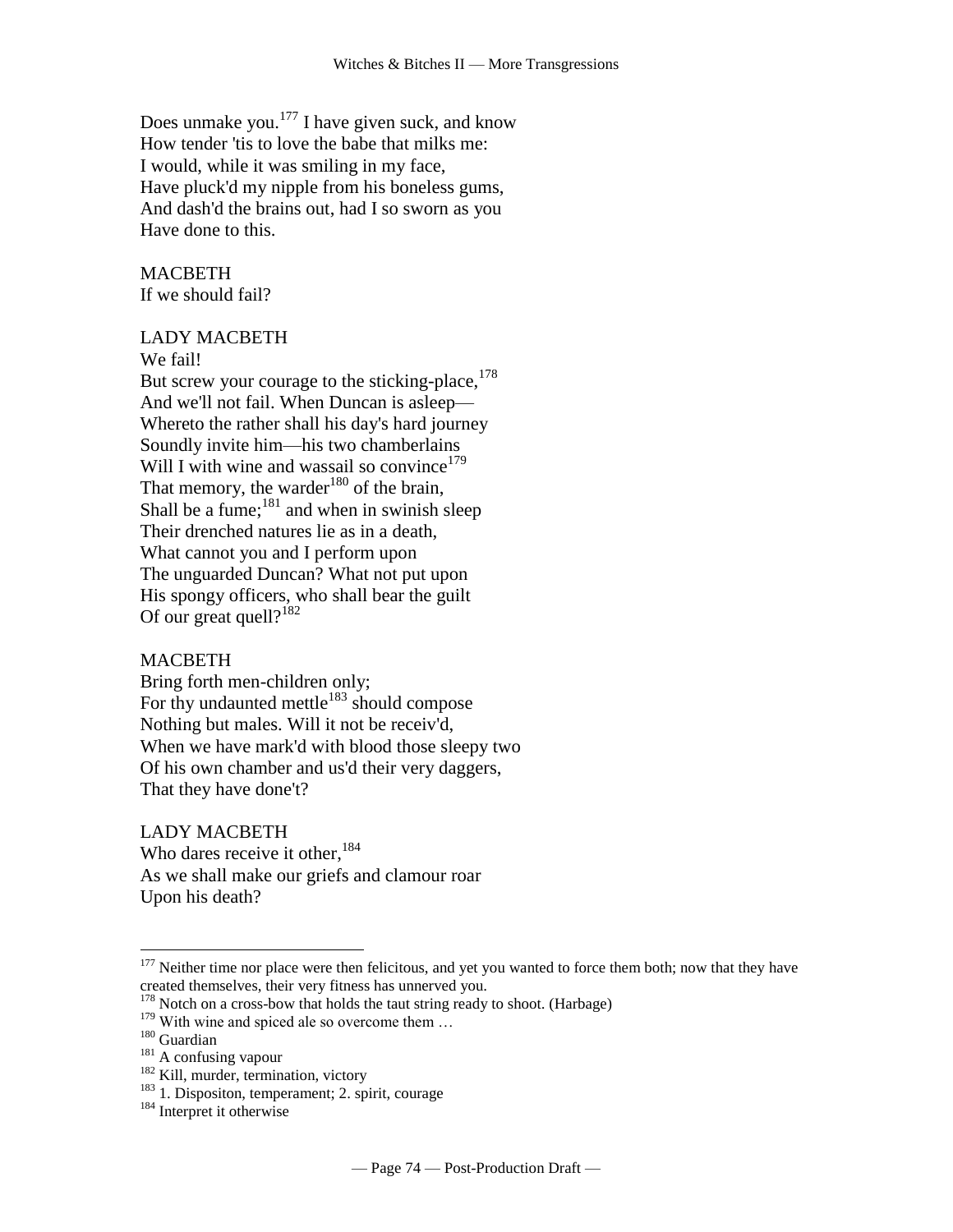Does unmake you. $177$  I have given suck, and know How tender 'tis to love the babe that milks me: I would, while it was smiling in my face, Have pluck'd my nipple from his boneless gums, And dash'd the brains out, had I so sworn as you Have done to this.

#### MACBETH If we should fail?

#### LADY MACBETH

We fail!

But screw your courage to the sticking-place,  $178$ And we'll not fail. When Duncan is asleep— Whereto the rather shall his day's hard journey Soundly invite him—his two chamberlains Will I with wine and wassail so convince<sup>179</sup> That memory, the warder<sup>180</sup> of the brain, Shall be a fume; $^{181}$  and when in swinish sleep Their drenched natures lie as in a death, What cannot you and I perform upon The unguarded Duncan? What not put upon His spongy officers, who shall bear the guilt Of our great quell? $182$ 

#### **MACBETH**

Bring forth men-children only; For thy undaunted mettle $183$  should compose Nothing but males. Will it not be receiv'd, When we have mark'd with blood those sleepy two Of his own chamber and us'd their very daggers, That they have done't?

LADY MACBETH Who dares receive it other,  $184$ As we shall make our griefs and clamour roar Upon his death?

 $177$  Neither time nor place were then felicitous, and yet you wanted to force them both; now that they have created themselves, their very fitness has unnerved you.

 $178$  Notch on a cross-bow that holds the taut string ready to shoot. (Harbage)

<sup>&</sup>lt;sup>179</sup> With wine and spiced ale so overcome them ...  $180$  Guardian

<sup>&</sup>lt;sup>181</sup> A confusing vapour

<sup>&</sup>lt;sup>182</sup> Kill, murder, termination, victory

<sup>&</sup>lt;sup>183</sup> 1. Dispositon, temperament; 2. spirit, courage

<sup>&</sup>lt;sup>184</sup> Interpret it otherwise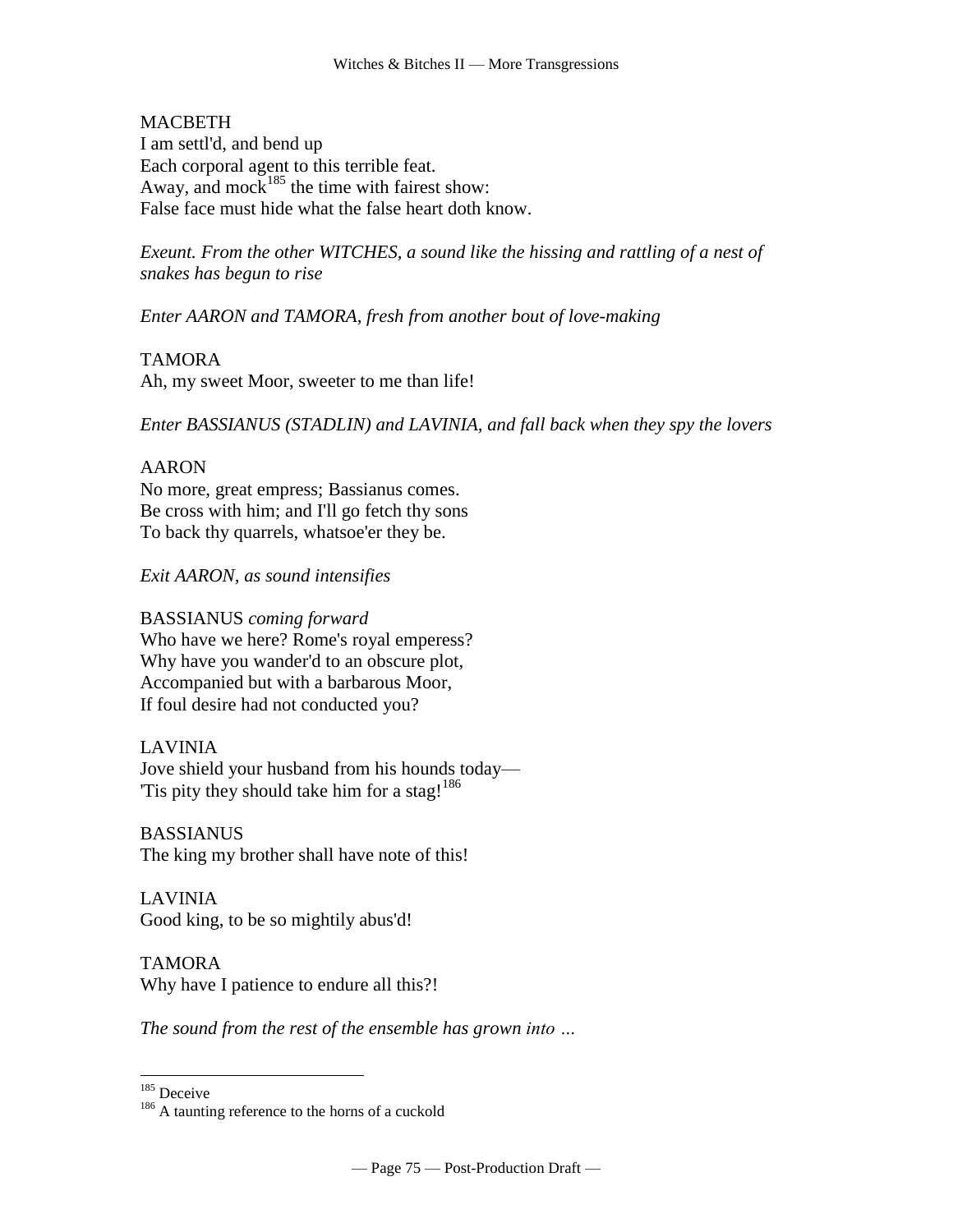## **MACBETH**

I am settl'd, and bend up Each corporal agent to this terrible feat. Away, and mock<sup>185</sup> the time with fairest show: False face must hide what the false heart doth know.

*Exeunt. From the other WITCHES, a sound like the hissing and rattling of a nest of snakes has begun to rise*

*Enter AARON and TAMORA, fresh from another bout of love-making*

## TAMORA

Ah, my sweet Moor, sweeter to me than life!

*Enter BASSIANUS (STADLIN) and LAVINIA, and fall back when they spy the lovers*

## AARON

No more, great empress; Bassianus comes. Be cross with him; and I'll go fetch thy sons To back thy quarrels, whatsoe'er they be.

## *Exit AARON, as sound intensifies*

## BASSIANUS *coming forward*

Who have we here? Rome's royal emperess? Why have you wander'd to an obscure plot, Accompanied but with a barbarous Moor, If foul desire had not conducted you?

## LAVINIA

Jove shield your husband from his hounds today— Tis pity they should take him for a stag!<sup>186</sup>

**BASSIANUS** The king my brother shall have note of this!

LAVINIA Good king, to be so mightily abus'd!

TAMORA Why have I patience to endure all this?!

*The sound from the rest of the ensemble has grown into …*

<sup>185</sup> Deceive

<sup>&</sup>lt;sup>186</sup> A taunting reference to the horns of a cuckold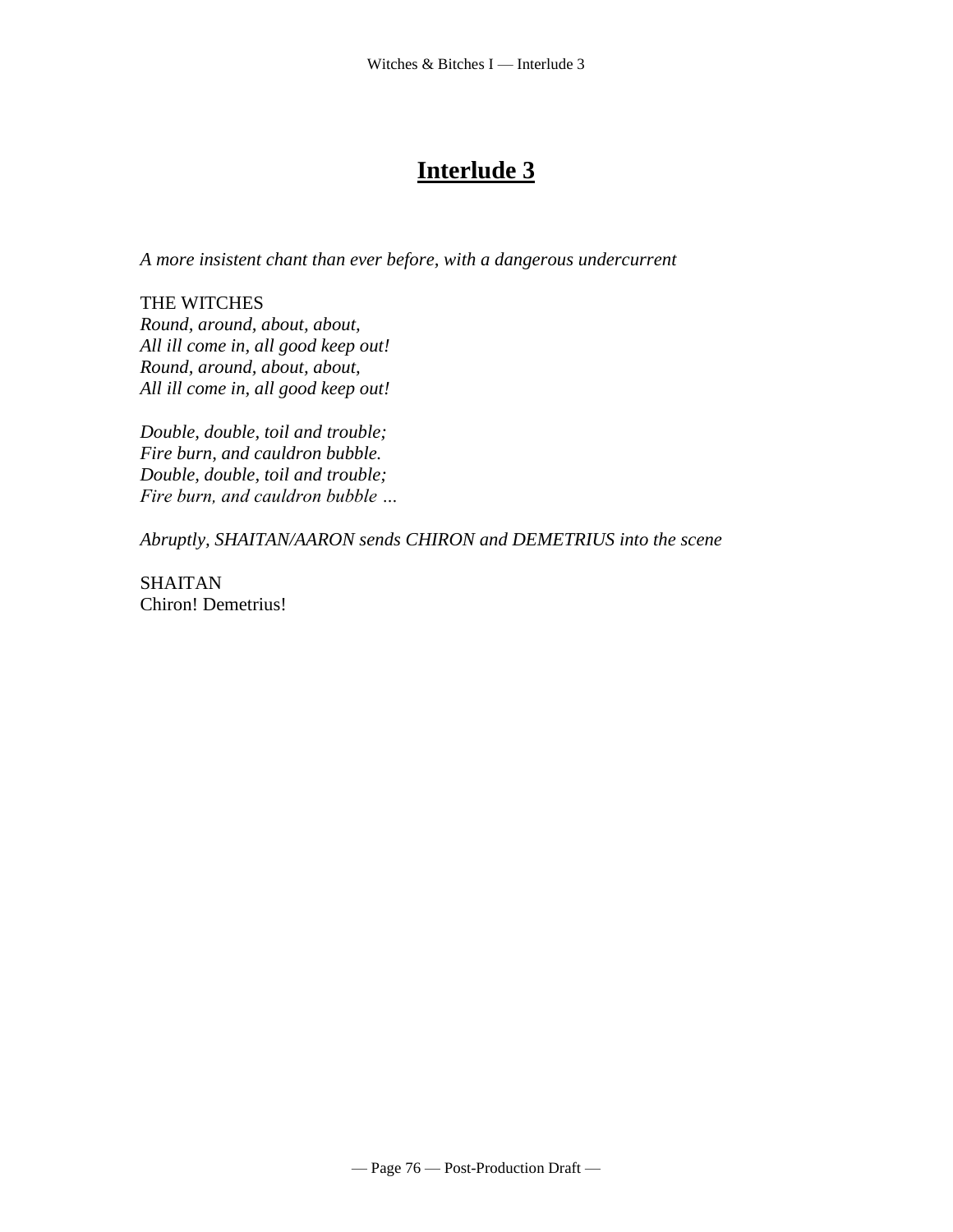# **Interlude 3**

*A more insistent chant than ever before, with a dangerous undercurrent*

THE WITCHES *Round, around, about, about, All ill come in, all good keep out! Round, around, about, about, All ill come in, all good keep out!*

*Double, double, toil and trouble; Fire burn, and cauldron bubble. Double, double, toil and trouble; Fire burn, and cauldron bubble …*

*Abruptly, SHAITAN/AARON sends CHIRON and DEMETRIUS into the scene*

SHAITAN Chiron! Demetrius!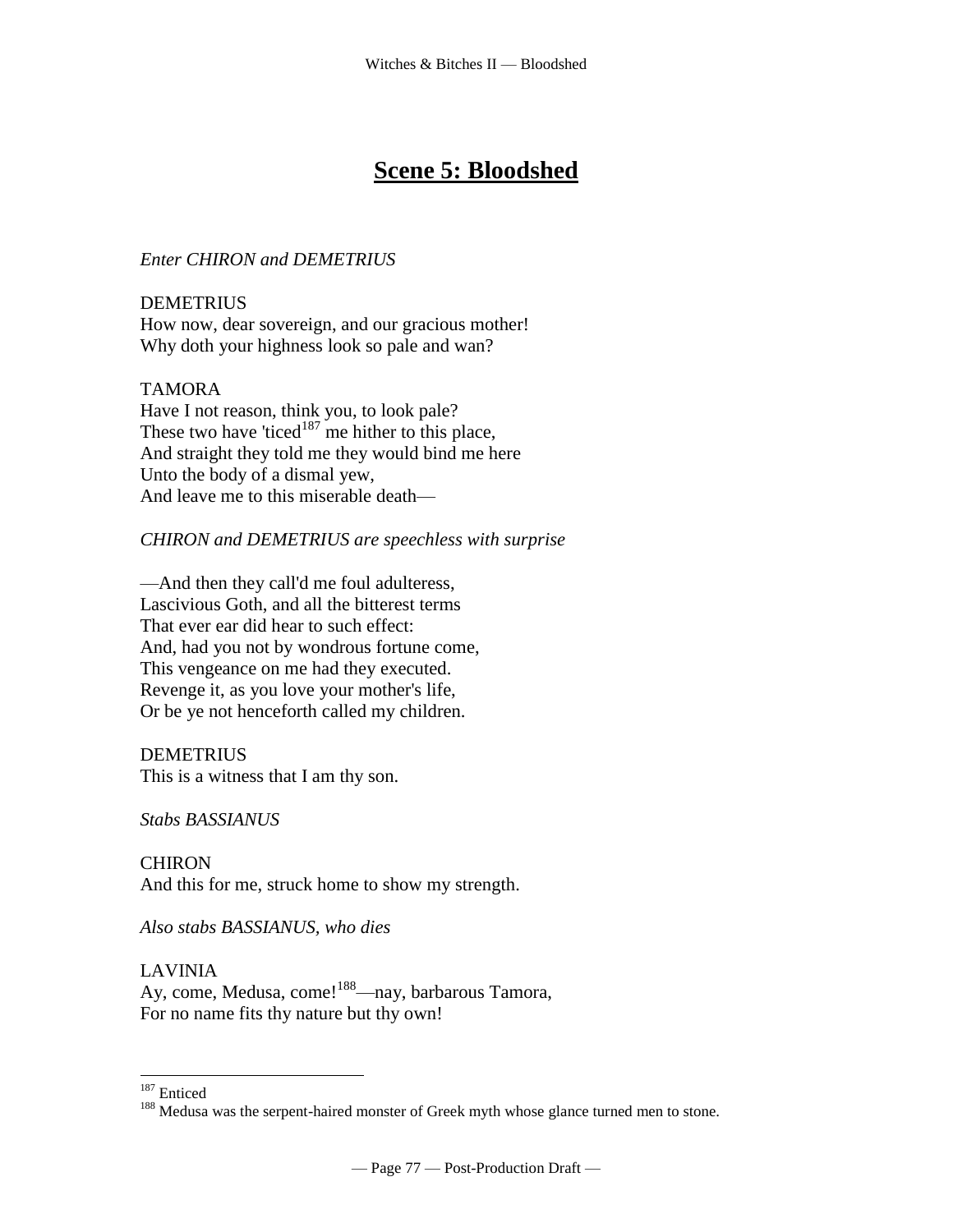# **Scene 5: Bloodshed**

# *Enter CHIRON and DEMETRIUS*

DEMETRIUS How now, dear sovereign, and our gracious mother! Why doth your highness look so pale and wan?

# TAMORA

Have I not reason, think you, to look pale? These two have 'ticed $187$  me hither to this place, And straight they told me they would bind me here Unto the body of a dismal yew, And leave me to this miserable death—

# *CHIRON and DEMETRIUS are speechless with surprise*

—And then they call'd me foul adulteress, Lascivious Goth, and all the bitterest terms That ever ear did hear to such effect: And, had you not by wondrous fortune come, This vengeance on me had they executed. Revenge it, as you love your mother's life, Or be ye not henceforth called my children.

## DEMETRIUS

This is a witness that I am thy son.

*Stabs BASSIANUS*

CHIRON And this for me, struck home to show my strength.

*Also stabs BASSIANUS, who dies*

## LAVINIA

Ay, come, Medusa, come!<sup>188</sup>—nay, barbarous Tamora, For no name fits thy nature but thy own!

 $\overline{a}$ <sup>187</sup> Enticed

<sup>&</sup>lt;sup>188</sup> Medusa was the serpent-haired monster of Greek myth whose glance turned men to stone.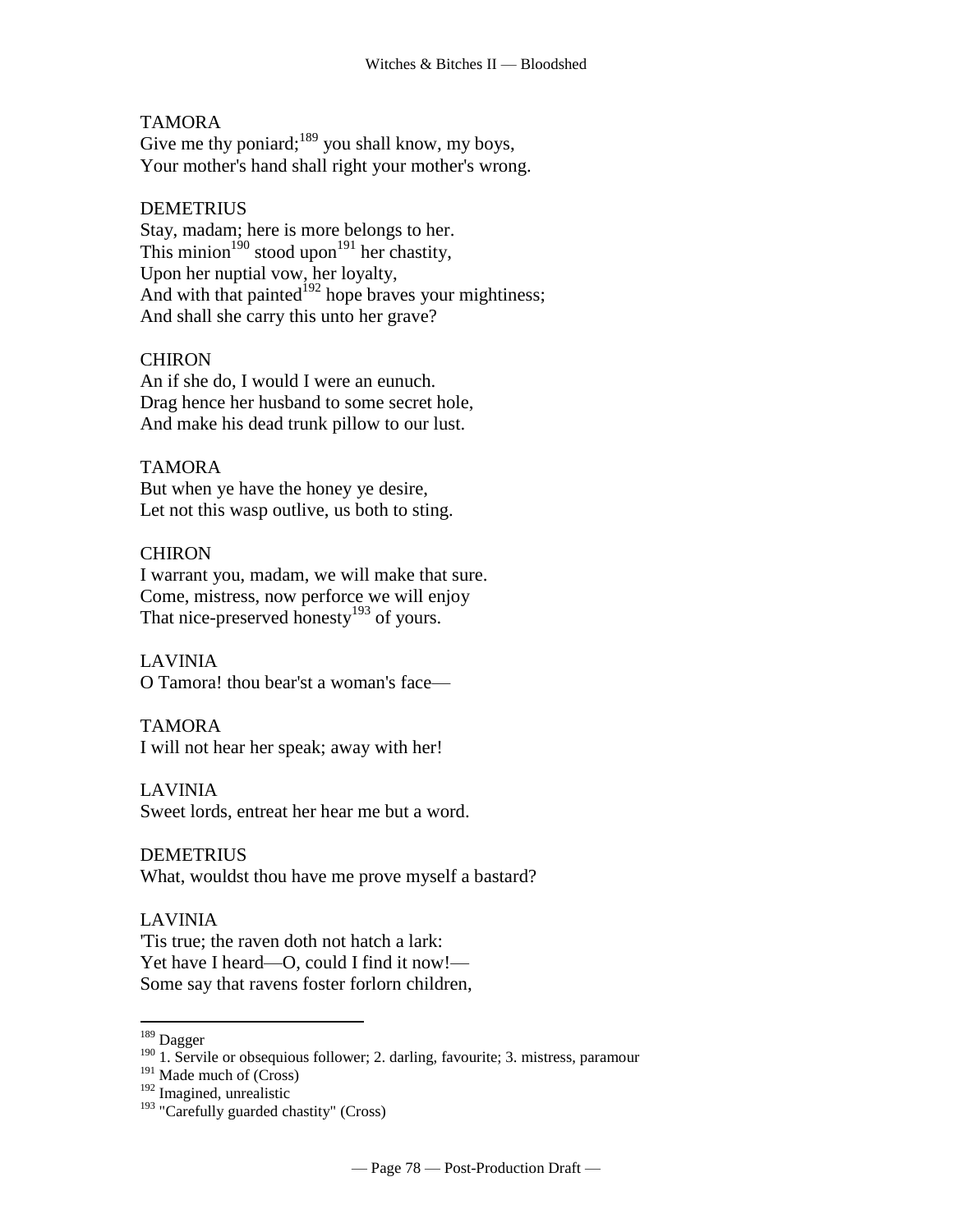## TAMORA

Give me thy poniard; $189$  you shall know, my boys, Your mother's hand shall right your mother's wrong.

## **DEMETRIUS**

Stay, madam; here is more belongs to her. This minion<sup>190</sup> stood upon<sup>191</sup> her chastity, Upon her nuptial vow, her loyalty, And with that painted $192$  hope braves your mightiness; And shall she carry this unto her grave?

# **CHIRON**

An if she do, I would I were an eunuch. Drag hence her husband to some secret hole, And make his dead trunk pillow to our lust.

## TAMORA

But when ye have the honey ye desire, Let not this wasp outlive, us both to sting.

## CHIRON

I warrant you, madam, we will make that sure. Come, mistress, now perforce we will enjoy That nice-preserved honesty<sup>193</sup> of yours.

## LAVINIA

O Tamora! thou bear'st a woman's face—

## TAMORA

I will not hear her speak; away with her!

## LAVINIA

Sweet lords, entreat her hear me but a word.

## DEMETRIUS

What, wouldst thou have me prove myself a bastard?

# LAVINIA

'Tis true; the raven doth not hatch a lark: Yet have I heard—O, could I find it now!— Some say that ravens foster forlorn children,

<sup>&</sup>lt;sup>189</sup> Dagger

<sup>&</sup>lt;sup>190</sup> 1. Servile or obsequious follower; 2. darling, favourite; 3. mistress, paramour

 $191$  Made much of (Cross)

<sup>192</sup> Imagined, unrealistic

<sup>&</sup>lt;sup>193</sup> "Carefully guarded chastity" (Cross)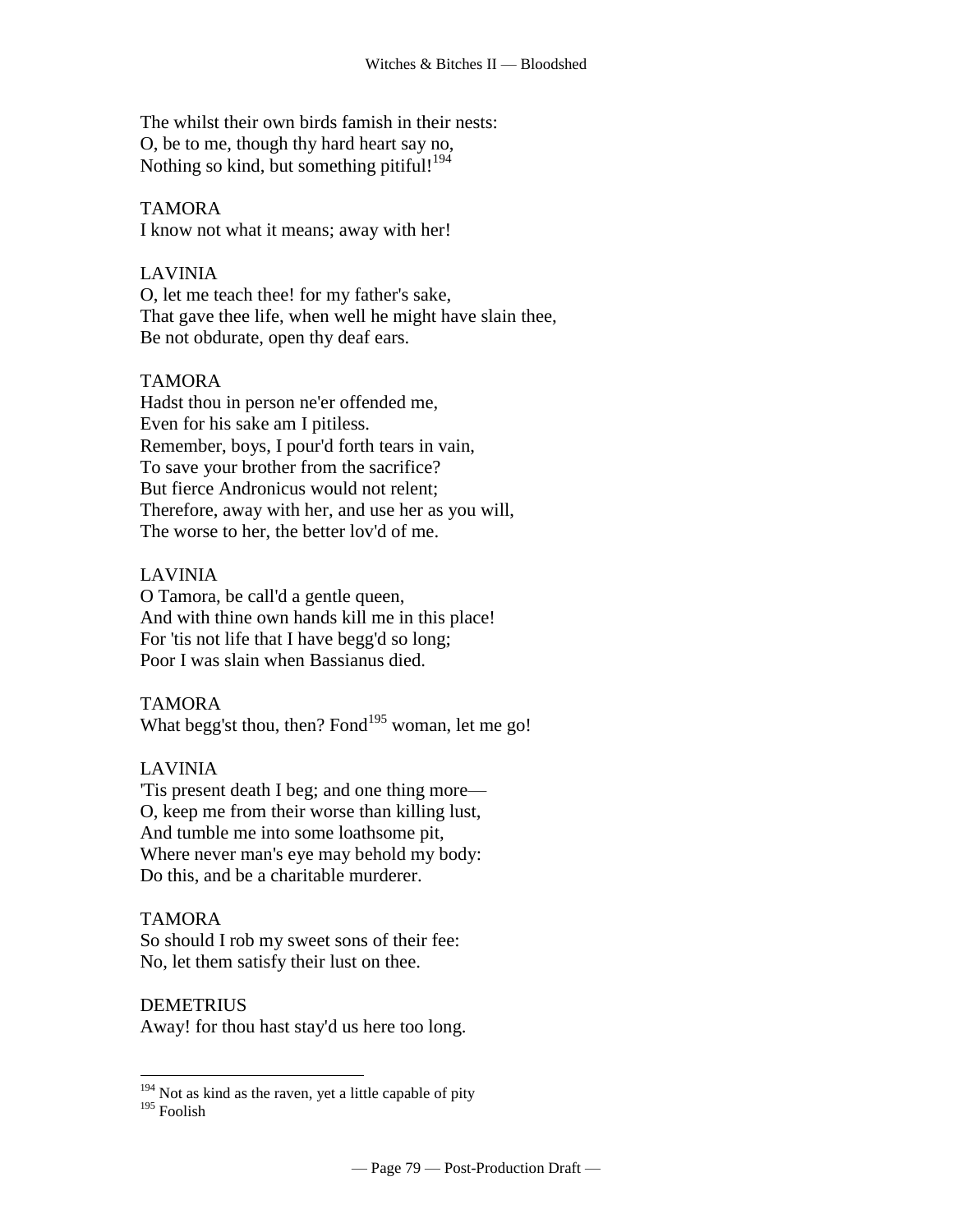The whilst their own birds famish in their nests: O, be to me, though thy hard heart say no, Nothing so kind, but something pitiful!<sup>194</sup>

# TAMORA

I know not what it means; away with her!

## LAVINIA

O, let me teach thee! for my father's sake, That gave thee life, when well he might have slain thee, Be not obdurate, open thy deaf ears.

# TAMORA

Hadst thou in person ne'er offended me, Even for his sake am I pitiless. Remember, boys, I pour'd forth tears in vain, To save your brother from the sacrifice? But fierce Andronicus would not relent; Therefore, away with her, and use her as you will, The worse to her, the better lov'd of me.

## LAVINIA

O Tamora, be call'd a gentle queen, And with thine own hands kill me in this place! For 'tis not life that I have begg'd so long; Poor I was slain when Bassianus died.

## TAMORA

What begg'st thou, then? Fond $195$  woman, let me go!

## LAVINIA

'Tis present death I beg; and one thing more— O, keep me from their worse than killing lust, And tumble me into some loathsome pit, Where never man's eye may behold my body: Do this, and be a charitable murderer.

## TAMORA

So should I rob my sweet sons of their fee: No, let them satisfy their lust on thee.

## DEMETRIUS

Away! for thou hast stay'd us here too long.

 $194$  Not as kind as the raven, yet a little capable of pity

<sup>195</sup> Foolish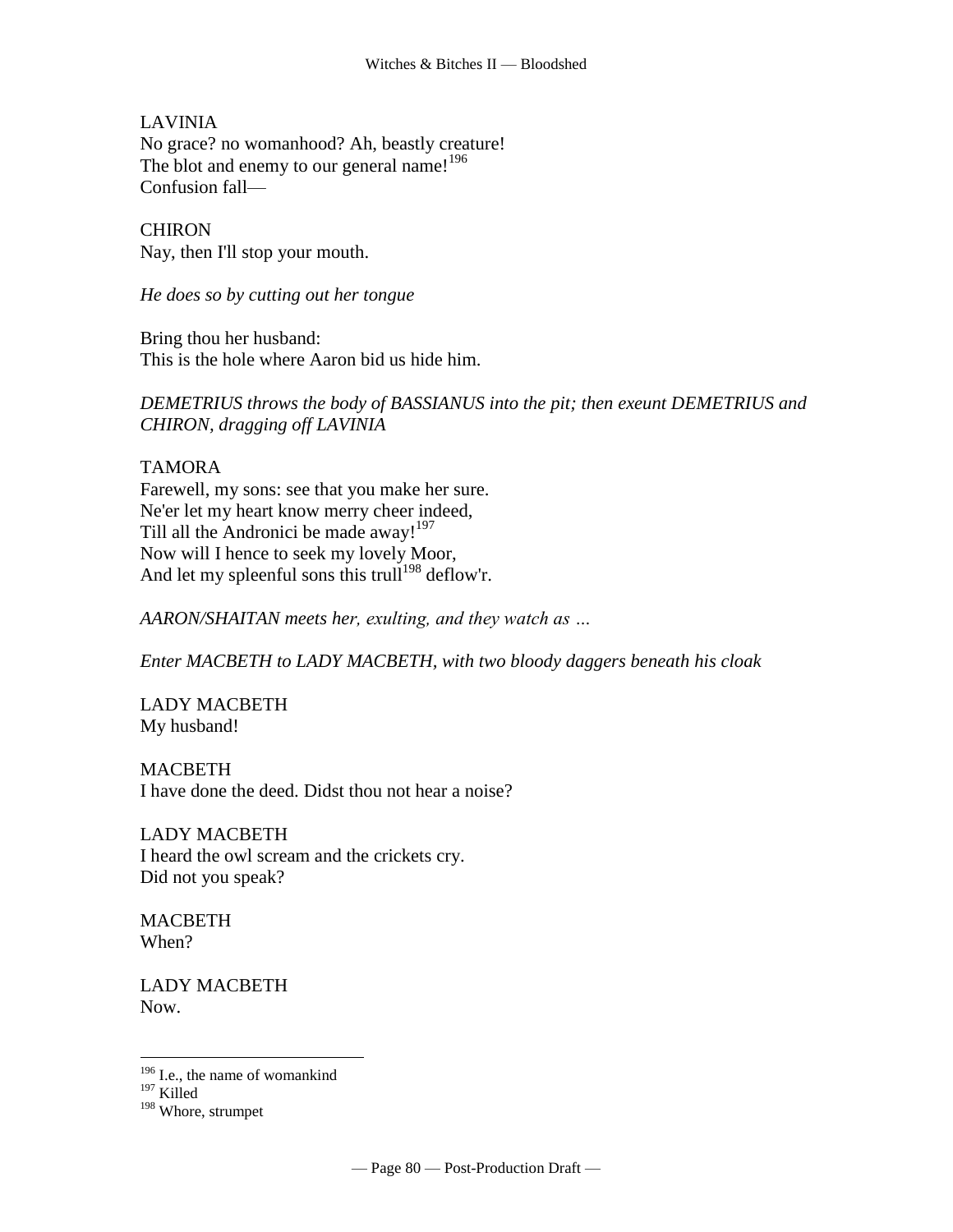LAVINIA

No grace? no womanhood? Ah, beastly creature! The blot and enemy to our general name!<sup>196</sup> Confusion fall—

CHIRON Nay, then I'll stop your mouth.

*He does so by cutting out her tongue*

Bring thou her husband: This is the hole where Aaron bid us hide him.

*DEMETRIUS throws the body of BASSIANUS into the pit; then exeunt DEMETRIUS and CHIRON, dragging off LAVINIA*

TAMORA Farewell, my sons: see that you make her sure. Ne'er let my heart know merry cheer indeed, Till all the Andronici be made away!<sup>197</sup> Now will I hence to seek my lovely Moor, And let my spleenful sons this trull<sup>198</sup> deflow'r.

*AARON/SHAITAN meets her, exulting, and they watch as …*

*Enter MACBETH to LADY MACBETH, with two bloody daggers beneath his cloak*

LADY MACBETH My husband!

**MACBETH** I have done the deed. Didst thou not hear a noise?

LADY MACBETH I heard the owl scream and the crickets cry. Did not you speak?

**MACBETH** When?

LADY MACBETH Now.

<sup>&</sup>lt;sup>196</sup> I.e., the name of womankind

<sup>197</sup> Killed

<sup>198</sup> Whore, strumpet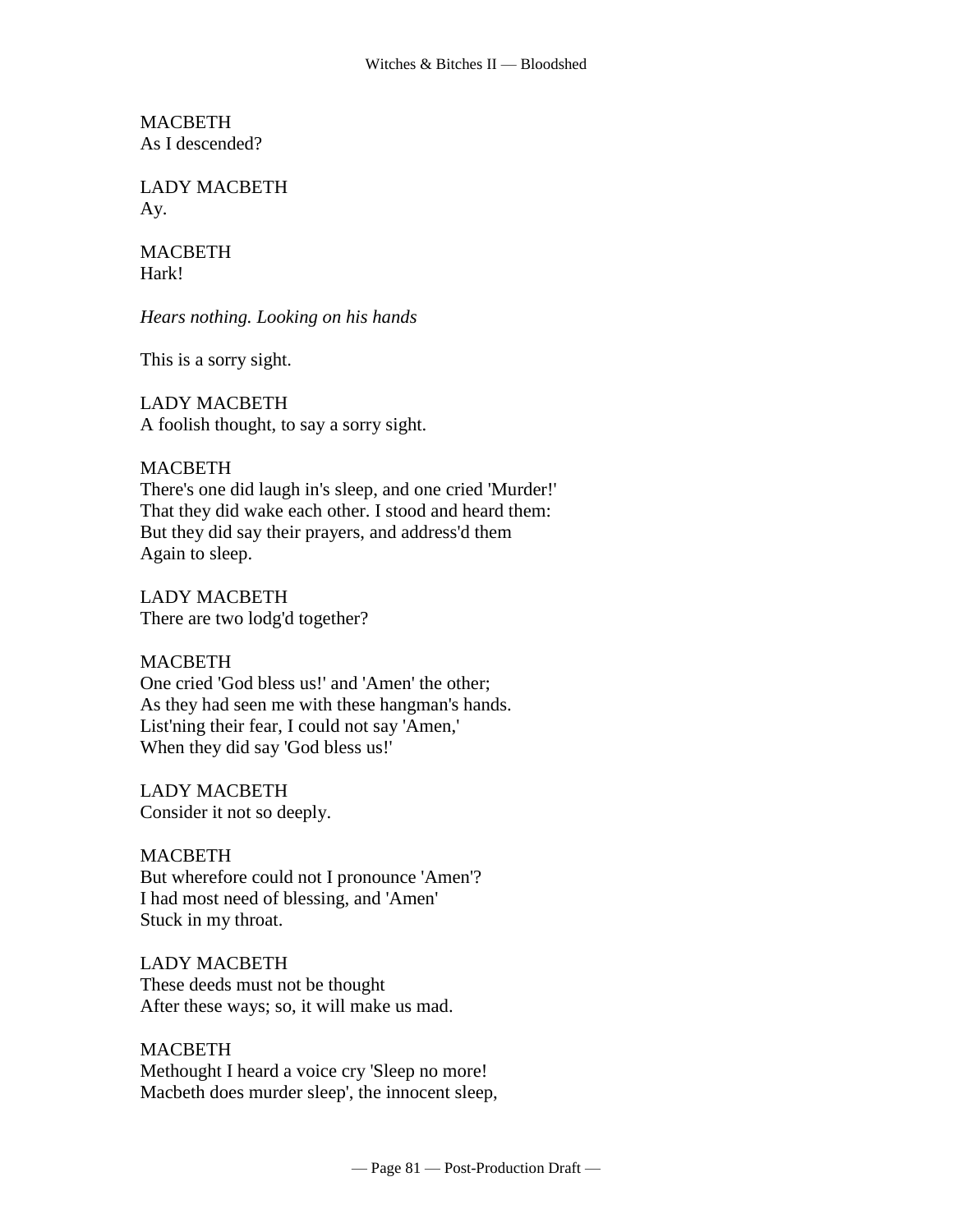MACBETH As I descended?

LADY MACBETH Ay.

# **MACBETH** Hark!

*Hears nothing. Looking on his hands*

This is a sorry sight.

# LADY MACBETH

A foolish thought, to say a sorry sight.

# **MACBETH**

There's one did laugh in's sleep, and one cried 'Murder!' That they did wake each other. I stood and heard them: But they did say their prayers, and address'd them Again to sleep.

LADY MACBETH There are two lodg'd together?

# MACBETH

One cried 'God bless us!' and 'Amen' the other; As they had seen me with these hangman's hands. List'ning their fear, I could not say 'Amen,' When they did say 'God bless us!'

LADY MACBETH Consider it not so deeply.

# MACBETH

But wherefore could not I pronounce 'Amen'? I had most need of blessing, and 'Amen' Stuck in my throat.

LADY MACBETH These deeds must not be thought After these ways; so, it will make us mad.

# MACBETH

Methought I heard a voice cry 'Sleep no more! Macbeth does murder sleep', the innocent sleep,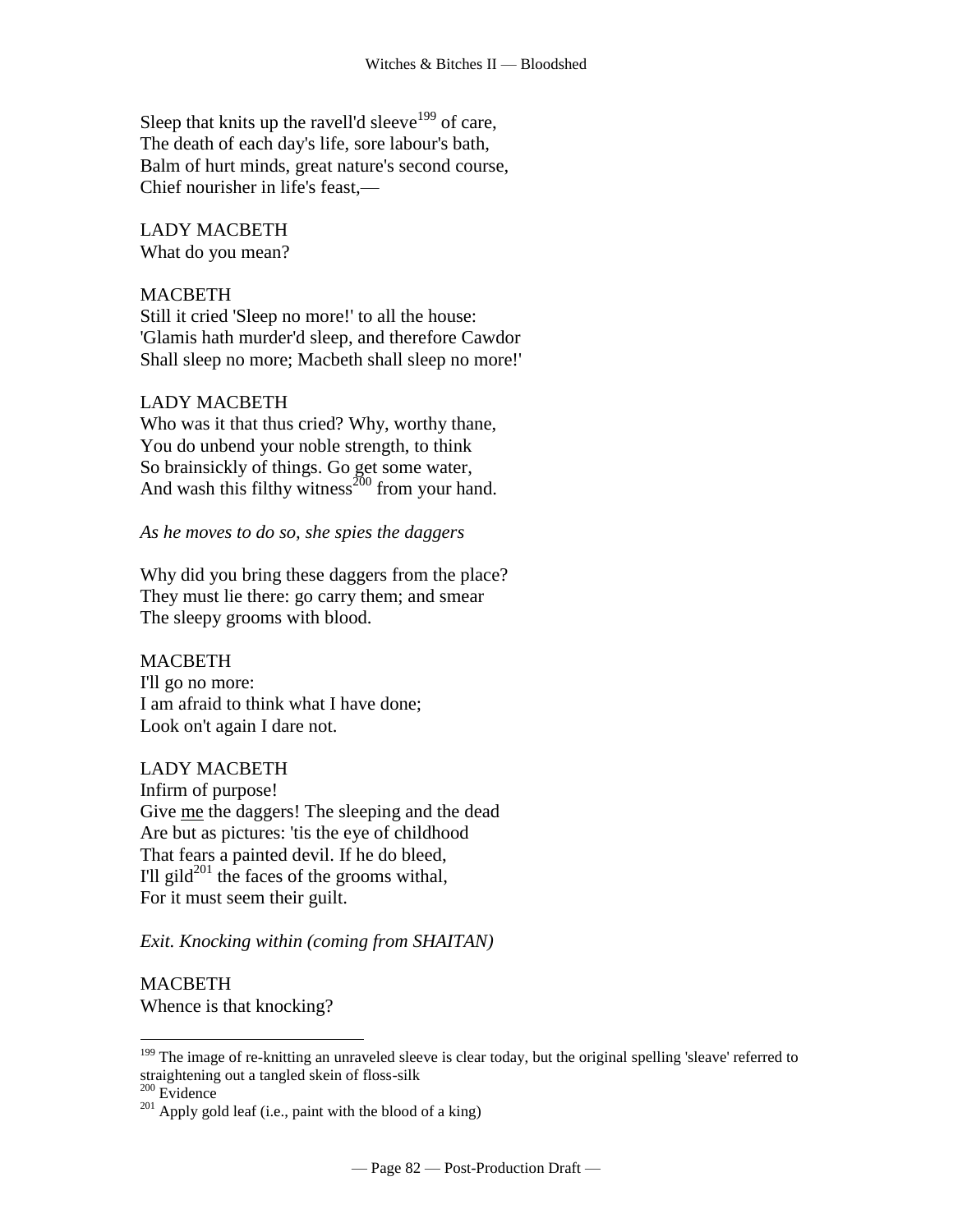Sleep that knits up the ravell'd sleeve<sup>199</sup> of care, The death of each day's life, sore labour's bath, Balm of hurt minds, great nature's second course, Chief nourisher in life's feast,—

LADY MACBETH What do you mean?

## MACBETH

Still it cried 'Sleep no more!' to all the house: 'Glamis hath murder'd sleep, and therefore Cawdor Shall sleep no more; Macbeth shall sleep no more!'

## LADY MACBETH

Who was it that thus cried? Why, worthy thane, You do unbend your noble strength, to think So brainsickly of things. Go get some water, And wash this filthy witness $^{200}$  from your hand.

*As he moves to do so, she spies the daggers*

Why did you bring these daggers from the place? They must lie there: go carry them; and smear The sleepy grooms with blood.

## MACBETH

I'll go no more: I am afraid to think what I have done; Look on't again I dare not.

## LADY MACBETH

Infirm of purpose! Give me the daggers! The sleeping and the dead Are but as pictures: 'tis the eye of childhood That fears a painted devil. If he do bleed, I'll gild $^{201}$  the faces of the grooms withal, For it must seem their guilt.

## *Exit. Knocking within (coming from SHAITAN)*

MACBETH

Whence is that knocking?

 $200$  Evidence

<sup>&</sup>lt;sup>199</sup> The image of re-knitting an unraveled sleeve is clear today, but the original spelling 'sleave' referred to straightening out a tangled skein of floss-silk

 $^{201}$  Apply gold leaf (i.e., paint with the blood of a king)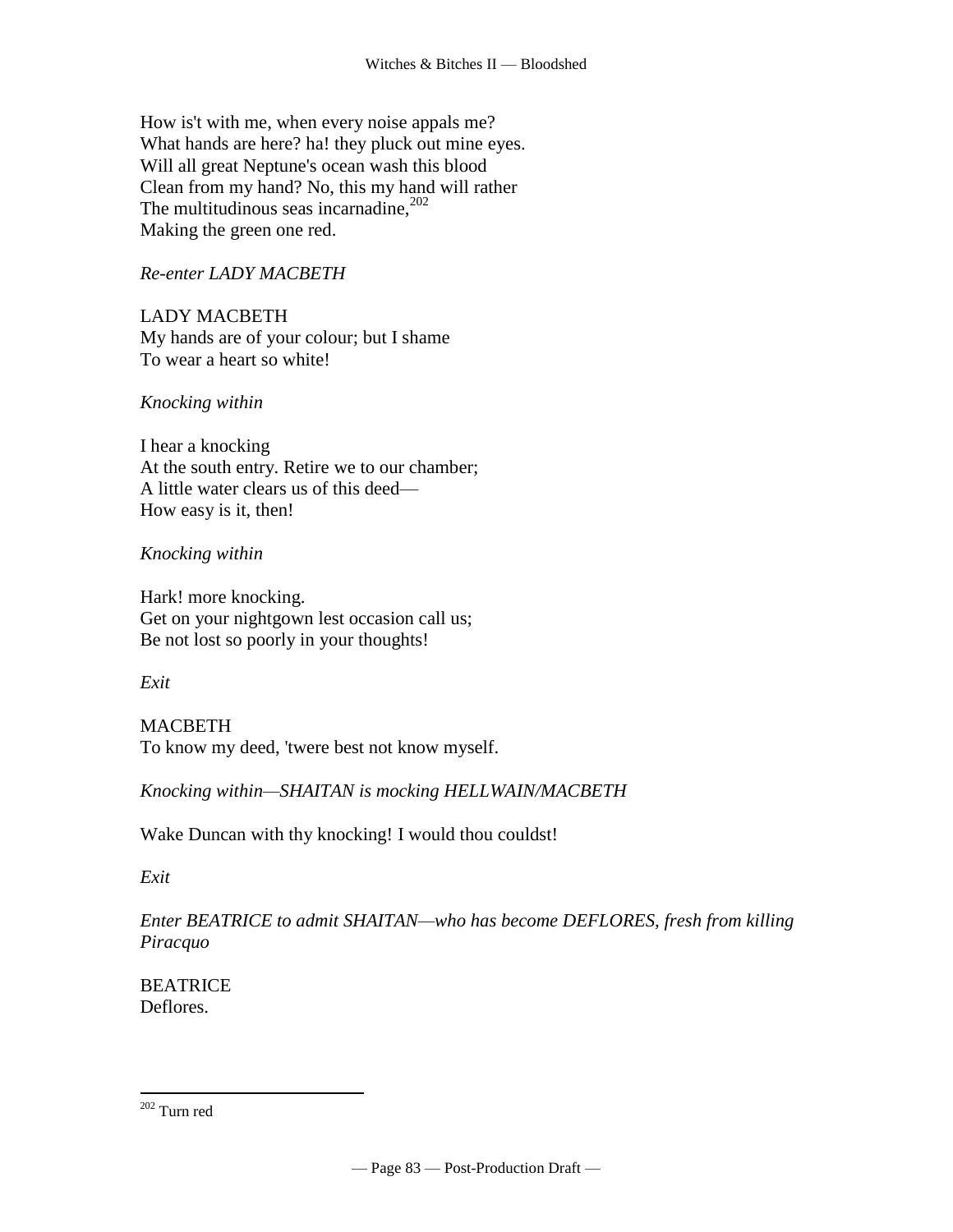How is't with me, when every noise appals me? What hands are here? ha! they pluck out mine eyes. Will all great Neptune's ocean wash this blood Clean from my hand? No, this my hand will rather The multitudinous seas incarnadine, $202$ Making the green one red.

# *Re-enter LADY MACBETH*

LADY MACBETH My hands are of your colour; but I shame To wear a heart so white!

# *Knocking within*

I hear a knocking At the south entry. Retire we to our chamber; A little water clears us of this deed— How easy is it, then!

# *Knocking within*

Hark! more knocking. Get on your nightgown lest occasion call us; Be not lost so poorly in your thoughts!

# *Exit*

MACBETH To know my deed, 'twere best not know myself.

*Knocking within—SHAITAN is mocking HELLWAIN/MACBETH*

Wake Duncan with thy knocking! I would thou couldst!

*Exit* 

*Enter BEATRICE to admit SHAITAN—who has become DEFLORES, fresh from killing Piracquo*

**BEATRICE** Deflores.

<sup>202</sup> Turn red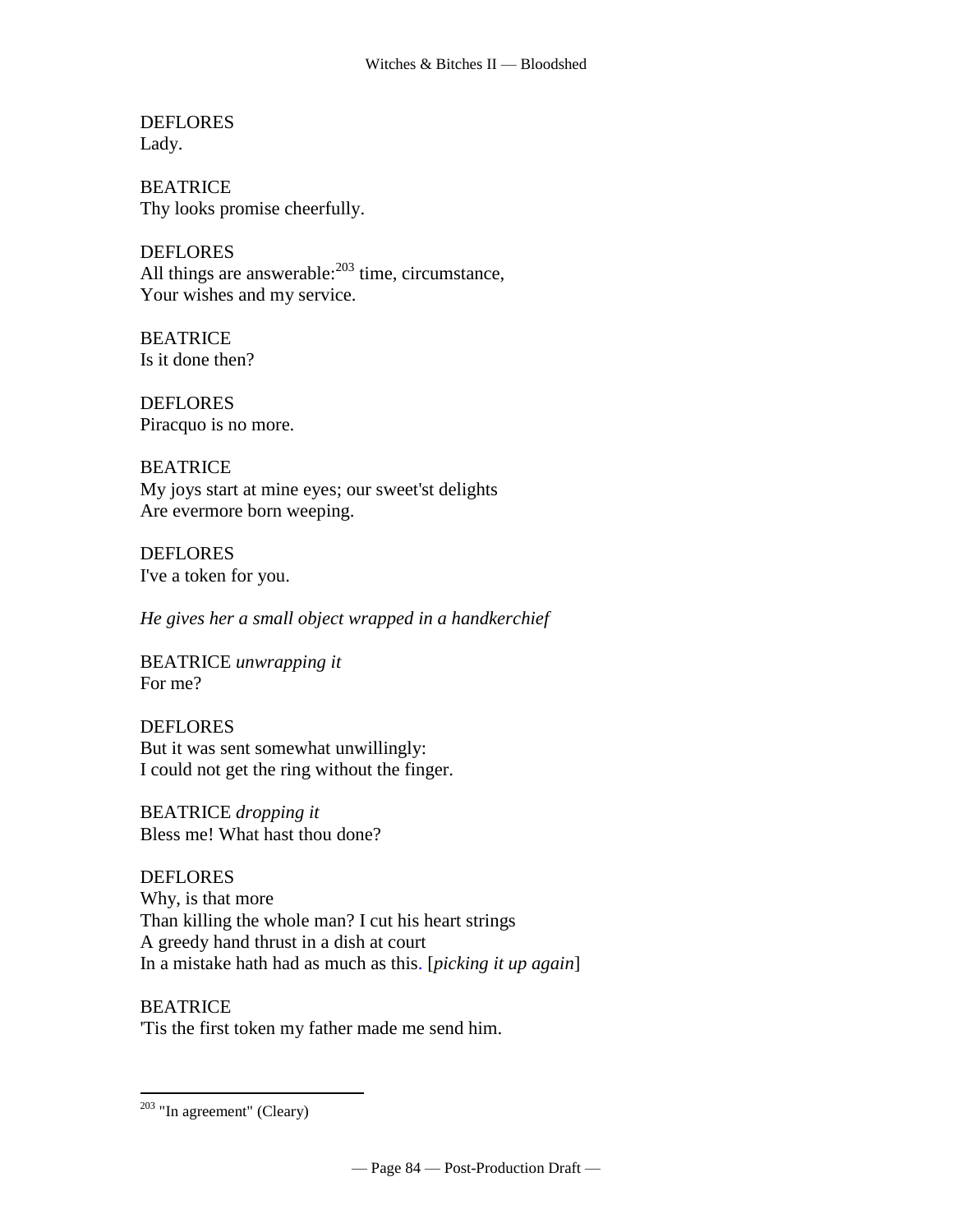**DEFLORES** Lady.

BEATRICE Thy looks promise cheerfully.

**DEFLORES** All things are [answerable:](http://www.tech.org/~cleary/change.html#ANSWERAB) $203$  time, circumstance, Your wishes and my service.

**BEATRICE** Is it done then?

DEFLORES Piracquo is no more.

BEATRICE My joys start at mine eyes; our sweet'st delights Are evermore born weeping.

DEFLORES I've a [token](http://www.tech.org/~cleary/change.html#TOKEN) for you.

*He gives her a small object wrapped in a handkerchief*

BEATRICE *unwrapping it* For me?

DEFLORES But it was sent somewhat unwillingly: I could not get the ring without the finger.

BEATRICE *dropping it* Bless me! What hast thou done?

**DEFLORES** Why, is that more Than killing the whole man? I cut his heart strings [A greedy hand thrust in a dish at court](http://www.tech.org/~cleary/change.html#AGREEDYH)  [In a mistake hath had as much as this.](http://www.tech.org/~cleary/change.html#AGREEDYH) [*picking it up again*]

**BEATRICE** 'Tis the first token my father made me send him.

 $203$  "In agreement" (Cleary)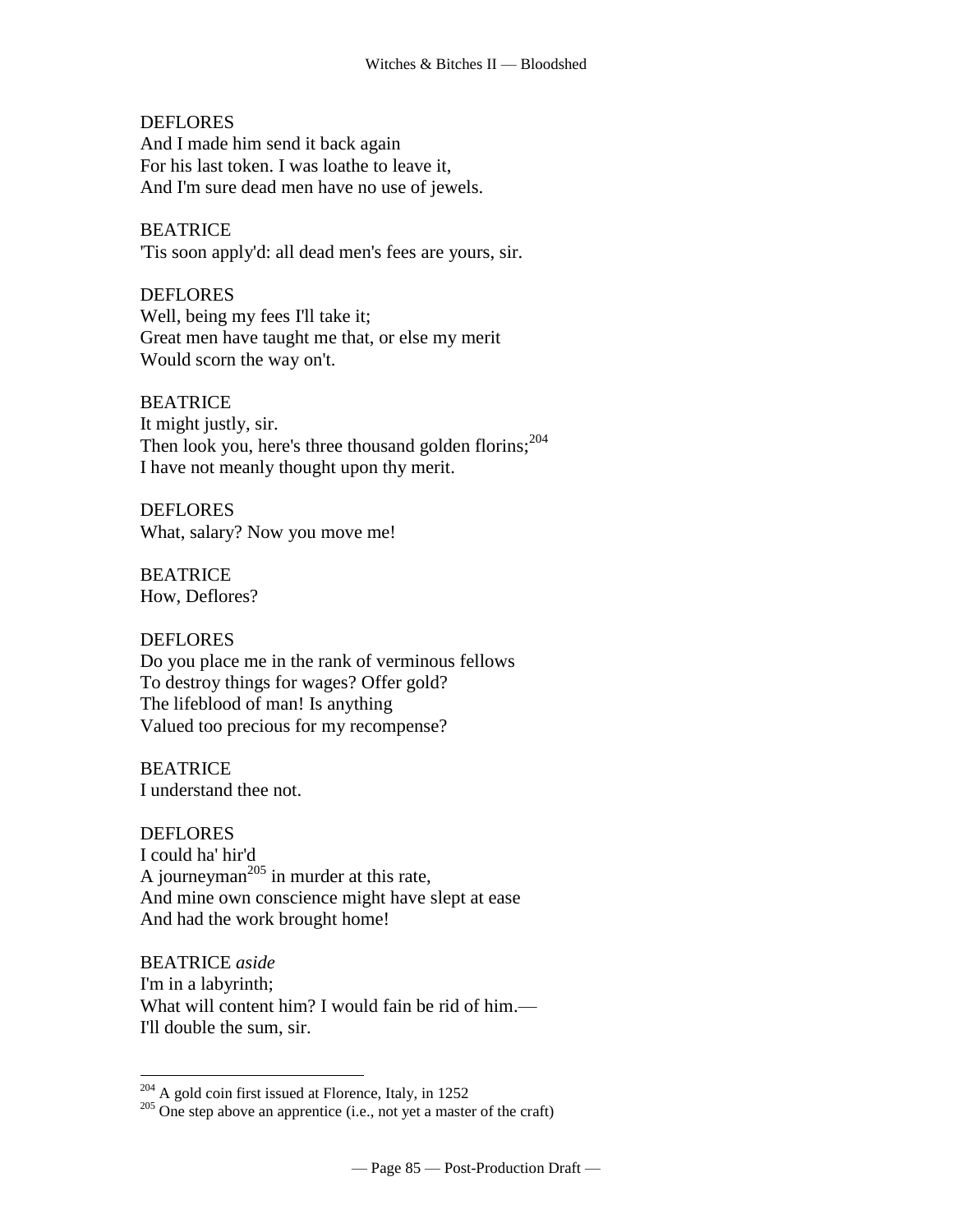**DEFLORES** And I made him send it back again For his last token. I was loathe to leave it, And I'm sure dead men have no use of jewels.

BEATRICE 'Tis soon apply'd: all dead men's fees are yours, sir.

**DEFLORES** Well, being my fees I'll take it; Great men have taught me that, or else my merit Would scorn the way on't.

**BEATRICE** It might justly, sir. Then look you, here's three thousand golden florins; $^{204}$ I have not meanly thought upon thy merit.

DEFLORES What, salary? Now you move me!

BEATRICE How, Deflores?

## DEFLORES

 $\overline{a}$ 

Do you place me in the rank of verminous fellows To destroy things for wages? Offer gold? The lifeblood of man! Is anything Valued too precious for my recompense?

**BEATRICE** I understand thee not.

DEFLORES I could ha' hir'd A [journeyman](http://www.tech.org/~cleary/change.html#JOURNEYM)<sup> $205$ </sup> in murder at this rate, And mine own conscience might have [slept at ease](http://www.tech.org/~cleary/change.html#SLEPTATE) And had the work brought home!

BEATRICE *aside* I'm in a labyrinth; What will content him? I would fain be rid of him.— I'll double the sum, sir.

 $204$  A gold coin first issued at Florence, Italy, in 1252

 $205$  One step above an apprentice (i.e., not yet a master of the craft)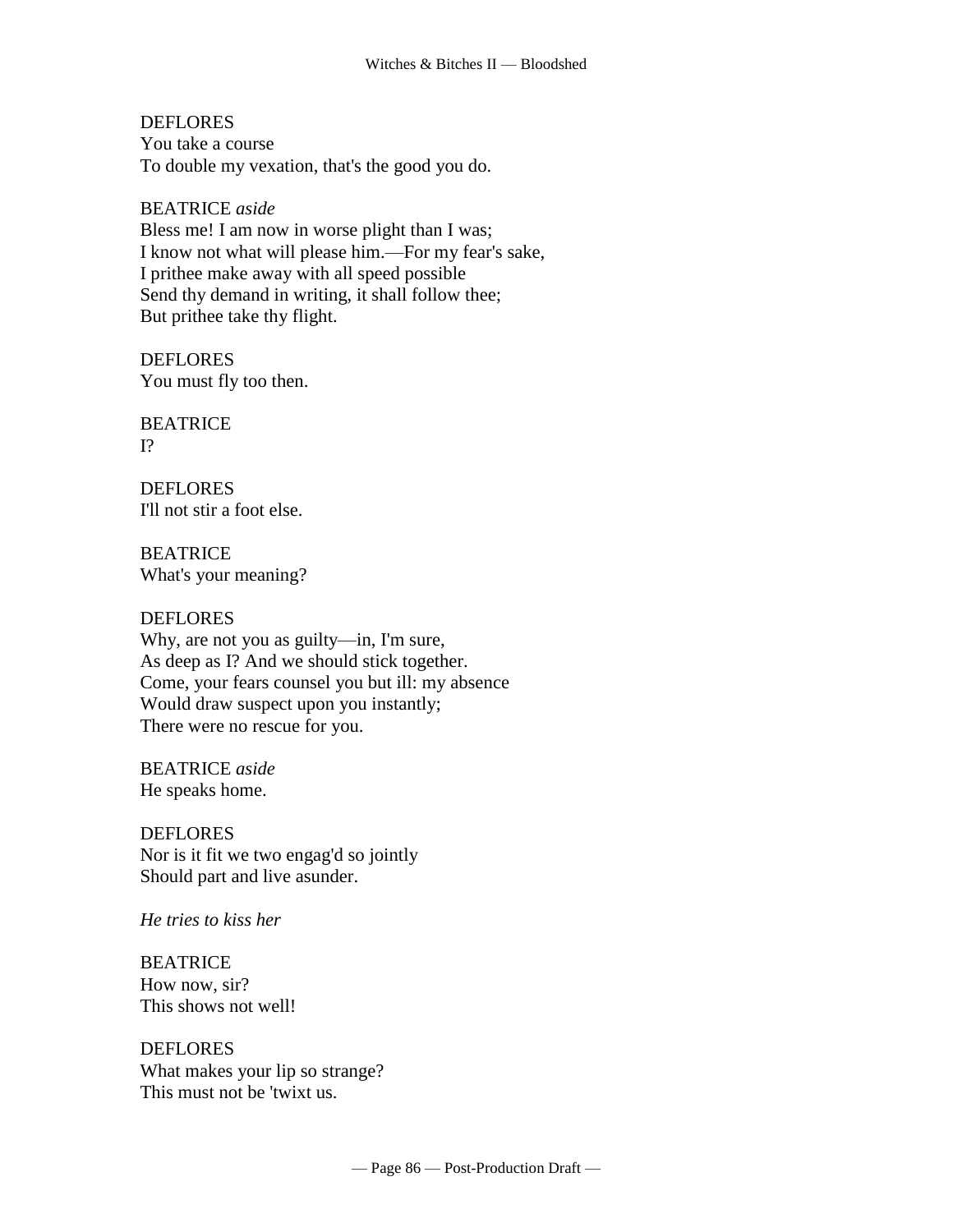**DEFLORES** You take a course To double my vexation, that's the good you do.

#### BEATRICE *aside*

Bless me! I am now in worse plight than I was; I know not what will please him.—For my fear's sake, I prithee make away with all speed possible Send thy demand in writing, it shall follow thee; But prithee take thy flight.

**DEFLORES** You must fly too then.

BEATRICE  $I<sup>2</sup>$ 

**DEFLORES** I'll not stir a foot else.

BEATRICE What's your meaning?

#### **DEFLORES**

Why, are not you as guilty—in, I'm sure, As deep as I? And we should stick together. Come, your fears counsel you but ill: my absence Would draw suspect upon you instantly; There were no rescue for you.

BEATRICE *aside* He speaks home.

DEFLORES Nor is it fit we two engag'd so jointly Should part and live asunder.

*He tries to kiss her*

BEATRICE How now, sir? This shows not well!

DEFLORES What makes your lip so strange? This must not be 'twixt us.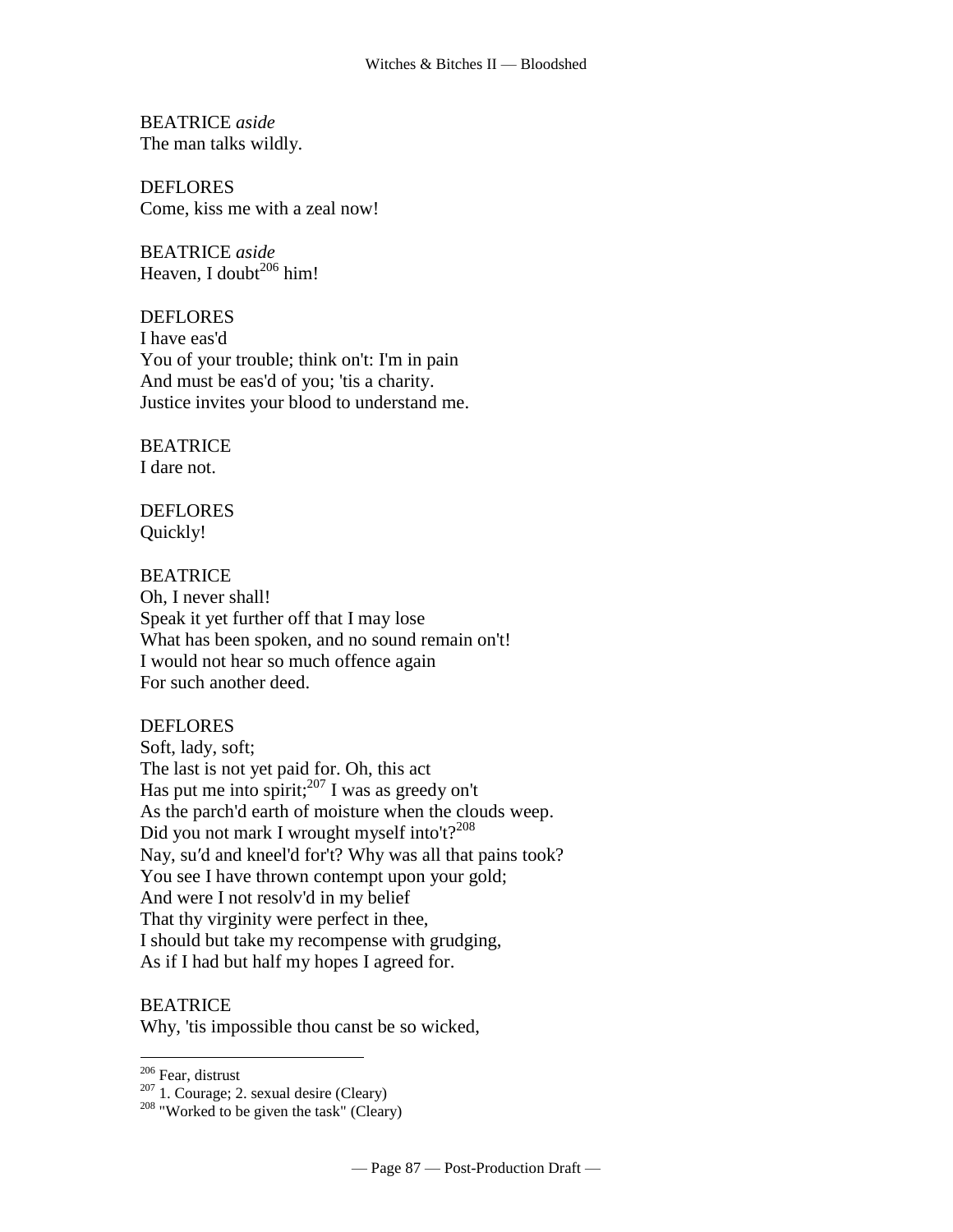BEATRICE *aside* The man talks wildly.

DEFLORES Come, kiss me with a zeal now!

BEATRICE *aside* Heaven, I [doubt](http://www.tech.org/~cleary/change.html#DOUBT2) $^{206}$  him!

DEFLORES I have eas'd You of your trouble; think on't: I'm in pain And must be eas'd of you; 'tis a charity. Justice invites your blood to understand me.

#### BEATRICE I dare not.

DEFLORES Quickly!

## **BEATRICE**

Oh, I never shall! Speak it yet further off that I may lose What has been spoken, and no sound remain on't! I would not hear so much offence again For such another deed.

## DEFLORES

Soft, lady, soft; The last is not yet paid for. Oh, this act Has put me into [spirit;](http://www.tech.org/~cleary/change.html#SPIRIT) <sup>207</sup> I was as greedy on't As the parch'd earth of moisture when the clouds weep. Did you not mark [I wrought myself into't?](http://www.tech.org/~cleary/change.html#IWROUGHT)<sup>208</sup> Nay, su′d and kneel'd for't? Why was all that pains took? You see I have thrown contempt upon your gold; And were I not resolv'd in my belief That thy virginity were perfect in thee, I should but take my recompense with grudging, As if I had but half my hopes I agreed for.

## BEATRICE

Why, 'tis impossible thou canst be so wicked,

<sup>&</sup>lt;sup>206</sup> Fear, distrust

 $207$  1. Courage; 2. sexual desire (Cleary)

<sup>&</sup>lt;sup>208</sup> "Worked to be given the task" (Cleary)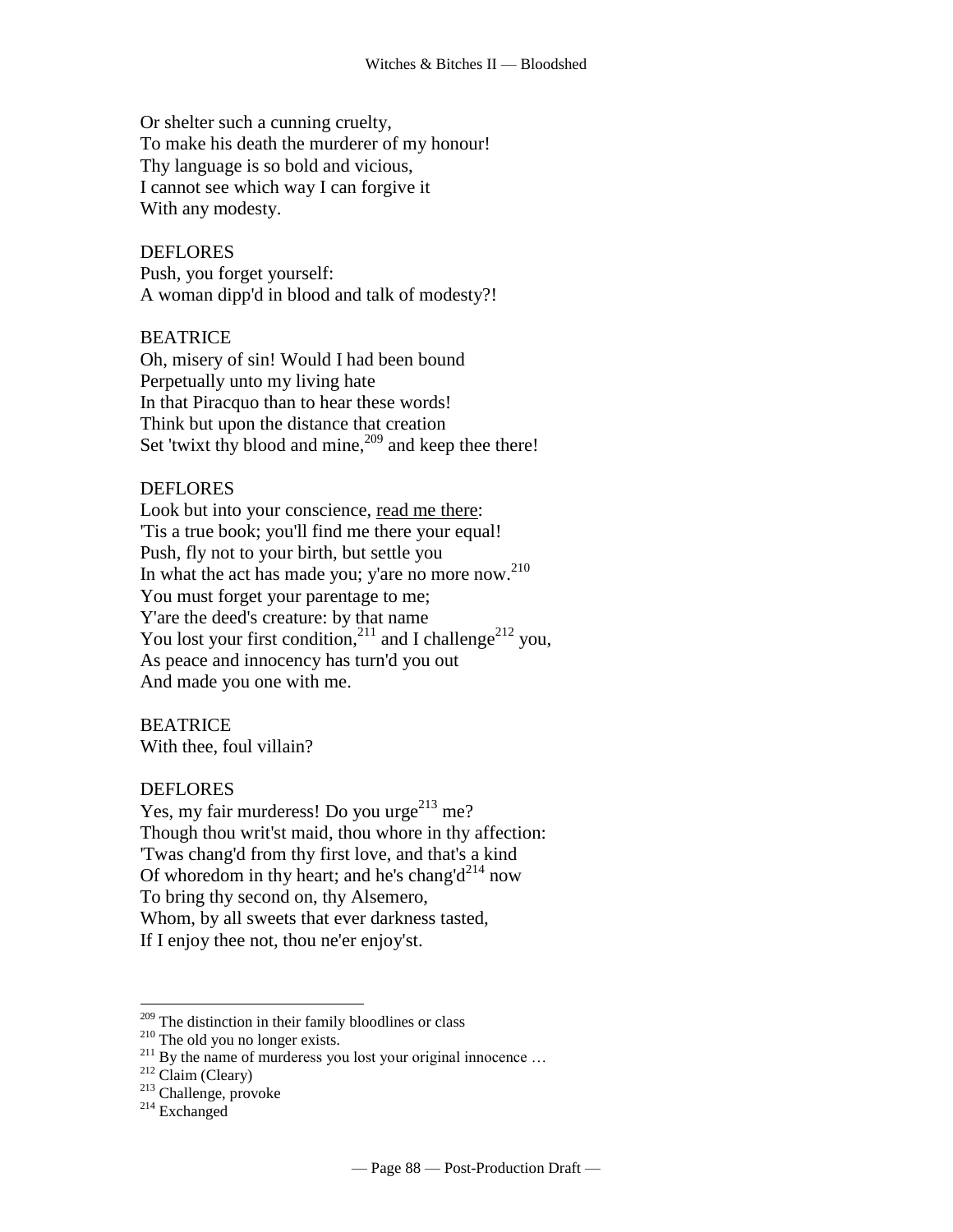Or shelter such a cunning cruelty, To make his death the murderer of my honour! Thy language is so bold and vicious, I cannot see which way I can forgive it With any modesty.

DEFLORES Push, you forget yourself: A woman dipp'd in blood and talk of modesty?!

## BEATRICE

Oh, misery of sin! Would I had been bound Perpetually unto my living hate In that Piracquo than to hear these words! Think but upon the [distance that creation](http://www.tech.org/~cleary/change.html#DISTANCE)  [Set 'twixt thy blood and mine,](http://www.tech.org/~cleary/change.html#DISTANCE)<sup>209</sup> and keep thee there!

## **DEFLORES**

Look but into your conscience, read me there: 'Tis a true book; you'll find me there your equal! Push, fly not to your birth, but settle you In what the act has made you; y'are [no more](http://www.tech.org/~cleary/change.html#NOMORE) now.<sup>210</sup> You must forget your parentage to me; Y'are the deed's creature: by that name You lost your [first condition,](http://www.tech.org/~cleary/change.html#FIRSTCON)<sup>211</sup> and I [challenge](http://www.tech.org/~cleary/change.html#CHALLENG)<sup>212</sup> you, As peace and innocency has turn'd you out And made you one with me.

BEATRICE With thee, foul villain?

## **DEFLORES**

Yes, my fair murderess! Do you [urge](http://www.tech.org/~cleary/change.html#URGE) $^{213}$  me? Though thou writ'st maid, thou whore in thy affection: 'Twas chang'd from thy first love, and that's a kind Of whoredom in thy heart; and [he's chang'd](http://www.tech.org/~cleary/change.html#HESCHANG)<sup>214</sup> now To bring thy second on, thy Alsemero, Whom, by all sweets that ever darkness tasted, If I enjoy thee not, thou ne'er enjoy'st.

<sup>214</sup> Exchanged

<sup>&</sup>lt;sup>209</sup> The distinction in their family bloodlines or class

<sup>210</sup> The old you no longer exists.

<sup>&</sup>lt;sup>211</sup> By the name of murderess you lost your original innocence ...  $2^{12}$  Claim (Cleary)

<sup>213</sup> Challenge, provoke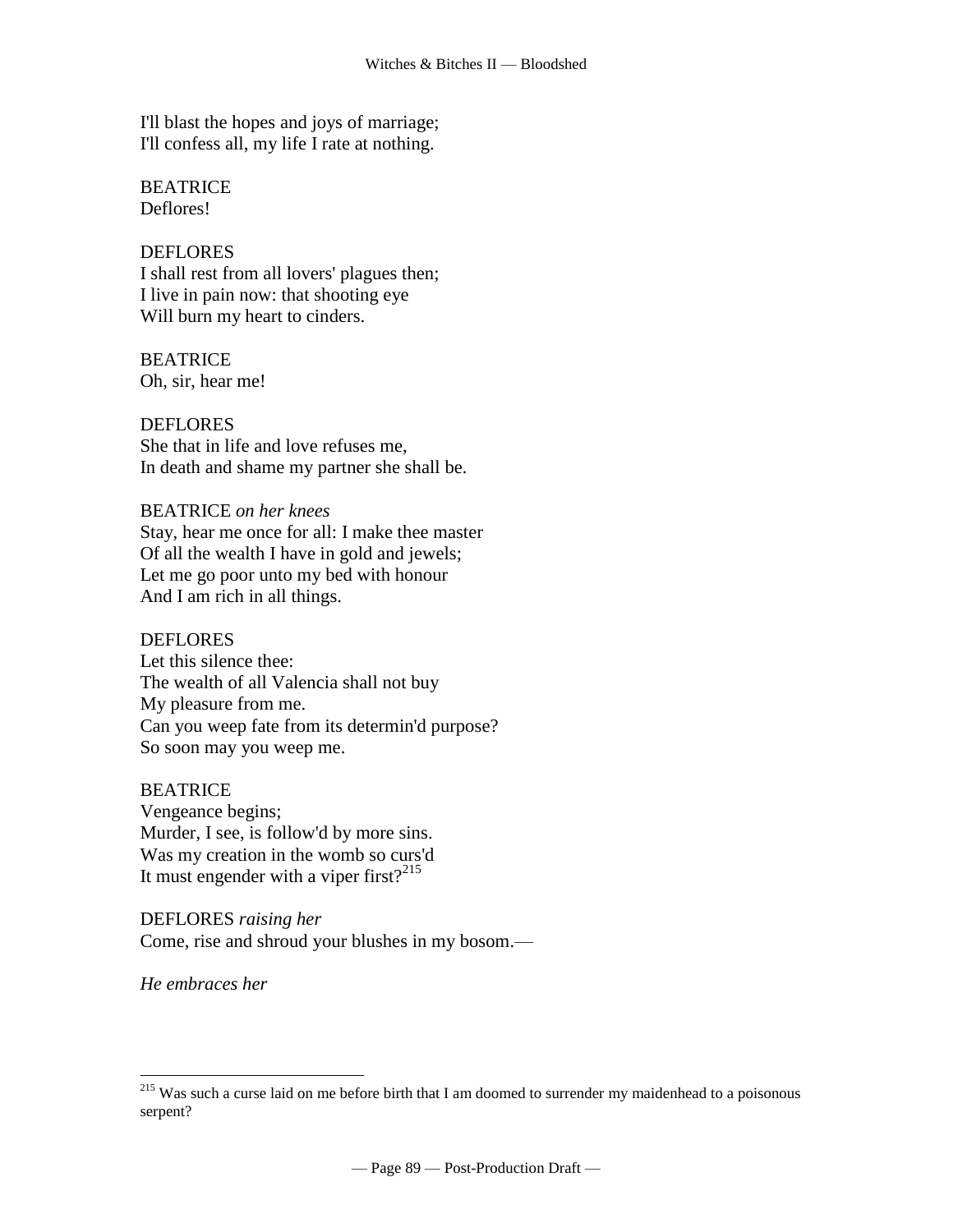I'll blast the hopes and joys of marriage; I'll confess all, my life I rate at nothing.

BEATRICE Deflores!

## DEFLORES

I shall rest from all lovers' plagues then; I live in pain now: that shooting eye Will burn my heart to cinders.

BEATRICE Oh, sir, hear me!

DEFLORES She that in life and love refuses me, In death and shame my partner she shall be.

BEATRICE *on her knees* Stay, hear me once for all: I make thee master Of all the wealth I have in gold and jewels; Let me go poor unto my bed with honour And I am rich in all things.

## DEFLORES

Let this silence thee: The wealth of all Valencia shall not buy My pleasure from me. Can you weep fate from its determin'd purpose? So soon may you weep me.

BEATRICE Vengeance begins; Murder, I see, is follow'd by more sins. [Was my creation in the womb so curs'd](http://www.tech.org/~cleary/change.html#WASMYCRE)  [It must engender with a viper first?](http://www.tech.org/~cleary/change.html#WASMYCRE) $2^{15}$ 

DEFLORES *raising her* Come, rise and shroud your blushes in my bosom.—

*He embraces her*

<sup>&</sup>lt;sup>215</sup> Was such a curse laid on me before birth that I am doomed to surrender my maidenhead to a poisonous serpent?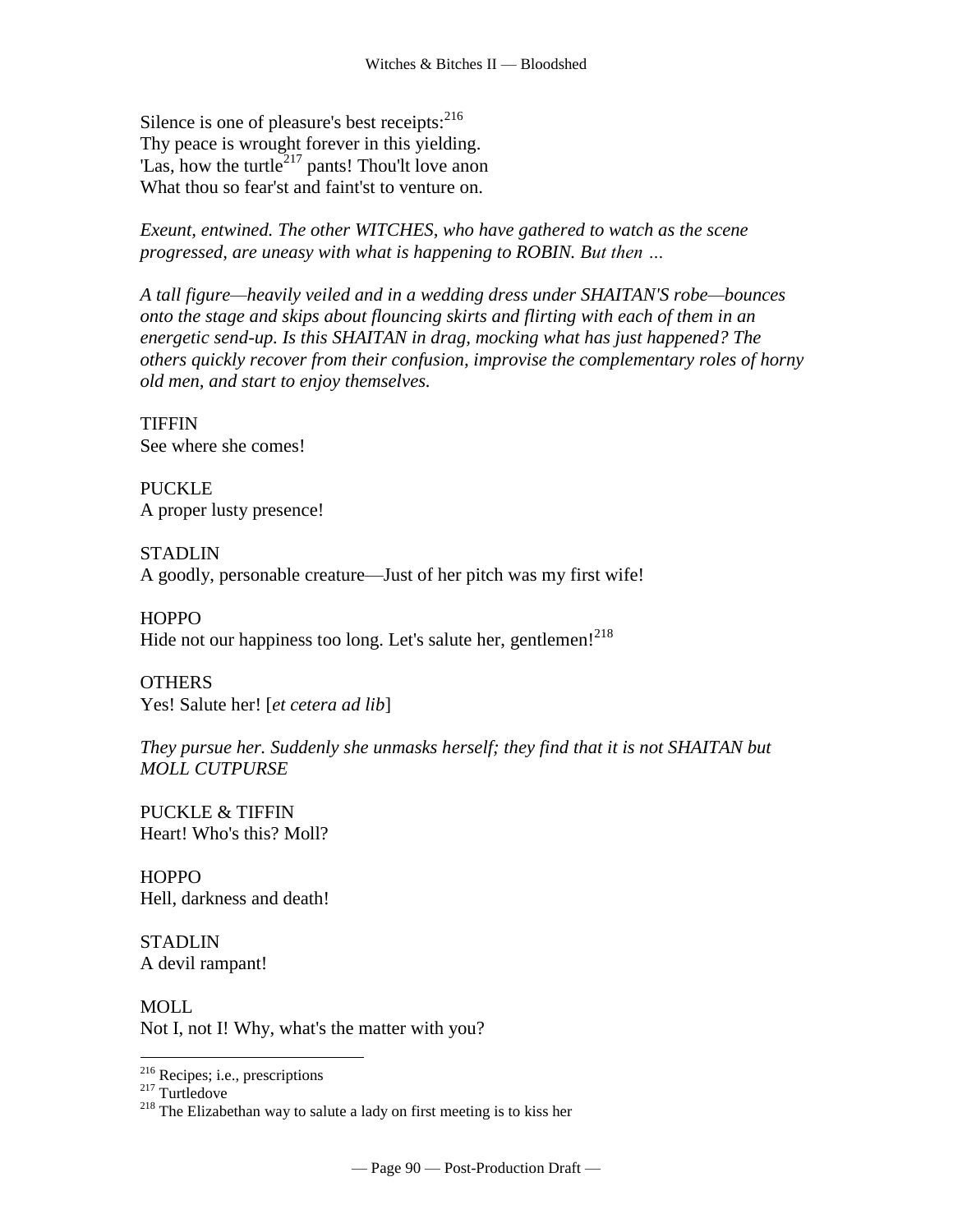Silence is one of pleasure's best [receipts:](http://www.tech.org/~cleary/change.html#RECEIPTS)  $2^{16}$ Thy peace is wrought forever in this yielding. 'Las, how the [turtle](http://www.tech.org/~cleary/change.html#TURTLE)<sup>217</sup> pants! Thou'lt love anon What thou so fear'st and faint'st to venture on.

*Exeunt, entwined. The other WITCHES, who have gathered to watch as the scene progressed, are uneasy with what is happening to ROBIN. But then …* 

*A tall figure—heavily veiled and in a wedding dress under SHAITAN'S robe—bounces onto the stage and skips about flouncing skirts and flirting with each of them in an energetic send-up. Is this SHAITAN in drag, mocking what has just happened? The others quickly recover from their confusion, improvise the complementary roles of horny old men, and start to enjoy themselves.*

**TIFFIN** See where she comes!

**PUCKLE** A proper lusty presence!

**STADLIN** A goodly, personable creature—Just of her pitch was my first wife!

**HOPPO** Hide not our happiness too long. Let's salute her, gentlemen! $^{218}$ 

**OTHERS** Yes! Salute her! [*et cetera ad lib*]

*They pursue her. Suddenly she unmasks herself; they find that it is not SHAITAN but MOLL CUTPURSE*

PUCKLE & TIFFIN Heart! Who's this? Moll?

**HOPPO** Hell, darkness and death!

**STADLIN** A devil rampant!

MOLL Not I, not I! Why, what's the matter with you?

<sup>216</sup> Recipes; i.e., prescriptions

<sup>217</sup> Turtledove

 $218$  The Elizabethan way to salute a lady on first meeting is to kiss her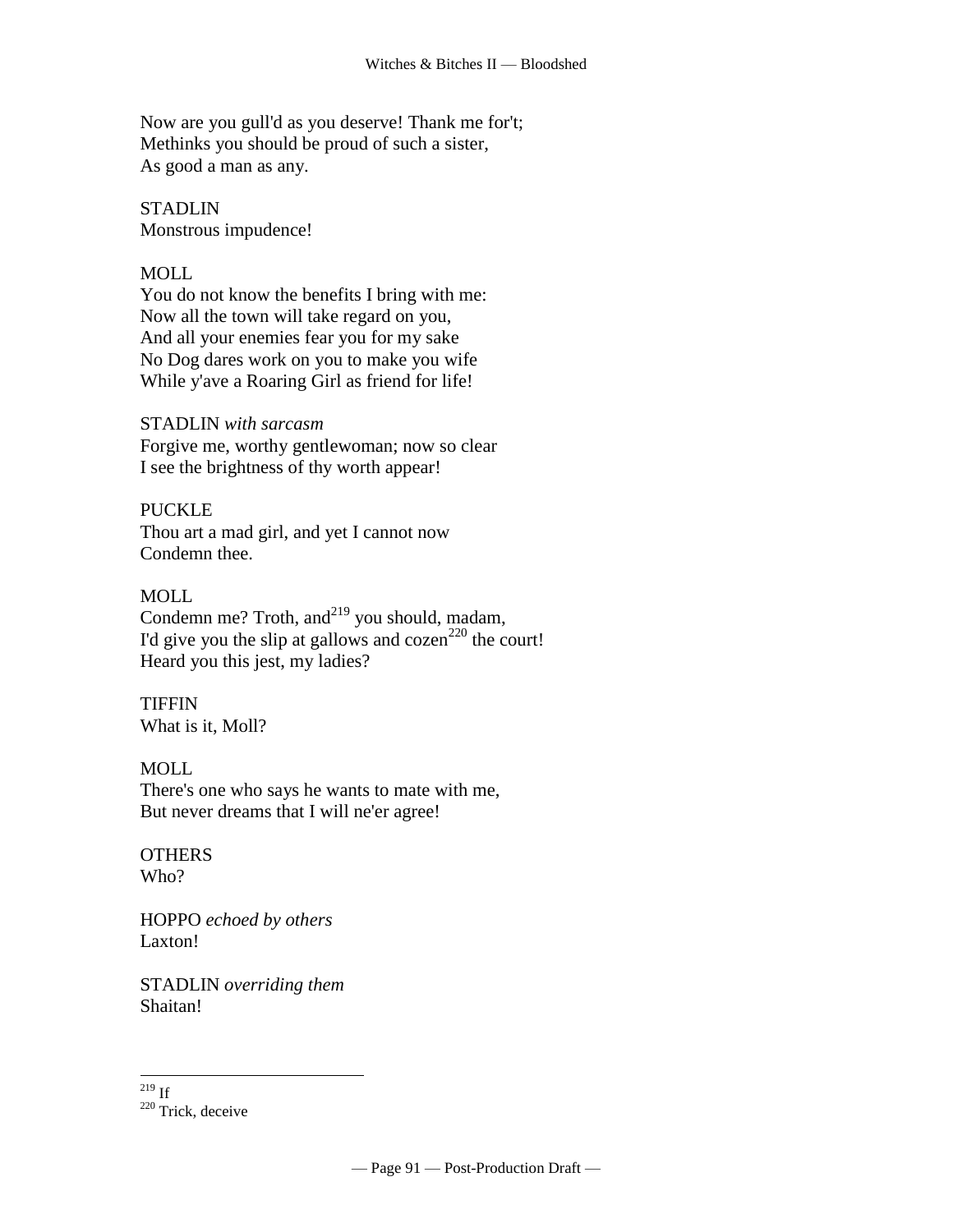Now are you gull'd as you deserve! Thank me for't; Methinks you should be proud of such a sister, As good a man as any.

STADLIN Monstrous impudence!

# MOLL

You do not know the benefits I bring with me: Now all the town will take regard on you, And all your enemies fear you for my sake No Dog dares work on you to make you wife While y'ave a Roaring Girl as friend for life!

# STADLIN *with sarcasm*

Forgive me, worthy gentlewoman; now so clear I see the brightness of thy worth appear!

PUCKLE

Thou art a mad girl, and yet I cannot now Condemn thee.

## MOLL

Condemn me? Troth, and $^{219}$  you should, madam, I'd give you the slip at gallows and cozen<sup>220</sup> the court! Heard you this jest, my ladies?

#### **TIFFIN** What is it, Moll?

# MOLL.

There's one who says he wants to mate with me, But never dreams that I will ne'er agree!

#### **OTHERS** Who?

HOPPO *echoed by others* Laxton!

STADLIN *overriding them* Shaitan!

 $\overline{a}$  $^{219}$  If

<sup>220</sup> Trick, deceive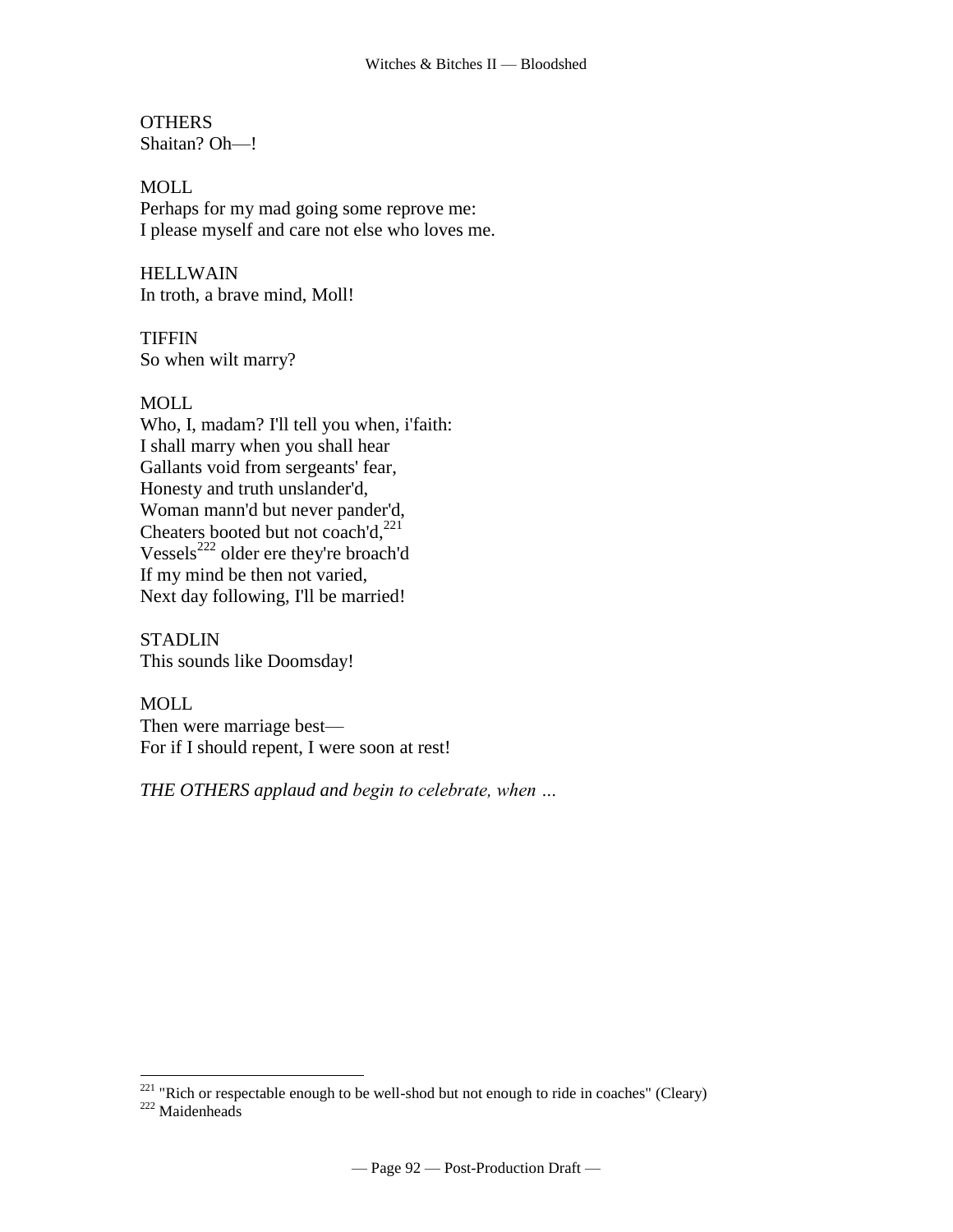**OTHERS** Shaitan? Oh—!

MOLL Perhaps for my mad going some reprove me: I please myself and care not else who loves me.

HELLWAIN In troth, a brave mind, Moll!

**TIFFIN** So when wilt marry?

## MOLL

 $\overline{a}$ 

Who, I, madam? I'll tell you when, i'faith: I shall marry when you shall hear Gallants void from sergeants' fear, Honesty and truth unslander'd, Woman mann'd but never pander'd, [Cheaters](http://www.tech.org/~cleary/roar.html#CHEATER2) [booted but not coach'd,](http://www.tech.org/~cleary/roar.html#BOOTEDBU)<sup>221</sup> [Vessels](http://www.tech.org/~cleary/roar.html#VESSELS)<sup>222</sup> older ere they're broach'd If my mind be then not varied, Next day following, I'll be married!

**STADLIN** This sounds like Doomsday!

MOLL Then were marriage best— For if I should repent, I were soon at rest!

*THE OTHERS applaud and begin to celebrate, when …*

 $221$  "Rich or respectable enough to be well-shod but not enough to ride in coaches" (Cleary) <sup>222</sup> Maidenheads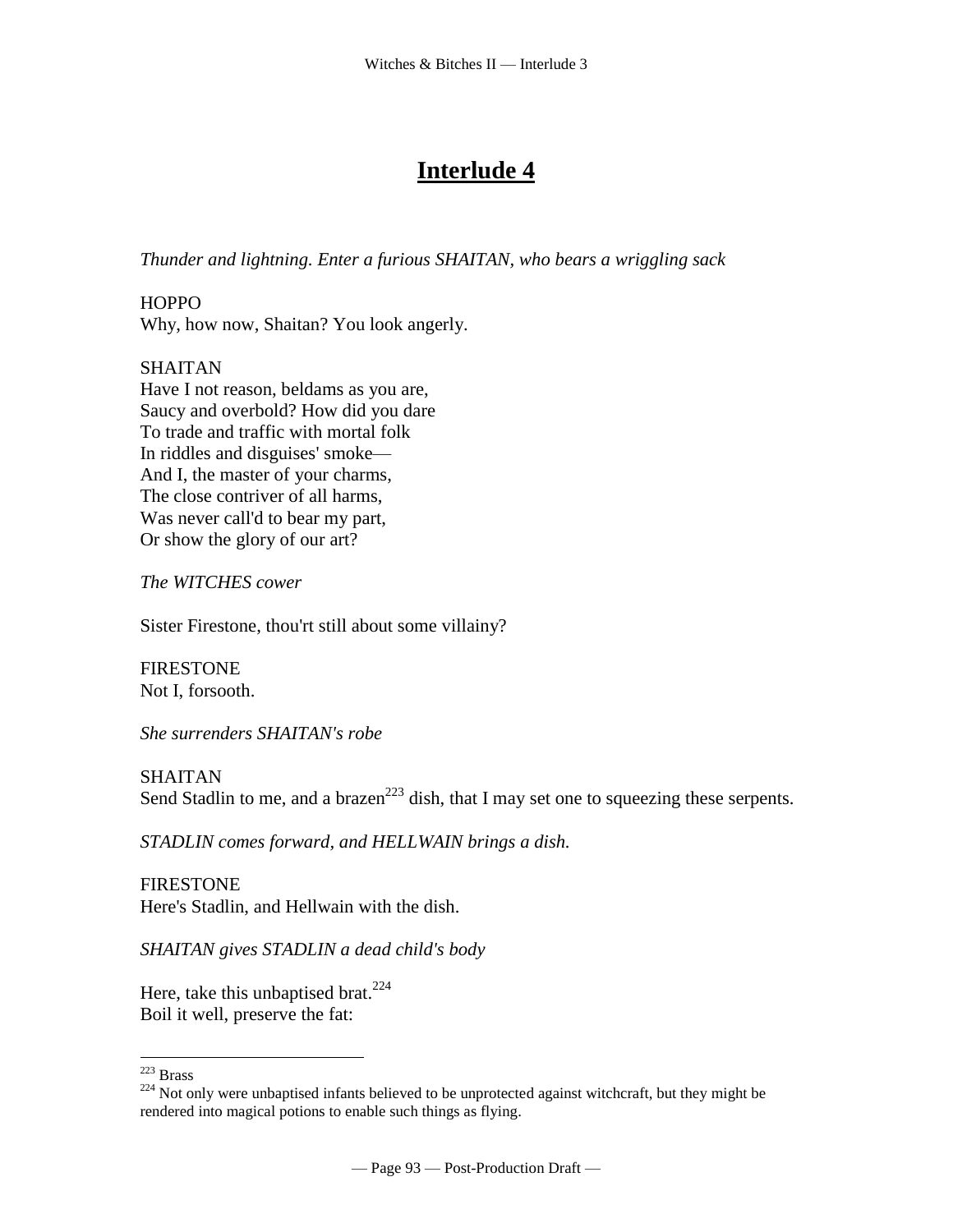# **Interlude 4**

*Thunder and lightning. Enter a furious SHAITAN, who bears a wriggling sack*

**HOPPO** Why, how now, Shaitan? You look angerly.

# SHAITAN

Have I not reason, beldams as you are, Saucy and overbold? How did you dare To trade and traffic with mortal folk In riddles and disguises' smoke— And I, the master of your charms, The close contriver of all harms, Was never call'd to bear my part, Or show the glory of our art?

*The WITCHES cower*

Sister Firestone, thou'rt still about some villainy?

FIRESTONE Not I, forsooth.

*She surrenders SHAITAN's robe*

## SHAITAN

Send Stadlin to me, and a [brazen](http://www.tech.org/~cleary/witch.html#BRAZEN)<sup>223</sup> dish, that I may set one to squeezing these serpents.

*STADLIN comes forward, and HELLWAIN brings a dish.*

FIRESTONE Here's Stadlin, and Hellwain with the dish.

*SHAITAN gives STADLIN a dead child's body*

Here, take this [unbaptised](http://www.tech.org/~cleary/witch.html#UNBAPTIS) brat.  $224$ Boil it well, preserve the fat:

<sup>223</sup> Brass

<sup>&</sup>lt;sup>224</sup> Not only were unbaptised infants believed to be unprotected against witchcraft, but they might be rendered into magical potions to enable such things as flying.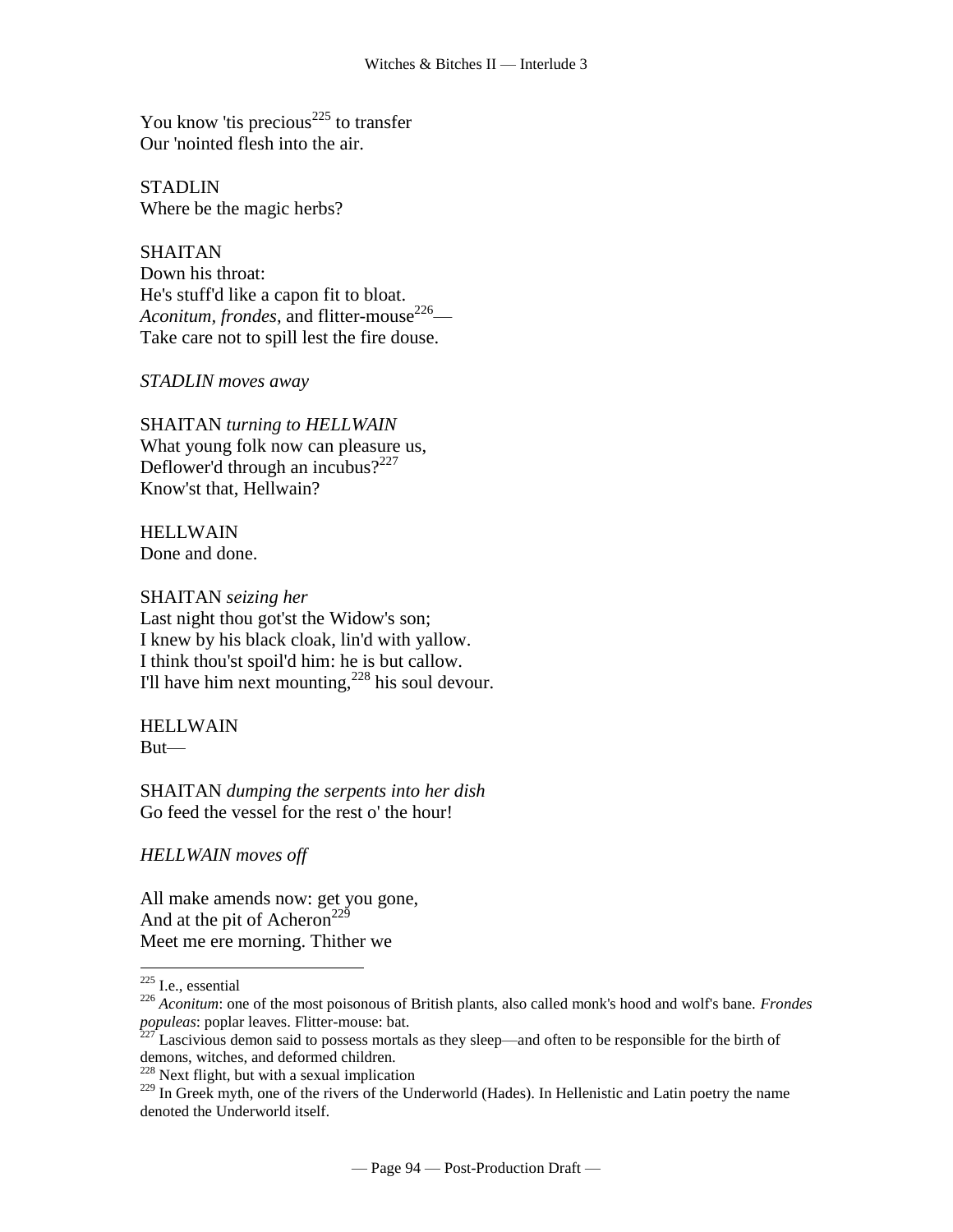You know 'tis [precious](http://www.tech.org/~cleary/witch.html#PRECIOUS)<sup> $225$ </sup> to transfer Our 'nointed flesh into the air.

**STADLIN** Where be the magic herbs?

**SHAITAN** Down his throat: He's stuff'd like a capon fit to bloat. *[Aconitum,](http://www.tech.org/~cleary/witch.html#ACONITUM) frondes*, and [flitter-mouse](http://www.tech.org/~cleary/witch.html#FLITTERM)<sup>226</sup>— Take care not to spill lest the fire douse.

*STADLIN moves away*

SHAITAN *turning to HELLWAIN* What young folk now can pleasure us, Deflower'd through an [incubus?](http://www.tech.org/~cleary/witch.html#INCUBUS)<sup>227</sup> Know'st that, Hellwain?

**HELLWAIN** Done and done.

SHAITAN *seizing her* Last night thou got'st the Widow's son; I knew by his black cloak, lin'd with [yallow.](http://www.tech.org/~cleary/witch.html#YALLOW) I think thou'st spoil'd him: he is but callow. I'll have him next [mounting,](http://www.tech.org/~cleary/witch.html#MOUNTING) $^{228}$  his soul devour.

HELLWAIN But—

SHAITAN *dumping the serpents into her dish* Go feed the vessel for the rest o' the hour!

*HELLWAIN moves off* 

All make amends now: get you gone, And at the pit of Acheron<sup>229</sup> Meet me ere morning. Thither we

 $\overline{a}$ 

 $228$  Next flight, but with a sexual implication

 $225$  I.e., essential

<sup>226</sup> *Aconitum*: one of the most poisonous of British plants, also called monk's hood and wolf's bane. *Frondes populeas*: poplar leaves. Flitter-mouse: bat.

 $2^{27}$  Lascivious demon said to possess mortals as they sleep—and often to be responsible for the birth of demons, witches, and deformed children.

<sup>&</sup>lt;sup>229</sup> In Greek myth, one of the rivers of the Underworld (Hades). In Hellenistic and Latin poetry the name denoted the Underworld itself.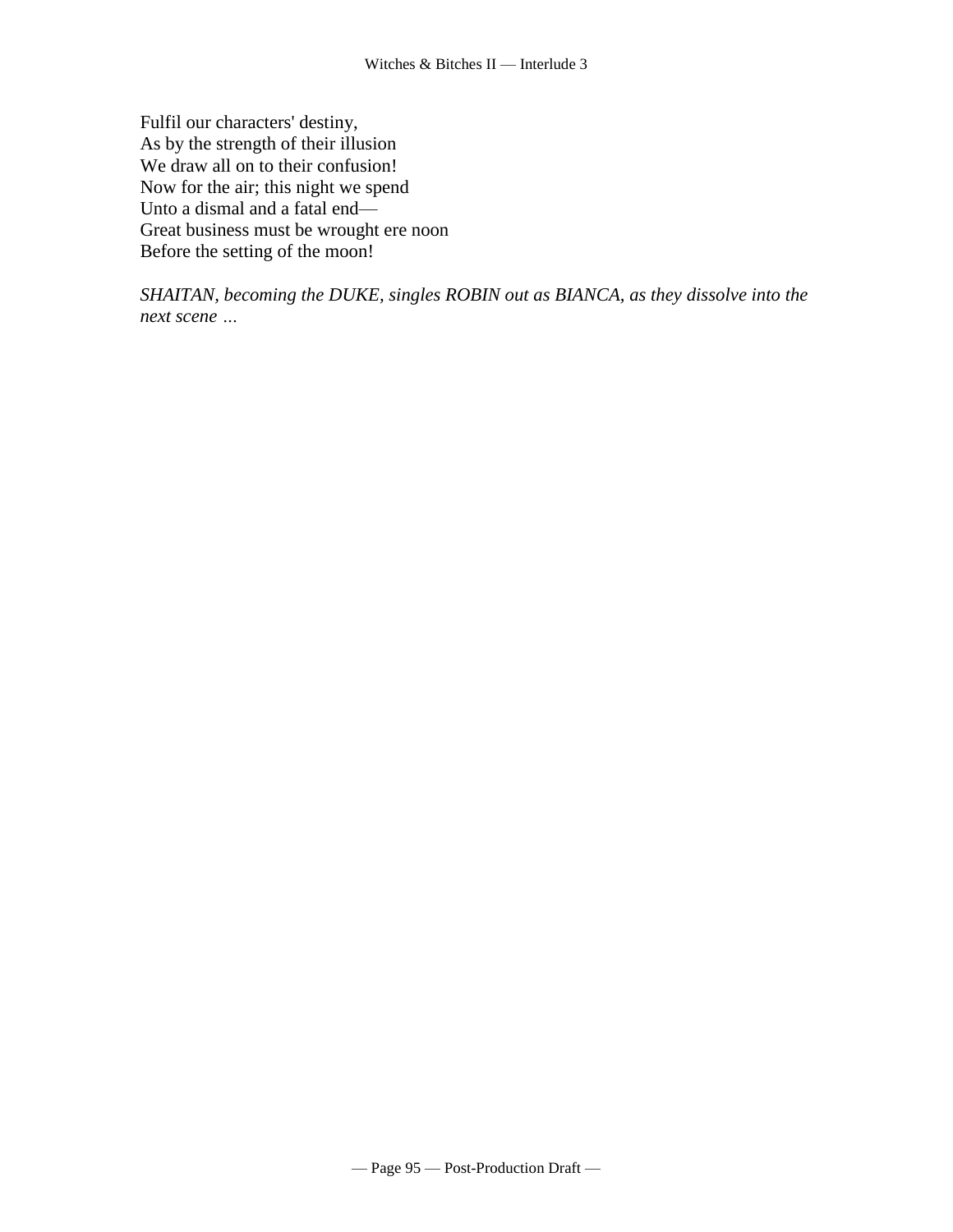Fulfil our characters' destiny, As by the strength of their illusion We draw all on to their confusion! Now for the air; this night we spend Unto a dismal and a fatal end— Great business must be wrought ere noon Before the setting of the moon!

*SHAITAN, becoming the DUKE, singles ROBIN out as BIANCA, as they dissolve into the next scene …*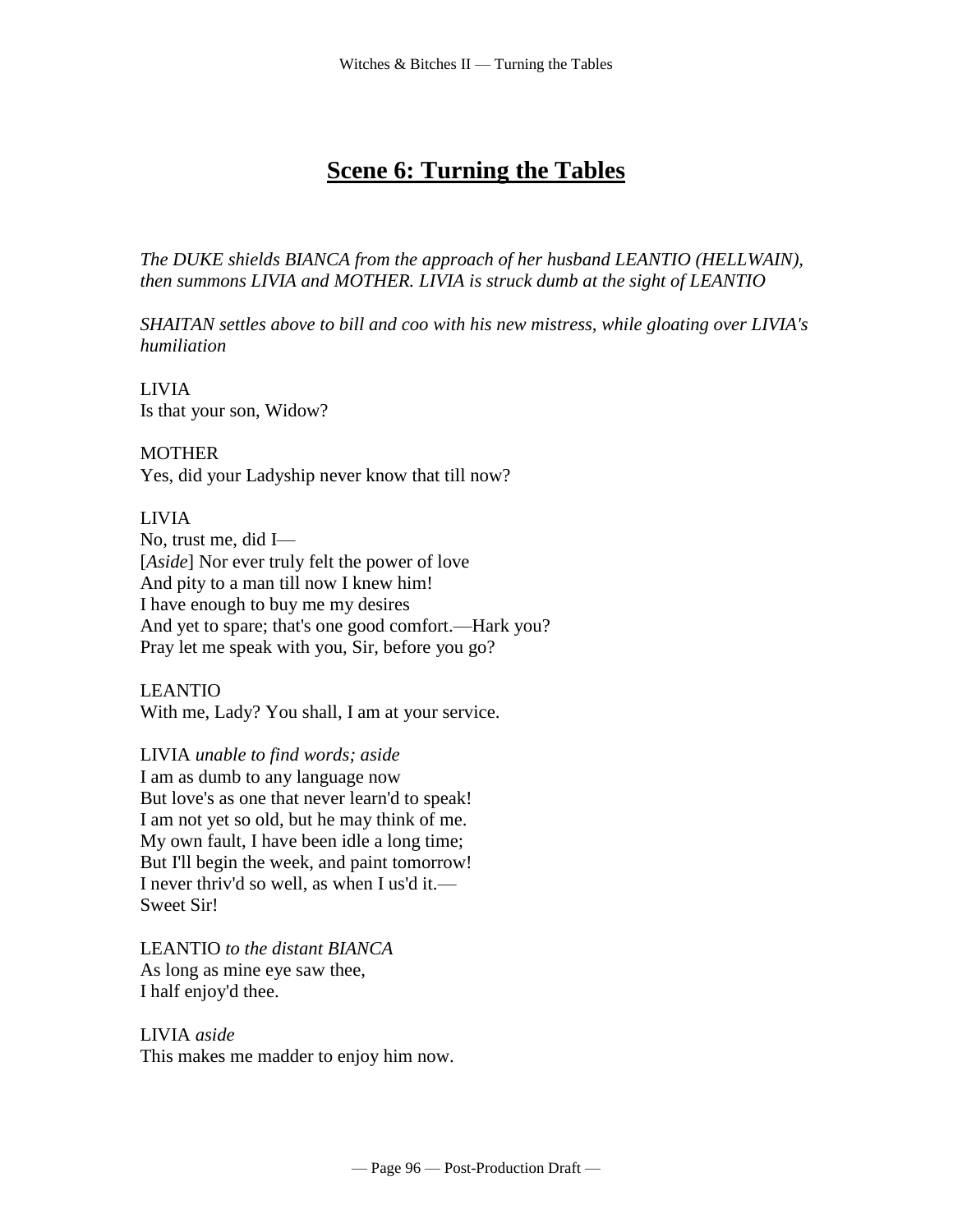# **Scene 6: Turning the Tables**

*The DUKE shields BIANCA from the approach of her husband LEANTIO (HELLWAIN), then summons LIVIA and MOTHER. LIVIA is struck dumb at the sight of LEANTIO*

*SHAITAN settles above to bill and coo with his new mistress, while gloating over LIVIA's humiliation*

LIVIA Is that your son, Widow?

**MOTHER** 

Yes, did your Ladyship never know that till now?

## LIVIA

No, trust me, did I— [*Aside*] Nor ever truly felt the power of love And pity to a man till now I knew him! I have enough to buy me my desires And yet to spare; that's one good comfort.—Hark you? Pray let me speak with you, Sir, before you go?

LEANTIO

With me, Lady? You shall, I am at your service.

LIVIA *unable to find words; aside* I am as dumb to any language now But love's as one that never learn'd to speak! I am not yet so old, but he may think of me. My own fault, I have been idle a long time; But I'll begin the week, and paint tomorrow! I never thriv'd so well, as when I us'd it.— Sweet Sir!

LEANTIO *to the distant BIANCA* As long as mine eye saw thee, I half enjoy'd thee.

LIVIA *aside* This makes me madder to enjoy him now.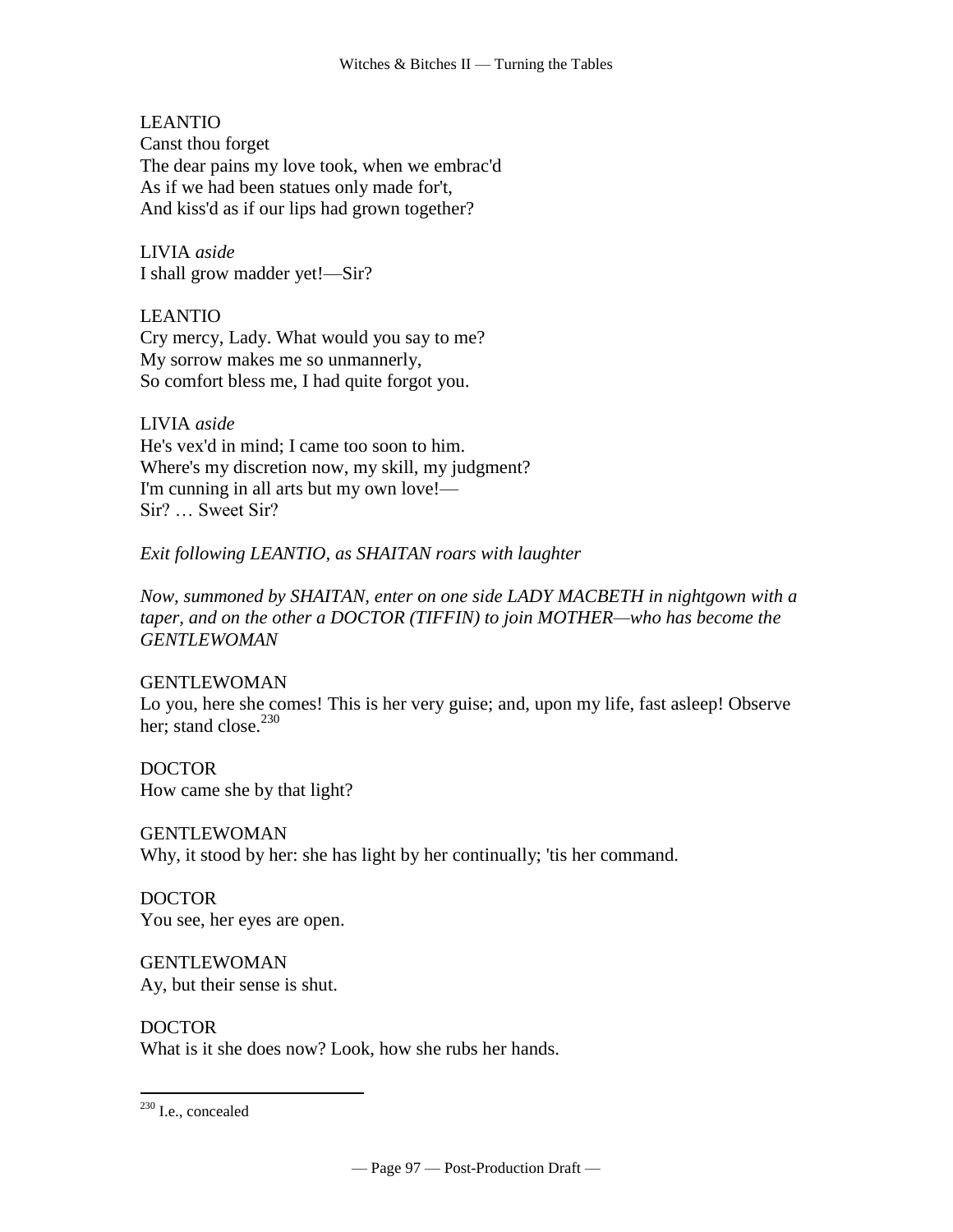LEANTIO Canst thou forget The dear pains my love took, when we embrac'd As if we had been statues only made for't, And kiss'd as if our lips had grown together?

LIVIA *aside* I shall grow madder yet!—Sir?

LEANTIO Cry mercy, Lady. What would you say to me? My sorrow makes me so unmannerly, So comfort bless me, I had quite forgot you.

LIVIA *aside* He's vex'd in mind; I came too soon to him. Where's my discretion now, my skill, my judgment? I'm cunning in all arts but my own love!— Sir? … Sweet Sir?

*Exit following LEANTIO, as SHAITAN roars with laughter*

*Now, summoned by SHAITAN, enter on one side LADY MACBETH in nightgown with a taper, and on the other a DOCTOR (TIFFIN) to join MOTHER—who has become the GENTLEWOMAN* 

# GENTLEWOMAN

Lo you, here she comes! This is her very guise; and, upon my life, fast asleep! Observe her; stand close. $^{230}$ 

DOCTOR How came she by that light?

GENTLEWOMAN Why, it stood by her: she has light by her continually; 'tis her command.

DOCTOR You see, her eyes are open.

GENTLEWOMAN Ay, but their sense is shut.

DOCTOR What is it she does now? Look, how she rubs her hands.

 $230$  I.e., concealed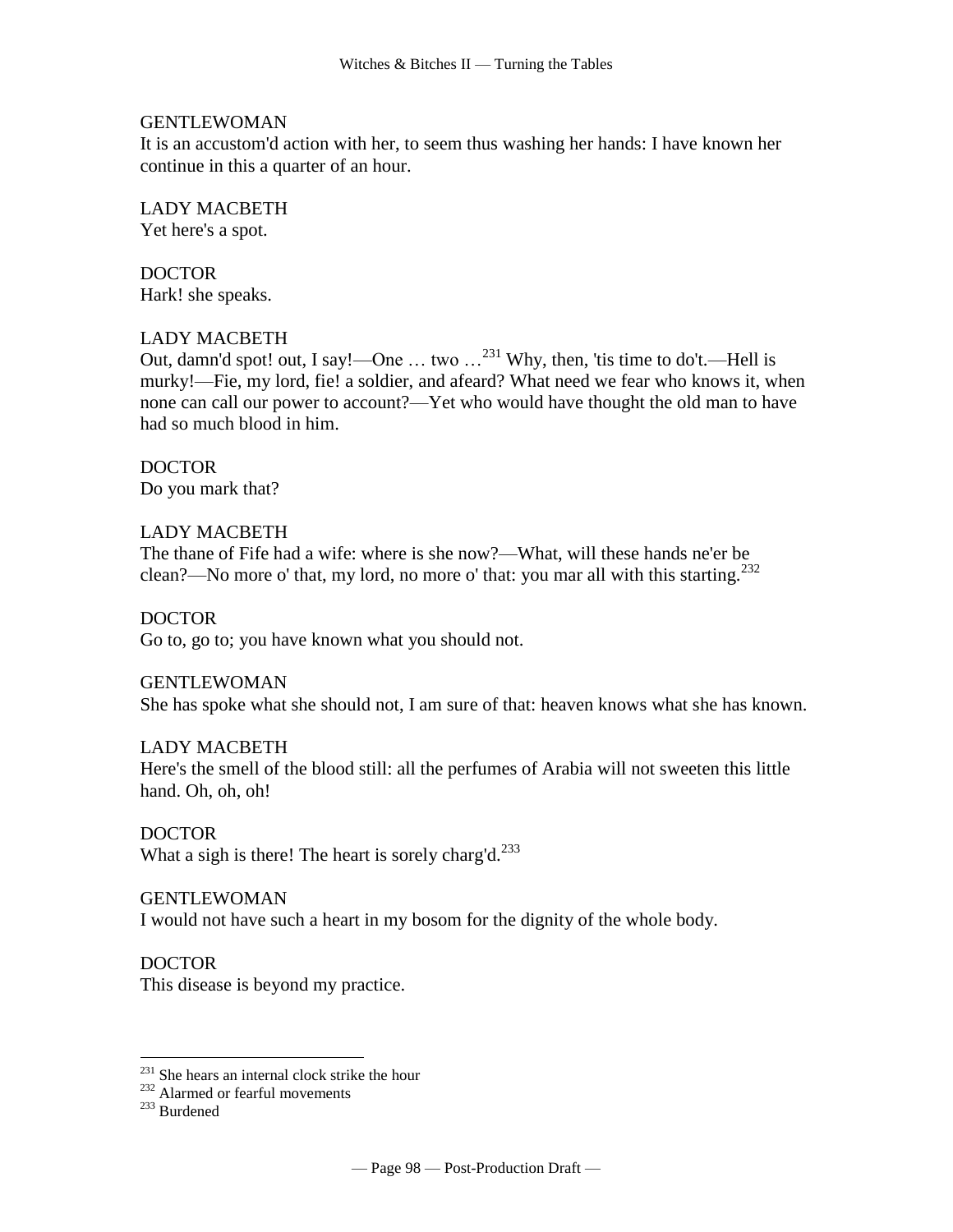#### GENTLEWOMAN

It is an accustom'd action with her, to seem thus washing her hands: I have known her continue in this a quarter of an hour.

LADY MACBETH Yet here's a spot.

DOCTOR Hark! she speaks.

#### LADY MACBETH

Out, damn'd spot! out, I say!—One … two …<sup>231</sup> Why, then, 'tis time to do't.—Hell is murky!—Fie, my lord, fie! a soldier, and afeard? What need we fear who knows it, when none can call our power to account?—Yet who would have thought the old man to have had so much blood in him.

DOCTOR Do you mark that?

## LADY MACBETH

The thane of Fife had a wife: where is she now?—What, will these hands ne'er be clean?—No more o' that, my lord, no more o' that: you mar all with this starting.<sup>232</sup>

DOCTOR Go to, go to; you have known what you should not.

GENTLEWOMAN

She has spoke what she should not, I am sure of that: heaven knows what she has known.

## LADY MACBETH

Here's the smell of the blood still: all the perfumes of Arabia will not sweeten this little hand. Oh, oh, oh!

DOCTOR What a sigh is there! The heart is sorely charg'd.<sup>233</sup>

#### GENTLEWOMAN

I would not have such a heart in my bosom for the dignity of the whole body.

DOCTOR

This disease is beyond my practice.

<sup>&</sup>lt;sup>231</sup> She hears an internal clock strike the hour

<sup>&</sup>lt;sup>232</sup> Alarmed or fearful movements

<sup>233</sup> Burdened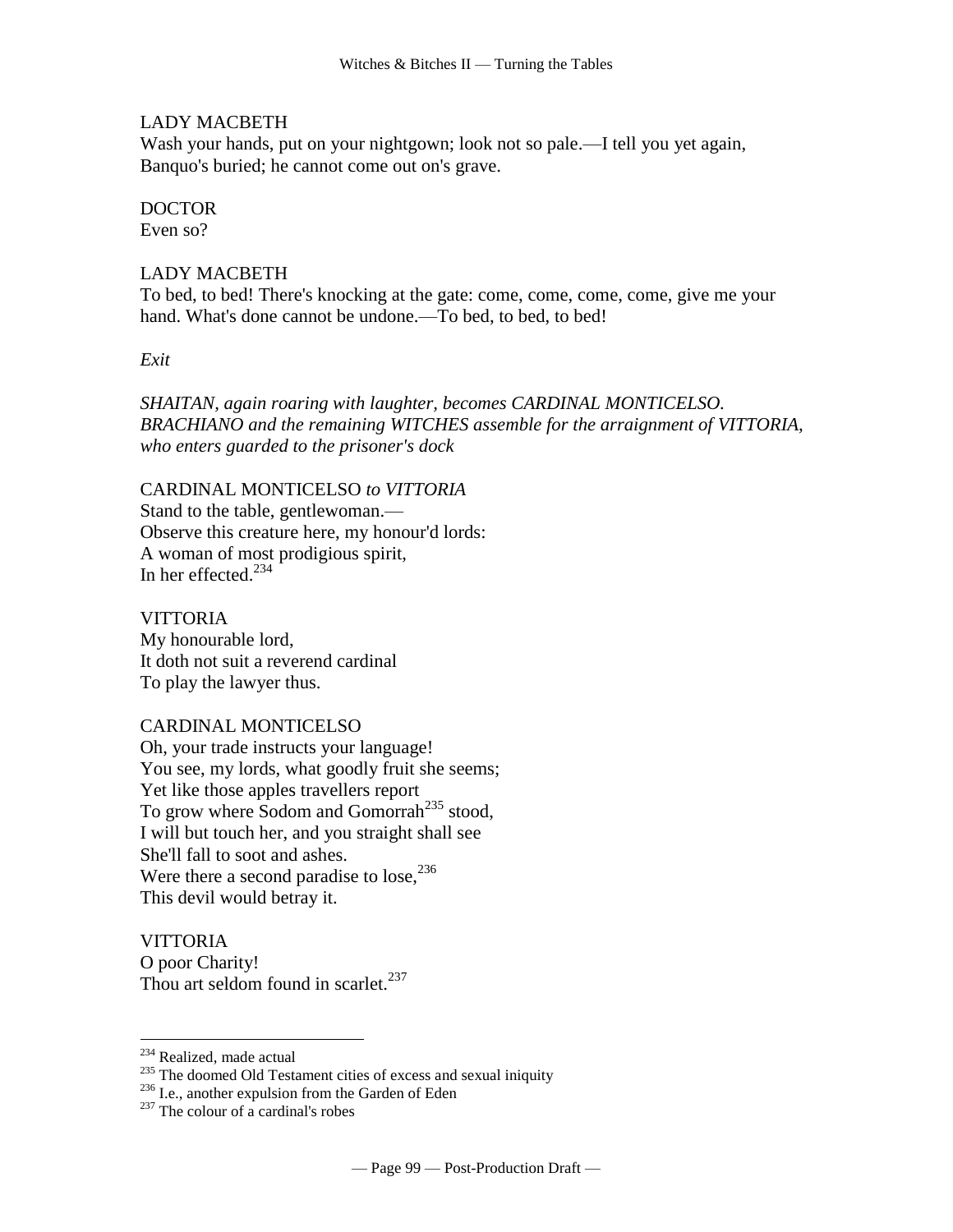#### LADY MACBETH

Wash your hands, put on your nightgown; look not so pale.—I tell you yet again, Banquo's buried; he cannot come out on's grave.

#### DOCTOR

Even so?

#### LADY MACBETH

To bed, to bed! There's knocking at the gate: come, come, come, come, give me your hand. What's done cannot be undone.—To bed, to bed, to bed!

*Exit*

*SHAITAN, again roaring with laughter, becomes CARDINAL MONTICELSO. BRACHIANO and the remaining WITCHES assemble for the arraignment of VITTORIA, who enters guarded to the prisoner's dock*

CARDINAL MONTICELSO *to VITTORIA* Stand to the table, gentlewoman.— Observe this creature here, my honour'd lords: A woman of most prodigious spirit, In her effected. $234$ 

**VITTORIA** 

My honourable lord, It doth not suit a reverend cardinal To play the lawyer thus.

#### CARDINAL MONTICELSO

Oh, your trade instructs your language! You see, my lords, what goodly fruit she seems; Yet like those apples travellers report To grow where Sodom and Gomorrah<sup>235</sup> stood, I will but touch her, and you straight shall see She'll fall to soot and ashes. Were there a second paradise to lose,  $236$ This devil would betray it.

**VITTORIA** O poor Charity! Thou art seldom found in scarlet.<sup>237</sup>

<sup>&</sup>lt;sup>234</sup> Realized, made actual

<sup>&</sup>lt;sup>235</sup> The doomed Old Testament cities of excess and sexual iniquity

<sup>236</sup> I.e., another expulsion from the Garden of Eden

<sup>&</sup>lt;sup>237</sup> The colour of a cardinal's robes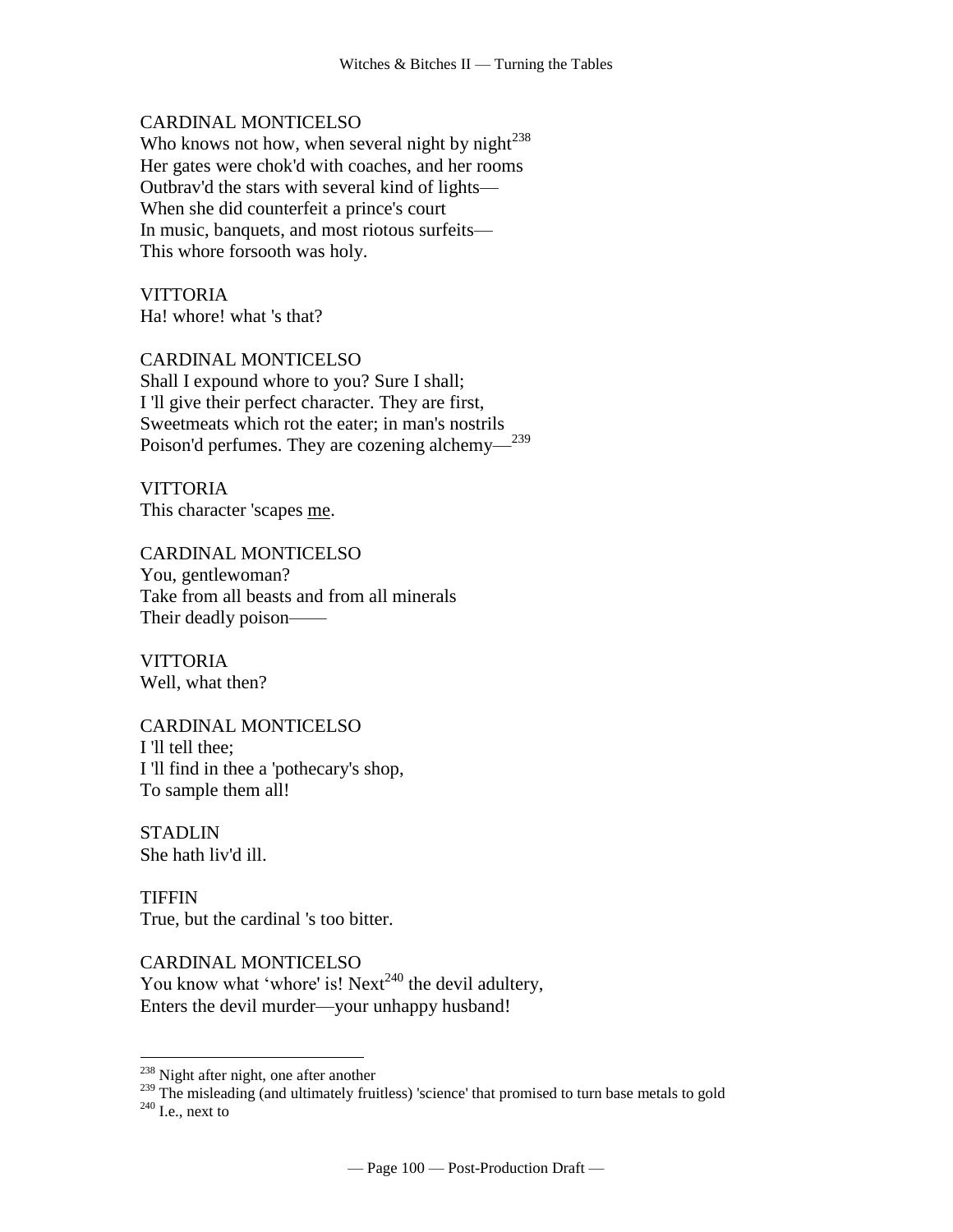#### CARDINAL MONTICELSO

Who knows not how, when several night by night $^{238}$ Her gates were chok'd with coaches, and her rooms Outbrav'd the stars with several kind of lights— When she did counterfeit a prince's court In music, banquets, and most riotous surfeits— This whore forsooth was holy.

**VITTORIA** Ha! whore! what 's that?

#### CARDINAL MONTICELSO

Shall I expound whore to you? Sure I shall; I 'll give their perfect character. They are first, Sweetmeats which rot the eater; in man's nostrils Poison'd perfumes. They are cozening alchemy—<sup>239</sup>

**VITTORIA** This character 'scapes me.

#### CARDINAL MONTICELSO

You, gentlewoman? Take from all beasts and from all minerals Their deadly poison——

VITTORIA Well, what then?

## CARDINAL MONTICELSO I 'll tell thee; I 'll find in thee a 'pothecary's shop, To sample them all!

STADLIN She hath liv'd ill.

 $\overline{a}$ 

TIFFIN True, but the cardinal 's too bitter.

CARDINAL MONTICELSO You know what 'whore' is! Next<sup>240</sup> the devil adultery, Enters the devil murder—your unhappy husband!

<sup>239</sup> The misleading (and ultimately fruitless) 'science' that promised to turn base metals to gold  $240$  I.e., next to

<sup>&</sup>lt;sup>238</sup> Night after night, one after another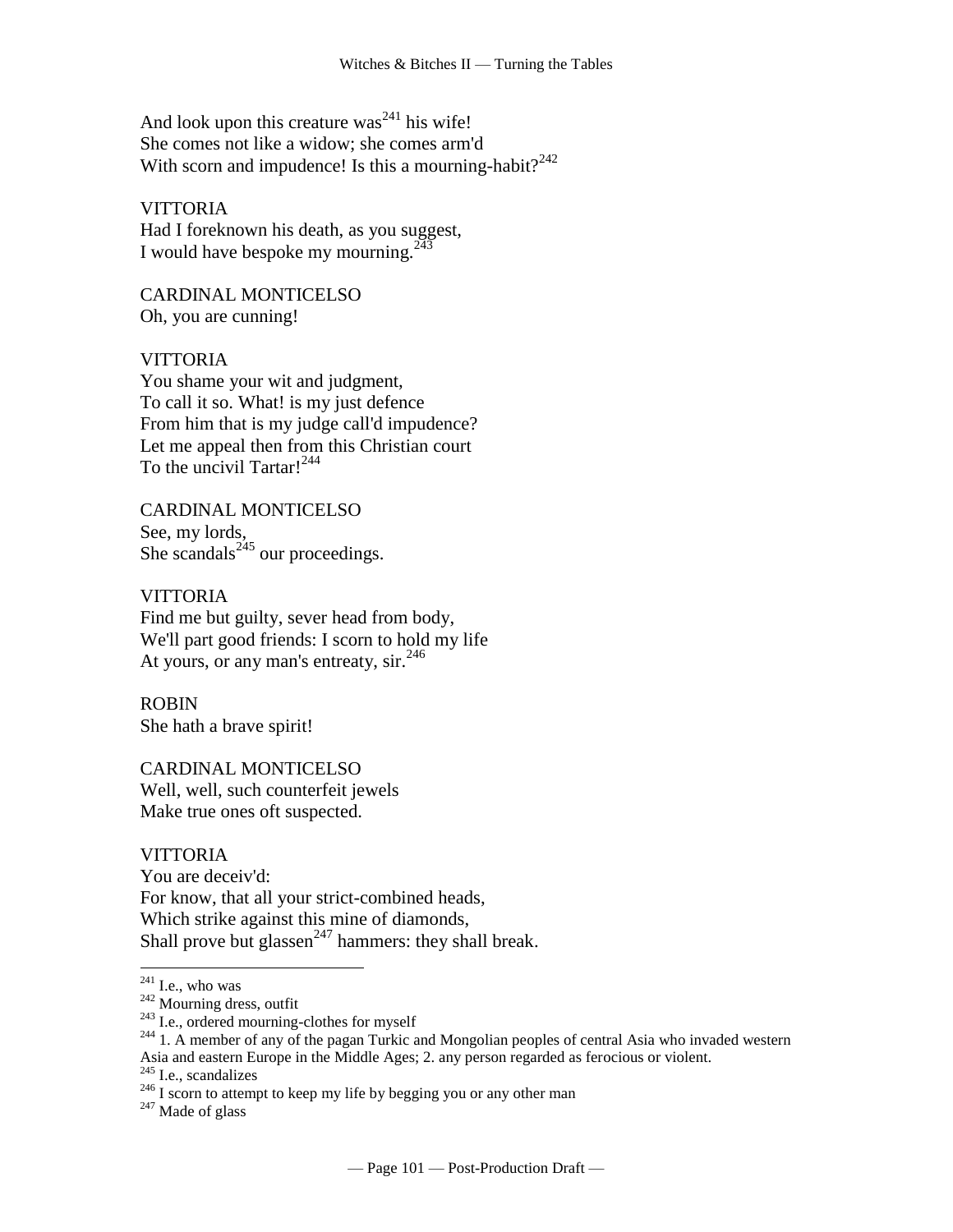And look upon this creature was<sup>241</sup> his wife! She comes not like a widow; she comes arm'd With scorn and impudence! Is this a mourning-habit? $242$ 

## **VITTORIA**

Had I foreknown his death, as you suggest, I would have bespoke my mourning.<sup>243</sup>

CARDINAL MONTICELSO Oh, you are cunning!

## VITTORIA

You shame your wit and judgment, To call it so. What! is my just defence From him that is my judge call'd impudence? Let me appeal then from this Christian court To the uncivil Tartar!<sup>244</sup>

CARDINAL MONTICELSO See, my lords, She scandals<sup>245</sup> our proceedings.

VITTORIA Find me but guilty, sever head from body, We'll part good friends: I scorn to hold my life At yours, or any man's entreaty, sir.<sup>246</sup>

ROBIN She hath a brave spirit!

CARDINAL MONTICELSO Well, well, such counterfeit jewels Make true ones oft suspected.

#### **VITTORIA**

You are deceiv'd: For know, that all your strict-combined heads, Which strike against this mine of diamonds, Shall prove but glassen<sup>247</sup> hammers: they shall break.

 $\overline{a}$ 

 $247$  Made of glass

 $241$  I.e., who was

 $242$  Mourning dress, outfit

 $243$  I.e., ordered mourning-clothes for myself

<sup>&</sup>lt;sup>244</sup> 1. A member of any of the pagan Turkic and Mongolian peoples of central Asia who invaded western Asia and eastern Europe in the Middle Ages; 2. any person regarded as ferocious or violent.

 $245$  I.e., scandalizes

 $^{246}$  I scorn to attempt to keep my life by begging you or any other man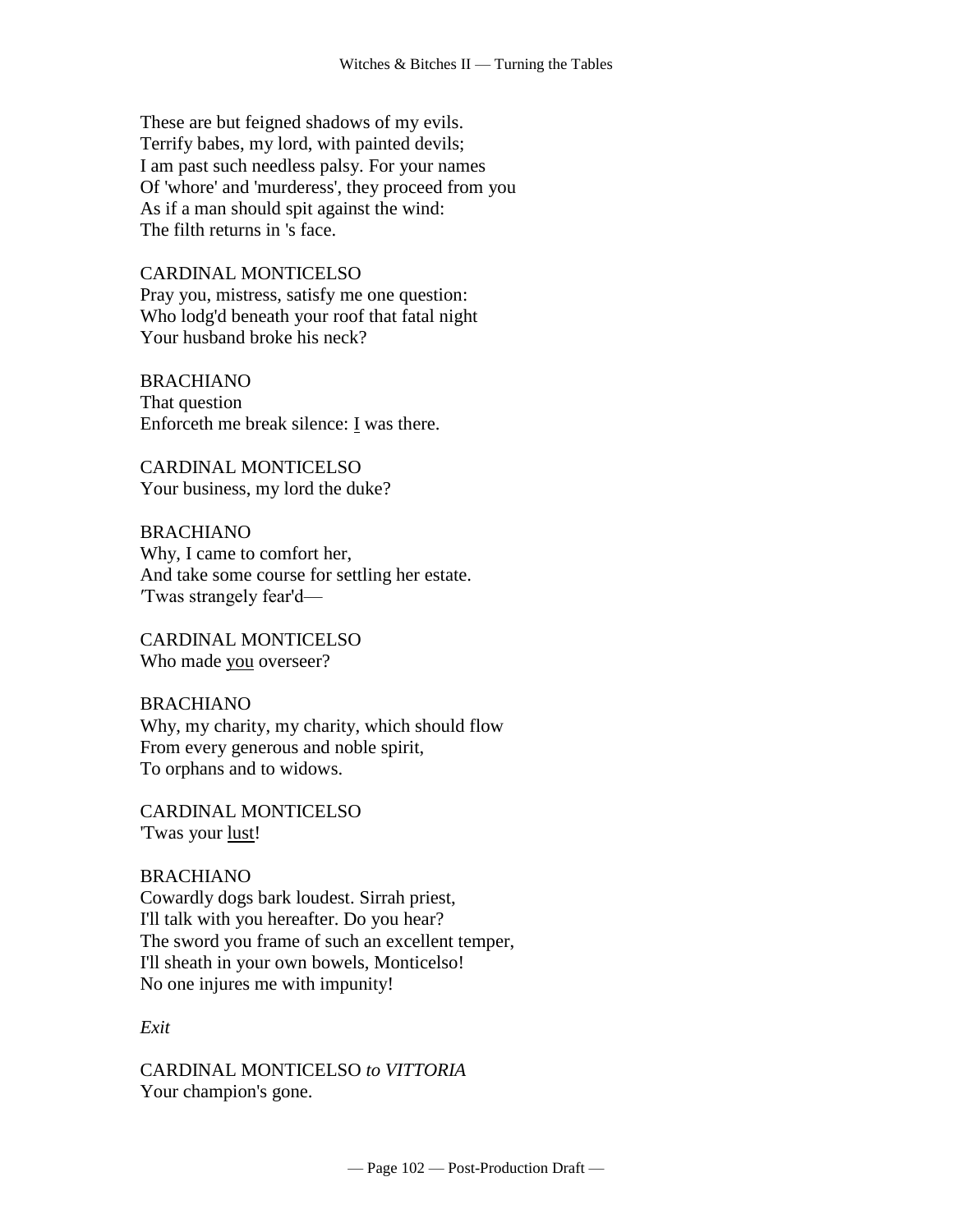These are but feigned shadows of my evils. Terrify babes, my lord, with painted devils; I am past such needless palsy. For your names Of 'whore' and 'murderess', they proceed from you As if a man should spit against the wind: The filth returns in 's face.

CARDINAL MONTICELSO Pray you, mistress, satisfy me one question: Who lodg'd beneath your roof that fatal night Your husband broke his neck?

BRACHIANO That question Enforceth me break silence:  $I$  was there.

CARDINAL MONTICELSO Your business, my lord the duke?

BRACHIANO Why, I came to comfort her, And take some course for settling her estate. ′Twas strangely fear'd—

CARDINAL MONTICELSO Who made you overseer?

BRACHIANO Why, my charity, my charity, which should flow From every generous and noble spirit, To orphans and to widows.

CARDINAL MONTICELSO 'Twas your lust!

BRACHIANO Cowardly dogs bark loudest. Sirrah priest, I'll talk with you hereafter. Do you hear? The sword you frame of such an excellent temper, I'll sheath in your own bowels, Monticelso! No one injures me with impunity!

*Exit*

CARDINAL MONTICELSO *to VITTORIA* Your champion's gone.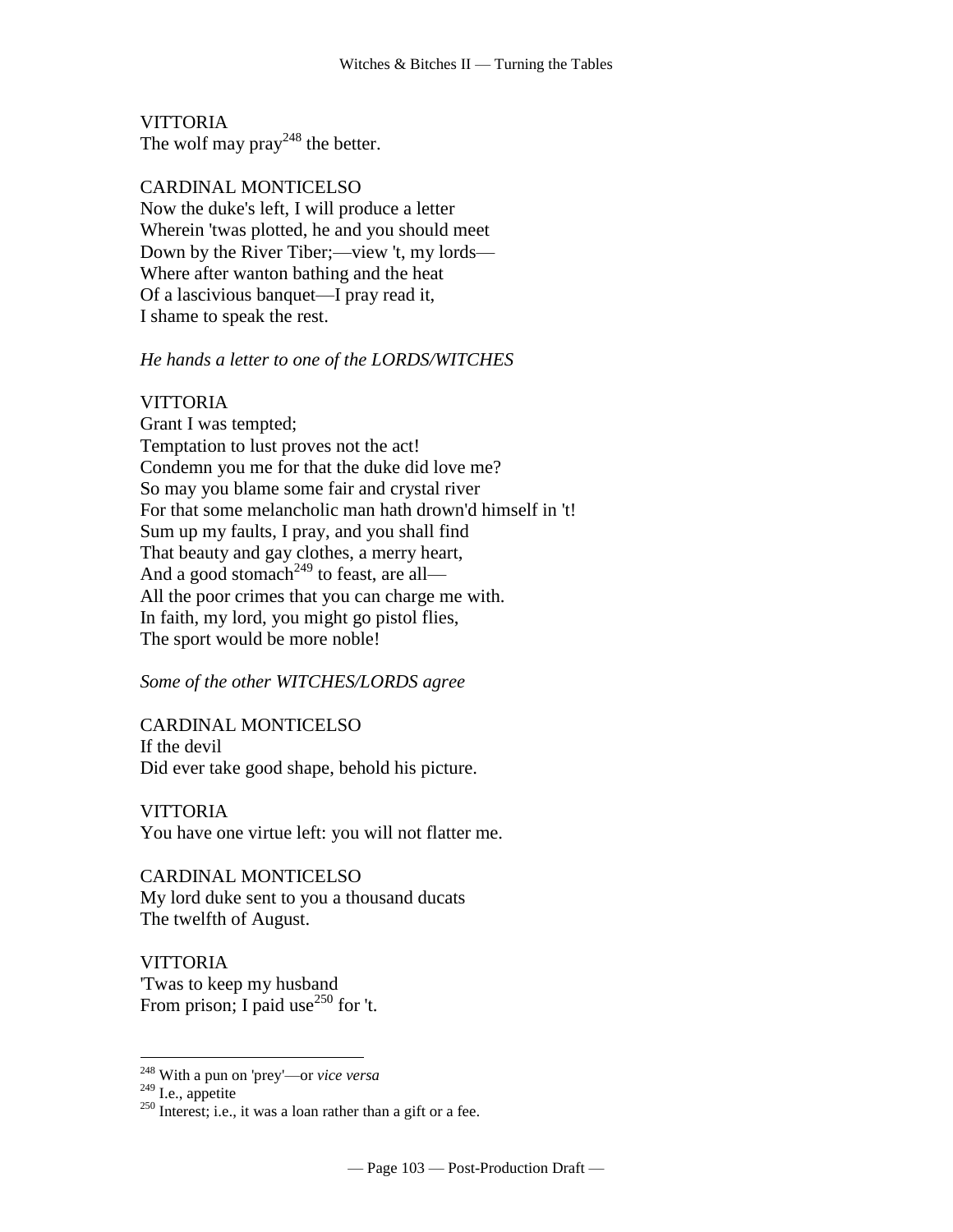**VITTORIA** The wolf may  $\text{pray}^{248}$  the better.

CARDINAL MONTICELSO Now the duke's left, I will produce a letter Wherein 'twas plotted, he and you should meet Down by the River Tiber;—view 't, my lords— Where after wanton bathing and the heat Of a lascivious banquet—I pray read it, I shame to speak the rest.

## *He hands a letter to one of the LORDS/WITCHES*

## VITTORIA

Grant I was tempted; Temptation to lust proves not the act! Condemn you me for that the duke did love me? So may you blame some fair and crystal river For that some melancholic man hath drown'd himself in 't! Sum up my faults, I pray, and you shall find That beauty and gay clothes, a merry heart, And a good stomach<sup>249</sup> to feast, are all— All the poor crimes that you can charge me with. In faith, my lord, you might go pistol flies, The sport would be more noble!

## *Some of the other WITCHES/LORDS agree*

CARDINAL MONTICELSO If the devil Did ever take good shape, behold his picture.

VITTORIA You have one virtue left: you will not flatter me.

CARDINAL MONTICELSO My lord duke sent to you a thousand ducats The twelfth of August.

**VITTORIA** 'Twas to keep my husband From prison; I paid use<sup>250</sup> for 't.

<sup>248</sup> With a pun on 'prey'—or *vice versa*

 $249$  I.e., appetite

 $250$  Interest; i.e., it was a loan rather than a gift or a fee.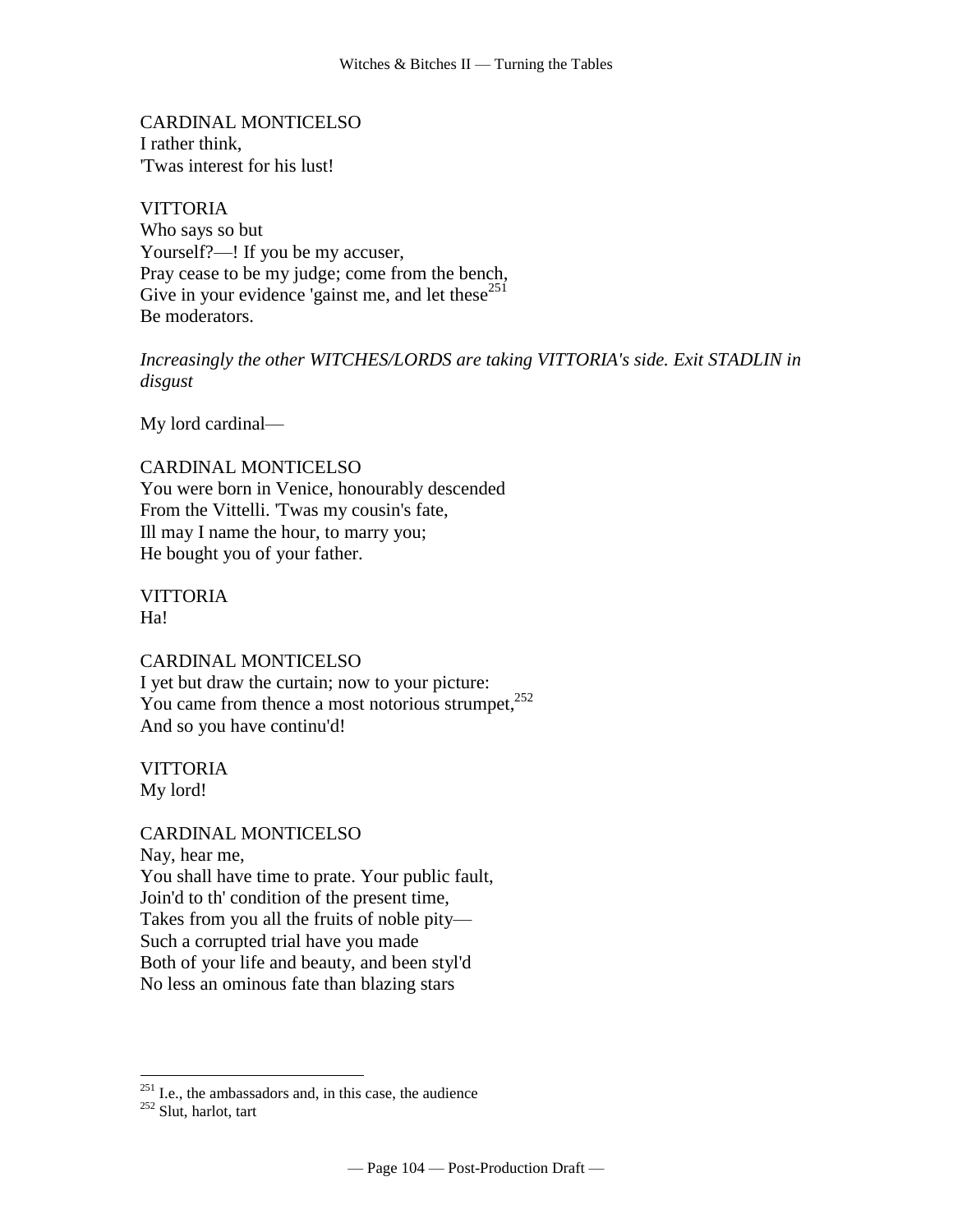CARDINAL MONTICELSO I rather think, 'Twas interest for his lust!

**VITTORIA** Who says so but Yourself?—! If you be my accuser, Pray cease to be my judge; come from the bench, Give in your evidence 'gainst me, and let these $^{251}$ Be moderators.

*Increasingly the other WITCHES/LORDS are taking VITTORIA's side. Exit STADLIN in disgust*

My lord cardinal—

CARDINAL MONTICELSO You were born in Venice, honourably descended From the Vittelli. 'Twas my cousin's fate, Ill may I name the hour, to marry you; He bought you of your father.

VITTORIA H<sub>a!</sub>

CARDINAL MONTICELSO I yet but draw the curtain; now to your picture: You came from thence a most notorious strumpet,  $252$ And so you have continu'd!

VITTORIA My lord!

CARDINAL MONTICELSO Nay, hear me, You shall have time to prate. Your public fault, Join'd to th' condition of the present time, Takes from you all the fruits of noble pity— Such a corrupted trial have you made Both of your life and beauty, and been styl'd No less an ominous fate than blazing stars

 $^{251}$  I.e., the ambassadors and, in this case, the audience

<sup>252</sup> Slut, harlot, tart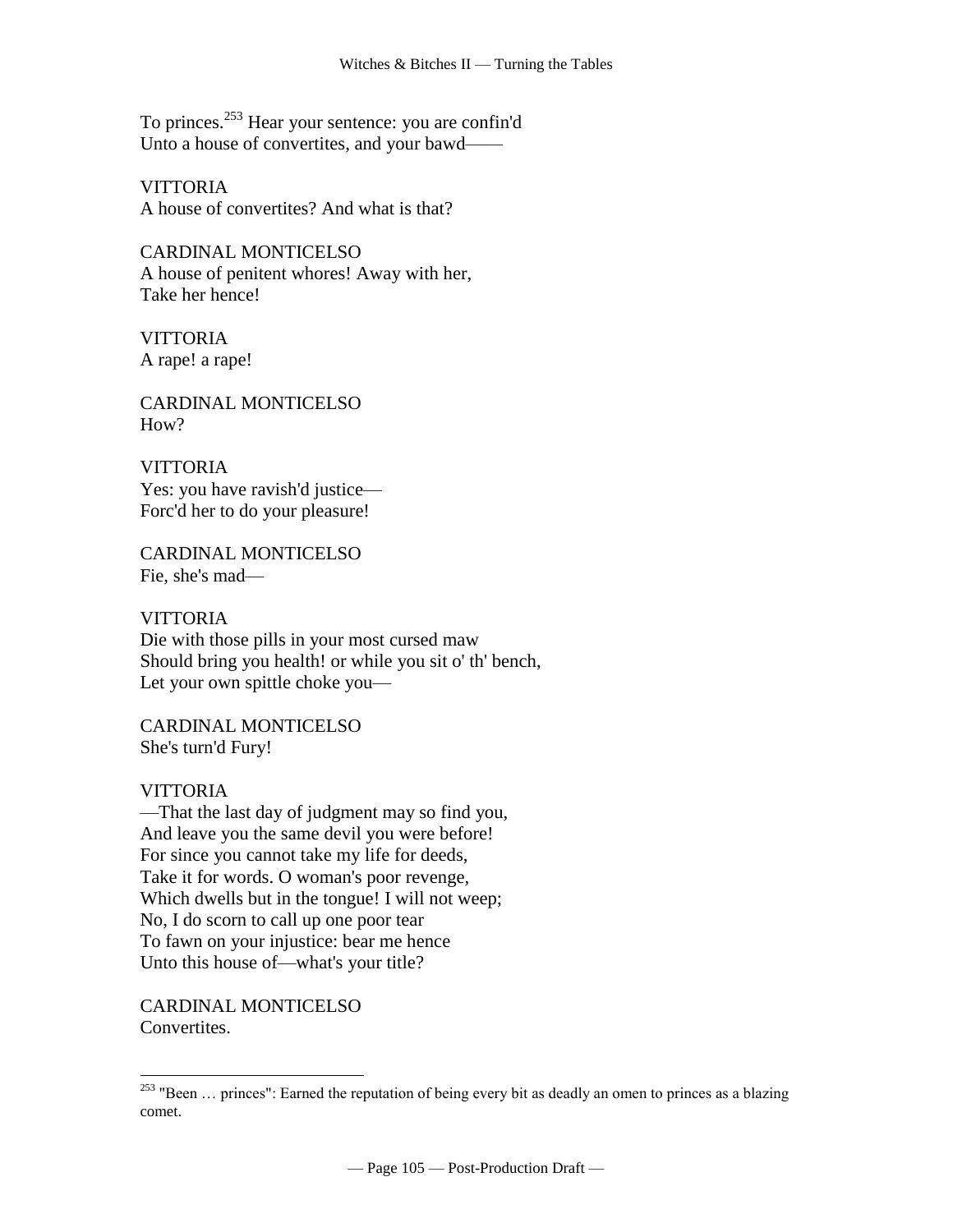To princes.<sup>253</sup> Hear your sentence: you are confin'd Unto a house of convertites, and your bawd-

**VITTORIA** A house of convertites? And what is that?

CARDINAL MONTICELSO A house of penitent whores! Away with her, Take her hence!

**VITTORIA** A rape! a rape!

CARDINAL MONTICELSO  $How?$ 

**VITTORIA** Yes: you have ravish'd justice— Forc'd her to do your pleasure!

CARDINAL MONTICELSO Fie, she's mad—

**VITTORIA** Die with those pills in your most cursed maw Should bring you health! or while you sit o' th' bench, Let your own spittle choke you—

CARDINAL MONTICELSO She's turn'd Fury!

# **VITTORIA**

 $\overline{a}$ 

—That the last day of judgment may so find you, And leave you the same devil you were before! For since you cannot take my life for deeds, Take it for words. O woman's poor revenge, Which dwells but in the tongue! I will not weep; No, I do scorn to call up one poor tear To fawn on your injustice: bear me hence Unto this house of—what's your title?

CARDINAL MONTICELSO Convertites.

<sup>&</sup>lt;sup>253</sup> "Been ... princes": Earned the reputation of being every bit as deadly an omen to princes as a blazing comet.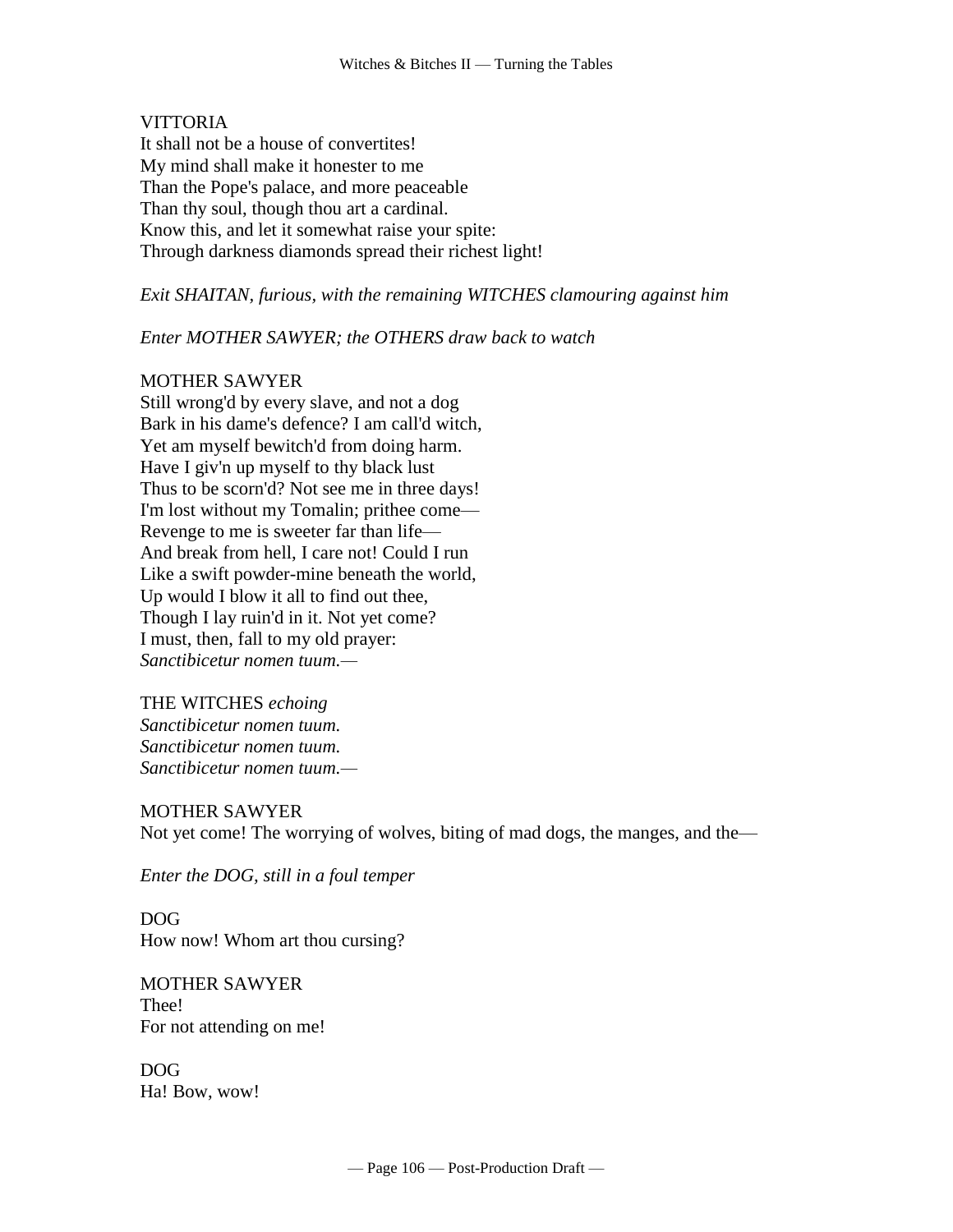## VITTORIA

It shall not be a house of convertites! My mind shall make it honester to me Than the Pope's palace, and more peaceable Than thy soul, though thou art a cardinal. Know this, and let it somewhat raise your spite: Through darkness diamonds spread their richest light!

*Exit SHAITAN, furious, with the remaining WITCHES clamouring against him* 

#### *Enter MOTHER SAWYER; the OTHERS draw back to watch*

## MOTHER SAWYER

Still wrong'd by every slave, and not a dog Bark in his dame's defence? I am call'd witch, Yet am myself bewitch'd from doing harm. Have I giv'n up myself to thy black lust Thus to be scorn'd? Not see me in three days! I'm lost without my Tomalin; prithee come— Revenge to me is sweeter far than life— And break from hell, I care not! Could I run Like a swift powder-mine beneath the world, Up would I blow it all to find out thee, Though I lay ruin'd in it. Not yet come? I must, then, fall to my old prayer: *Sanctibicetur nomen tuum.—*

#### THE WITCHES *echoing*

*Sanctibicetur nomen tuum. Sanctibicetur nomen tuum. Sanctibicetur nomen tuum.—*

#### MOTHER SAWYER

Not yet come! The worrying of wolves, biting of mad dogs, the manges, and the—

*Enter the DOG, still in a foul temper*

DOG How now! Whom art thou cursing?

MOTHER SAWYER Thee! For not attending on me!

DOG Ha! Bow, wow!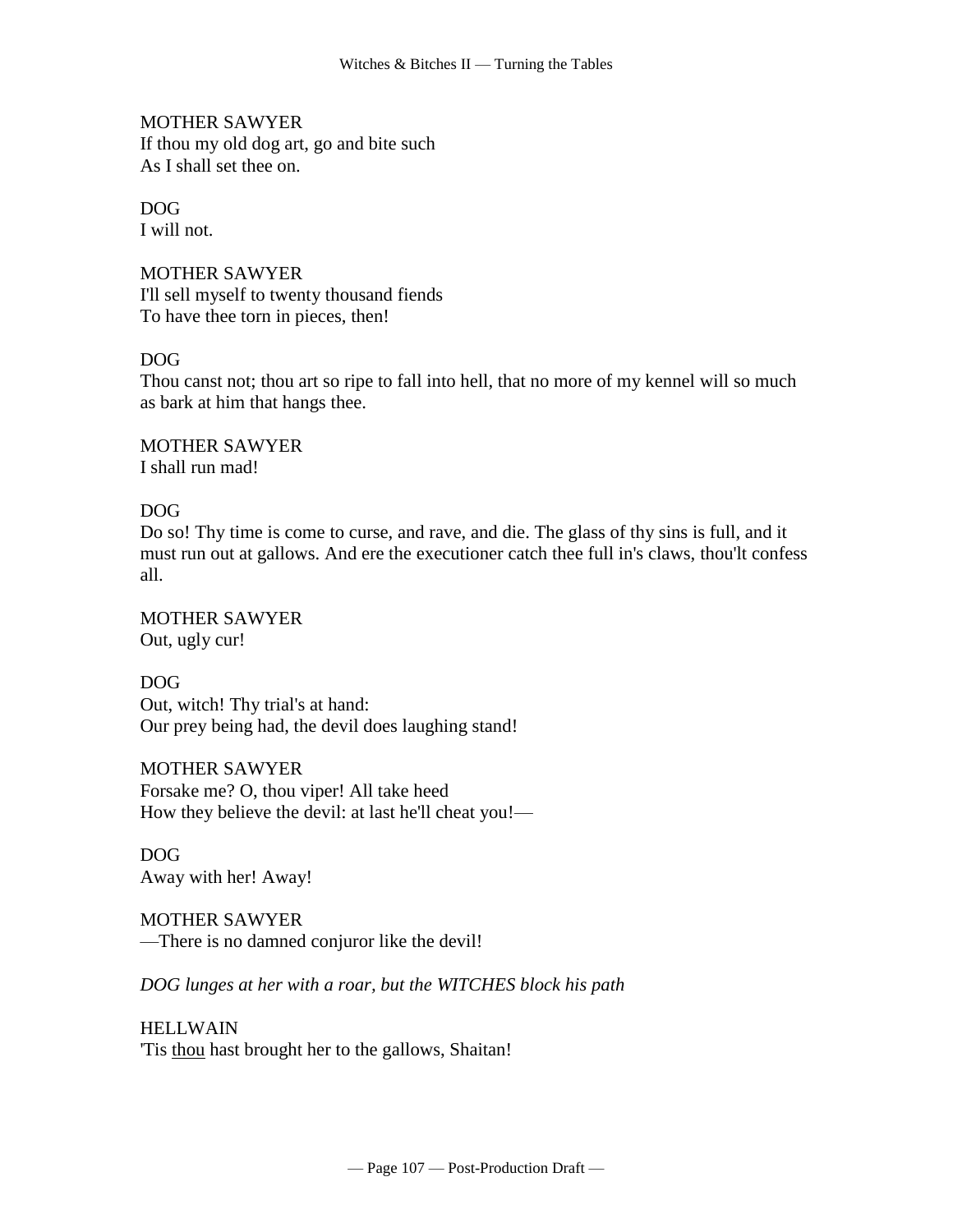MOTHER SAWYER If thou my old dog art, go and bite such As I shall set thee on.

# DOG

I will not.

MOTHER SAWYER I'll sell myself to twenty thousand fiends To have thee torn in pieces, then!

# DOG

Thou canst not; thou art so ripe to fall into hell, that no more of my kennel will so much as bark at him that hangs thee.

MOTHER SAWYER I shall run mad!

# DOG

Do so! Thy time is come to curse, and rave, and die. The glass of thy sins is full, and it must run out at gallows. And ere the executioner catch thee full in's claws, thou'lt confess all.

MOTHER SAWYER Out, ugly cur!

DOG Out, witch! Thy trial's at hand: Our prey being had, the devil does laughing stand!

MOTHER SAWYER Forsake me? O, thou viper! All take heed How they believe the devil: at last he'll cheat you!—

DOG Away with her! Away!

MOTHER SAWYER —There is no damned conjuror like the devil!

*DOG lunges at her with a roar, but the WITCHES block his path*

HELLWAIN 'Tis thou hast brought her to the gallows, Shaitan!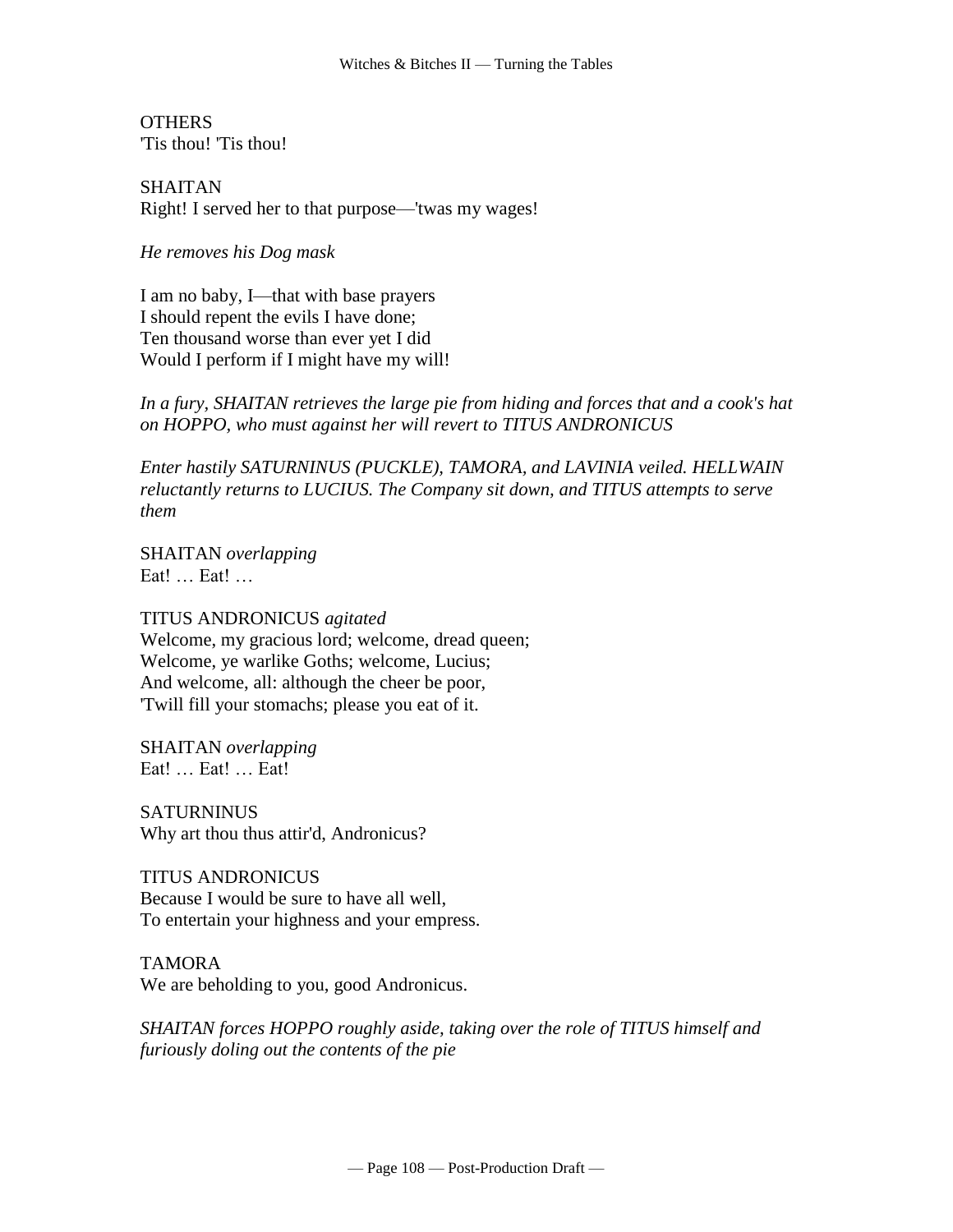**OTHERS** 'Tis thou! 'Tis thou!

SHAITAN Right! I served her to that purpose—'twas my wages!

*He removes his Dog mask*

I am no baby, I—that with base prayers I should repent the evils I have done; Ten thousand worse than ever yet I did Would I perform if I might have my will!

*In a fury, SHAITAN retrieves the large pie from hiding and forces that and a cook's hat on HOPPO, who must against her will revert to TITUS ANDRONICUS*

*Enter hastily SATURNINUS (PUCKLE), TAMORA, and LAVINIA veiled. HELLWAIN reluctantly returns to LUCIUS. The Company sit down, and TITUS attempts to serve them*

SHAITAN *overlapping* Eat! … Eat! …

TITUS ANDRONICUS *agitated* Welcome, my gracious lord; welcome, dread queen; Welcome, ye warlike Goths; welcome, Lucius; And welcome, all: although the cheer be poor, 'Twill fill your stomachs; please you eat of it.

SHAITAN *overlapping* Eat! … Eat! … Eat!

**SATURNINUS** Why art thou thus attir'd, Andronicus?

TITUS ANDRONICUS Because I would be sure to have all well, To entertain your highness and your empress.

TAMORA We are beholding to you, good Andronicus.

*SHAITAN forces HOPPO roughly aside, taking over the role of TITUS himself and furiously doling out the contents of the pie*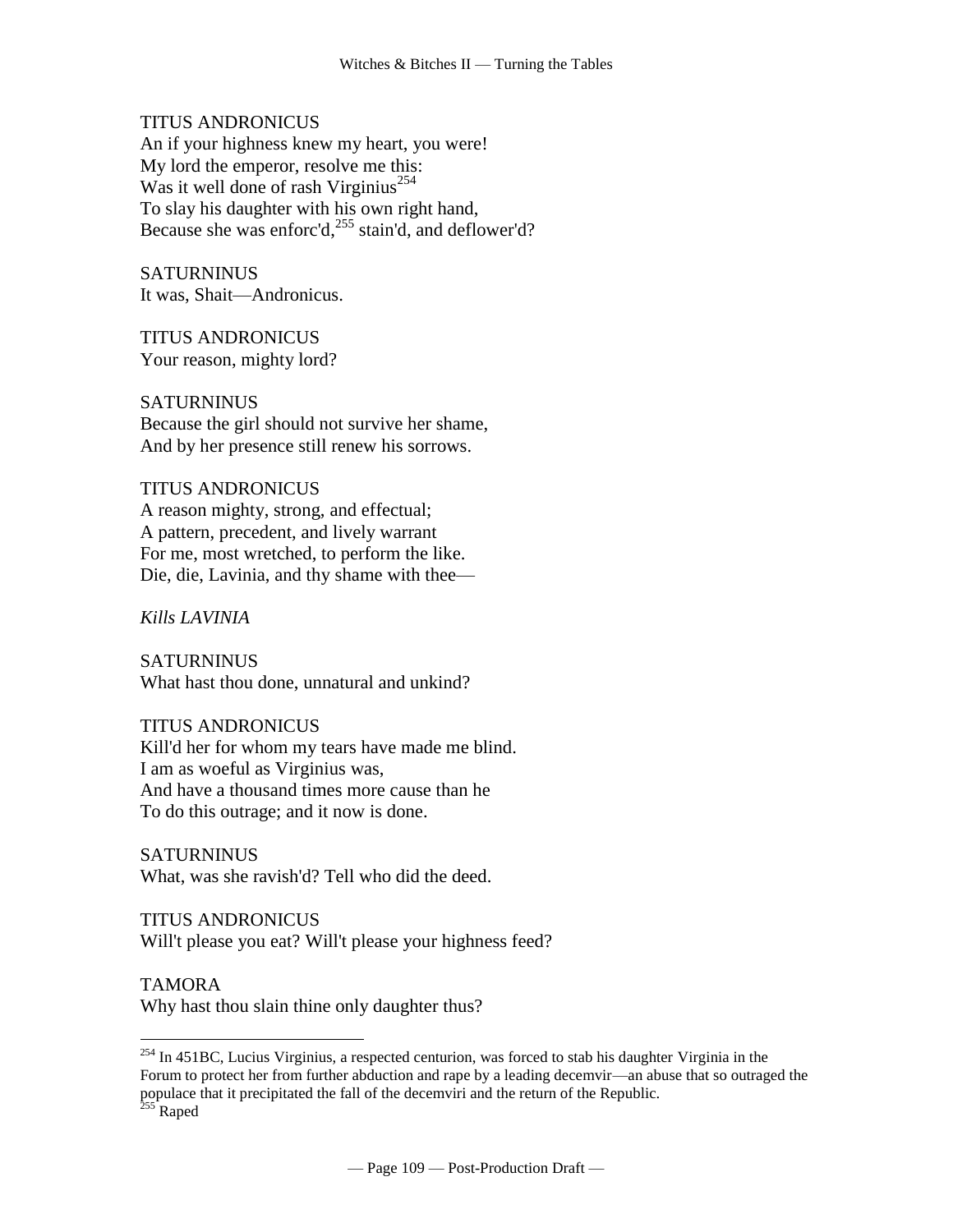TITUS ANDRONICUS

An if your highness knew my heart, you were! My lord the emperor, resolve me this: Was it well done of rash Virginius<sup>254</sup> To slay his daughter with his own right hand, Because she was enforc'd, $^{255}$  stain'd, and deflower'd?

**SATURNINUS** It was, Shait—Andronicus.

TITUS ANDRONICUS Your reason, mighty lord?

**SATURNINUS** Because the girl should not survive her shame, And by her presence still renew his sorrows.

## TITUS ANDRONICUS

A reason mighty, strong, and effectual; A pattern, precedent, and lively warrant For me, most wretched, to perform the like. Die, die, Lavinia, and thy shame with thee—

*Kills LAVINIA*

**SATURNINUS** What hast thou done, unnatural and unkind?

#### TITUS ANDRONICUS

Kill'd her for whom my tears have made me blind. I am as woeful as Virginius was, And have a thousand times more cause than he To do this outrage; and it now is done.

SATURNINUS What, was she ravish'd? Tell who did the deed.

TITUS ANDRONICUS Will't please you eat? Will't please your highness feed?

TAMORA

 $\overline{a}$ 

Why hast thou slain thine only daughter thus?

 $^{254}$  In 451BC, Lucius Virginius, a respected centurion, was forced to stab his daughter Virginia in the Forum to protect her from further abduction and rape by a leading decemvir—an abuse that so outraged the populace that it precipitated the fall of the decemviri and the return of the Republic. <sup>255</sup> Raped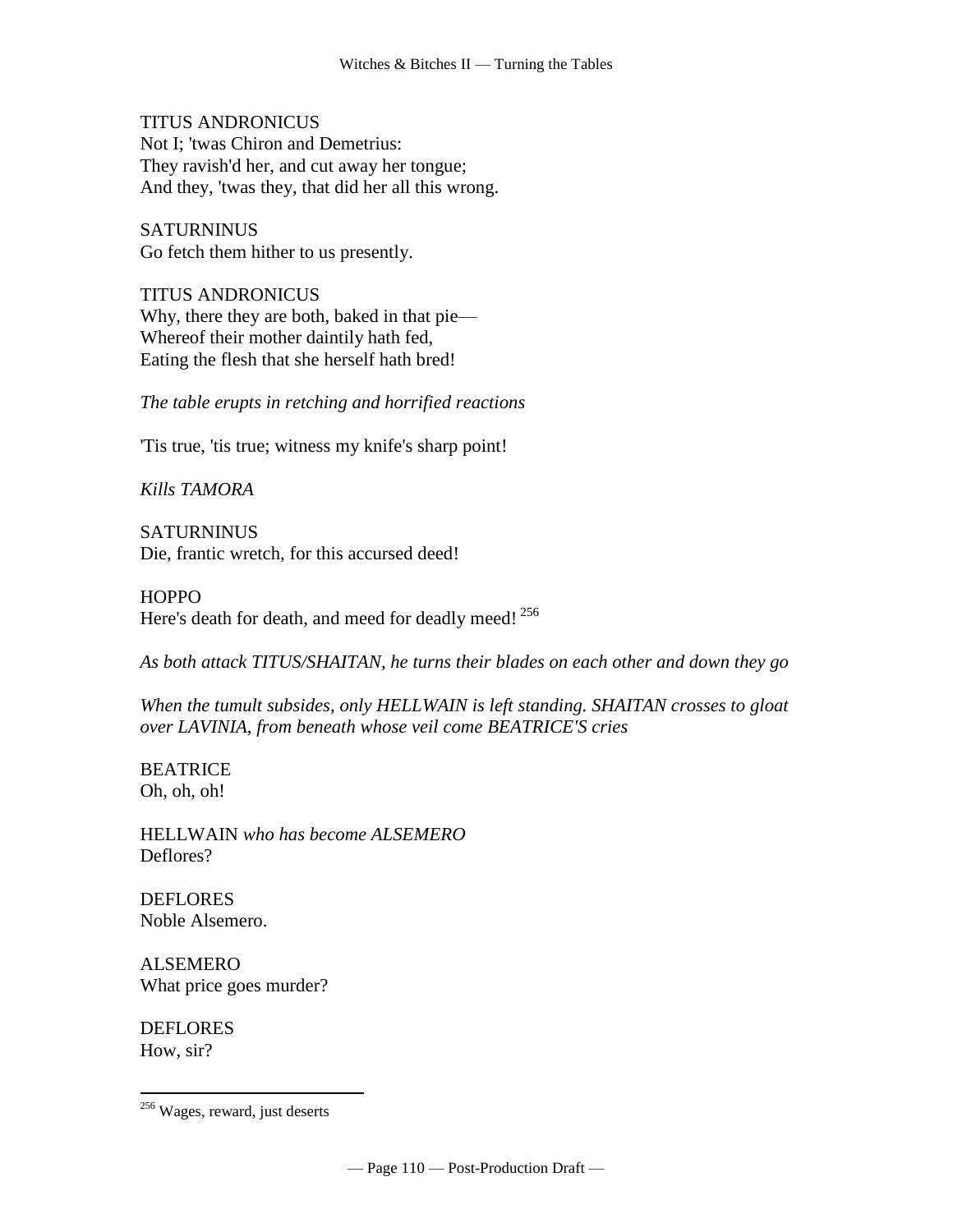TITUS ANDRONICUS Not I; 'twas Chiron and Demetrius: They ravish'd her, and cut away her tongue; And they, 'twas they, that did her all this wrong.

**SATURNINUS** Go fetch them hither to us presently.

TITUS ANDRONICUS Why, there they are both, baked in that pie— Whereof their mother daintily hath fed, Eating the flesh that she herself hath bred!

*The table erupts in retching and horrified reactions*

'Tis true, 'tis true; witness my knife's sharp point!

*Kills TAMORA*

**SATURNINUS** Die, frantic wretch, for this accursed deed!

**HOPPO** Here's death for death, and meed for deadly meed!<sup>256</sup>

*As both attack TITUS/SHAITAN, he turns their blades on each other and down they go*

*When the tumult subsides, only HELLWAIN is left standing. SHAITAN crosses to gloat over LAVINIA, from beneath whose veil come BEATRICE'S cries* 

BEATRICE Oh, oh, oh!

HELLWAIN *who has become ALSEMERO* Deflores?

DEFLORES Noble Alsemero.

ALSEMERO What price goes murder?

DEFLORES How, sir?

<sup>&</sup>lt;sup>256</sup> Wages, reward, just deserts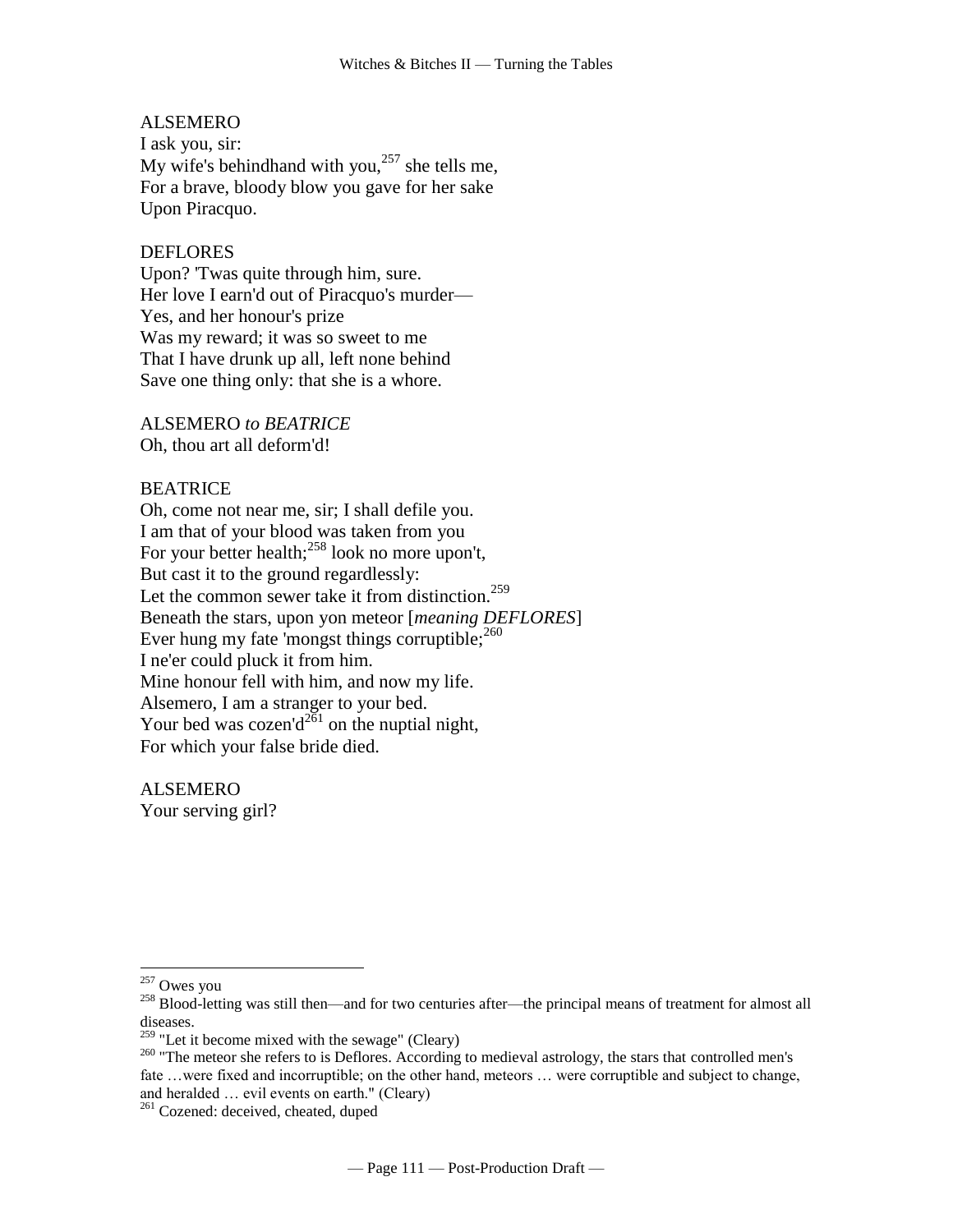## ALSEMERO

I ask you, sir: My wife's [behindhand](http://www.tech.org/~cleary/change.html#BEHINDHA) with you, $257$  she tells me, For a brave, bloody blow you gave for her sake Upon Piracquo.

## DEFLORES

Upon? 'Twas quite through him, sure. Her love I earn'd out of Piracquo's murder— Yes, and her honour's prize Was my reward; it was so sweet to me That I have drunk up all, left none behind Save one thing only: that she is a whore.

ALSEMERO *to BEATRICE* Oh, thou art all deform'd!

#### BEATRICE

Oh, come not near me, sir; I shall defile you. [I am that of your blood was taken from you](http://www.tech.org/~cleary/change.html#IAMTHATO)  [For your better health;](http://www.tech.org/~cleary/change.html#IAMTHATO)<sup>258</sup> look no more upon't, But cast it to the ground regardlessly: Let the common [sewer](http://www.tech.org/~cleary/change.html#SEWER) take it from [distinction.](http://www.tech.org/~cleary/change.html#DISTINCT)<sup>259</sup> [Beneath the stars, upon yon meteor \[](http://www.tech.org/~cleary/change.html#BENEATHT)*meaning DEFLORES*] [Ever](http://www.tech.org/~cleary/change.html#BENEATHT) hung my fate ['mongst things corruptible;](http://www.tech.org/~cleary/change.html#BENEATHT)<sup>260</sup> I ne'er could pluck it from him. Mine honour fell with him, and now my life. Alsemero, I am a stranger to your bed. Your bed was cozen'd<sup>261</sup> on the nuptial night, For which your false bride died.

ALSEMERO Your serving girl?

 $257$  Owes you

<sup>&</sup>lt;sup>258</sup> Blood-letting was still then—and for two centuries after—the principal means of treatment for almost all diseases.

 $259$  "Let it become mixed with the sewage" (Cleary)

<sup>&</sup>lt;sup>260</sup> "The meteor she refers to is Deflores. According to medieval astrology, the stars that controlled men's fate …were fixed and incorruptible; on the other hand, meteors … were corruptible and subject to change, and heralded … evil events on earth." (Cleary)

<sup>&</sup>lt;sup>261</sup> Cozened: deceived, cheated, duped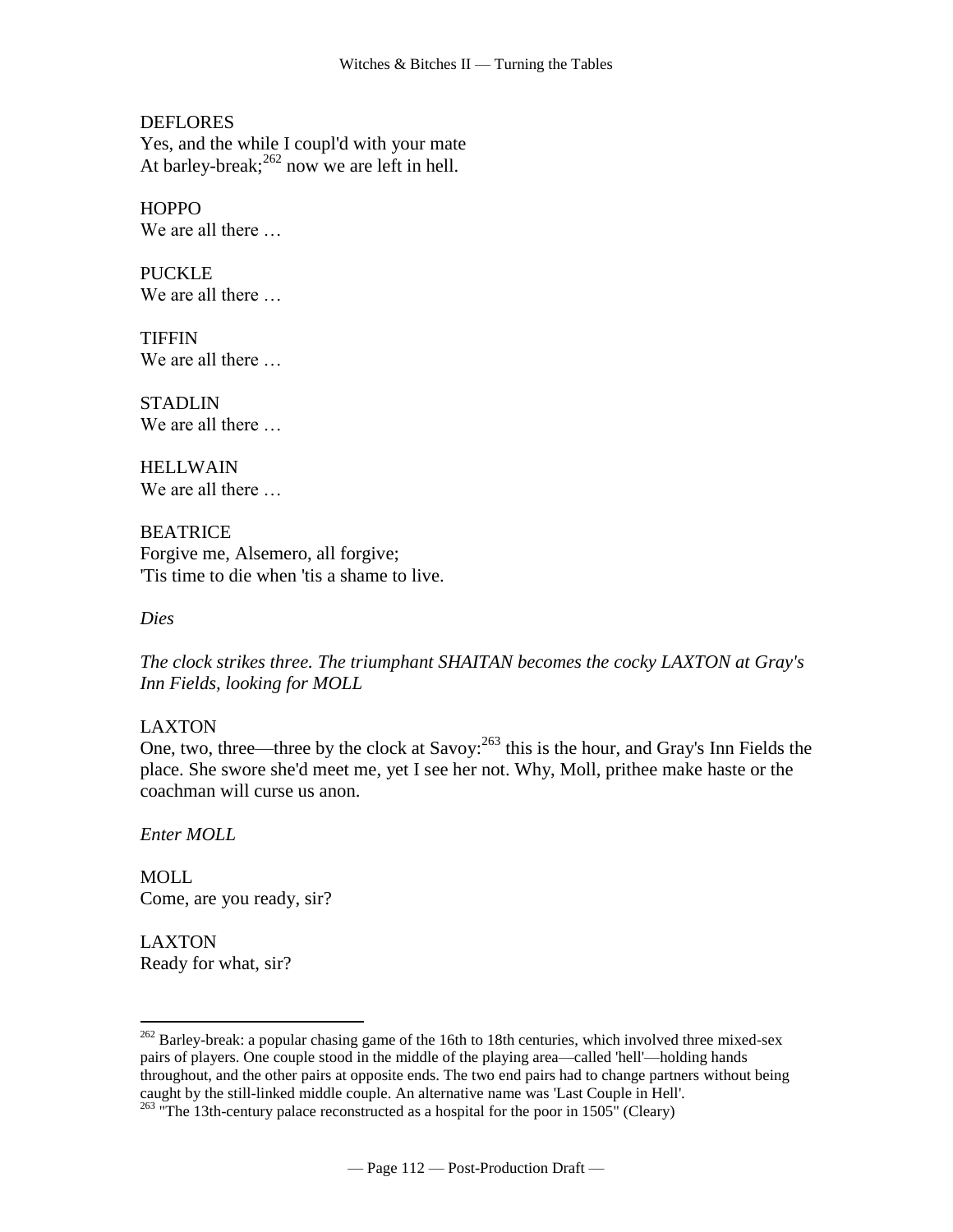**DEFLORES** Yes, and the while I coupl'd with your mate At barley-break;  $^{262}$  now we are left in hell.

**HOPPO** We are all there …

PUCKLE We are all there …

**TIFFIN** We are all there …

**STADLIN** We are all there …

**HELLWAIN** We are all there …

BEATRICE Forgive me, Alsemero, all forgive; 'Tis time to die when 'tis a shame to live.

*Dies*

*The clock strikes three. The triumphant SHAITAN becomes the cocky LAXTON at Gray's Inn Fields, looking for MOLL*

# LAXTON

One, two, three—three by the clock at [Savoy:](http://www.tech.org/~cleary/roar.html#SAVOY)<sup>263</sup> this is the hour, and Gray's Inn Fields the place. She swore she'd meet me, yet I see her not. Why, Moll, prithee make haste or the coachman will curse us anon.

*Enter MOLL*

 $\overline{a}$ 

MOLL Come, are you ready, sir?

LAXTON Ready for what, sir?

 $^{262}$  Barley-break: a popular chasing game of the 16th to 18th centuries, which involved three mixed-sex pairs of players. One couple stood in the middle of the playing area—called 'hell'—holding hands throughout, and the other pairs at opposite ends. The two end pairs had to change partners without being caught by the still-linked middle couple. An alternative name was 'Last Couple in Hell'.

 $^{263}$  "The 13th-century palace reconstructed as a hospital for the poor in 1505" (Cleary)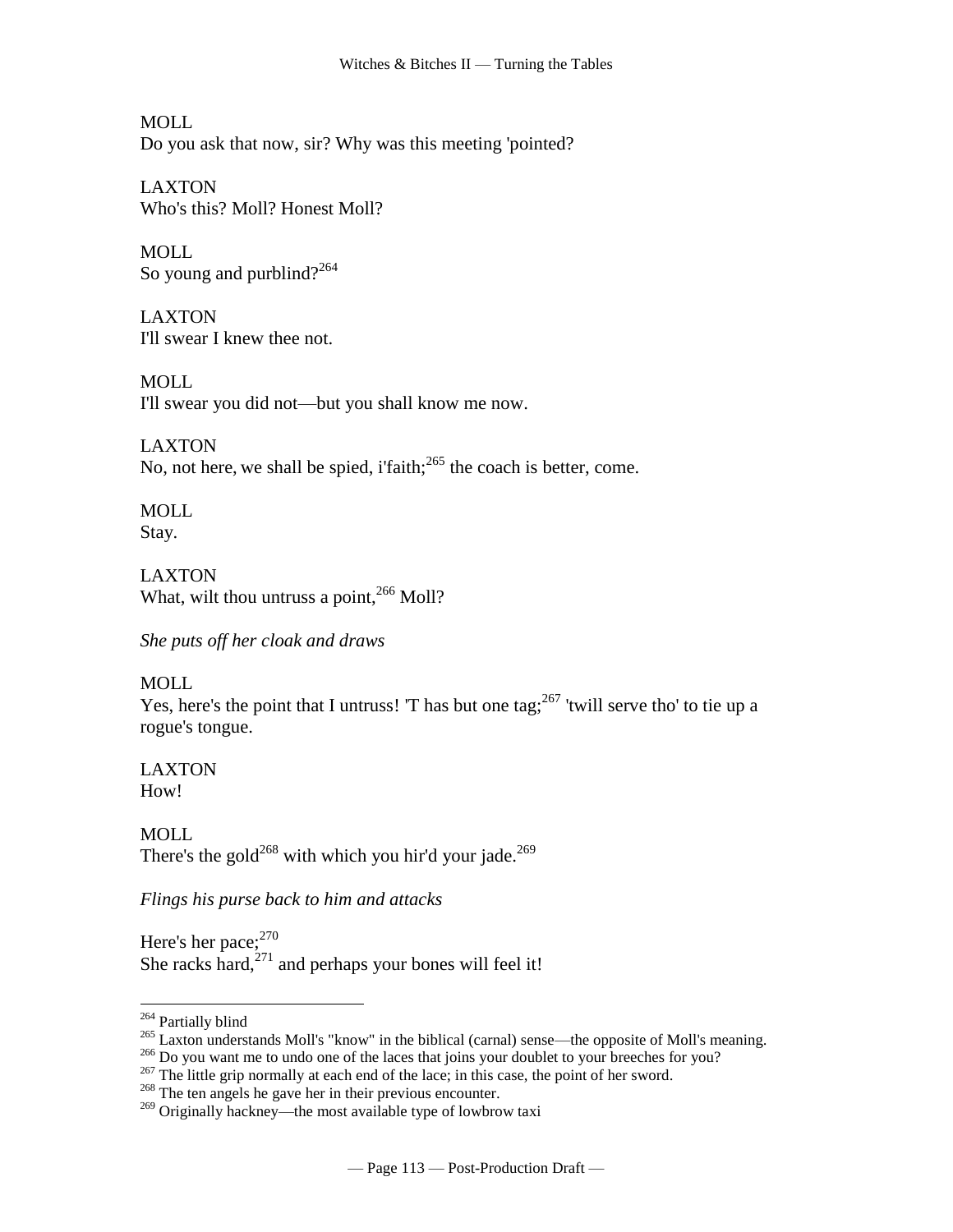MOLL Do you ask that now, sir? Why was this meeting 'pointed?

LAXTON Who's this? Moll? Honest Moll?

MOLL. So young and purblind?<sup>264</sup>

LAXTON I'll swear I knew thee not.

MOLL. I'll swear you did not—but you shall know me now.

LAXTON No, not here, we shall be spied, i'faith; $^{265}$  the coach is better, come.

MOLL Stay.

LAXTON What, wilt thou [untruss a point,](http://www.tech.org/~cleary/roar.html#UNTRUSSA)<sup>266</sup> Moll?

*She puts off her cloak and draws*

# MOLL

Yes, here's the point that I untruss! 'T has but one tag;  $267$  'twill serve tho' to tie up a rogue's tongue.

LAXTON How!

MOLL [There's the gold](http://www.tech.org/~cleary/roar.html#THERESTH)<sup>268</sup> with which you hir'd your [jade.](http://www.tech.org/~cleary/roar.html#HACKNEY)<sup>269</sup>

*Flings his purse back to him and attacks*

Here's her [pace;](http://www.tech.org/~cleary/roar.html#PACE)<sup>270</sup> She [racks](http://www.tech.org/~cleary/roar.html#RACKS) hard, $^{271}$  and perhaps your bones will feel it!

<sup>&</sup>lt;sup>264</sup> Partially blind

<sup>&</sup>lt;sup>265</sup> Laxton understands Moll's "know" in the biblical (carnal) sense—the opposite of Moll's meaning.

<sup>&</sup>lt;sup>266</sup> Do you want me to undo one of the laces that joins your doublet to your breeches for you?

 $^{267}$  The little grip normally at each end of the lace; in this case, the point of her sword.

<sup>&</sup>lt;sup>268</sup> The ten angels he gave her in their previous encounter.

<sup>&</sup>lt;sup>269</sup> Originally hackney—the most available type of lowbrow taxi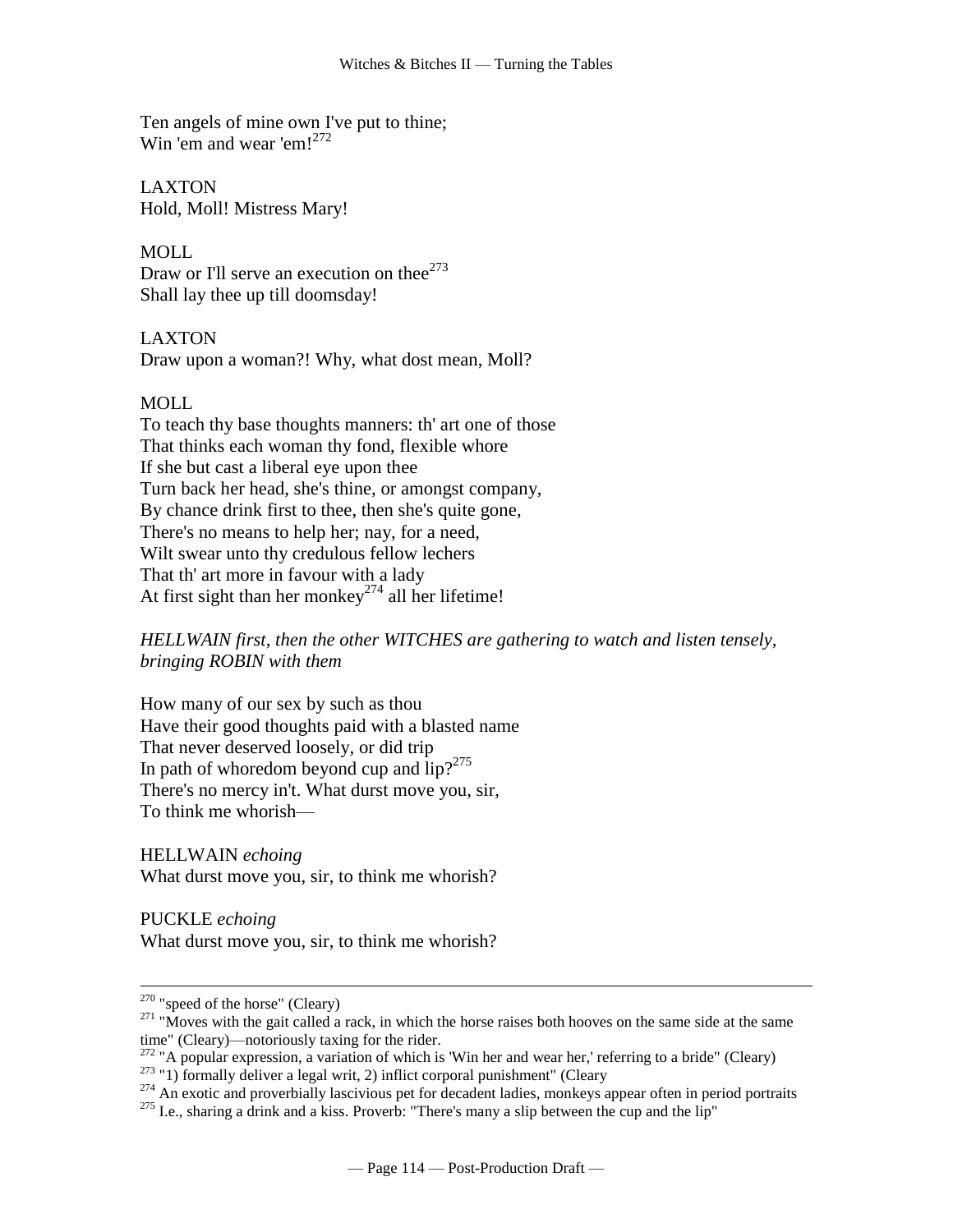Ten angels of mine own I've put to thine; [Win 'em and wear 'em!](http://www.tech.org/~cleary/roar.html#WINEMAND)<sup>272</sup>

LAXTON Hold, Moll! Mistress Mary!

MOLL. Draw or I'll [serve an execution on thee](http://www.tech.org/~cleary/roar.html#SERVEANE) $273$ Shall lay thee up till doomsday!

LAXTON Draw upon a woman?! Why, what dost mean, Moll?

## MOLL

To teach thy base thoughts manners: th' art one of those That thinks each woman thy fond, flexible whore If she but cast a liberal eye upon thee Turn back her head, she's thine, or amongst company, By chance drink first to thee, then she's quite gone, There's no means to help her; nay, for a need, Wilt swear unto thy credulous fellow lechers That th' art more in favour with a lady At first sight than her [monkey](http://www.tech.org/~cleary/roar.html#MONKEY)<sup>274</sup> all her lifetime!

*HELLWAIN first, then the other WITCHES are gathering to watch and listen tensely, bringing ROBIN with them*

How many of our sex by such as thou Have their good thoughts paid with a blasted name That never deserved loosely, or did trip In path of whoredom beyond cup and  $lip?^{275}$ There's no mercy in't. What durst move you, sir, To think me whorish—

HELLWAIN *echoing* What durst move you, sir, to think me whorish?

PUCKLE *echoing* What durst move you, sir, to think me whorish?

 $270$  "speed of the horse" (Cleary)

 $271$  "Moves with the gait called a rack, in which the horse raises both hooves on the same side at the same time" (Cleary)—notoriously taxing for the rider.

 $272$  "A popular expression, a variation of which is 'Win her and wear her,' referring to a bride" (Cleary)

 $273$  "1) formally deliver a legal writ, 2) inflict corporal punishment" (Cleary

<sup>&</sup>lt;sup>274</sup> An exotic and proverbially lascivious pet for decadent ladies, monkeys appear often in period portraits

<sup>&</sup>lt;sup>275</sup> I.e., sharing a drink and a kiss. Proverb: "There's many a slip between the cup and the lip"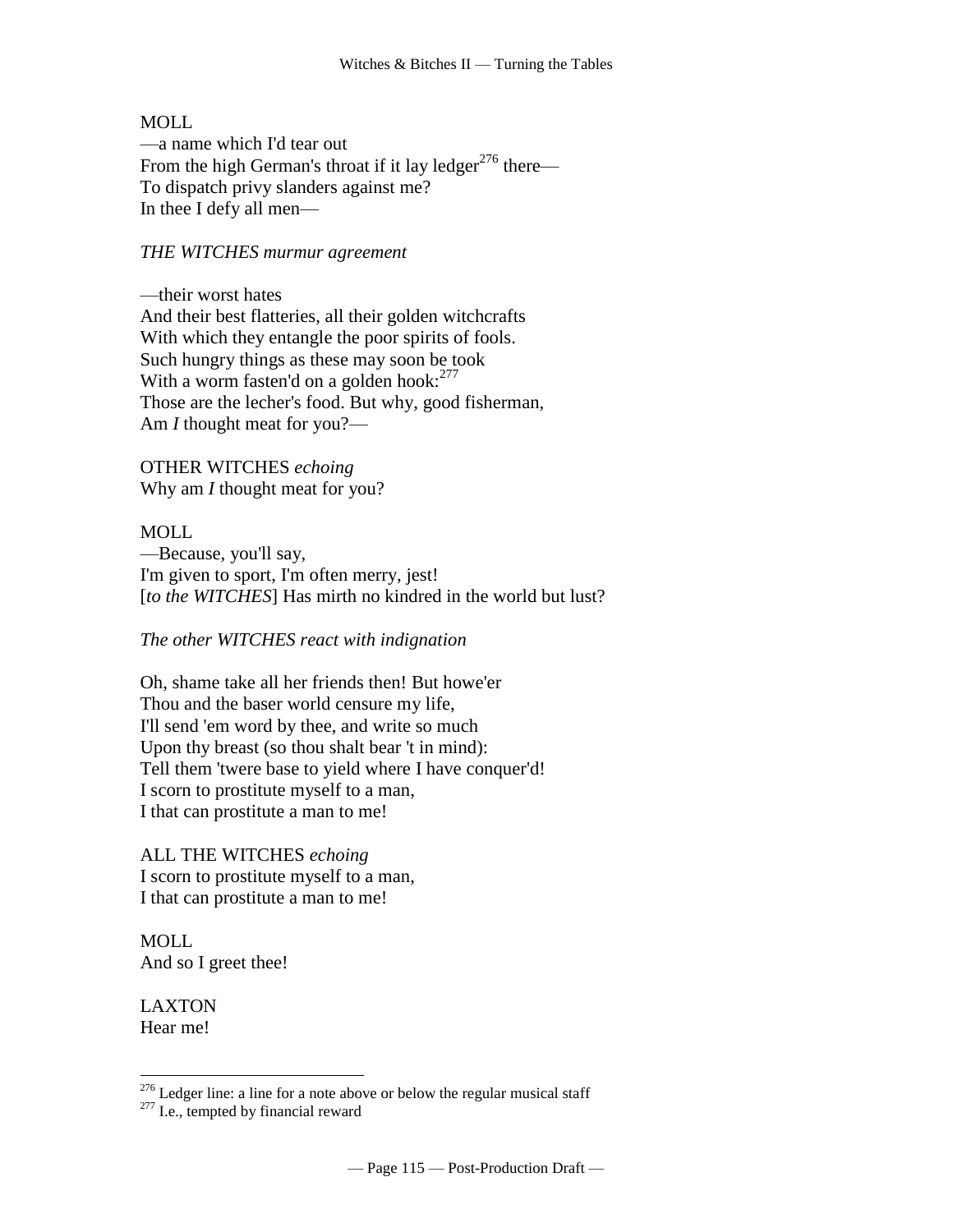## MOLL

—a name which I'd tear out From the high German's throat if it [lay ledger](http://www.tech.org/~cleary/roar.html#LAYLEDGE)<sup>276</sup> there— To dispatch privy slanders against me? In thee I defy all men—

#### *THE WITCHES murmur agreement*

—their worst hates And their best flatteries, all their golden witchcrafts With which they entangle the poor spirits of fools. Such hungry things as these may soon be took With a worm fasten'd on a [golden hook:](http://www.tech.org/~cleary/roar.html#GOLDENHO)<sup>277</sup> Those are the lecher's food. But why, good fisherman, Am *I* thought meat for you?—

OTHER WITCHES *echoing* Why am *I* thought meat for you?

#### MOLL.

—Because, you'll say, I'm given to sport, I'm often merry, jest! [to the WITCHES] Has mirth no kindred in the world but lust?

*The other WITCHES react with indignation*

Oh, shame take all her friends then! But howe'er Thou and the baser world censure my life, I'll send 'em word by thee, and write so much Upon thy breast (so thou shalt bear 't in mind): Tell them 'twere base to yield where I have conquer'd! I scorn to prostitute myself to a man, I that can prostitute a man to me!

ALL THE WITCHES *echoing* I scorn to prostitute myself to a man, I that can prostitute a man to me!

MOLL And so I greet thee!

LAXTON Hear me!

 $2^{276}$  Ledger line: a line for a note above or below the regular musical staff

 $277$  I.e., tempted by financial reward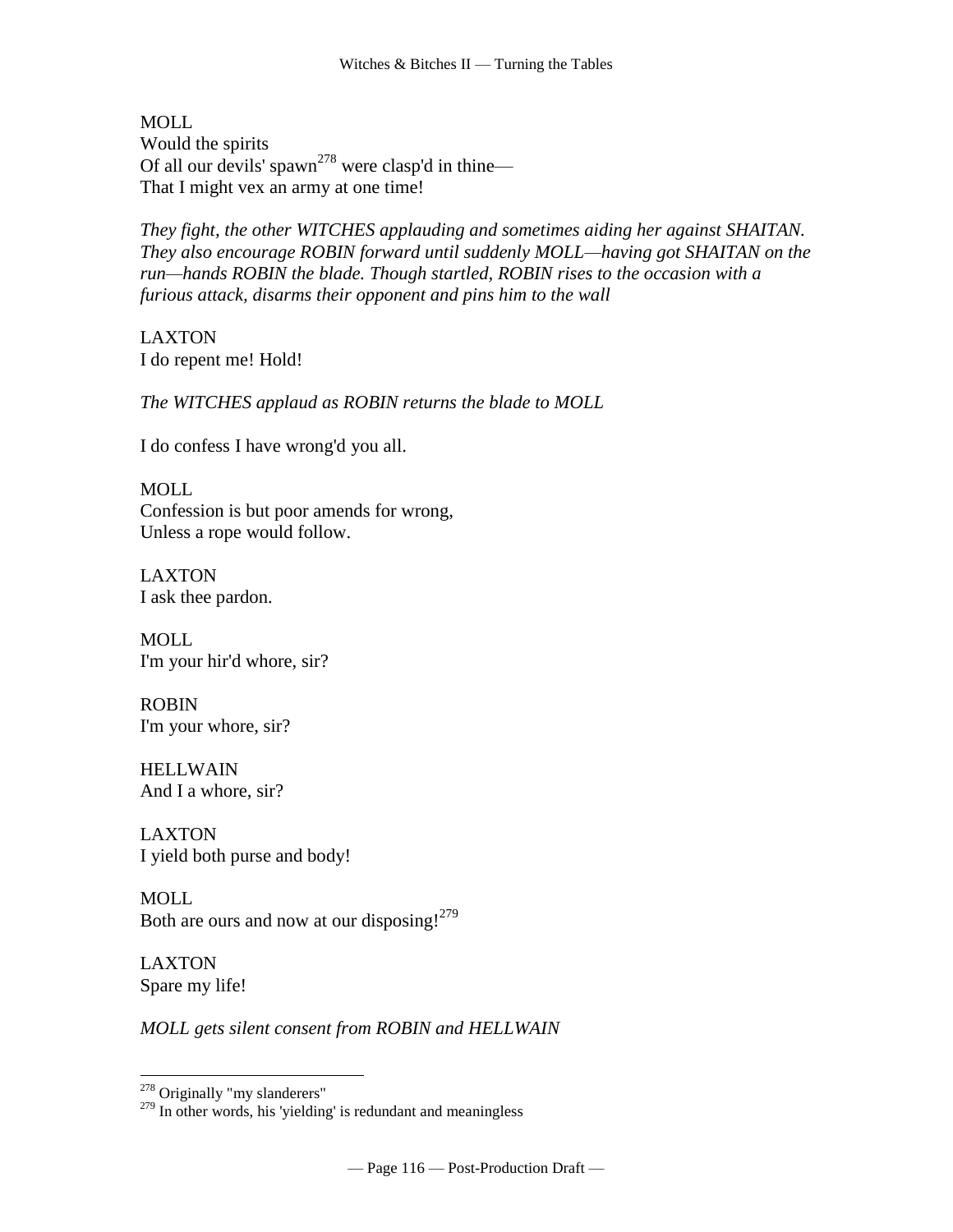MOLL Would the spirits Of all our devils' spawn<sup>278</sup> were clasp'd in thine— That I might vex an army at one time!

*They fight, the other WITCHES applauding and sometimes aiding her against SHAITAN. They also encourage ROBIN forward until suddenly MOLL—having got SHAITAN on the run—hands ROBIN the blade. Though startled, ROBIN rises to the occasion with a furious attack, disarms their opponent and pins him to the wall*

LAXTON I do repent me! Hold!

*The WITCHES applaud as ROBIN returns the blade to MOLL*

I do confess I have wrong'd you all.

MOLL Confession is but poor amends for wrong, Unless a rope would follow.

LAXTON I ask thee pardon.

MOLL I'm your hir'd whore, sir?

ROBIN I'm your whore, sir?

HELLWAIN And I a whore, sir?

LAXTON I yield both purse and body!

MOLL Both are ours and now at our disposing!<sup>279</sup>

LAXTON Spare my life!

 $\overline{a}$ 

*MOLL gets silent consent from ROBIN and HELLWAIN*

 $278$  Originally "my slanderers"

 $279$  In other words, his 'yielding' is redundant and meaningless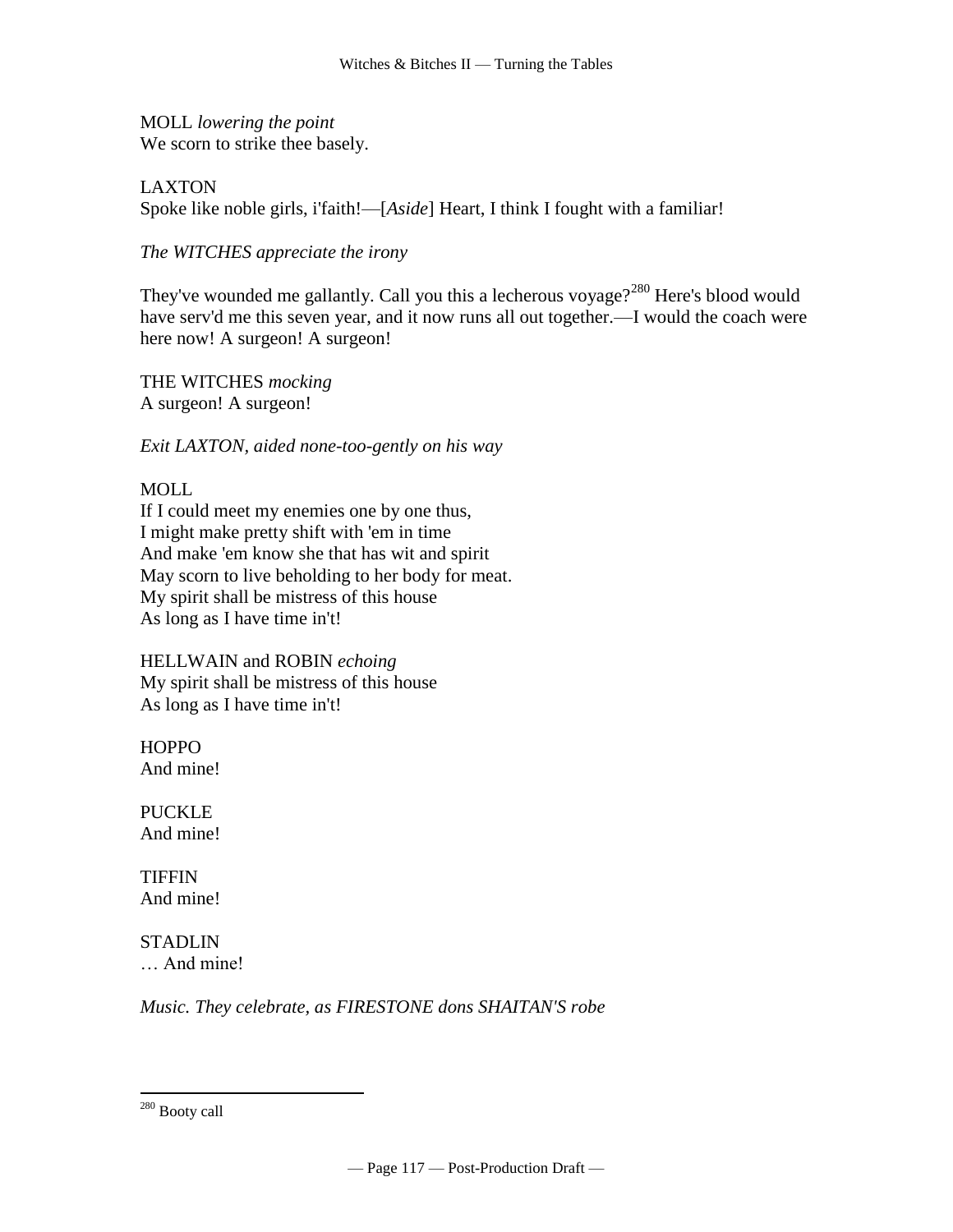MOLL *lowering the point* We scorn to strike thee basely.

LAXTON Spoke like noble girls, i'faith!—[*Aside*] Heart, I think I fought with a [familiar!](http://www.tech.org/~cleary/roar.html#FAMILIAR)

*The WITCHES appreciate the irony*

They've wounded me gallantly. Call you this a lecherous voyage?<sup>280</sup> Here's blood would have serv'd me this seven year, and it now runs all out together.—I would the coach were here now! A surgeon! A surgeon!

THE WITCHES *mocking* A surgeon! A surgeon!

*Exit LAXTON, aided none-too-gently on his way*

# MOLL

If I could meet my enemies one by one thus, I might make pretty shift with 'em in time And make 'em know she that has wit and spirit May scorn to live beholding to her body for meat. My spirit shall be mistress of this house As long as I have time in't!

HELLWAIN and ROBIN *echoing* My spirit shall be mistress of this house As long as I have time in't!

**HOPPO** And mine!

PUCKLE And mine!

**TIFFIN** And mine!

**STADLIN** … And mine!

*Music. They celebrate, as FIRESTONE dons SHAITAN'S robe*

<sup>&</sup>lt;sup>280</sup> Booty call